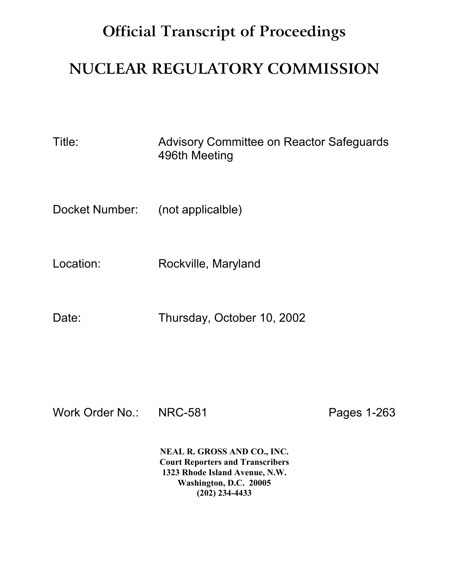## **Official Transcript of Proceedings**

## **NUCLEAR REGULATORY COMMISSION**

Title: Advisory Committee on Reactor Safeguards 496th Meeting

Docket Number: (not applicalble)

Location: Rockville, Maryland

Date: Thursday, October 10, 2002

Work Order No.: NRC-581 Pages 1-263

**NEAL R. GROSS AND CO., INC. Court Reporters and Transcribers 1323 Rhode Island Avenue, N.W. Washington, D.C. 20005 (202) 234-4433**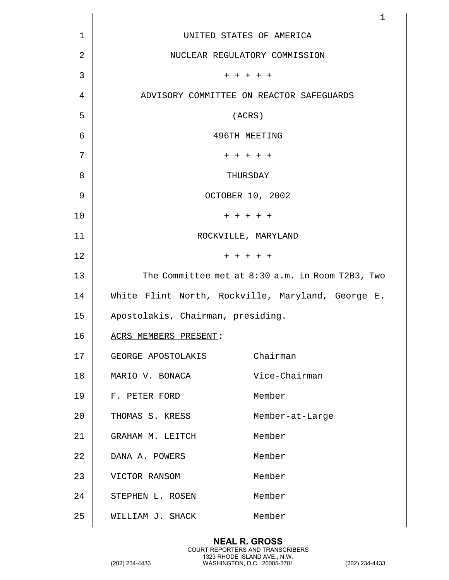|    |                                                   | 1                                                |
|----|---------------------------------------------------|--------------------------------------------------|
| 1  | UNITED STATES OF AMERICA                          |                                                  |
| 2  | NUCLEAR REGULATORY COMMISSION                     |                                                  |
| 3  | $+ + + + + +$                                     |                                                  |
| 4  | ADVISORY COMMITTEE ON REACTOR SAFEGUARDS          |                                                  |
| 5  | (ACRS)                                            |                                                  |
| 6  | 496TH MEETING                                     |                                                  |
| 7  | + + + + +                                         |                                                  |
| 8  | THURSDAY                                          |                                                  |
| 9  | OCTOBER 10, 2002                                  |                                                  |
| 10 | $+ + + + + +$                                     |                                                  |
| 11 | ROCKVILLE, MARYLAND                               |                                                  |
| 12 | $+ + + + + +$                                     |                                                  |
| 13 |                                                   | The Committee met at 8:30 a.m. in Room T2B3, Two |
| 14 | White Flint North, Rockville, Maryland, George E. |                                                  |
| 15 | Apostolakis, Chairman, presiding.                 |                                                  |
| 16 | ACRS MEMBERS PRESENT:                             |                                                  |
| 17 | GEORGE APOSTOLAKIS                                | Chairman                                         |
| 18 | MARIO V. BONACA                                   | Vice-Chairman                                    |
| 19 | F. PETER FORD                                     | Member                                           |
| 20 | THOMAS S. KRESS                                   | Member-at-Large                                  |
| 21 | GRAHAM M. LEITCH                                  | Member                                           |
| 22 | DANA A. POWERS                                    | Member                                           |
| 23 | VICTOR RANSOM                                     | Member                                           |
| 24 | STEPHEN L. ROSEN                                  | Member                                           |
| 25 | WILLIAM J. SHACK                                  | Member                                           |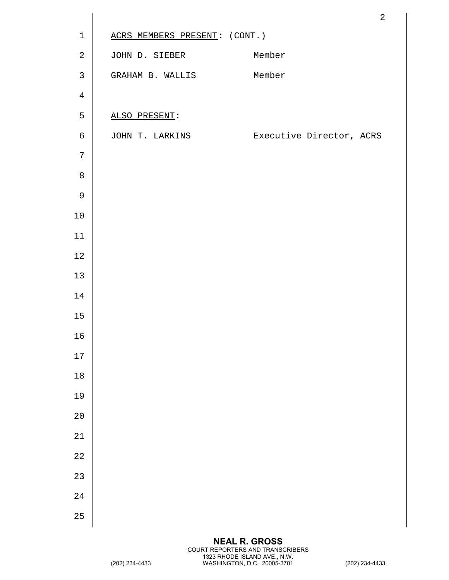|              |                               | $\sqrt{2}$                               |
|--------------|-------------------------------|------------------------------------------|
| $\mathbf 1$  | ACRS MEMBERS PRESENT: (CONT.) |                                          |
| $\sqrt{2}$   | JOHN D. SIEBER                | Member                                   |
| $\mathbf{3}$ | GRAHAM B. WALLIS Member       |                                          |
| $\,4$        |                               |                                          |
| 5            | ALSO PRESENT:                 |                                          |
| $\epsilon$   |                               | JOHN T. LARKINS Executive Director, ACRS |
| 7            |                               |                                          |
| $\, 8$       |                               |                                          |
| $\mathsf 9$  |                               |                                          |
| 10           |                               |                                          |
| 11           |                               |                                          |
| $1\,2$       |                               |                                          |
| 13           |                               |                                          |
| $14\,$       |                               |                                          |
| 15           |                               |                                          |
| $16\,$       |                               |                                          |
| 17           |                               |                                          |
| 18           |                               |                                          |
| 19           |                               |                                          |
| 20           |                               |                                          |
| 21           |                               |                                          |
| 22           |                               |                                          |
| 23           |                               |                                          |
| 24           |                               |                                          |
| 25           |                               |                                          |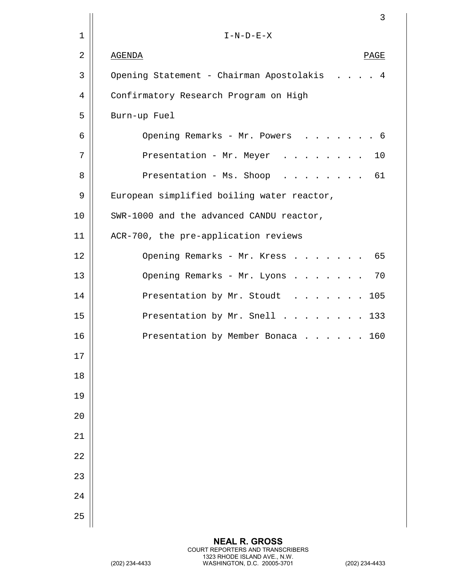|    | 3                                             |
|----|-----------------------------------------------|
| 1  | $I-N-D-E-X$                                   |
| 2  | <b>AGENDA</b><br>PAGE                         |
| 3  | Opening Statement - Chairman Apostolakis<br>4 |
| 4  | Confirmatory Research Program on High         |
| 5  | Burn-up Fuel                                  |
| 6  | Opening Remarks - Mr. Powers<br>- 6           |
| 7  | Presentation - Mr. Meyer<br>10                |
| 8  | 61<br>Presentation - Ms. Shoop                |
| 9  | European simplified boiling water reactor,    |
| 10 | SWR-1000 and the advanced CANDU reactor,      |
| 11 | ACR-700, the pre-application reviews          |
| 12 | 65<br>Opening Remarks - Mr. Kress             |
| 13 | Opening Remarks - Mr. Lyons<br>70             |
| 14 | Presentation by Mr. Stoudt<br>105             |
| 15 | Presentation by Mr. Snell 133                 |
| 16 | Presentation by Member Bonaca<br>160          |
| 17 |                                               |
| 18 |                                               |
| 19 |                                               |
| 20 |                                               |
| 21 |                                               |
| 22 |                                               |
| 23 |                                               |
| 24 |                                               |
| 25 |                                               |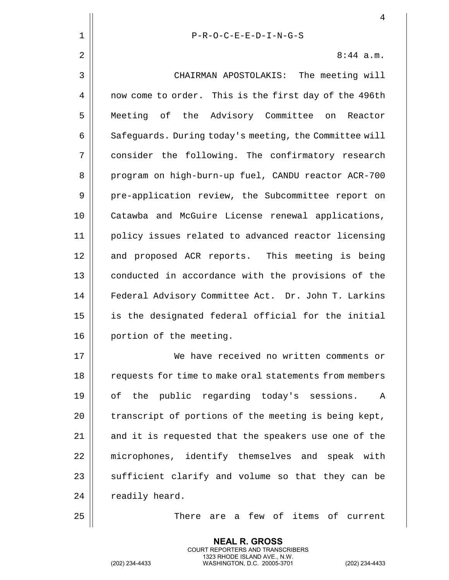|    | $\overline{4}$                                            |
|----|-----------------------------------------------------------|
| 1  | $P-R-O-C-E-E-D-I-N-G-S$                                   |
| 2  | $8:44$ a.m.                                               |
| 3  | CHAIRMAN APOSTOLAKIS: The meeting will                    |
| 4  | now come to order. This is the first day of the 496th     |
| 5  | Meeting of the Advisory Committee on<br>Reactor           |
| 6  | Safeguards. During today's meeting, the Committee will    |
| 7  | consider the following. The confirmatory research         |
| 8  | program on high-burn-up fuel, CANDU reactor ACR-700       |
| 9  | pre-application review, the Subcommittee report on        |
| 10 | Catawba and McGuire License renewal applications,         |
| 11 | policy issues related to advanced reactor licensing       |
| 12 | and proposed ACR reports. This meeting is being           |
| 13 | conducted in accordance with the provisions of the        |
| 14 | Federal Advisory Committee Act. Dr. John T. Larkins       |
| 15 | is the designated federal official for the initial        |
| 16 | portion of the meeting.                                   |
| 17 | We have received no written comments or                   |
| 18 | requests for time to make oral statements from members    |
| 19 | of the public regarding today's sessions.<br>$\mathbb{A}$ |
| 20 | transcript of portions of the meeting is being kept,      |
| 21 | and it is requested that the speakers use one of the      |
| 22 | microphones, identify themselves and speak with           |
| 23 | sufficient clarify and volume so that they can be         |
| 24 | readily heard.                                            |
| 25 | There are a few of items of current                       |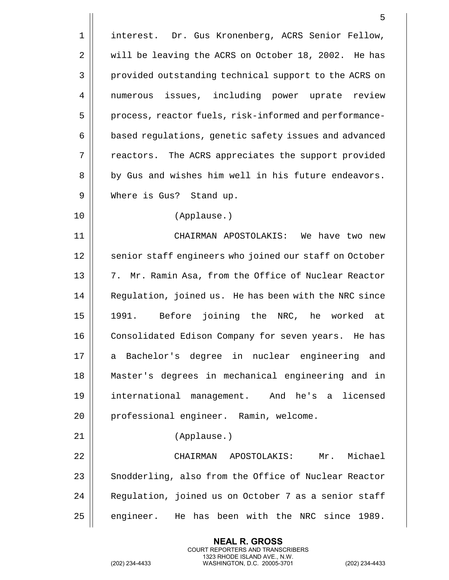|    | 5                                                      |
|----|--------------------------------------------------------|
| 1  | interest. Dr. Gus Kronenberg, ACRS Senior Fellow,      |
| 2  | will be leaving the ACRS on October 18, 2002. He has   |
| 3  | provided outstanding technical support to the ACRS on  |
| 4  | numerous issues, including power uprate review         |
| 5  | process, reactor fuels, risk-informed and performance- |
| 6  | based regulations, genetic safety issues and advanced  |
| 7  | reactors. The ACRS appreciates the support provided    |
| 8  | by Gus and wishes him well in his future endeavors.    |
| 9  | Where is Gus? Stand up.                                |
| 10 | (Applause.)                                            |
| 11 | CHAIRMAN APOSTOLAKIS: We have two new                  |
| 12 | senior staff engineers who joined our staff on October |
| 13 | 7. Mr. Ramin Asa, from the Office of Nuclear Reactor   |
| 14 | Regulation, joined us. He has been with the NRC since  |
| 15 | 1991. Before joining the NRC, he worked at             |
| 16 | Consolidated Edison Company for seven years. He has    |
| 17 | a Bachelor's degree in nuclear engineering and         |
| 18 | Master's degrees in mechanical engineering and in      |
| 19 | international management. And he's a licensed          |
| 20 | professional engineer. Ramin, welcome.                 |
| 21 | (Applause.)                                            |
| 22 | CHAIRMAN APOSTOLAKIS:<br>Mr. Michael                   |
| 23 | Snodderling, also from the Office of Nuclear Reactor   |
| 24 | Regulation, joined us on October 7 as a senior staff   |
| 25 | engineer. He has been with the NRC since 1989.         |

(202) 234-4433 WASHINGTON, D.C. 20005-3701 (202) 234-4433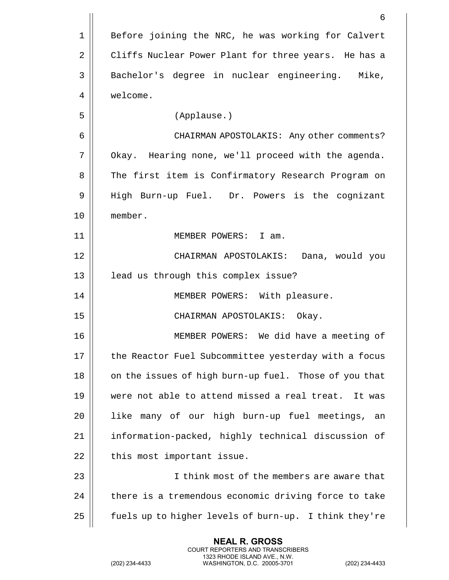|                | 6                                                     |
|----------------|-------------------------------------------------------|
| 1              | Before joining the NRC, he was working for Calvert    |
| $\overline{2}$ | Cliffs Nuclear Power Plant for three years. He has a  |
| 3              | Bachelor's degree in nuclear engineering. Mike,       |
| 4              | welcome.                                              |
| 5              | (Applause.)                                           |
| 6              | CHAIRMAN APOSTOLAKIS: Any other comments?             |
| 7              | Okay. Hearing none, we'll proceed with the agenda.    |
| 8              | The first item is Confirmatory Research Program on    |
| 9              | High Burn-up Fuel. Dr. Powers is the cognizant        |
| 10             | member.                                               |
| 11             | MEMBER POWERS: I am.                                  |
| 12             | CHAIRMAN APOSTOLAKIS: Dana, would you                 |
| 13             | lead us through this complex issue?                   |
| 14             | MEMBER POWERS: With pleasure.                         |
| 15             | CHAIRMAN APOSTOLAKIS: Okay.                           |
| 16             | MEMBER POWERS: We did have a meeting of               |
| 17             | the Reactor Fuel Subcommittee yesterday with a focus  |
| 18             | on the issues of high burn-up fuel. Those of you that |
| 19             | were not able to attend missed a real treat. It was   |
| 20             | many of our high burn-up fuel meetings,<br>like<br>an |
| 21             | information-packed, highly technical discussion of    |
| 22             | this most important issue.                            |
| 23             | I think most of the members are aware that            |
| 24             | there is a tremendous economic driving force to take  |
| 25             | fuels up to higher levels of burn-up. I think they're |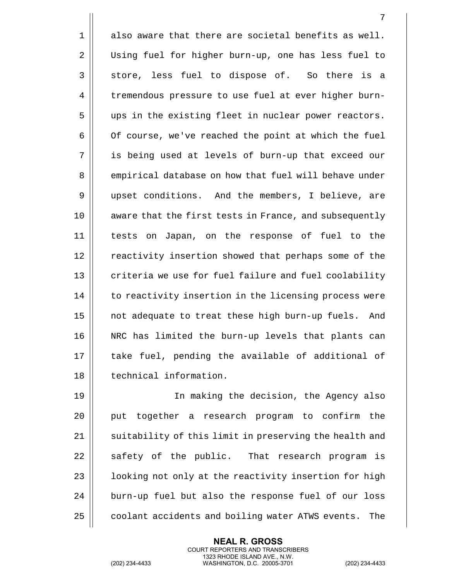1 also aware that there are societal benefits as well. 2 | Using fuel for higher burn-up, one has less fuel to  $3 \parallel$  store, less fuel to dispose of. So there is a 4 | tremendous pressure to use fuel at ever higher burn-5 || ups in the existing fleet in nuclear power reactors.  $6 \parallel$  Of course, we've reached the point at which the fuel 7 is being used at levels of burn-up that exceed our 8 empirical database on how that fuel will behave under 9 || upset conditions. And the members, I believe, are 10 || aware that the first tests in France, and subsequently 11 tests on Japan, on the response of fuel to the 12 | reactivity insertion showed that perhaps some of the 13 || criteria we use for fuel failure and fuel coolability  $14$   $\parallel$  to reactivity insertion in the licensing process were 15 || not adequate to treat these high burn-up fuels. And 16 || NRC has limited the burn-up levels that plants can 17 || take fuel, pending the available of additional of 18 technical information.

 In making the decision, the Agency also 20 || put together a research program to confirm the  $\parallel$  suitability of this limit in preserving the health and  $\parallel$  safety of the public. That research program is |  $\blacksquare$  looking not only at the reactivity insertion for high | burn-up fuel but also the response fuel of our loss 25 | coolant accidents and boiling water ATWS events. The

> **NEAL R. GROSS** COURT REPORTERS AND TRANSCRIBERS 1323 RHODE ISLAND AVE., N.W.

(202) 234-4433 WASHINGTON, D.C. 20005-3701 (202) 234-4433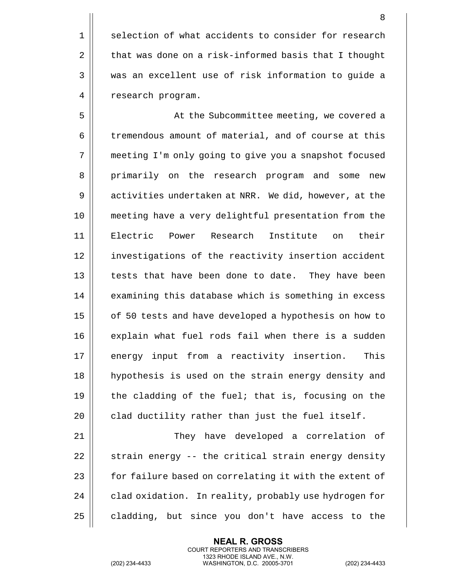1 || selection of what accidents to consider for research 2  $\parallel$  that was done on a risk-informed basis that I thought 3 was an excellent use of risk information to guide a 4 | research program.

5 | At the Subcommittee meeting, we covered a 6 | tremendous amount of material, and of course at this 7 meeting I'm only going to give you a snapshot focused 8 || primarily on the research program and some new 9 | activities undertaken at NRR. We did, however, at the 10 meeting have a very delightful presentation from the 11 Electric Power Research Institute on their 12 || investigations of the reactivity insertion accident 13 || tests that have been done to date. They have been 14 | examining this database which is something in excess 15 | of 50 tests and have developed a hypothesis on how to 16 || explain what fuel rods fail when there is a sudden 17 energy input from a reactivity insertion. This 18 || hypothesis is used on the strain energy density and 19  $\parallel$  the cladding of the fuel; that is, focusing on the  $20$  | clad ductility rather than just the fuel itself.

 They have developed a correlation of  $\parallel$  strain energy -- the critical strain energy density  $\parallel$  for failure based on correlating it with the extent of  $\parallel$  clad oxidation. In reality, probably use hydrogen for  $\parallel$  cladding, but since you don't have access to the

> **NEAL R. GROSS** COURT REPORTERS AND TRANSCRIBERS 1323 RHODE ISLAND AVE., N.W.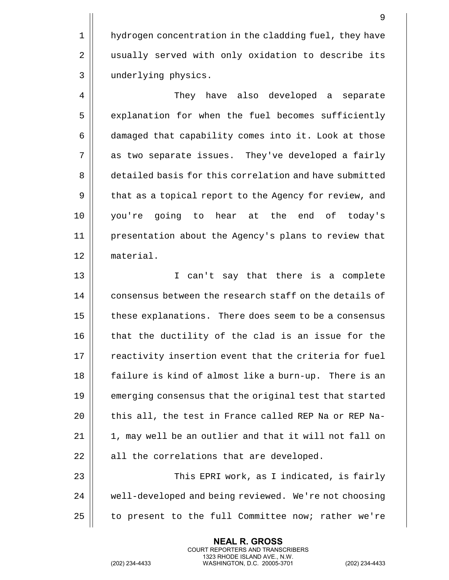1 | hydrogen concentration in the cladding fuel, they have 2 || usually served with only oxidation to describe its 3 underlying physics.

4 | They have also developed a separate 5 | explanation for when the fuel becomes sufficiently 6 damaged that capability comes into it. Look at those 7 || as two separate issues. They've developed a fairly 8 detailed basis for this correlation and have submitted 9 || that as a topical report to the Agency for review, and 10 you're going to hear at the end of today's 11 presentation about the Agency's plans to review that 12 material.

13 I can't say that there is a complete 14 || consensus between the research staff on the details of 15 | these explanations. There does seem to be a consensus 16 || that the ductility of the clad is an issue for the  $17$   $\parallel$  reactivity insertion event that the criteria for fuel 18 || failure is kind of almost like a burn-up. There is an 19 **emerging consensus that the original test that started** 20  $\parallel$  this all, the test in France called REP Na or REP Na- $21$   $\parallel$  1, may well be an outlier and that it will not fall on  $22$  || all the correlations that are developed. 23 This EPRI work, as I indicated, is fairly 24 | well-developed and being reviewed. We're not choosing

 $25$  | to present to the full Committee now; rather we're

**NEAL R. GROSS** COURT REPORTERS AND TRANSCRIBERS 1323 RHODE ISLAND AVE., N.W.

(202) 234-4433 WASHINGTON, D.C. 20005-3701 (202) 234-4433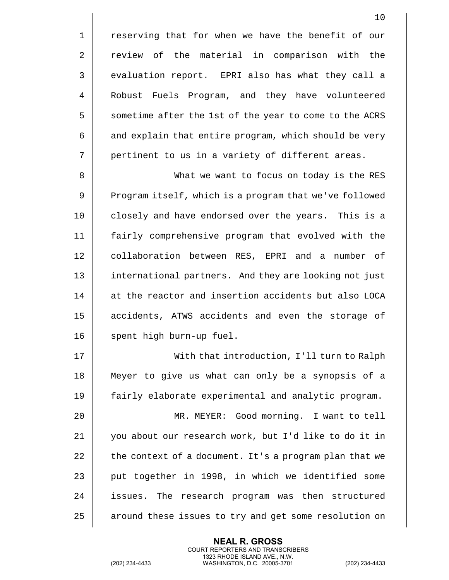1 || reserving that for when we have the benefit of our 2 | review of the material in comparison with the 3 || evaluation report. EPRI also has what they call a 4 || Robust Fuels Program, and they have volunteered 5 | sometime after the 1st of the year to come to the ACRS  $6 \parallel$  and explain that entire program, which should be very  $7 \parallel$  pertinent to us in a variety of different areas.

8 What we want to focus on today is the RES 9 | Program itself, which is a program that we've followed 10 || closely and have endorsed over the years. This is a 11 fairly comprehensive program that evolved with the 12 | collaboration between RES, EPRI and a number of 13 || international partners. And they are looking not just 14 || at the reactor and insertion accidents but also LOCA 15 || accidents, ATWS accidents and even the storage of 16 || spent high burn-up fuel.

17 With that introduction, I'll turn to Ralph 18 Meyer to give us what can only be a synopsis of a 19 fairly elaborate experimental and analytic program.

 MR. MEYER: Good morning. I want to tell you about our research work, but I'd like to do it in | the context of a document. It's a program plan that we || put together in 1998, in which we identified some 24 || issues. The research program was then structured 25 | around these issues to try and get some resolution on

> **NEAL R. GROSS** COURT REPORTERS AND TRANSCRIBERS 1323 RHODE ISLAND AVE., N.W.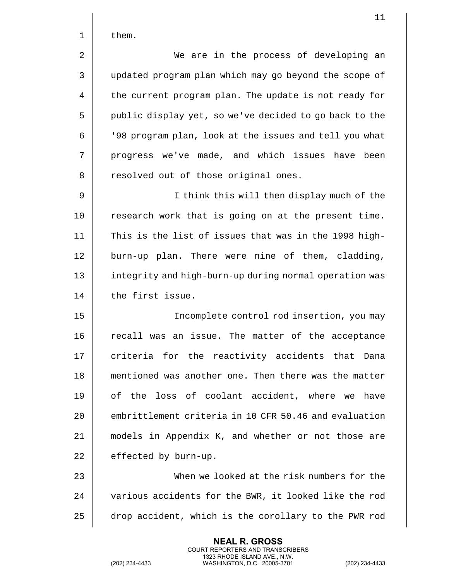1 | them.

2 We are in the process of developing an 3 | updated program plan which may go beyond the scope of 4 | the current program plan. The update is not ready for 5 | public display yet, so we've decided to go back to the 6 '98 program plan, look at the issues and tell you what 7 || progress we've made, and which issues have been 8 || resolved out of those original ones.

9 I think this will then display much of the 10 || research work that is going on at the present time. 11 This is the list of issues that was in the 1998 high-12 || burn-up plan. There were nine of them, cladding, 13 || integrity and high-burn-up during normal operation was 14 | the first issue.

15 Incomplete control rod insertion, you may 16 || recall was an issue. The matter of the acceptance 17 || criteria for the reactivity accidents that Dana 18 mentioned was another one. Then there was the matter 19 of the loss of coolant accident, where we have 20 || embrittlement criteria in 10 CFR 50.46 and evaluation 21 models in Appendix K, and whether or not those are  $22$  | effected by burn-up.

23 When we looked at the risk numbers for the 24 | various accidents for the BWR, it looked like the rod 25 | drop accident, which is the corollary to the PWR rod

> **NEAL R. GROSS** COURT REPORTERS AND TRANSCRIBERS 1323 RHODE ISLAND AVE., N.W.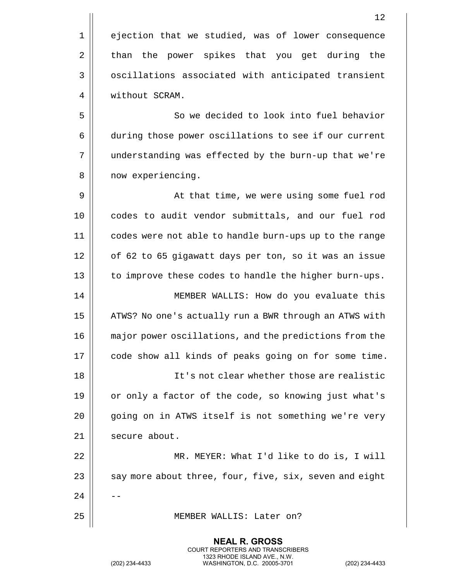|                | 12                                                 |
|----------------|----------------------------------------------------|
| 1              | ejection that we studied, was of lower consequence |
| $\overline{2}$ | than the power spikes that you get during the      |
| 3              | oscillations associated with anticipated transient |
| 4              | without SCRAM.                                     |
| 5              | So we decided to look into fuel behavior           |

6 during those power oscillations to see if our current 7 | understanding was effected by the burn-up that we're 8 | now experiencing.

9 || At that time, we were using some fuel rod 10 || codes to audit vendor submittals, and our fuel rod 11 codes were not able to handle burn-ups up to the range 12 || of 62 to 65 gigawatt days per ton, so it was an issue 13 || to improve these codes to handle the higher burn-ups. 14 MEMBER WALLIS: How do you evaluate this 15 | ATWS? No one's actually run a BWR through an ATWS with 16 major power oscillations, and the predictions from the 17 | code show all kinds of peaks going on for some time. 18 It's not clear whether those are realistic 19 || or only a factor of the code, so knowing just what's 20 || going on in ATWS itself is not something we're very  $21$  secure about. 22 MR. MEYER: What I'd like to do is, I will 23  $\parallel$  say more about three, four, five, six, seven and eight  $24$ 25 MEMBER WALLIS: Later on?

> **NEAL R. GROSS** COURT REPORTERS AND TRANSCRIBERS 1323 RHODE ISLAND AVE., N.W. (202) 234-4433 WASHINGTON, D.C. 20005-3701 (202) 234-4433

 $\mathbf{I}$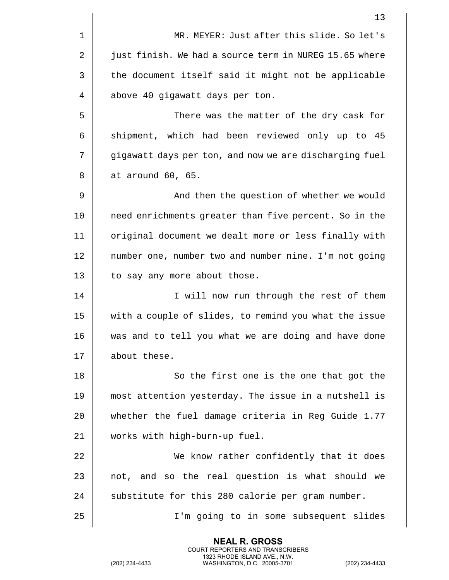|    | 13                                                     |
|----|--------------------------------------------------------|
| 1  | MR. MEYER: Just after this slide. So let's             |
| 2  | just finish. We had a source term in NUREG 15.65 where |
| 3  | the document itself said it might not be applicable    |
| 4  | above 40 gigawatt days per ton.                        |
| 5  | There was the matter of the dry cask for               |
| 6  | shipment, which had been reviewed only up to 45        |
| 7  | gigawatt days per ton, and now we are discharging fuel |
| 8  | at around 60, 65.                                      |
| 9  | And then the question of whether we would              |
| 10 | need enrichments greater than five percent. So in the  |
| 11 | original document we dealt more or less finally with   |
| 12 | number one, number two and number nine. I'm not going  |
| 13 | to say any more about those.                           |
| 14 | I will now run through the rest of them                |
| 15 | with a couple of slides, to remind you what the issue  |
| 16 | was and to tell you what we are doing and have done    |
| 17 | about these.                                           |
| 18 | So the first one is the one that got the               |
| 19 | most attention yesterday. The issue in a nutshell is   |
| 20 | whether the fuel damage criteria in Reg Guide 1.77     |
| 21 | works with high-burn-up fuel.                          |
| 22 | We know rather confidently that it does                |
| 23 | not, and so the real question is what should we        |
| 24 | substitute for this 280 calorie per gram number.       |
| 25 | I'm going to in some subsequent slides                 |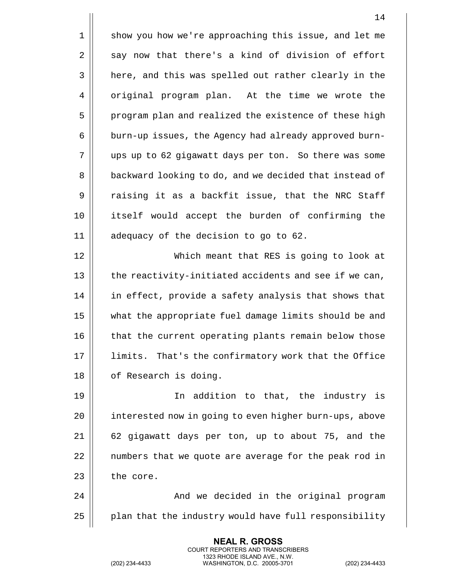1 || show you how we're approaching this issue, and let me  $2 \parallel$  say now that there's a kind of division of effort  $3 \parallel$  here, and this was spelled out rather clearly in the 4 | original program plan. At the time we wrote the 5 || program plan and realized the existence of these high 6 | burn-up issues, the Agency had already approved burn-7 ups up to 62 gigawatt days per ton. So there was some 8 | backward looking to do, and we decided that instead of 9 || raising it as a backfit issue, that the NRC Staff 10 itself would accept the burden of confirming the 11 adequacy of the decision to go to 62. 12 Which meant that RES is going to look at  $13$  || the reactivity-initiated accidents and see if we can, 14 || in effect, provide a safety analysis that shows that 15 what the appropriate fuel damage limits should be and 16 || that the current operating plants remain below those 17 || limits. That's the confirmatory work that the Office 18 || of Research is doing. 19 In addition to that, the industry is 20 | interested now in going to even higher burn-ups, above 21 62 gigawatt days per ton, up to about 75, and the 22 || numbers that we quote are average for the peak rod in  $23$  | the core. 24 And we decided in the original program  $25$  | plan that the industry would have full responsibility

> **NEAL R. GROSS** COURT REPORTERS AND TRANSCRIBERS 1323 RHODE ISLAND AVE., N.W.

(202) 234-4433 WASHINGTON, D.C. 20005-3701 (202) 234-4433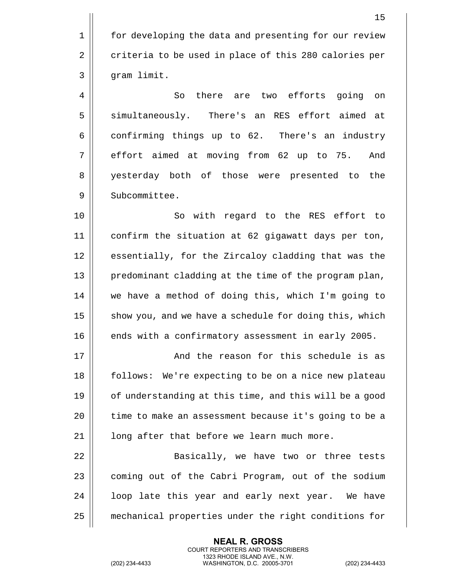1 | for developing the data and presenting for our review 2 | criteria to be used in place of this 280 calories per 3 | gram limit.

4 || So there are two efforts going on 5 Simultaneously. There's an RES effort aimed at  $6 \parallel$  confirming things up to 62. There's an industry 7 || effort aimed at moving from 62 up to 75. And 8 || yesterday both of those were presented to the 9 || Subcommittee.

10 || So with regard to the RES effort to 11 confirm the situation at 62 gigawatt days per ton, 12 || essentially, for the Zircaloy cladding that was the 13 || predominant cladding at the time of the program plan, 14 we have a method of doing this, which I'm going to  $15$  show you, and we have a schedule for doing this, which 16 **ends** with a confirmatory assessment in early 2005.

17 And the reason for this schedule is as 18 || follows: We're expecting to be on a nice new plateau 19 || of understanding at this time, and this will be a good 20 | time to make an assessment because it's going to be a  $21$  |  $\blacksquare$  long after that before we learn much more.

22 || Basically, we have two or three tests 23 | coming out of the Cabri Program, out of the sodium  $24$  |  $1$ oop late this year and early next year. We have 25 mechanical properties under the right conditions for

> **NEAL R. GROSS** COURT REPORTERS AND TRANSCRIBERS 1323 RHODE ISLAND AVE., N.W.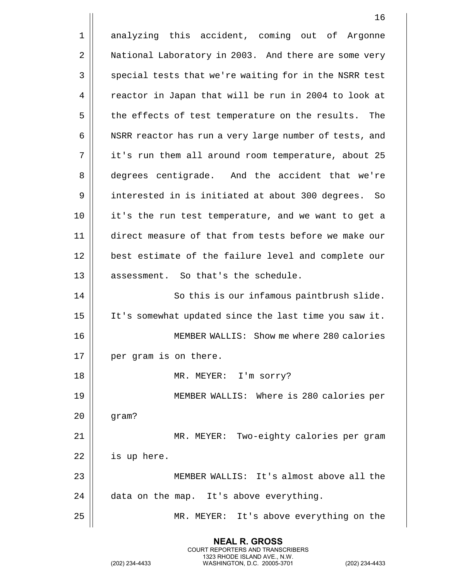1 analyzing this accident, coming out of Argonne 2 | National Laboratory in 2003. And there are some very 3 | special tests that we're waiting for in the NSRR test 4 | reactor in Japan that will be run in 2004 to look at 5 || the effects of test temperature on the results. The 6 | NSRR reactor has run a very large number of tests, and 7 || it's run them all around room temperature, about 25 8 degrees centigrade. And the accident that we're 9 interested in is initiated at about 300 degrees. So 10 it's the run test temperature, and we want to get a 11 direct measure of that from tests before we make our 12 || best estimate of the failure level and complete our 13 || assessment. So that's the schedule. 14 || So this is our infamous paintbrush slide. 15 It's somewhat updated since the last time you saw it. 16 MEMBER WALLIS: Show me where 280 calories 17 | per gram is on there. 18 MR. MEYER: I'm sorry? 19 MEMBER WALLIS: Where is 280 calories per  $20$  | gram? 21 MR. MEYER: Two-eighty calories per gram  $22$  | is up here. 23 MEMBER WALLIS: It's almost above all the  $24$  || data on the map. It's above everything. 25 MR. MEYER: It's above everything on the

> **NEAL R. GROSS** COURT REPORTERS AND TRANSCRIBERS 1323 RHODE ISLAND AVE., N.W.

(202) 234-4433 WASHINGTON, D.C. 20005-3701 (202) 234-4433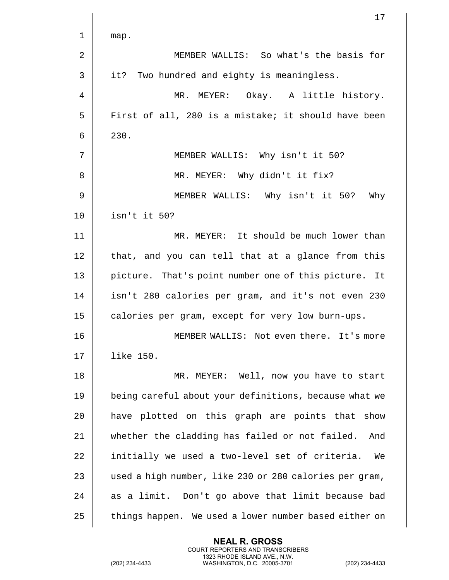|    | 17                                                     |
|----|--------------------------------------------------------|
| 1  | map.                                                   |
| 2  | MEMBER WALLIS: So what's the basis for                 |
| 3  | it? Two hundred and eighty is meaningless.             |
| 4  | MR. MEYER: Okay. A little history.                     |
| 5  | First of all, 280 is a mistake; it should have been    |
| 6  | 230.                                                   |
| 7  | MEMBER WALLIS: Why isn't it 50?                        |
| 8  | MR. MEYER: Why didn't it fix?                          |
| 9  | MEMBER WALLIS: Why isn't it 50?<br>Why                 |
| 10 | isn't it 50?                                           |
| 11 | MR. MEYER: It should be much lower than                |
| 12 | that, and you can tell that at a glance from this      |
| 13 | picture. That's point number one of this picture. It   |
| 14 | isn't 280 calories per gram, and it's not even 230     |
| 15 | calories per gram, except for very low burn-ups.       |
| 16 | MEMBER WALLIS: Not even there. It's more               |
| 17 | like 150.                                              |
| 18 | MR. MEYER: Well, now you have to start                 |
| 19 | being careful about your definitions, because what we  |
| 20 | have plotted on this graph are points that show        |
| 21 | whether the cladding has failed or not failed.<br>And  |
| 22 | initially we used a two-level set of criteria.<br>We   |
| 23 | used a high number, like 230 or 280 calories per gram, |
| 24 | as a limit. Don't go above that limit because bad      |
| 25 | things happen. We used a lower number based either on  |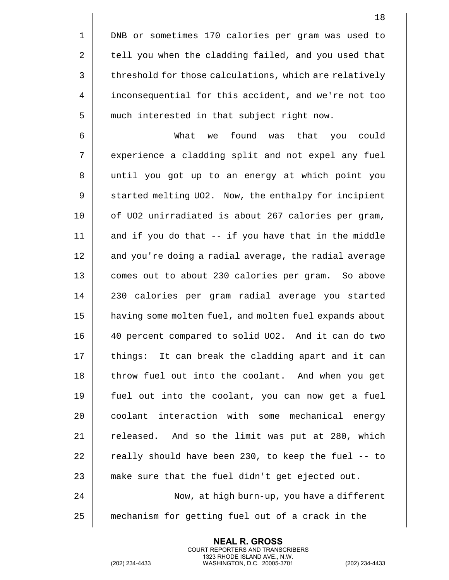1 DNB or sometimes 170 calories per gram was used to 2 | tell you when the cladding failed, and you used that 3 | threshold for those calculations, which are relatively 4 | inconsequential for this accident, and we're not too 5 || much interested in that subject right now.

6 What we found was that you could 7 || experience a cladding split and not expel any fuel 8 || until you got up to an energy at which point you 9 Started melting UO2. Now, the enthalpy for incipient 10 || of UO2 unirradiated is about 267 calories per gram,  $11$  and if you do that  $-$  if you have that in the middle 12 || and you're doing a radial average, the radial average 13 || comes out to about 230 calories per gram. So above 14 230 calories per gram radial average you started 15 having some molten fuel, and molten fuel expands about 16 40 percent compared to solid UO2. And it can do two 17 || things: It can break the cladding apart and it can 18 || throw fuel out into the coolant. And when you get 19 fuel out into the coolant, you can now get a fuel 20 || coolant interaction with some mechanical energy  $21$   $\parallel$  released. And so the limit was put at 280, which 22  $\parallel$  really should have been 230, to keep the fuel -- to  $23$  || make sure that the fuel didn't get ejected out. 24 Now, at high burn-up, you have a different

25 mechanism for getting fuel out of a crack in the

**NEAL R. GROSS** COURT REPORTERS AND TRANSCRIBERS 1323 RHODE ISLAND AVE., N.W.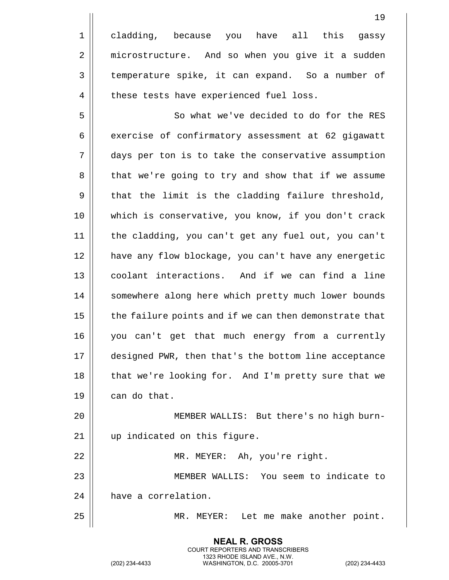1 || cladding, because you have all this gassy 2 | microstructure. And so when you give it a sudden 3 | temperature spike, it can expand. So a number of 4 | these tests have experienced fuel loss.

5 || So what we've decided to do for the RES  $6 \parallel$  exercise of confirmatory assessment at 62 gigawatt 7 days per ton is to take the conservative assumption 8 | that we're going to try and show that if we assume  $9 \parallel$  that the limit is the cladding failure threshold, 10 which is conservative, you know, if you don't crack 11 the cladding, you can't get any fuel out, you can't 12 have any flow blockage, you can't have any energetic 13 coolant interactions. And if we can find a line 14 || somewhere along here which pretty much lower bounds 15 | the failure points and if we can then demonstrate that 16 you can't get that much energy from a currently 17 designed PWR, then that's the bottom line acceptance 18 || that we're looking for. And I'm pretty sure that we  $19 \parallel$  can do that.

20 MEMBER WALLIS: But there's no high burn-21 up indicated on this figure. 22 || MR. MEYER: Ah, you're right.

23 MEMBER WALLIS: You seem to indicate to 24 | have a correlation.

> **NEAL R. GROSS** COURT REPORTERS AND TRANSCRIBERS 1323 RHODE ISLAND AVE., N.W.

25 MR. MEYER: Let me make another point.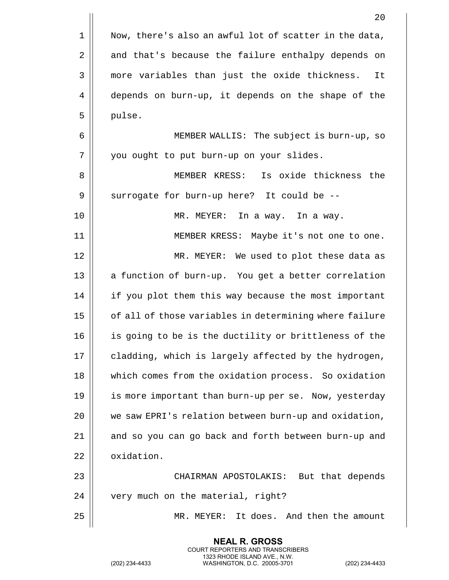|    | 20                                                     |
|----|--------------------------------------------------------|
| 1  | Now, there's also an awful lot of scatter in the data, |
| 2  | and that's because the failure enthalpy depends on     |
| 3  | more variables than just the oxide thickness.<br>It    |
| 4  | depends on burn-up, it depends on the shape of the     |
| 5  | pulse.                                                 |
| 6  | MEMBER WALLIS: The subject is burn-up, so              |
| 7  | you ought to put burn-up on your slides.               |
| 8  | Is oxide thickness the<br>MEMBER KRESS:                |
| 9  | surrogate for burn-up here? It could be --             |
| 10 | MR. MEYER:<br>In a way. In a way.                      |
| 11 | MEMBER KRESS: Maybe it's not one to one.               |
| 12 | MR. MEYER: We used to plot these data as               |
| 13 | a function of burn-up. You get a better correlation    |
| 14 | if you plot them this way because the most important   |
| 15 | of all of those variables in determining where failure |
| 16 | is going to be is the ductility or brittleness of the  |
| 17 | cladding, which is largely affected by the hydrogen,   |
| 18 | which comes from the oxidation process. So oxidation   |
| 19 | is more important than burn-up per se. Now, yesterday  |
| 20 | we saw EPRI's relation between burn-up and oxidation,  |
| 21 | and so you can go back and forth between burn-up and   |
| 22 | oxidation.                                             |
| 23 | CHAIRMAN APOSTOLAKIS: But that depends                 |
| 24 | very much on the material, right?                      |
| 25 | MR. MEYER: It does. And then the amount                |
|    |                                                        |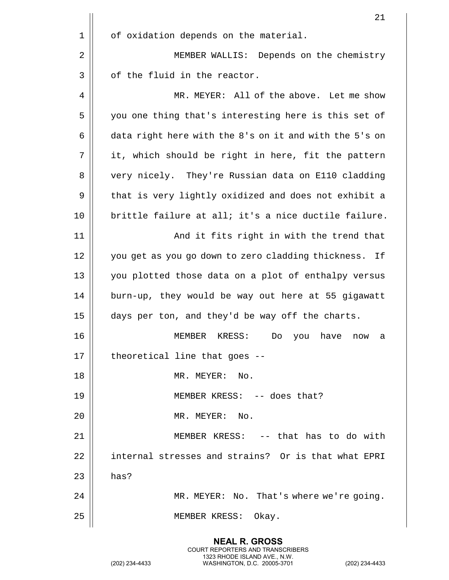|    | 21                                                       |
|----|----------------------------------------------------------|
| 1  | of oxidation depends on the material.                    |
| 2  | MEMBER WALLIS: Depends on the chemistry                  |
| 3  | of the fluid in the reactor.                             |
| 4  | MR. MEYER: All of the above. Let me show                 |
| 5  | you one thing that's interesting here is this set of     |
| 6  | data right here with the 8's on it and with the 5's on   |
| 7  | it, which should be right in here, fit the pattern       |
| 8  | very nicely. They're Russian data on E110 cladding       |
| 9  | that is very lightly oxidized and does not exhibit a     |
| 10 | brittle failure at all; it's a nice ductile failure.     |
| 11 | And it fits right in with the trend that                 |
| 12 | you get as you go down to zero cladding thickness.<br>If |
| 13 | you plotted those data on a plot of enthalpy versus      |
| 14 | burn-up, they would be way out here at 55 gigawatt       |
| 15 | days per ton, and they'd be way off the charts.          |
| 16 | MEMBER<br>KRESS:<br>have<br>Do<br>you<br>now<br>a        |
| 17 | theoretical line that goes --                            |
| 18 | MR. MEYER: No.                                           |
| 19 | MEMBER KRESS: -- does that?                              |
| 20 | MR. MEYER: No.                                           |
| 21 | MEMBER KRESS: -- that has to do with                     |
| 22 | internal stresses and strains? Or is that what EPRI      |
| 23 | has?                                                     |
| 24 | MR. MEYER: No. That's where we're going.                 |
| 25 | MEMBER KRESS: Okay.                                      |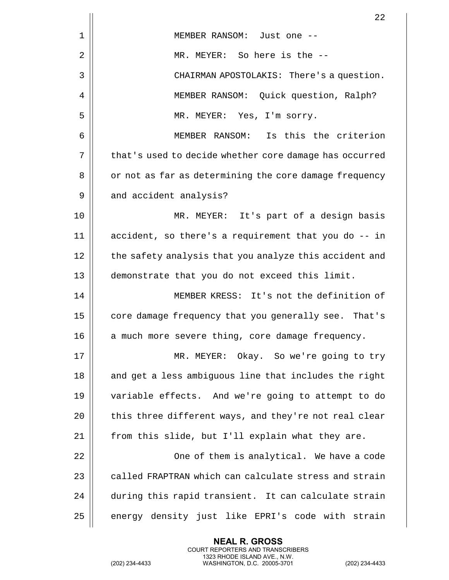|    | 22                                                     |
|----|--------------------------------------------------------|
| 1  | MEMBER RANSOM: Just one --                             |
| 2  | MR. MEYER: So here is the --                           |
| 3  | CHAIRMAN APOSTOLAKIS: There's a question.              |
| 4  | MEMBER RANSOM: Quick question, Ralph?                  |
| 5  | MR. MEYER: Yes, I'm sorry.                             |
| 6  | MEMBER RANSOM: Is this the criterion                   |
| 7  | that's used to decide whether core damage has occurred |
| 8  | or not as far as determining the core damage frequency |
| 9  | and accident analysis?                                 |
| 10 | MR. MEYER: It's part of a design basis                 |
| 11 | accident, so there's a requirement that you do -- in   |
| 12 | the safety analysis that you analyze this accident and |
| 13 | demonstrate that you do not exceed this limit.         |
| 14 | MEMBER KRESS: It's not the definition of               |
| 15 | core damage frequency that you generally see. That's   |
| 16 | a much more severe thing, core damage frequency.       |
| 17 | MR. MEYER: Okay. So we're going to try                 |
| 18 | and get a less ambiguous line that includes the right  |
| 19 | variable effects. And we're going to attempt to do     |
| 20 | this three different ways, and they're not real clear  |
| 21 | from this slide, but I'll explain what they are.       |
| 22 | One of them is analytical. We have a code              |
| 23 | called FRAPTRAN which can calculate stress and strain  |
| 24 | during this rapid transient. It can calculate strain   |
| 25 | energy density just like EPRI's code with strain       |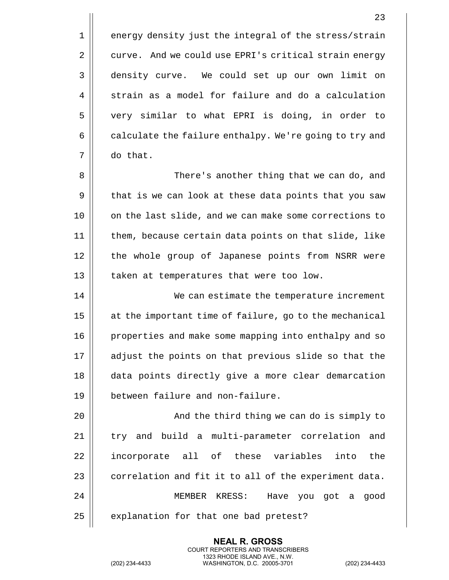$1 \parallel$  energy density just the integral of the stress/strain 2 | curve. And we could use EPRI's critical strain energy 3 | density curve. We could set up our own limit on  $4 \parallel$  strain as a model for failure and do a calculation 5 very similar to what EPRI is doing, in order to  $6 \parallel$  calculate the failure enthalpy. We're going to try and 7 do that.

8 There's another thing that we can do, and 9 | that is we can look at these data points that you saw 10 || on the last slide, and we can make some corrections to 11 them, because certain data points on that slide, like 12 || the whole group of Japanese points from NSRR were 13 || taken at temperatures that were too low.

14 || We can estimate the temperature increment 15 || at the important time of failure, go to the mechanical 16 || properties and make some mapping into enthalpy and so 17 || adjust the points on that previous slide so that the 18 data points directly give a more clear demarcation 19 between failure and non-failure.

 And the third thing we can do is simply to 21 || try and build a multi-parameter correlation and 22 || incorporate all of these variables into the  $\parallel$  correlation and fit it to all of the experiment data. MEMBER KRESS: Have you got a good | explanation for that one bad pretest?

> **NEAL R. GROSS** COURT REPORTERS AND TRANSCRIBERS 1323 RHODE ISLAND AVE., N.W.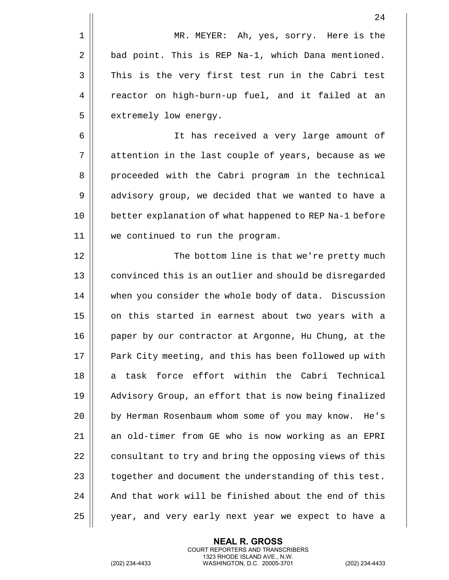|              | 24                                                     |
|--------------|--------------------------------------------------------|
| $\mathbf{1}$ | MR. MEYER: Ah, yes, sorry. Here is the                 |
| 2            | bad point. This is REP Na-1, which Dana mentioned.     |
| 3            | This is the very first test run in the Cabri test      |
| 4            | reactor on high-burn-up fuel, and it failed at an      |
| 5            | extremely low energy.                                  |
| 6            | It has received a very large amount of                 |
| 7            | attention in the last couple of years, because as we   |
| 8            | proceeded with the Cabri program in the technical      |
| 9            | advisory group, we decided that we wanted to have a    |
| 10           | better explanation of what happened to REP Na-1 before |
| 11           | we continued to run the program.                       |
|              |                                                        |

12 || The bottom line is that we're pretty much 13 || convinced this is an outlier and should be disregarded 14 | when you consider the whole body of data. Discussion 15 || on this started in earnest about two years with a 16 | paper by our contractor at Argonne, Hu Chung, at the 17 || Park City meeting, and this has been followed up with 18 a task force effort within the Cabri Technical 19 Advisory Group, an effort that is now being finalized 20 || by Herman Rosenbaum whom some of you may know. He's 21 || an old-timer from GE who is now working as an EPRI 22 | consultant to try and bring the opposing views of this 23  $\parallel$  together and document the understanding of this test. 24  $\parallel$  And that work will be finished about the end of this 25 || year, and very early next year we expect to have a

> **NEAL R. GROSS** COURT REPORTERS AND TRANSCRIBERS 1323 RHODE ISLAND AVE., N.W.

(202) 234-4433 WASHINGTON, D.C. 20005-3701 (202) 234-4433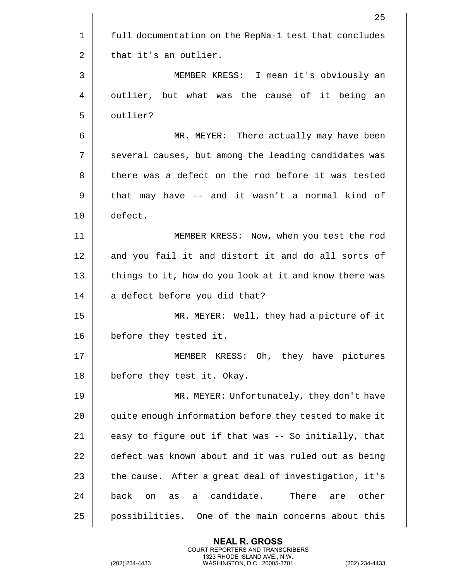|    | 25                                                        |
|----|-----------------------------------------------------------|
| 1  | full documentation on the RepNa-1 test that concludes     |
| 2  | that it's an outlier.                                     |
| 3  | MEMBER KRESS: I mean it's obviously an                    |
| 4  | outlier, but what was the cause of it being<br>an         |
| 5  | outlier?                                                  |
| 6  | MR. MEYER: There actually may have been                   |
| 7  | several causes, but among the leading candidates was      |
| 8  | there was a defect on the rod before it was tested        |
| 9  | that may have -- and it wasn't a normal kind of           |
| 10 | defect.                                                   |
| 11 | MEMBER KRESS: Now, when you test the rod                  |
| 12 | and you fail it and distort it and do all sorts of        |
| 13 | things to it, how do you look at it and know there was    |
| 14 | a defect before you did that?                             |
| 15 | MR. MEYER: Well, they had a picture of it                 |
| 16 | before they tested it.                                    |
| 17 | MEMBER KRESS: Oh, they have pictures                      |
| 18 | before they test it. Okay.                                |
| 19 | MR. MEYER: Unfortunately, they don't have                 |
| 20 | quite enough information before they tested to make it    |
| 21 | easy to figure out if that was -- So initially, that      |
| 22 | defect was known about and it was ruled out as being      |
| 23 | the cause. After a great deal of investigation, it's      |
| 24 | a candidate.<br>back<br>There<br>other<br>on<br>as<br>are |
| 25 | possibilities. One of the main concerns about this        |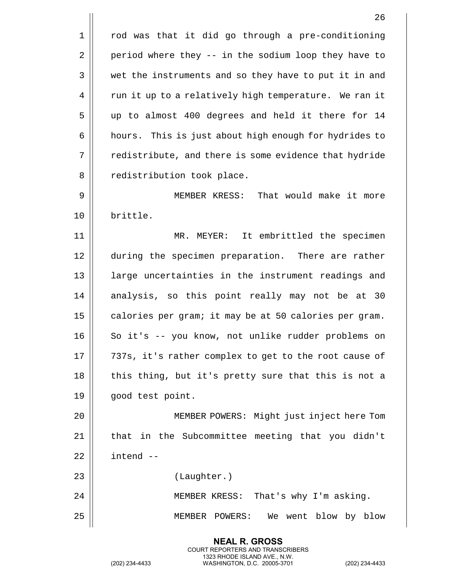$1$  | rod was that it did go through a pre-conditioning 2 | period where they -- in the sodium loop they have to 3 || wet the instruments and so they have to put it in and 4 | run it up to a relatively high temperature. We ran it 5 up to almost 400 degrees and held it there for 14 6 | hours. This is just about high enough for hydrides to 7 | redistribute, and there is some evidence that hydride 8 || redistribution took place. 9 MEMBER KRESS: That would make it more 10 brittle. 11 MR. MEYER: It embrittled the specimen 12 during the specimen preparation. There are rather 13 || large uncertainties in the instrument readings and 14 analysis, so this point really may not be at 30 15  $\parallel$  calories per gram; it may be at 50 calories per gram. 16 || So it's -- you know, not unlike rudder problems on 17 || 737s, it's rather complex to get to the root cause of 18 || this thing, but it's pretty sure that this is not a 19 | qood test point. 20 MEMBER POWERS: Might just inject here Tom 21 || that in the Subcommittee meeting that you didn't  $22$   $\parallel$  intend  $-$ 23 (Laughter.) 24 MEMBER KRESS: That's why I'm asking. 25 MEMBER POWERS: We went blow by blow

> **NEAL R. GROSS** COURT REPORTERS AND TRANSCRIBERS 1323 RHODE ISLAND AVE., N.W.

(202) 234-4433 WASHINGTON, D.C. 20005-3701 (202) 234-4433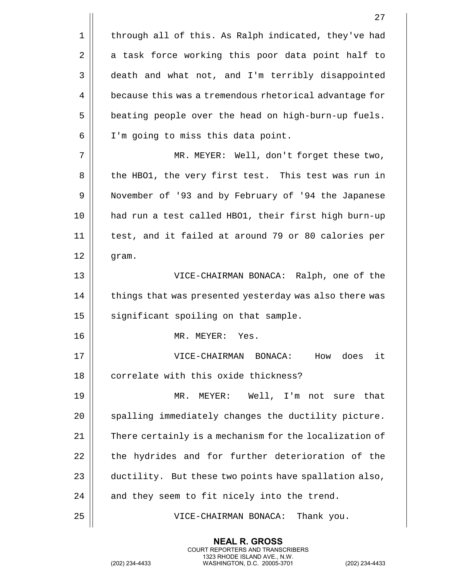|    | 27                                                     |
|----|--------------------------------------------------------|
| 1  | through all of this. As Ralph indicated, they've had   |
| 2  | a task force working this poor data point half to      |
| 3  | death and what not, and I'm terribly disappointed      |
| 4  | because this was a tremendous rhetorical advantage for |
| 5  | beating people over the head on high-burn-up fuels.    |
| 6  | I'm going to miss this data point.                     |
| 7  | MR. MEYER: Well, don't forget these two,               |
| 8  | the HBO1, the very first test. This test was run in    |
| 9  | November of '93 and by February of '94 the Japanese    |
| 10 | had run a test called HBO1, their first high burn-up   |
| 11 | test, and it failed at around 79 or 80 calories per    |
| 12 | gram.                                                  |
| 13 | VICE-CHAIRMAN BONACA: Ralph, one of the                |
| 14 | things that was presented yesterday was also there was |
| 15 | significant spoiling on that sample.                   |
| 16 | MR. MEYER:<br>Yes.                                     |
| 17 | How does<br>it<br>VICE-CHAIRMAN BONACA:                |
| 18 | correlate with this oxide thickness?                   |
| 19 | MEYER: Well, I'm not sure that<br>MR.                  |
| 20 | spalling immediately changes the ductility picture.    |
| 21 | There certainly is a mechanism for the localization of |
| 22 | the hydrides and for further deterioration of the      |
| 23 | ductility. But these two points have spallation also,  |
| 24 | and they seem to fit nicely into the trend.            |
| 25 | VICE-CHAIRMAN BONACA: Thank you.                       |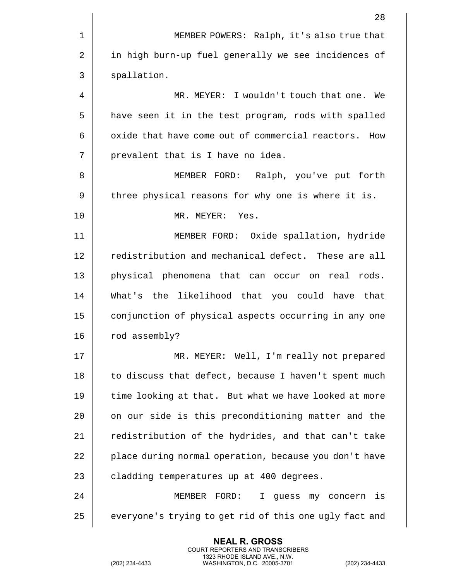|    | 28                                                      |
|----|---------------------------------------------------------|
| 1  | MEMBER POWERS: Ralph, it's also true that               |
| 2  | in high burn-up fuel generally we see incidences of     |
| 3  | spallation.                                             |
| 4  | MR. MEYER: I wouldn't touch that one. We                |
| 5  | have seen it in the test program, rods with spalled     |
| 6  | oxide that have come out of commercial reactors.<br>How |
| 7  | prevalent that is I have no idea.                       |
| 8  | MEMBER FORD: Ralph, you've put forth                    |
| 9  | three physical reasons for why one is where it is.      |
| 10 | MR. MEYER: Yes.                                         |
| 11 | MEMBER FORD: Oxide spallation, hydride                  |
| 12 | redistribution and mechanical defect. These are all     |
| 13 | physical phenomena that can occur on real rods.         |
| 14 | What's the likelihood that you could have that          |
| 15 | conjunction of physical aspects occurring in any one    |
| 16 | rod assembly?                                           |
| 17 | MR. MEYER: Well, I'm really not prepared                |
| 18 | to discuss that defect, because I haven't spent much    |
| 19 | time looking at that. But what we have looked at more   |
| 20 | on our side is this preconditioning matter and the      |
| 21 | redistribution of the hydrides, and that can't take     |
| 22 | place during normal operation, because you don't have   |
| 23 | cladding temperatures up at 400 degrees.                |
| 24 | MEMBER FORD:<br>$\mathbf{I}$<br>my concern is<br>guess  |
| 25 | everyone's trying to get rid of this one ugly fact and  |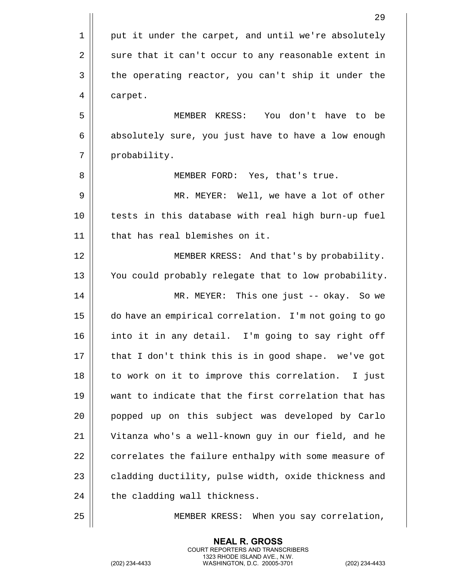|    | 29                                                    |
|----|-------------------------------------------------------|
| 1  | put it under the carpet, and until we're absolutely   |
| 2  | sure that it can't occur to any reasonable extent in  |
| 3  | the operating reactor, you can't ship it under the    |
| 4  | carpet.                                               |
| 5  | You don't have to be<br>MEMBER KRESS:                 |
| 6  | absolutely sure, you just have to have a low enough   |
| 7  | probability.                                          |
| 8  | MEMBER FORD: Yes, that's true.                        |
| 9  | MR. MEYER: Well, we have a lot of other               |
| 10 | tests in this database with real high burn-up fuel    |
| 11 | that has real blemishes on it.                        |
| 12 | MEMBER KRESS: And that's by probability.              |
| 13 | You could probably relegate that to low probability.  |
| 14 | MR. MEYER: This one just -- okay. So we               |
| 15 | do have an empirical correlation. I'm not going to go |
| 16 | into it in any detail. I'm going to say right off     |
| 17 | that I don't think this is in good shape. we've got   |
| 18 | to work on it to improve this correlation. I just     |
| 19 | want to indicate that the first correlation that has  |
| 20 | popped up on this subject was developed by Carlo      |
| 21 | Vitanza who's a well-known guy in our field, and he   |
| 22 | correlates the failure enthalpy with some measure of  |
| 23 | cladding ductility, pulse width, oxide thickness and  |
| 24 | the cladding wall thickness.                          |
| 25 | When you say correlation,<br>MEMBER KRESS:            |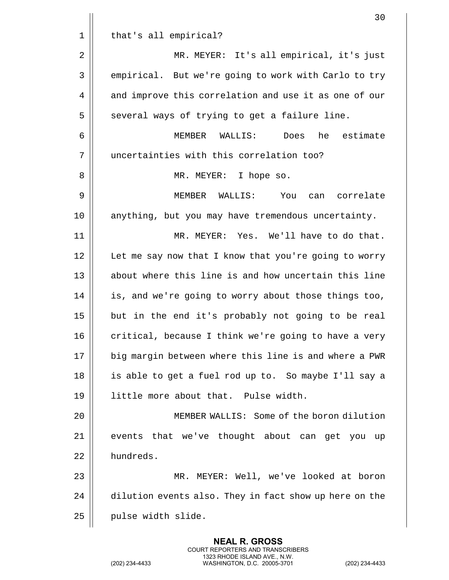|    | 30                                                     |
|----|--------------------------------------------------------|
| 1  | that's all empirical?                                  |
| 2  | MR. MEYER: It's all empirical, it's just               |
| 3  | empirical. But we're going to work with Carlo to try   |
| 4  | and improve this correlation and use it as one of our  |
| 5  | several ways of trying to get a failure line.          |
| 6  | MEMBER WALLIS:<br>Does<br>he estimate                  |
| 7  | uncertainties with this correlation too?               |
| 8  | MR. MEYER: I hope so.                                  |
| 9  | MEMBER WALLIS: You<br>can correlate                    |
| 10 | anything, but you may have tremendous uncertainty.     |
| 11 | MR. MEYER: Yes. We'll have to do that.                 |
| 12 | Let me say now that I know that you're going to worry  |
| 13 | about where this line is and how uncertain this line   |
| 14 | is, and we're going to worry about those things too,   |
| 15 | but in the end it's probably not going to be real      |
| 16 | critical, because I think we're going to have a very   |
| 17 | big margin between where this line is and where a PWR  |
| 18 | is able to get a fuel rod up to. So maybe I'll say a   |
| 19 | little more about that. Pulse width.                   |
| 20 | MEMBER WALLIS: Some of the boron dilution              |
| 21 | events that we've thought about can get you up         |
| 22 | hundreds.                                              |
| 23 | MR. MEYER: Well, we've looked at boron                 |
| 24 | dilution events also. They in fact show up here on the |
| 25 | pulse width slide.                                     |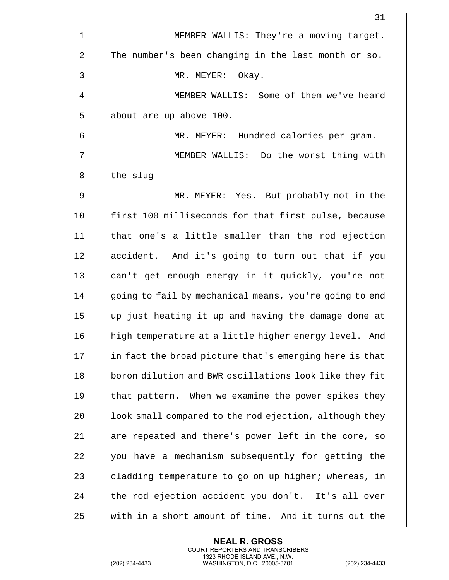|    | 31                                                     |
|----|--------------------------------------------------------|
| 1  | MEMBER WALLIS: They're a moving target.                |
| 2  | The number's been changing in the last month or so.    |
| 3  | MR. MEYER: Okay.                                       |
| 4  | MEMBER WALLIS: Some of them we've heard                |
| 5  | about are up above 100.                                |
| 6  | MR. MEYER: Hundred calories per gram.                  |
| 7  | MEMBER WALLIS: Do the worst thing with                 |
| 8  | the slug $-$ -                                         |
| 9  | MR. MEYER: Yes. But probably not in the                |
| 10 | first 100 milliseconds for that first pulse, because   |
| 11 | that one's a little smaller than the rod ejection      |
| 12 | accident. And it's going to turn out that if you       |
| 13 | can't get enough energy in it quickly, you're not      |
| 14 | going to fail by mechanical means, you're going to end |
| 15 | up just heating it up and having the damage done at    |
| 16 | high temperature at a little higher energy level. And  |
| 17 | in fact the broad picture that's emerging here is that |
| 18 | boron dilution and BWR oscillations look like they fit |
| 19 | that pattern. When we examine the power spikes they    |
| 20 | look small compared to the rod ejection, although they |
| 21 | are repeated and there's power left in the core, so    |
| 22 | you have a mechanism subsequently for getting the      |
| 23 | cladding temperature to go on up higher; whereas, in   |
| 24 | the rod ejection accident you don't. It's all over     |
| 25 | with in a short amount of time. And it turns out the   |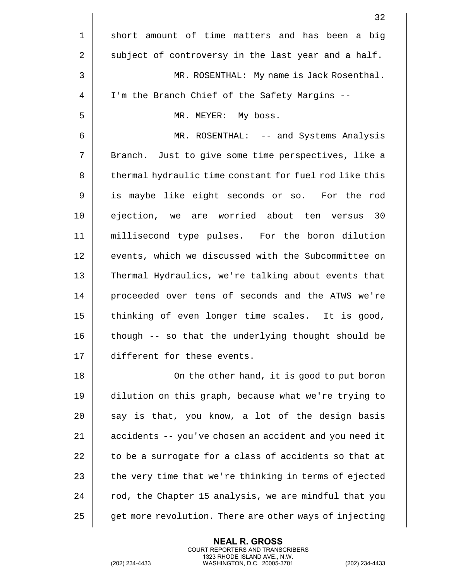|                | 32                                                     |
|----------------|--------------------------------------------------------|
| $\mathbf 1$    | short amount of time matters and has been a big        |
| $\overline{2}$ | subject of controversy in the last year and a half.    |
| 3              | MR. ROSENTHAL: My name is Jack Rosenthal.              |
| 4              | I'm the Branch Chief of the Safety Margins --          |
| 5              | MR. MEYER: My boss.                                    |
| 6              | MR. ROSENTHAL: -- and Systems Analysis                 |
| 7              | Branch. Just to give some time perspectives, like a    |
| 8              | thermal hydraulic time constant for fuel rod like this |
| 9              | is maybe like eight seconds or so. For the rod         |
| 10             | ejection, we are worried about ten versus 30           |
| 11             | millisecond type pulses. For the boron dilution        |
| 12             | events, which we discussed with the Subcommittee on    |
| 13             | Thermal Hydraulics, we're talking about events that    |
| 14             | proceeded over tens of seconds and the ATWS we're      |
| 15             | thinking of even longer time scales. It is good,       |
| 16             | though -- so that the underlying thought should be     |
| 17             | different for these events.                            |
| 18             | On the other hand, it is good to put boron             |
| 19             | dilution on this graph, because what we're trying to   |
| 20             | say is that, you know, a lot of the design basis       |
| 21             | accidents -- you've chosen an accident and you need it |
| 22             | to be a surrogate for a class of accidents so that at  |
| 23             | the very time that we're thinking in terms of ejected  |
| 24             | rod, the Chapter 15 analysis, we are mindful that you  |
| 25             | get more revolution. There are other ways of injecting |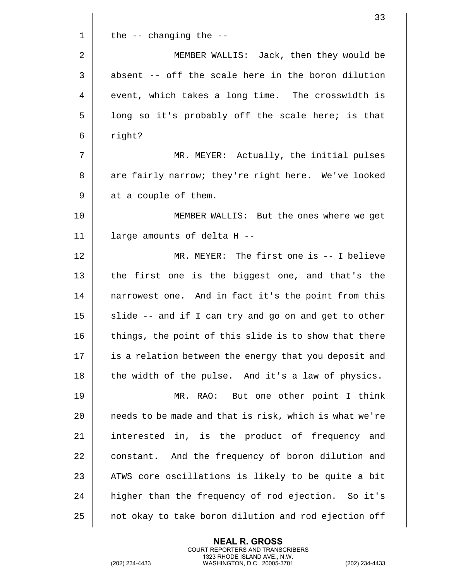|             | 33                                                     |
|-------------|--------------------------------------------------------|
| $\mathbf 1$ | the $--$ changing the $--$                             |
| 2           | MEMBER WALLIS: Jack, then they would be                |
| 3           | absent -- off the scale here in the boron dilution     |
| 4           | event, which takes a long time. The crosswidth is      |
| 5           | long so it's probably off the scale here; is that      |
| 6           | right?                                                 |
| 7           | MR. MEYER: Actually, the initial pulses                |
| 8           | are fairly narrow; they're right here. We've looked    |
| 9           | at a couple of them.                                   |
| 10          | MEMBER WALLIS: But the ones where we get               |
| 11          | large amounts of delta H --                            |
| 12          | MR. MEYER: The first one is -- I believe               |
| 13          | the first one is the biggest one, and that's the       |
| 14          | narrowest one. And in fact it's the point from this    |
| 15          | slide -- and if I can try and go on and get to other   |
| 16          | things, the point of this slide is to show that there  |
| 17          | is a relation between the energy that you deposit and  |
| 18          | the width of the pulse. And it's a law of physics.     |
| 19          | MR. RAO: But one other point I think                   |
| 20          | needs to be made and that is risk, which is what we're |
| 21          | interested in, is the product of frequency and         |
| 22          | constant. And the frequency of boron dilution and      |
| 23          | ATWS core oscillations is likely to be quite a bit     |
| 24          | higher than the frequency of rod ejection. So it's     |
| 25          | not okay to take boron dilution and rod ejection off   |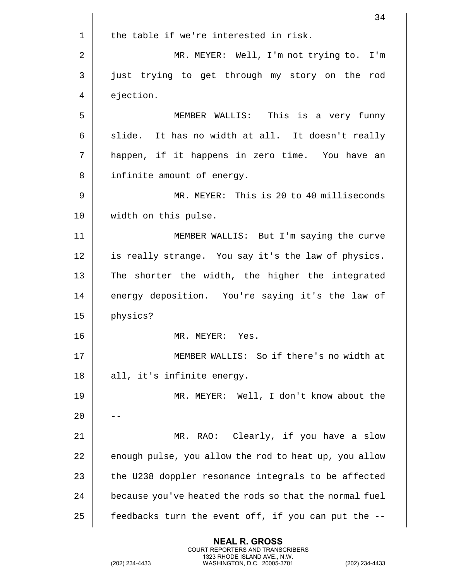|    | 34                                                     |
|----|--------------------------------------------------------|
| 1  | the table if we're interested in risk.                 |
| 2  | MR. MEYER: Well, I'm not trying to.<br>I'm             |
| 3  | just trying to get through my story on the<br>rod      |
| 4  | ejection.                                              |
| 5  | MEMBER WALLIS: This is a very funny                    |
| 6  | slide. It has no width at all. It doesn't really       |
| 7  | happen, if it happens in zero time. You have an        |
| 8  | infinite amount of energy.                             |
| 9  | MR. MEYER: This is 20 to 40 milliseconds               |
| 10 | width on this pulse.                                   |
| 11 | MEMBER WALLIS: But I'm saying the curve                |
| 12 | is really strange. You say it's the law of physics.    |
| 13 | The shorter the width, the higher the integrated       |
| 14 | energy deposition. You're saying it's the law of       |
| 15 | physics?                                               |
| 16 | MR. MEYER:<br>Yes.                                     |
| 17 | MEMBER WALLIS: So if there's no width at               |
| 18 | all, it's infinite energy.                             |
| 19 | MR. MEYER: Well, I don't know about the                |
| 20 |                                                        |
| 21 | RAO: Clearly, if you have a slow<br>MR.                |
| 22 | enough pulse, you allow the rod to heat up, you allow  |
| 23 | the U238 doppler resonance integrals to be affected    |
| 24 | because you've heated the rods so that the normal fuel |
| 25 | feedbacks turn the event off, if you can put the --    |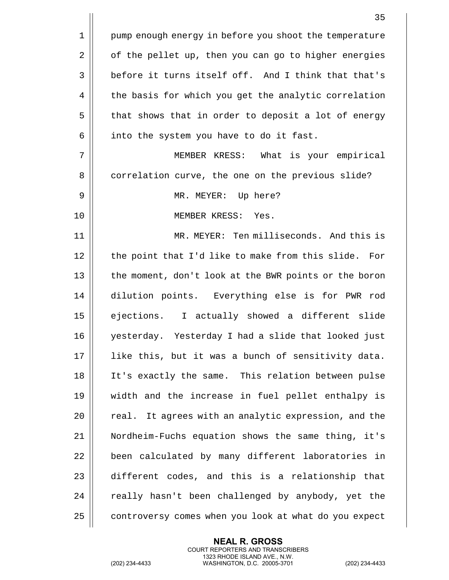1 || pump enough energy in before you shoot the temperature 2 | of the pellet up, then you can go to higher energies 3 before it turns itself off. And I think that that's 4 | the basis for which you get the analytic correlation  $5 \parallel$  that shows that in order to deposit a lot of energy  $6$  | into the system you have to do it fast. 7 MEMBER KRESS: What is your empirical 8 | correlation curve, the one on the previous slide? 9 MR. MEYER: Up here? 10 MEMBER KRESS: Yes. 11 || MR. MEYER: Ten milliseconds. And this is  $12$  | the point that I'd like to make from this slide. For 13 || the moment, don't look at the BWR points or the boron 14 dilution points. Everything else is for PWR rod 15 ejections. I actually showed a different slide 16 yesterday. Yesterday I had a slide that looked just 17 || like this, but it was a bunch of sensitivity data. 18 It's exactly the same. This relation between pulse 19 width and the increase in fuel pellet enthalpy is  $20$  || real. It agrees with an analytic expression, and the 21 Nordheim-Fuchs equation shows the same thing, it's 22 || been calculated by many different laboratories in 23 different codes, and this is a relationship that  $24$   $\parallel$  really hasn't been challenged by anybody, yet the 25 | controversy comes when you look at what do you expect

> **NEAL R. GROSS** COURT REPORTERS AND TRANSCRIBERS 1323 RHODE ISLAND AVE., N.W.

(202) 234-4433 WASHINGTON, D.C. 20005-3701 (202) 234-4433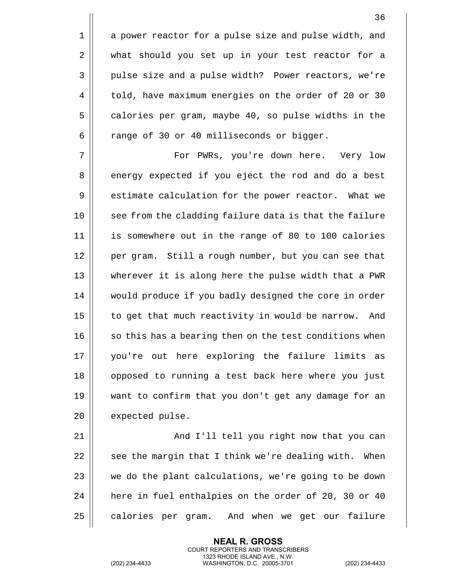1 || a power reactor for a pulse size and pulse width, and 2 || what should you set up in your test reactor for a 3 || pulse size and a pulse width? Power reactors, we're 4 | told, have maximum energies on the order of 20 or 30  $5 \parallel$  calories per gram, maybe 40, so pulse widths in the  $6 \parallel$  range of 30 or 40 milliseconds or bigger.

7 For PWRs, you're down here. Very low 8 energy expected if you eject the rod and do a best 9 | estimate calculation for the power reactor. What we 10 || see from the cladding failure data is that the failure 11 is somewhere out in the range of 80 to 100 calories 12 || per gram. Still a rough number, but you can see that 13 wherever it is along here the pulse width that a PWR 14 would produce if you badly designed the core in order 15 | to get that much reactivity in would be narrow. And  $16$   $\parallel$  so this has a bearing then on the test conditions when 17 you're out here exploring the failure limits as 18 || opposed to running a test back here where you just 19 want to confirm that you don't get any damage for an 20 | expected pulse.

21 || And I'll tell you right now that you can  $\parallel$  see the margin that I think we're dealing with. When  $\parallel$  we do the plant calculations, we're going to be down | here in fuel enthalpies on the order of 20, 30 or 40  $\parallel$  calories per gram. And when we get our failure

> **NEAL R. GROSS** COURT REPORTERS AND TRANSCRIBERS 1323 RHODE ISLAND AVE., N.W.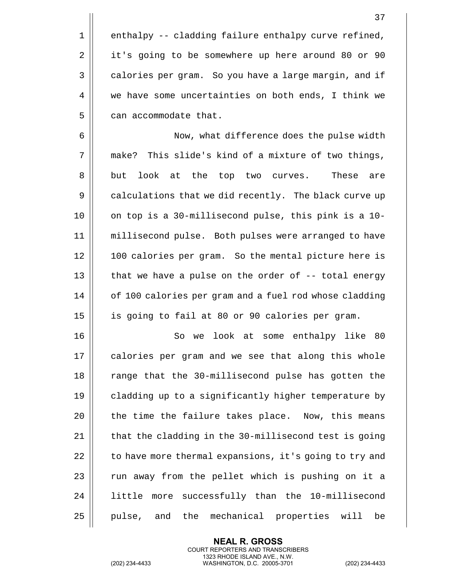$1 ||$  enthalpy -- cladding failure enthalpy curve refined, 2 | it's going to be somewhere up here around 80 or 90 3 | calories per gram. So you have a large margin, and if 4 we have some uncertainties on both ends, I think we  $5$  || can accommodate that.

6 || Now, what difference does the pulse width 7 || make? This slide's kind of a mixture of two things, 8 || but look at the top two curves. These are 9 | calculations that we did recently. The black curve up 10 || on top is a 30-millisecond pulse, this pink is a 10-11 millisecond pulse. Both pulses were arranged to have 12 || 100 calories per gram. So the mental picture here is 13  $\parallel$  that we have a pulse on the order of -- total energy 14 | of 100 calories per gram and a fuel rod whose cladding 15 is going to fail at 80 or 90 calories per gram.

16 || So we look at some enthalpy like 80 17 || calories per gram and we see that along this whole 18 || range that the 30-millisecond pulse has gotten the 19 | cladding up to a significantly higher temperature by  $20$  || the time the failure takes place. Now, this means 21  $\parallel$  that the cladding in the 30-millisecond test is going  $22$  | to have more thermal expansions, it's going to try and  $23$   $\parallel$  run away from the pellet which is pushing on it a 24 || little more successfully than the 10-millisecond 25 || pulse, and the mechanical properties will be

> **NEAL R. GROSS** COURT REPORTERS AND TRANSCRIBERS 1323 RHODE ISLAND AVE., N.W.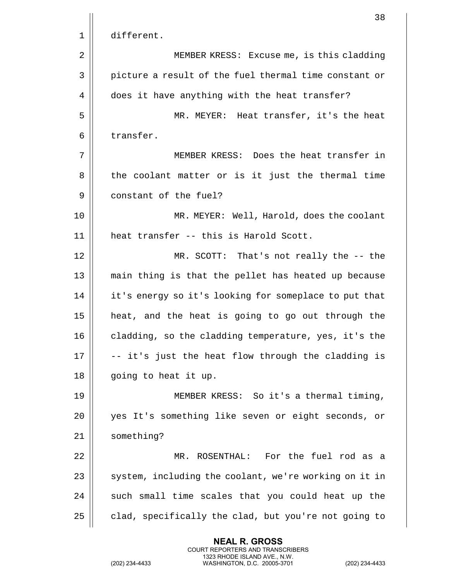|    | 38                                                    |
|----|-------------------------------------------------------|
| 1  | different.                                            |
| 2  | MEMBER KRESS: Excuse me, is this cladding             |
| 3  | picture a result of the fuel thermal time constant or |
| 4  | does it have anything with the heat transfer?         |
| 5  | MR. MEYER: Heat transfer, it's the heat               |
| 6  | transfer.                                             |
| 7  | MEMBER KRESS: Does the heat transfer in               |
| 8  | the coolant matter or is it just the thermal time     |
| 9  | constant of the fuel?                                 |
| 10 | MR. MEYER: Well, Harold, does the coolant             |
| 11 | heat transfer -- this is Harold Scott.                |
| 12 | MR. SCOTT: That's not really the -- the               |
| 13 | main thing is that the pellet has heated up because   |
| 14 | it's energy so it's looking for someplace to put that |
| 15 | heat, and the heat is going to go out through the     |
| 16 | cladding, so the cladding temperature, yes, it's the  |
| 17 | -- it's just the heat flow through the cladding is    |
| 18 | going to heat it up.                                  |
| 19 | MEMBER KRESS: So it's a thermal timing,               |
| 20 | yes It's something like seven or eight seconds, or    |
| 21 | something?                                            |
| 22 | ROSENTHAL: For the fuel rod as a<br>MR.               |
| 23 | system, including the coolant, we're working on it in |
| 24 | such small time scales that you could heat up the     |
| 25 | clad, specifically the clad, but you're not going to  |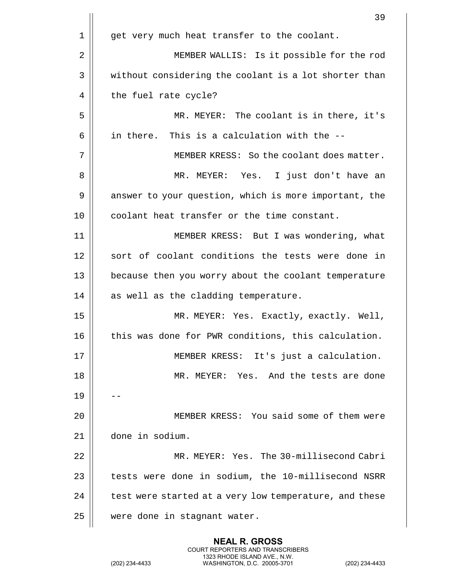|    | 39                                                     |
|----|--------------------------------------------------------|
| 1  | get very much heat transfer to the coolant.            |
| 2  | MEMBER WALLIS: Is it possible for the rod              |
| 3  | without considering the coolant is a lot shorter than  |
| 4  | the fuel rate cycle?                                   |
| 5  | MR. MEYER: The coolant is in there, it's               |
| 6  | in there. This is a calculation with the --            |
| 7  | MEMBER KRESS: So the coolant does matter.              |
| 8  | MR. MEYER: Yes. I just don't have an                   |
| 9  | answer to your question, which is more important, the  |
| 10 | coolant heat transfer or the time constant.            |
| 11 | MEMBER KRESS: But I was wondering, what                |
| 12 | sort of coolant conditions the tests were done in      |
| 13 | because then you worry about the coolant temperature   |
| 14 | as well as the cladding temperature.                   |
| 15 | MR. MEYER: Yes. Exactly, exactly. Well,                |
| 16 | this was done for PWR conditions, this calculation.    |
| 17 | MEMBER KRESS: It's just a calculation.                 |
| 18 | MR. MEYER: Yes. And the tests are done                 |
| 19 |                                                        |
| 20 | MEMBER KRESS: You said some of them were               |
| 21 | done in sodium.                                        |
| 22 | MR. MEYER: Yes. The 30-millisecond Cabri               |
| 23 | tests were done in sodium, the 10-millisecond NSRR     |
| 24 | test were started at a very low temperature, and these |
| 25 | were done in stagnant water.                           |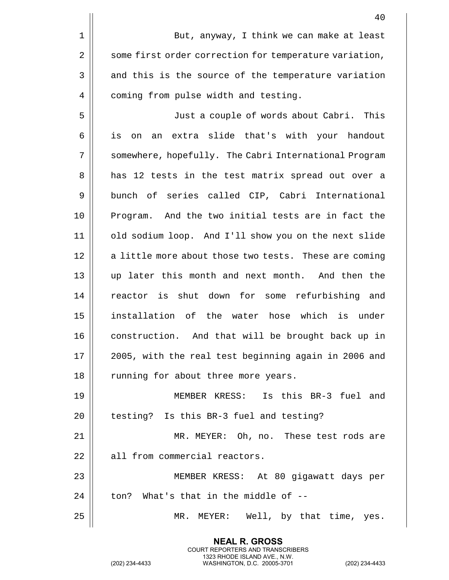|    | 40                                                     |
|----|--------------------------------------------------------|
| 1  | But, anyway, I think we can make at least              |
| 2  | some first order correction for temperature variation, |
| 3  | and this is the source of the temperature variation    |
| 4  | coming from pulse width and testing.                   |
| 5  | Just a couple of words about Cabri. This               |
| 6  | extra slide that's with your handout<br>is<br>on<br>an |
| 7  | somewhere, hopefully. The Cabri International Program  |
| 8  | has 12 tests in the test matrix spread out over a      |
| 9  | bunch of series called CIP, Cabri International        |
| 10 | Program. And the two initial tests are in fact the     |
| 11 | old sodium loop. And I'll show you on the next slide   |
| 12 | a little more about those two tests. These are coming  |
| 13 | up later this month and next month. And then the       |
| 14 | reactor is shut down for some refurbishing and         |
| 15 | installation of the water hose which is under          |
| 16 | construction. And that will be brought back up in      |
| 17 | 2005, with the real test beginning again in 2006 and   |
| 18 | running for about three more years.                    |
| 19 | MEMBER KRESS: Is this BR-3 fuel and                    |
| 20 | testing? Is this BR-3 fuel and testing?                |
| 21 | MR. MEYER: Oh, no. These test rods are                 |
| 22 | all from commercial reactors.                          |
| 23 | MEMBER KRESS: At 80 gigawatt days per                  |
| 24 | ton? What's that in the middle of --                   |
| 25 | MR. MEYER: Well, by that time, yes.                    |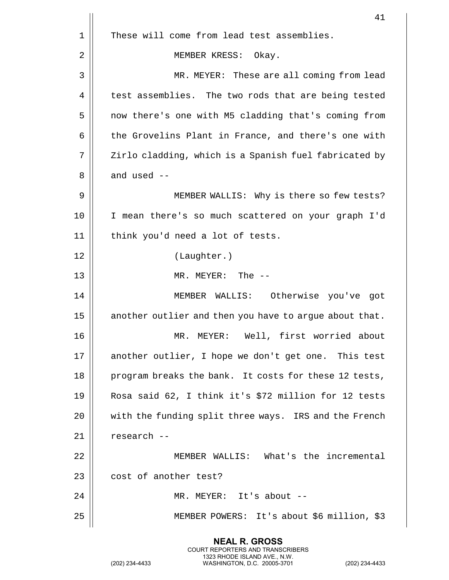|    | 41                                                     |
|----|--------------------------------------------------------|
| 1  | These will come from lead test assemblies.             |
| 2  | MEMBER KRESS:<br>Okay.                                 |
| 3  | MR. MEYER: These are all coming from lead              |
| 4  | test assemblies. The two rods that are being tested    |
| 5  | now there's one with M5 cladding that's coming from    |
| 6  | the Grovelins Plant in France, and there's one with    |
| 7  | Zirlo cladding, which is a Spanish fuel fabricated by  |
| 8  | and used $-$                                           |
| 9  | MEMBER WALLIS: Why is there so few tests?              |
| 10 | I mean there's so much scattered on your graph I'd     |
| 11 | think you'd need a lot of tests.                       |
| 12 | (Laughter.)                                            |
| 13 | MR. MEYER: The --                                      |
| 14 | MEMBER WALLIS: Otherwise you've got                    |
| 15 | another outlier and then you have to argue about that. |
| 16 | Well, first worried about<br>MR.<br>MEYER:             |
| 17 | another outlier, I hope we don't get one. This test    |
| 18 | program breaks the bank. It costs for these 12 tests,  |
| 19 | Rosa said 62, I think it's \$72 million for 12 tests   |
| 20 | with the funding split three ways. IRS and the French  |
| 21 | research --                                            |
| 22 | MEMBER WALLIS: What's the incremental                  |
| 23 | cost of another test?                                  |
| 24 | MR. MEYER: It's about --                               |
| 25 | MEMBER POWERS: It's about \$6 million, \$3             |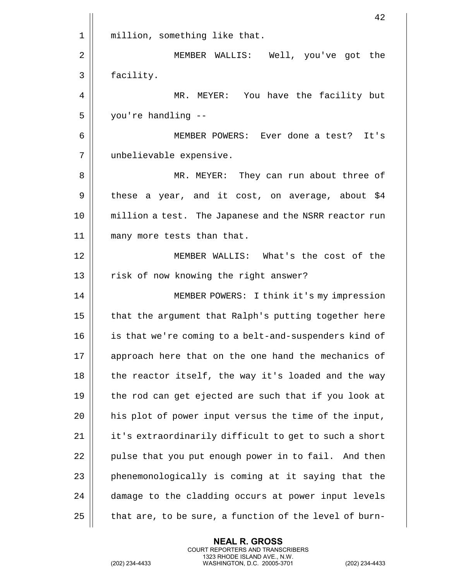|    | 42                                                     |
|----|--------------------------------------------------------|
| 1  | million, something like that.                          |
| 2  | MEMBER WALLIS: Well, you've got the                    |
| 3  | facility.                                              |
| 4  | MR. MEYER: You have the facility but                   |
| 5  | you're handling --                                     |
| 6  | MEMBER POWERS: Ever done a test? It's                  |
| 7  | unbelievable expensive.                                |
| 8  | MR. MEYER: They can run about three of                 |
| 9  | these a year, and it cost, on average, about \$4       |
| 10 | million a test. The Japanese and the NSRR reactor run  |
| 11 | many more tests than that.                             |
| 12 | MEMBER WALLIS: What's the cost of the                  |
| 13 | risk of now knowing the right answer?                  |
| 14 | MEMBER POWERS: I think it's my impression              |
| 15 | that the argument that Ralph's putting together here   |
| 16 | is that we're coming to a belt-and-suspenders kind of  |
| 17 | approach here that on the one hand the mechanics of    |
| 18 | the reactor itself, the way it's loaded and the way    |
| 19 | the rod can get ejected are such that if you look at   |
| 20 | his plot of power input versus the time of the input,  |
| 21 | it's extraordinarily difficult to get to such a short  |
| 22 | pulse that you put enough power in to fail. And then   |
| 23 | phenemonologically is coming at it saying that the     |
| 24 | damage to the cladding occurs at power input levels    |
| 25 | that are, to be sure, a function of the level of burn- |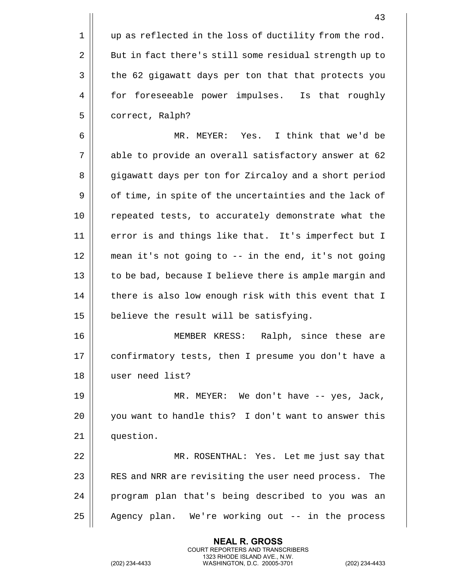| 1 | up as reflected in the loss of ductility from the rod. |
|---|--------------------------------------------------------|
| 2 | But in fact there's still some residual strength up to |
| 3 | the 62 gigawatt days per ton that that protects you    |
| 4 | for foreseeable power impulses. Is that roughly        |
| 5 | correct, Ralph?                                        |
| 6 | MR. MEYER: Yes. I think that we'd be                   |
|   |                                                        |

7 || able to provide an overall satisfactory answer at 62 8 | gigawatt days per ton for Zircaloy and a short period 9 | of time, in spite of the uncertainties and the lack of 10 || repeated tests, to accurately demonstrate what the 11 || error is and things like that. It's imperfect but I 12 mean it's not going to -- in the end, it's not going 13 || to be bad, because I believe there is ample margin and  $14$   $\parallel$  there is also low enough risk with this event that I  $15$  | believe the result will be satisfying.

16 MEMBER KRESS: Ralph, since these are 17 || confirmatory tests, then I presume you don't have a 18 user need list?

19 MR. MEYER: We don't have -- yes, Jack, 20 || you want to handle this? I don't want to answer this 21 | question.

22 MR. ROSENTHAL: Yes. Let me just say that 23 || RES and NRR are revisiting the user need process. The 24 || program plan that's being described to you was an 25 || Agency plan. We're working out -- in the process

> **NEAL R. GROSS** COURT REPORTERS AND TRANSCRIBERS 1323 RHODE ISLAND AVE., N.W.

 $\mathbf{I}$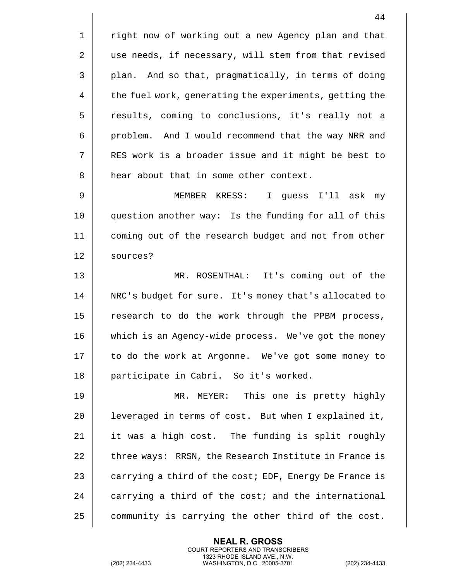44 1 | right now of working out a new Agency plan and that 2 || use needs, if necessary, will stem from that revised  $3 \parallel$  plan. And so that, pragmatically, in terms of doing 4 | the fuel work, generating the experiments, getting the 5 || results, coming to conclusions, it's really not a 6 || problem. And I would recommend that the way NRR and 7 RES work is a broader issue and it might be best to 8 || hear about that in some other context. 9 MEMBER KRESS: I guess I'll ask my 10 question another way: Is the funding for all of this 11 coming out of the research budget and not from other 12 sources? 13 MR. ROSENTHAL: It's coming out of the 14 || NRC's budget for sure. It's money that's allocated to 15 || research to do the work through the PPBM process, 16 which is an Agency-wide process. We've got the money 17 || to do the work at Argonne. We've got some money to 18 participate in Cabri. So it's worked. 19 MR. MEYER: This one is pretty highly 20 | leveraged in terms of cost. But when I explained it,  $21$  | it was a high cost. The funding is split roughly 22 | three ways: RRSN, the Research Institute in France is 23  $\parallel$  carrying a third of the cost; EDF, Energy De France is  $24$   $\parallel$  carrying a third of the cost; and the international

 $25$  | community is carrying the other third of the cost.

**NEAL R. GROSS** COURT REPORTERS AND TRANSCRIBERS 1323 RHODE ISLAND AVE., N.W.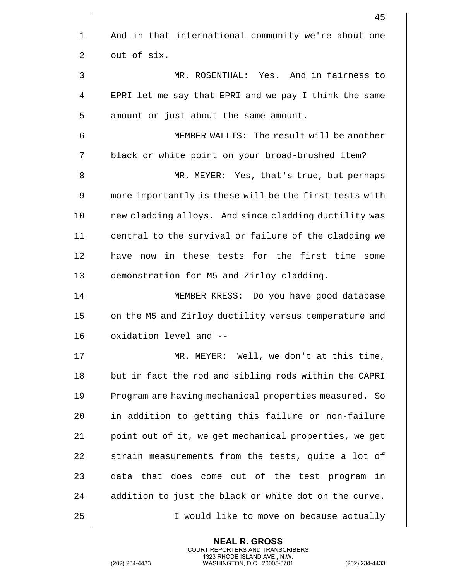|    | 45                                                     |
|----|--------------------------------------------------------|
| 1  | And in that international community we're about one    |
| 2  | out of six.                                            |
| 3  | MR. ROSENTHAL: Yes. And in fairness to                 |
| 4  | EPRI let me say that EPRI and we pay I think the same  |
| 5  | amount or just about the same amount.                  |
| 6  | MEMBER WALLIS: The result will be another              |
| 7  | black or white point on your broad-brushed item?       |
| 8  | MR. MEYER: Yes, that's true, but perhaps               |
| 9  | more importantly is these will be the first tests with |
| 10 | new cladding alloys. And since cladding ductility was  |
| 11 | central to the survival or failure of the cladding we  |
| 12 | have now in these tests for the first time<br>some     |
| 13 | demonstration for M5 and Zirloy cladding.              |
| 14 | MEMBER KRESS: Do you have good database                |
| 15 | on the M5 and Zirloy ductility versus temperature and  |
| 16 | oxidation level and --                                 |
| 17 | MR. MEYER: Well, we don't at this time,                |
| 18 | but in fact the rod and sibling rods within the CAPRI  |
| 19 | Program are having mechanical properties measured. So  |
| 20 | in addition to getting this failure or non-failure     |
| 21 | point out of it, we get mechanical properties, we get  |
| 22 | strain measurements from the tests, quite a lot of     |
| 23 | data that does come out of the test program in         |
| 24 | addition to just the black or white dot on the curve.  |
| 25 | I would like to move on because actually               |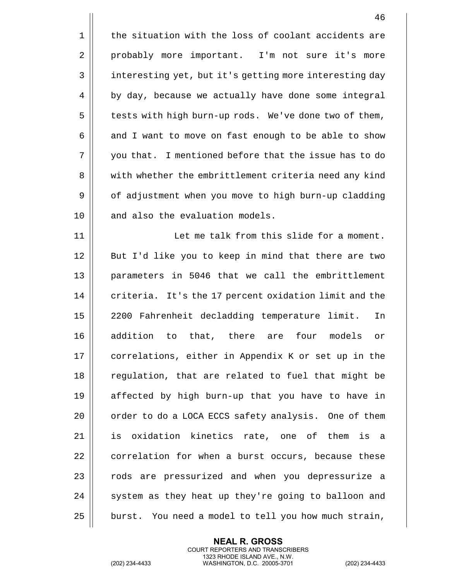1 || the situation with the loss of coolant accidents are 2 | probably more important. I'm not sure it's more 3 | interesting yet, but it's getting more interesting day 4 | by day, because we actually have done some integral 5 | tests with high burn-up rods. We've done two of them,  $6 \parallel$  and I want to move on fast enough to be able to show 7 you that. I mentioned before that the issue has to do 8 || with whether the embrittlement criteria need any kind 9 | of adjustment when you move to high burn-up cladding 10 || and also the evaluation models. 11 || Let me talk from this slide for a moment. 12 || But I'd like you to keep in mind that there are two 13 parameters in 5046 that we call the embrittlement  $14$   $\parallel$  criteria. It's the 17 percent oxidation limit and the 15 2200 Fahrenheit decladding temperature limit. In 16 addition to that, there are four models or 17 || correlations, either in Appendix K or set up in the 18 || regulation, that are related to fuel that might be 19 affected by high burn-up that you have to have in 20 | order to do a LOCA ECCS safety analysis. One of them 21 is oxidation kinetics rate, one of them is a 22 | correlation for when a burst occurs, because these 23 || rods are pressurized and when you depressurize a 24  $\parallel$  system as they heat up they're going to balloon and  $25$  | burst. You need a model to tell you how much strain,

> **NEAL R. GROSS** COURT REPORTERS AND TRANSCRIBERS 1323 RHODE ISLAND AVE., N.W.

(202) 234-4433 WASHINGTON, D.C. 20005-3701 (202) 234-4433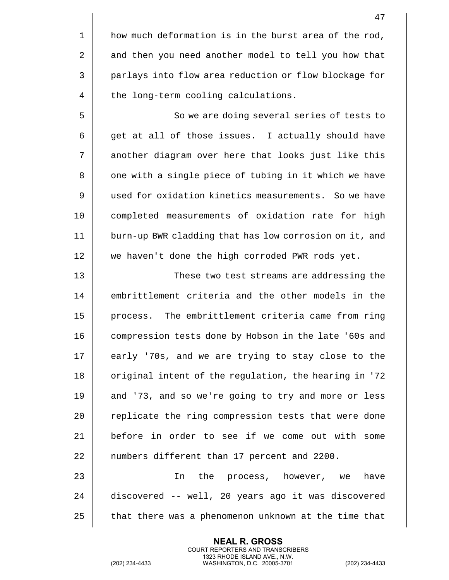|                | 47                                                     |
|----------------|--------------------------------------------------------|
| $\mathbf 1$    | how much deformation is in the burst area of the rod,  |
| $\overline{2}$ | and then you need another model to tell you how that   |
| 3              | parlays into flow area reduction or flow blockage for  |
| 4              | the long-term cooling calculations.                    |
| 5              | So we are doing several series of tests to             |
| 6              | get at all of those issues. I actually should have     |
| 7              | another diagram over here that looks just like this    |
| 8              | one with a single piece of tubing in it which we have  |
| 9              | used for oxidation kinetics measurements. So we have   |
| 10             | completed measurements of oxidation rate for high      |
| 11             | burn-up BWR cladding that has low corrosion on it, and |
| 12             | we haven't done the high corroded PWR rods yet.        |
| 13             | These two test streams are addressing the              |
| 14             | embrittlement criteria and the other models in the     |
| 15             | The embrittlement criteria came from ring<br>process.  |
| 16             | compression tests done by Hobson in the late '60s and  |
| 17             | early '70s, and we are trying to stay close to the     |
| 18             | original intent of the regulation, the hearing in '72  |
| 19             | and '73, and so we're going to try and more or less    |
| 20             | replicate the ring compression tests that were done    |
| 21             | before in order to see if we come out with some        |
| 22             | numbers different than 17 percent and 2200.            |
| 23             | the process, however, we<br>have<br>In                 |
| 24             | discovered -- well, 20 years ago it was discovered     |
| 25             | that there was a phenomenon unknown at the time that   |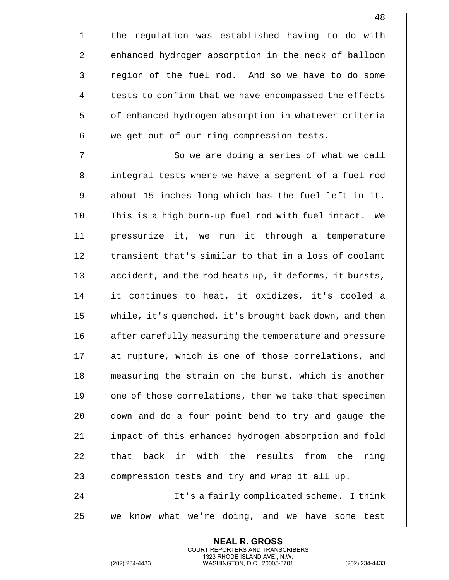1 || the regulation was established having to do with 2 | enhanced hydrogen absorption in the neck of balloon 3 | region of the fuel rod. And so we have to do some 4 | tests to confirm that we have encompassed the effects 5 | of enhanced hydrogen absorption in whatever criteria  $6 \parallel$  we get out of our ring compression tests.

7 || So we are doing a series of what we call 8 || integral tests where we have a segment of a fuel rod  $9 \parallel$  about 15 inches long which has the fuel left in it. 10 This is a high burn-up fuel rod with fuel intact. We 11 pressurize it, we run it through a temperature 12 || transient that's similar to that in a loss of coolant 13 || accident, and the rod heats up, it deforms, it bursts, 14 it continues to heat, it oxidizes, it's cooled a 15 while, it's quenched, it's brought back down, and then 16 || after carefully measuring the temperature and pressure 17 || at rupture, which is one of those correlations, and 18 || measuring the strain on the burst, which is another  $19$  || one of those correlations, then we take that specimen 20 || down and do a four point bend to try and gauge the 21 | impact of this enhanced hydrogen absorption and fold  $22$   $\parallel$  that back in with the results from the ring  $23$  | compression tests and try and wrap it all up. 24 It's a fairly complicated scheme. I think

25 we know what we're doing, and we have some test

**NEAL R. GROSS** COURT REPORTERS AND TRANSCRIBERS 1323 RHODE ISLAND AVE., N.W.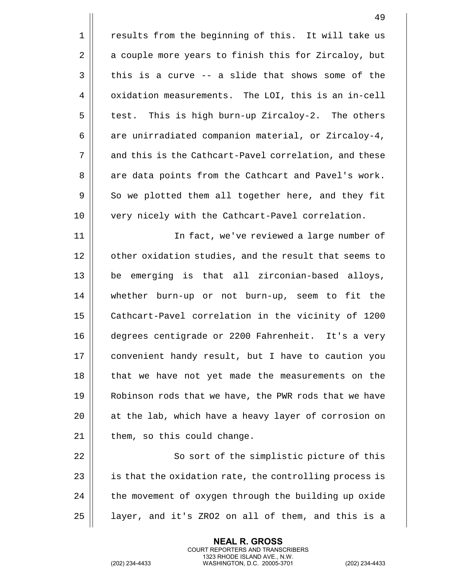|    | 49                                                     |
|----|--------------------------------------------------------|
| 1  | results from the beginning of this. It will take us    |
| 2  | a couple more years to finish this for Zircaloy, but   |
| 3  | this is a curve -- a slide that shows some of the      |
| 4  | oxidation measurements. The LOI, this is an in-cell    |
| 5  | test. This is high burn-up Zircaloy-2. The others      |
| 6  | are unirradiated companion material, or Zircaloy-4,    |
| 7  | and this is the Cathcart-Pavel correlation, and these  |
| 8  | are data points from the Cathcart and Pavel's work.    |
| 9  | So we plotted them all together here, and they fit     |
| 10 | very nicely with the Cathcart-Pavel correlation.       |
| 11 | In fact, we've reviewed a large number of              |
| 12 | other oxidation studies, and the result that seems to  |
| 13 | be emerging is that all zirconian-based alloys,        |
| 14 | whether burn-up or not burn-up, seem to fit the        |
| 15 | Cathcart-Pavel correlation in the vicinity of 1200     |
| 16 | degrees centigrade or 2200 Fahrenheit. It's a very     |
| 17 | convenient handy result, but I have to caution you     |
| 18 | that we have not yet made the measurements on the      |
| 19 | Robinson rods that we have, the PWR rods that we have  |
| 20 | at the lab, which have a heavy layer of corrosion on   |
| 21 | them, so this could change.                            |
| 22 | So sort of the simplistic picture of this              |
| 23 | is that the oxidation rate, the controlling process is |
| 24 | the movement of oxygen through the building up oxide   |
| 25 | layer, and it's ZRO2 on all of them, and this is a     |

(202) 234-4433 WASHINGTON, D.C. 20005-3701 (202) 234-4433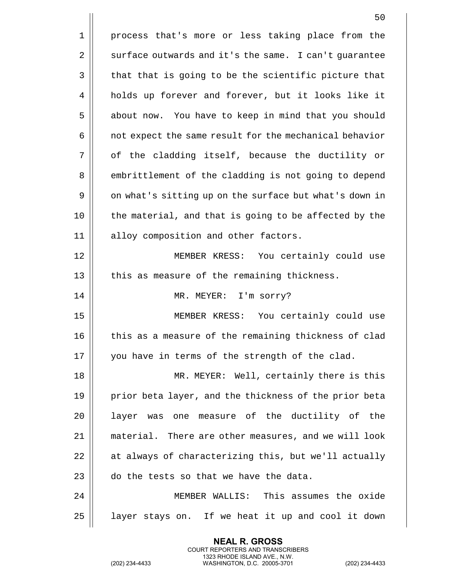|    | 50                                                     |
|----|--------------------------------------------------------|
| 1  | process that's more or less taking place from the      |
| 2  | surface outwards and it's the same. I can't guarantee  |
| 3  | that that is going to be the scientific picture that   |
| 4  | holds up forever and forever, but it looks like it     |
| 5  | about now. You have to keep in mind that you should    |
| 6  | not expect the same result for the mechanical behavior |
| 7  | of the cladding itself, because the ductility or       |
| 8  | embrittlement of the cladding is not going to depend   |
| 9  | on what's sitting up on the surface but what's down in |
| 10 | the material, and that is going to be affected by the  |
| 11 | alloy composition and other factors.                   |
| 12 | MEMBER KRESS: You certainly could use                  |
| 13 | this as measure of the remaining thickness.            |
| 14 | MR. MEYER: I'm sorry?                                  |
| 15 | MEMBER KRESS: You certainly could use                  |
| 16 | this as a measure of the remaining thickness of clad   |
| 17 | you have in terms of the strength of the clad.         |
| 18 | MR. MEYER: Well, certainly there is this               |
| 19 | prior beta layer, and the thickness of the prior beta  |
| 20 | layer was one measure of the ductility of the          |
| 21 | material. There are other measures, and we will look   |
| 22 | at always of characterizing this, but we'll actually   |
| 23 | do the tests so that we have the data.                 |
| 24 | MEMBER WALLIS: This assumes the oxide                  |
| 25 | layer stays on. If we heat it up and cool it down      |

(202) 234-4433 WASHINGTON, D.C. 20005-3701 (202) 234-4433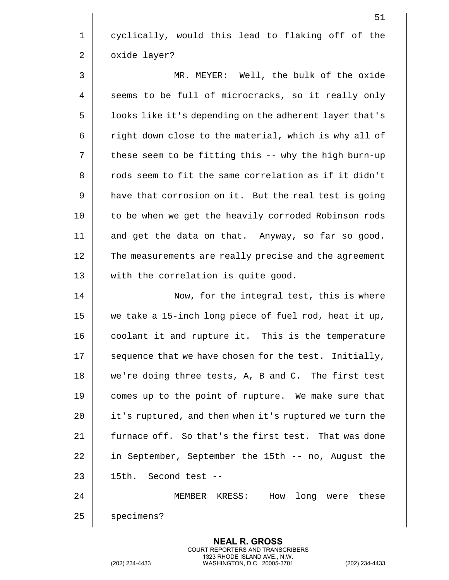1 || cyclically, would this lead to flaking off of the 2 | oxide layer?

3 MR. MEYER: Well, the bulk of the oxide 4 | seems to be full of microcracks, so it really only 5 | | looks like it's depending on the adherent layer that's  $6 \parallel$  right down close to the material, which is why all of  $7 \parallel$  these seem to be fitting this -- why the high burn-up 8 || cods seem to fit the same correlation as if it didn't 9 | have that corrosion on it. But the real test is going 10 to be when we get the heavily corroded Robinson rods 11 and get the data on that. Anyway, so far so good. 12 || The measurements are really precise and the agreement 13 || with the correlation is quite good.

14 || Now, for the integral test, this is where 15 we take a 15-inch long piece of fuel rod, heat it up, 16 || coolant it and rupture it. This is the temperature  $17$   $\parallel$  sequence that we have chosen for the test. Initially, 18 we're doing three tests, A, B and C. The first test 19 || comes up to the point of rupture. We make sure that 20 | it's ruptured, and then when it's ruptured we turn the 21 | furnace off. So that's the first test. That was done 22 | in September, September the 15th -- no, August the  $23$   $\parallel$  15th. Second test --24 MEMBER KRESS: How long were these

25 | specimens?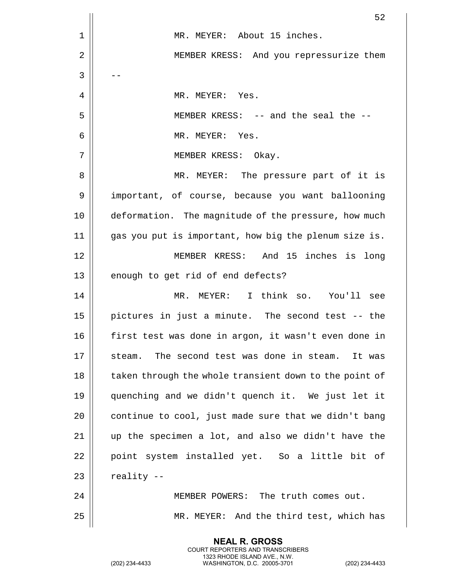|    | 52                                                     |
|----|--------------------------------------------------------|
| 1  | MR. MEYER: About 15 inches.                            |
| 2  | MEMBER KRESS: And you repressurize them                |
| 3  |                                                        |
| 4  | MR. MEYER: Yes.                                        |
| 5  | MEMBER KRESS: -- and the seal the --                   |
| 6  | MR. MEYER: Yes.                                        |
| 7  | MEMBER KRESS: Okay.                                    |
| 8  | MR. MEYER: The pressure part of it is                  |
| 9  | important, of course, because you want ballooning      |
| 10 | deformation. The magnitude of the pressure, how much   |
| 11 | gas you put is important, how big the plenum size is.  |
| 12 | MEMBER KRESS: And 15 inches is long                    |
| 13 | enough to get rid of end defects?                      |
| 14 | MR. MEYER: I think so. You'll see                      |
| 15 | pictures in just a minute. The second test -- the      |
| 16 | first test was done in argon, it wasn't even done in   |
| 17 | The second test was done in steam.<br>steam.<br>It was |
| 18 | taken through the whole transient down to the point of |
| 19 | quenching and we didn't quench it. We just let it      |
| 20 | continue to cool, just made sure that we didn't bang   |
| 21 | up the specimen a lot, and also we didn't have the     |
| 22 | point system installed yet. So a little bit of         |
| 23 | reality --                                             |
| 24 | MEMBER POWERS: The truth comes out.                    |
| 25 | MR. MEYER: And the third test, which has               |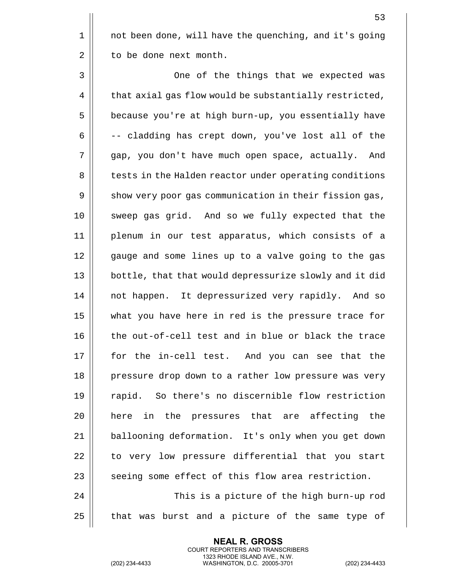1 || not been done, will have the quenching, and it's going 2 | to be done next month.

3 | One of the things that we expected was  $4 \parallel$  that axial gas flow would be substantially restricted, 5 | because you're at high burn-up, you essentially have  $6 \parallel$  -- cladding has crept down, you've lost all of the 7 gap, you don't have much open space, actually. And 8 | tests in the Halden reactor under operating conditions 9 | show very poor gas communication in their fission gas, 10 sweep gas grid. And so we fully expected that the 11 plenum in our test apparatus, which consists of a 12 || gauge and some lines up to a valve going to the gas 13 || bottle, that that would depressurize slowly and it did 14 || not happen. It depressurized very rapidly. And so 15 what you have here in red is the pressure trace for 16 the out-of-cell test and in blue or black the trace 17 || for the in-cell test. And you can see that the 18 || pressure drop down to a rather low pressure was very 19 || rapid. So there's no discernible flow restriction 20 || here in the pressures that are affecting the 21 | ballooning deformation. It's only when you get down 22 || to very low pressure differential that you start  $23$   $\parallel$  seeing some effect of this flow area restriction. 24 This is a picture of the high burn-up rod

 $25$  | that was burst and a picture of the same type of

**NEAL R. GROSS** COURT REPORTERS AND TRANSCRIBERS 1323 RHODE ISLAND AVE., N.W.

(202) 234-4433 WASHINGTON, D.C. 20005-3701 (202) 234-4433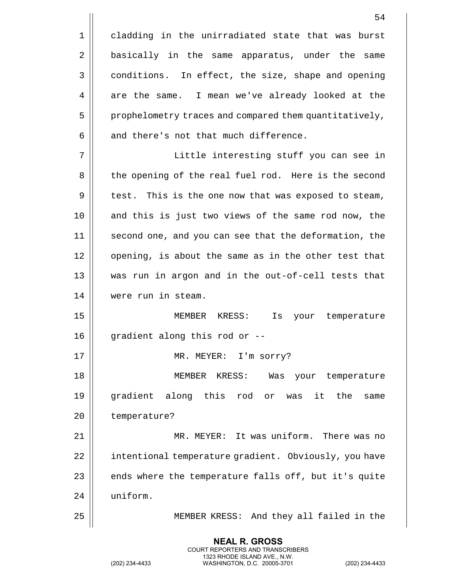|    | 54                                                     |
|----|--------------------------------------------------------|
| 1  | cladding in the unirradiated state that was burst      |
| 2  | basically in the same apparatus, under the same        |
| 3  | conditions. In effect, the size, shape and opening     |
| 4  | are the same. I mean we've already looked at the       |
| 5  | prophelometry traces and compared them quantitatively, |
| 6  | and there's not that much difference.                  |
| 7  | Little interesting stuff you can see in                |
| 8  | the opening of the real fuel rod. Here is the second   |
| 9  | test. This is the one now that was exposed to steam,   |
| 10 | and this is just two views of the same rod now, the    |
| 11 | second one, and you can see that the deformation, the  |
| 12 | opening, is about the same as in the other test that   |
| 13 | was run in argon and in the out-of-cell tests that     |
| 14 | were run in steam.                                     |
| 15 | MEMBER KRESS:<br>Is<br>your<br>temperature             |
| 16 | gradient along this rod or --                          |
| 17 | MR. MEYER: I'm sorry?                                  |
| 18 | MEMBER KRESS:<br>Was your temperature                  |
| 19 | gradient along this rod or was it the<br>same          |
| 20 | temperature?                                           |
| 21 | MR. MEYER: It was uniform. There was no                |
| 22 | intentional temperature gradient. Obviously, you have  |
| 23 | ends where the temperature falls off, but it's quite   |
| 24 | uniform.                                               |
|    |                                                        |

25 MEMBER KRESS: And they all failed in the

**NEAL R. GROSS** COURT REPORTERS AND TRANSCRIBERS 1323 RHODE ISLAND AVE., N.W.

(202) 234-4433 WASHINGTON, D.C. 20005-3701 (202) 234-4433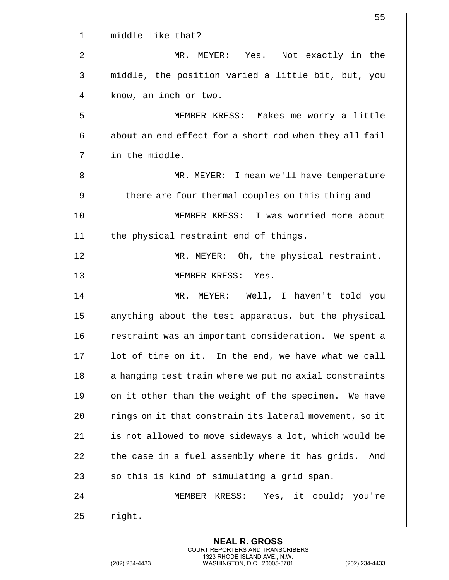|    | 55                                                     |
|----|--------------------------------------------------------|
| 1  | middle like that?                                      |
| 2  | MR. MEYER: Yes. Not exactly in the                     |
| 3  | middle, the position varied a little bit, but, you     |
| 4  | know, an inch or two.                                  |
| 5  | MEMBER KRESS: Makes me worry a little                  |
| 6  | about an end effect for a short rod when they all fail |
| 7  | in the middle.                                         |
| 8  | MR. MEYER: I mean we'll have temperature               |
| 9  | -- there are four thermal couples on this thing and -- |
| 10 | MEMBER KRESS: I was worried more about                 |
| 11 | the physical restraint end of things.                  |
| 12 | MR. MEYER: Oh, the physical restraint.                 |
| 13 | MEMBER KRESS: Yes.                                     |
| 14 | MR. MEYER: Well, I haven't told you                    |
| 15 | anything about the test apparatus, but the physical    |
| 16 | restraint was an important consideration. We spent a   |
| 17 | lot of time on it. In the end, we have what we call    |
| 18 | a hanging test train where we put no axial constraints |
| 19 | on it other than the weight of the specimen. We have   |
| 20 | rings on it that constrain its lateral movement, so it |
| 21 | is not allowed to move sideways a lot, which would be  |
| 22 | the case in a fuel assembly where it has grids.<br>And |
| 23 | so this is kind of simulating a grid span.             |
| 24 | MEMBER KRESS: Yes, it could; you're                    |
| 25 | right.                                                 |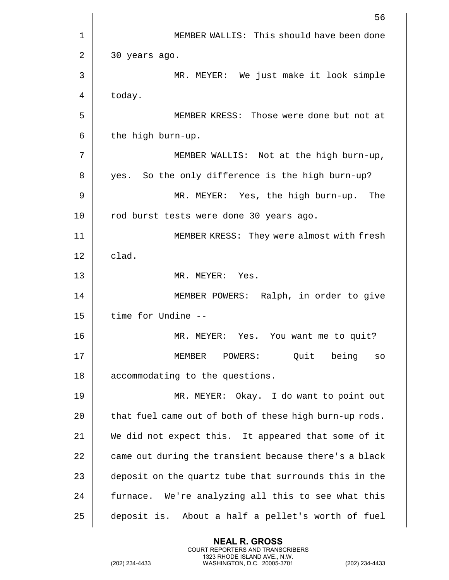|    | 56                                                     |
|----|--------------------------------------------------------|
| 1  | MEMBER WALLIS: This should have been done              |
| 2  | 30 years ago.                                          |
| 3  | MR. MEYER: We just make it look simple                 |
| 4  | today.                                                 |
| 5  | MEMBER KRESS: Those were done but not at               |
| 6  | the high burn-up.                                      |
| 7  | MEMBER WALLIS: Not at the high burn-up,                |
| 8  | yes. So the only difference is the high burn-up?       |
| 9  | The<br>MR. MEYER: Yes, the high burn-up.               |
| 10 | rod burst tests were done 30 years ago.                |
| 11 | MEMBER KRESS: They were almost with fresh              |
| 12 | clad.                                                  |
| 13 | MR. MEYER: Yes.                                        |
| 14 | MEMBER POWERS: Ralph, in order to give                 |
| 15 | time for Undine --                                     |
| 16 | Yes. You want me to quit?<br>MR. MEYER:                |
| 17 | MEMBER POWERS: Quit being<br>SO                        |
| 18 | accommodating to the questions.                        |
| 19 | MR. MEYER: Okay. I do want to point out                |
| 20 | that fuel came out of both of these high burn-up rods. |
| 21 | We did not expect this. It appeared that some of it    |
| 22 | came out during the transient because there's a black  |
| 23 | deposit on the quartz tube that surrounds this in the  |
| 24 | furnace. We're analyzing all this to see what this     |
| 25 | deposit is. About a half a pellet's worth of fuel      |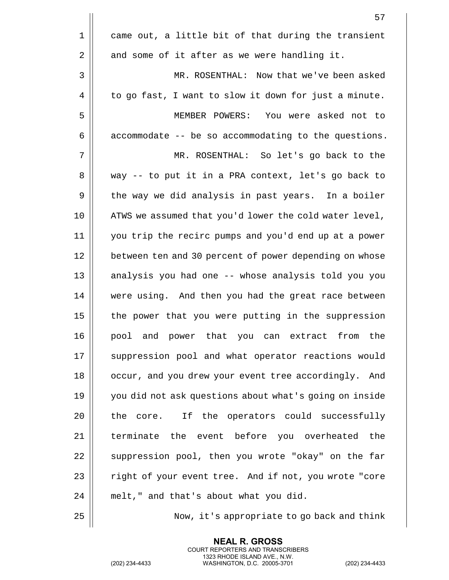|             | 57                                                     |
|-------------|--------------------------------------------------------|
| $\mathbf 1$ | came out, a little bit of that during the transient    |
| $\mathbf 2$ | and some of it after as we were handling it.           |
| 3           | MR. ROSENTHAL: Now that we've been asked               |
| 4           | to go fast, I want to slow it down for just a minute.  |
| 5           | MEMBER POWERS: You were asked not to                   |
| 6           | accommodate -- be so accommodating to the questions.   |
| 7           | MR. ROSENTHAL: So let's go back to the                 |
| 8           | way -- to put it in a PRA context, let's go back to    |
| 9           | the way we did analysis in past years. In a boiler     |
| 10          | ATWS we assumed that you'd lower the cold water level, |
| 11          | you trip the recirc pumps and you'd end up at a power  |
| 12          | between ten and 30 percent of power depending on whose |
| 13          | analysis you had one -- whose analysis told you you    |
| 14          | were using. And then you had the great race between    |
| 15          | the power that you were putting in the suppression     |
| 16          | pool and power that you can extract<br>from<br>the     |
| 17          | suppression pool and what operator reactions would     |
| 18          | occur, and you drew your event tree accordingly. And   |
| 19          | you did not ask questions about what's going on inside |
| 20          | the core. If the operators could successfully          |
| 21          | terminate the event before you overheated the          |
| 22          | suppression pool, then you wrote "okay" on the far     |
| 23          | right of your event tree. And if not, you wrote "core  |
| 24          | melt," and that's about what you did.                  |
| 25          | Now, it's appropriate to go back and think             |

(202) 234-4433 WASHINGTON, D.C. 20005-3701 (202) 234-4433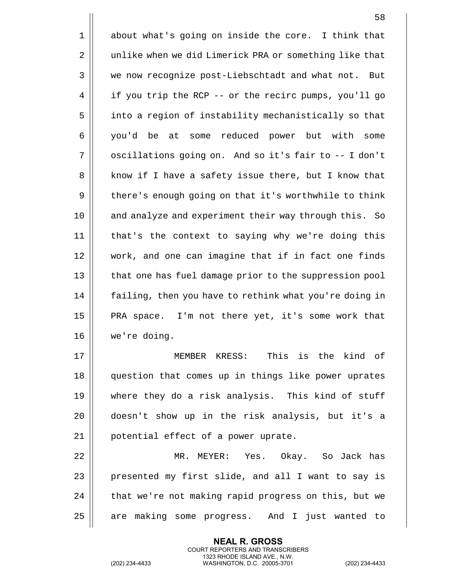|    | 58                                                     |
|----|--------------------------------------------------------|
| 1  | about what's going on inside the core. I think that    |
| 2  | unlike when we did Limerick PRA or something like that |
| 3  | we now recognize post-Liebschtadt and what not. But    |
| 4  | if you trip the RCP -- or the recirc pumps, you'll go  |
| 5  | into a region of instability mechanistically so that   |
| 6  | you'd be at some reduced power but with some           |
| 7  | oscillations going on. And so it's fair to -- I don't  |
| 8  | know if I have a safety issue there, but I know that   |
| 9  | there's enough going on that it's worthwhile to think  |
| 10 | and analyze and experiment their way through this. So  |
| 11 | that's the context to saying why we're doing this      |
| 12 | work, and one can imagine that if in fact one finds    |
| 13 | that one has fuel damage prior to the suppression pool |
| 14 | failing, then you have to rethink what you're doing in |
| 15 | PRA space. I'm not there yet, it's some work that      |
| 16 | we're doing.                                           |
| 17 | This is the kind of<br>MEMBER KRESS:                   |
| 18 | question that comes up in things like power uprates    |
| 19 | where they do a risk analysis. This kind of stuff      |
| 20 | doesn't show up in the risk analysis, but it's a       |
| 21 | potential effect of a power uprate.                    |
| 22 | MR. MEYER: Yes. Okay. So Jack has                      |
| 23 | presented my first slide, and all I want to say is     |
| 24 | that we're not making rapid progress on this, but we   |

25 are making some progress. And I just wanted to

**NEAL R. GROSS** COURT REPORTERS AND TRANSCRIBERS 1323 RHODE ISLAND AVE., N.W.

(202) 234-4433 WASHINGTON, D.C. 20005-3701 (202) 234-4433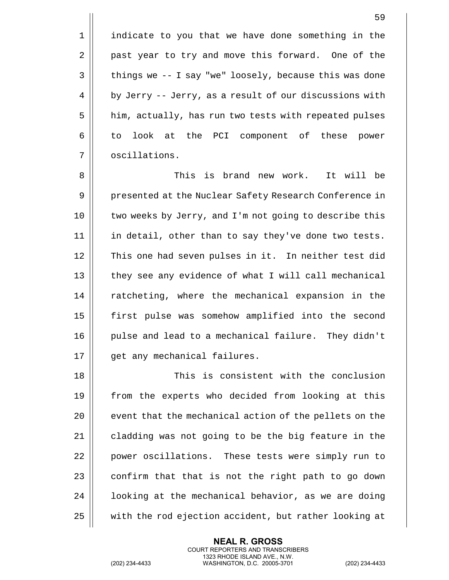1 || indicate to you that we have done something in the 2 | past year to try and move this forward. One of the  $3 \parallel$  things we -- I say "we" loosely, because this was done  $4 \parallel$  by Jerry -- Jerry, as a result of our discussions with 5 | him, actually, has run two tests with repeated pulses 6 || to look at the PCI component of these power 7 | oscillations.

8 This is brand new work. It will be 9 || presented at the Nuclear Safety Research Conference in 10 two weeks by Jerry, and I'm not going to describe this 11 || in detail, other than to say they've done two tests. 12 || This one had seven pulses in it. In neither test did 13 || they see any evidence of what I will call mechanical 14 || ratcheting, where the mechanical expansion in the 15 first pulse was somehow amplified into the second 16 || pulse and lead to a mechanical failure. They didn't 17 || qet any mechanical failures.

 This is consistent with the conclusion from the experts who decided from looking at this  $\parallel$  event that the mechanical action of the pellets on the  $\parallel$  cladding was not going to be the big feature in the 22 | power oscillations. These tests were simply run to | confirm that that is not the right path to go down  $\parallel$  1 ooking at the mechanical behavior, as we are doing 25 | with the rod ejection accident, but rather looking at

> **NEAL R. GROSS** COURT REPORTERS AND TRANSCRIBERS 1323 RHODE ISLAND AVE., N.W.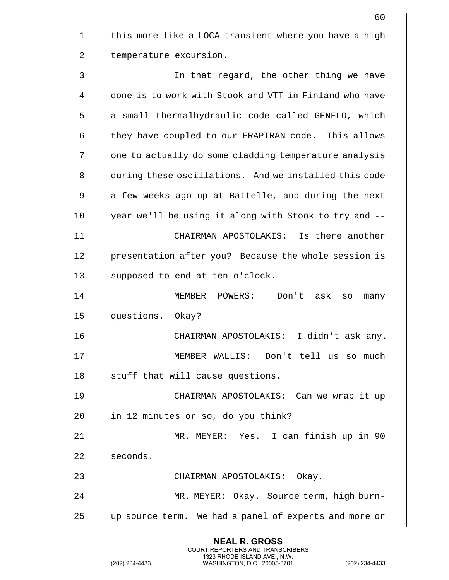60 1 | this more like a LOCA transient where you have a high 2 | temperature excursion. 3 In that regard, the other thing we have 4 done is to work with Stook and VTT in Finland who have 5 || a small thermalhydraulic code called GENFLO, which 6 | they have coupled to our FRAPTRAN code. This allows 7 || one to actually do some cladding temperature analysis 8 during these oscillations. And we installed this code 9 || a few weeks ago up at Battelle, and during the next 10 || year we'll be using it along with Stook to try and --11 CHAIRMAN APOSTOLAKIS: Is there another 12 || presentation after you? Because the whole session is 13 || supposed to end at ten o'clock. 14 MEMBER POWERS: Don't ask so many 15 questions. Okay? 16 CHAIRMAN APOSTOLAKIS: I didn't ask any. 17 MEMBER WALLIS: Don't tell us so much 18 || stuff that will cause questions. 19 CHAIRMAN APOSTOLAKIS: Can we wrap it up  $20$  || in 12 minutes or so, do you think? 21 MR. MEYER: Yes. I can finish up in 90 22 | seconds. 23 || CHAIRMAN APOSTOLAKIS: Okay. 24 MR. MEYER: Okay. Source term, high burn-25 up source term. We had a panel of experts and more or

> **NEAL R. GROSS** COURT REPORTERS AND TRANSCRIBERS 1323 RHODE ISLAND AVE., N.W.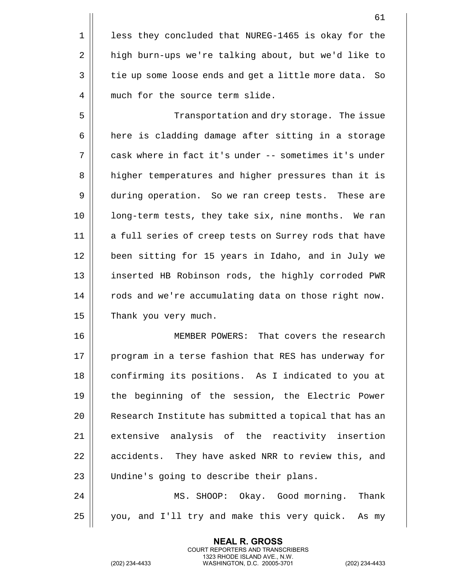61 1 || less they concluded that NUREG-1465 is okay for the 2 | high burn-ups we're talking about, but we'd like to 3 | tie up some loose ends and get a little more data. So 4 || much for the source term slide. 5 Transportation and dry storage. The issue 6 | here is cladding damage after sitting in a storage 7 cask where in fact it's under -- sometimes it's under 8 | higher temperatures and higher pressures than it is 9 during operation. So we ran creep tests. These are 10 || long-term tests, they take six, nine months. We ran 11 || a full series of creep tests on Surrey rods that have 12 || been sitting for 15 years in Idaho, and in July we 13 || inserted HB Robinson rods, the highly corroded PWR 14 | rods and we're accumulating data on those right now. 15 | Thank you very much. 16 MEMBER POWERS: That covers the research 17 || program in a terse fashion that RES has underway for 18 || confirming its positions. As I indicated to you at

19 the beginning of the session, the Electric Power 20 || Research Institute has submitted a topical that has an 21 extensive analysis of the reactivity insertion 22 | accidents. They have asked NRR to review this, and 23 || Undine's going to describe their plans.

24 MS. SHOOP: Okay. Good morning. Thank  $25 \parallel$  you, and I'll try and make this very quick. As my

> **NEAL R. GROSS** COURT REPORTERS AND TRANSCRIBERS 1323 RHODE ISLAND AVE., N.W.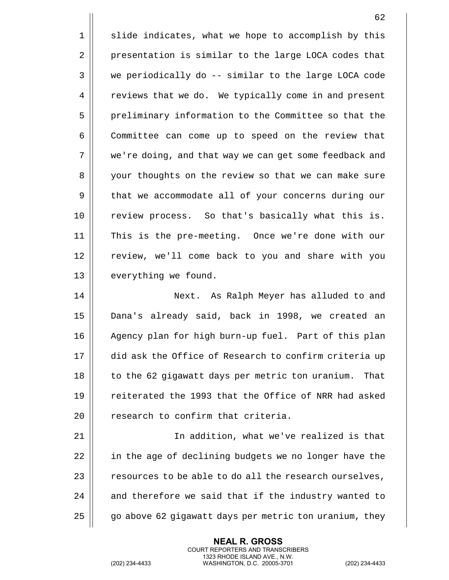1 || slide indicates, what we hope to accomplish by this 2 | presentation is similar to the large LOCA codes that 3 we periodically do -- similar to the large LOCA code 4 | reviews that we do. We typically come in and present 5 | preliminary information to the Committee so that the 6 Committee can come up to speed on the review that 7 || we're doing, and that way we can get some feedback and 8 || your thoughts on the review so that we can make sure 9 | that we accommodate all of your concerns during our 10 || review process. So that's basically what this is. 11 This is the pre-meeting. Once we're done with our 12 || review, we'll come back to you and share with you 13 || everything we found. 14 Next. As Ralph Meyer has alluded to and 15 Dana's already said, back in 1998, we created an 16 || Agency plan for high burn-up fuel. Part of this plan 17 did ask the Office of Research to confirm criteria up 18 || to the 62 gigawatt days per metric ton uranium. That

19 || creiterated the 1993 that the Office of NRR had asked 20  $\parallel$  research to confirm that criteria.

 In addition, what we've realized is that 22 | in the age of declining budgets we no longer have the  $\parallel$  resources to be able to do all the research ourselves,  $\parallel$  and therefore we said that if the industry wanted to  $\parallel$  go above 62 gigawatt days per metric ton uranium, they

> **NEAL R. GROSS** COURT REPORTERS AND TRANSCRIBERS 1323 RHODE ISLAND AVE., N.W.

(202) 234-4433 WASHINGTON, D.C. 20005-3701 (202) 234-4433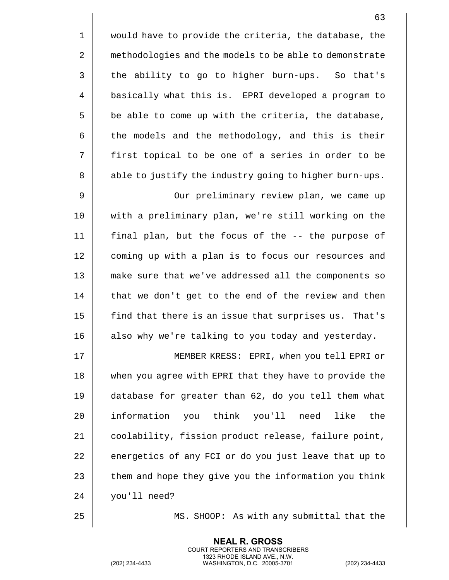|             | 63                                                     |
|-------------|--------------------------------------------------------|
| $\mathbf 1$ | would have to provide the criteria, the database, the  |
| 2           | methodologies and the models to be able to demonstrate |
| 3           | the ability to go to higher burn-ups. So that's        |
| 4           | basically what this is. EPRI developed a program to    |
| 5           | be able to come up with the criteria, the database,    |
| 6           | the models and the methodology, and this is their      |
| 7           | first topical to be one of a series in order to be     |
| 8           | able to justify the industry going to higher burn-ups. |
| 9           | Our preliminary review plan, we came up                |
| 10          | with a preliminary plan, we're still working on the    |
| 11          | final plan, but the focus of the -- the purpose of     |
| 12          | coming up with a plan is to focus our resources and    |
| 13          | make sure that we've addressed all the components so   |
| 14          | that we don't get to the end of the review and then    |
| 15          | find that there is an issue that surprises us. That's  |
| 16          | also why we're talking to you today and yesterday.     |
| 17          | MEMBER KRESS: EPRI, when you tell EPRI or              |
| 18          | when you agree with EPRI that they have to provide the |
| 19          | database for greater than 62, do you tell them what    |
| 20          | information you think you'll need like<br>the          |
| 21          | coolability, fission product release, failure point,   |
| 22          | energetics of any FCI or do you just leave that up to  |
| 23          | them and hope they give you the information you think  |
| 24          | you'll need?                                           |
|             |                                                        |

25 MS. SHOOP: As with any submittal that the

**NEAL R. GROSS** COURT REPORTERS AND TRANSCRIBERS 1323 RHODE ISLAND AVE., N.W.

(202) 234-4433 WASHINGTON, D.C. 20005-3701 (202) 234-4433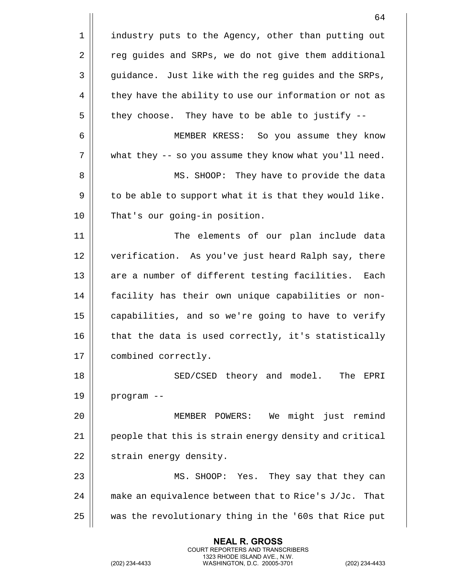|    | 64                                                     |
|----|--------------------------------------------------------|
| 1  | industry puts to the Agency, other than putting out    |
| 2  | reg guides and SRPs, we do not give them additional    |
| 3  | guidance. Just like with the reg guides and the SRPs,  |
| 4  | they have the ability to use our information or not as |
| 5  | they choose. They have to be able to justify --        |
| 6  | So you assume they know<br>MEMBER KRESS:               |
| 7  | what they -- so you assume they know what you'll need. |
| 8  | MS. SHOOP: They have to provide the data               |
| 9  | to be able to support what it is that they would like. |
| 10 | That's our going-in position.                          |
| 11 | The elements of our plan include data                  |
| 12 | verification. As you've just heard Ralph say, there    |
| 13 | are a number of different testing facilities.<br>Each  |
| 14 | facility has their own unique capabilities or non-     |
| 15 | capabilities, and so we're going to have to verify     |
| 16 | that the data is used correctly, it's statistically    |
| 17 | combined correctly.                                    |
| 18 | SED/CSED theory and model.<br>The EPRI                 |
| 19 | program --                                             |
| 20 | We might just remind<br>MEMBER POWERS:                 |
| 21 | people that this is strain energy density and critical |
| 22 | strain energy density.                                 |
| 23 | MS. SHOOP: Yes. They say that they can                 |
| 24 | make an equivalence between that to Rice's J/Jc. That  |
| 25 | was the revolutionary thing in the '60s that Rice put  |

(202) 234-4433 WASHINGTON, D.C. 20005-3701 (202) 234-4433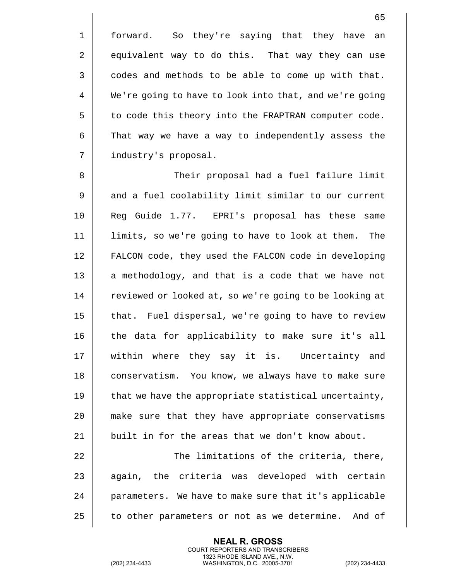1 || forward. So they're saying that they have an 2 equivalent way to do this. That way they can use  $3 \parallel$  codes and methods to be able to come up with that. 4 We're going to have to look into that, and we're going 5 | to code this theory into the FRAPTRAN computer code.  $6 \parallel$  That way we have a way to independently assess the 7 | industry's proposal.

8 Their proposal had a fuel failure limit 9 || and a fuel coolability limit similar to our current 10 Reg Guide 1.77. EPRI's proposal has these same 11 limits, so we're going to have to look at them. The 12 FALCON code, they used the FALCON code in developing  $13$  || a methodology, and that is a code that we have not 14 | reviewed or looked at, so we're going to be looking at 15 || that. Fuel dispersal, we're going to have to review 16 the data for applicability to make sure it's all 17 within where they say it is. Uncertainty and 18 || conservatism. You know, we always have to make sure 19  $\parallel$  that we have the appropriate statistical uncertainty, 20 make sure that they have appropriate conservatisms 21  $\parallel$  built in for the areas that we don't know about. 22 || The limitations of the criteria, there,

 $23$  ||  $a$ qain, the criteria was developed with certain 24 || parameters. We have to make sure that it's applicable 25 | to other parameters or not as we determine. And of

> **NEAL R. GROSS** COURT REPORTERS AND TRANSCRIBERS 1323 RHODE ISLAND AVE., N.W.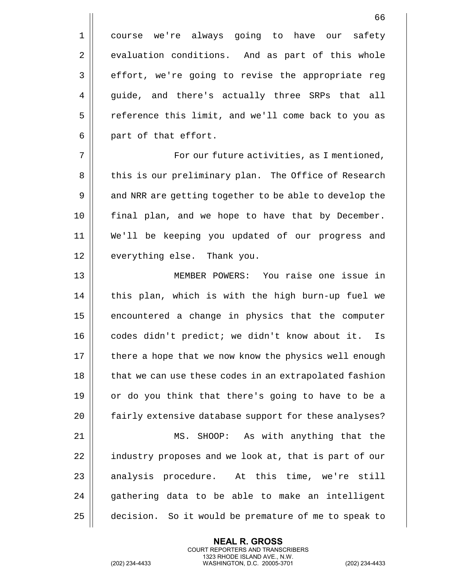1 || course we're always going to have our safety 2 evaluation conditions. And as part of this whole 3 | effort, we're going to revise the appropriate reg 4 guide, and there's actually three SRPs that all 5 | reference this limit, and we'll come back to you as  $6 \parallel$  part of that effort.

7 For our future activities, as I mentioned, 8 || this is our preliminary plan. The Office of Research 9 || and NRR are getting together to be able to develop the 10 final plan, and we hope to have that by December. 11 We'll be keeping you updated of our progress and 12 || everything else. Thank you.

13 MEMBER POWERS: You raise one issue in 14 || this plan, which is with the high burn-up fuel we 15 || encountered a change in physics that the computer 16 || codes didn't predict; we didn't know about it. Is 17 || there a hope that we now know the physics well enough 18 || that we can use these codes in an extrapolated fashion 19  $\parallel$  or do you think that there's going to have to be a 20 || fairly extensive database support for these analyses? 21 MS. SHOOP: As with anything that the 22 | industry proposes and we look at, that is part of our  $23$  || analysis procedure. At this time, we're still  $24$   $\parallel$  qathering data to be able to make an intelligent 25 decision. So it would be premature of me to speak to

> **NEAL R. GROSS** COURT REPORTERS AND TRANSCRIBERS 1323 RHODE ISLAND AVE., N.W.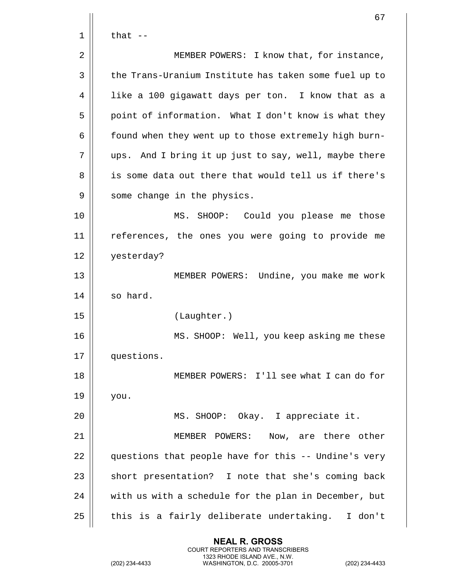|    | 67                                                    |
|----|-------------------------------------------------------|
| 1  | that $-$                                              |
| 2  | MEMBER POWERS: I know that, for instance,             |
| 3  | the Trans-Uranium Institute has taken some fuel up to |
| 4  | like a 100 gigawatt days per ton. I know that as a    |
| 5  | point of information. What I don't know is what they  |
| 6  | found when they went up to those extremely high burn- |
| 7  | ups. And I bring it up just to say, well, maybe there |
| 8  | is some data out there that would tell us if there's  |
| 9  | some change in the physics.                           |
| 10 | SHOOP: Could you please me those<br>MS.               |
| 11 | references, the ones you were going to provide me     |
| 12 | yesterday?                                            |
| 13 | MEMBER POWERS: Undine, you make me work               |
| 14 | so hard.                                              |
| 15 | (Laughter.)                                           |
| 16 | MS. SHOOP: Well, you keep asking me these             |
| 17 | questions.                                            |
| 18 | MEMBER POWERS: I'll see what I can do for             |
| 19 | you.                                                  |
| 20 | MS. SHOOP: Okay. I appreciate it.                     |
| 21 | MEMBER POWERS: Now, are there other                   |
| 22 | questions that people have for this -- Undine's very  |
| 23 | short presentation? I note that she's coming back     |
| 24 | with us with a schedule for the plan in December, but |
| 25 | this is a fairly deliberate undertaking. I don't      |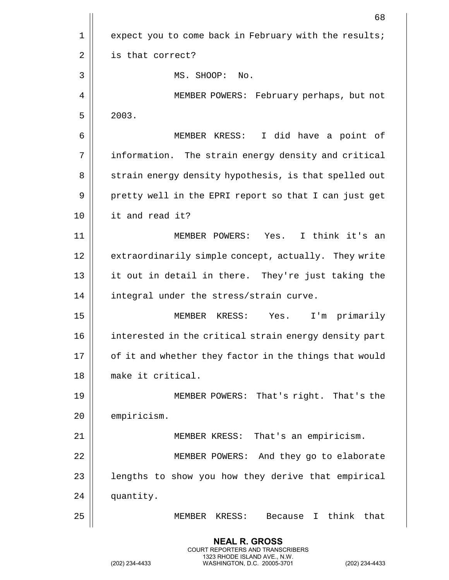|    | 68                                                        |
|----|-----------------------------------------------------------|
| 1  | expect you to come back in February with the results;     |
| 2  | is that correct?                                          |
| 3  | MS. SHOOP: No.                                            |
| 4  | MEMBER POWERS: February perhaps, but not                  |
| 5  | 2003.                                                     |
| 6  | I did have a point of<br>MEMBER KRESS:                    |
| 7  | information. The strain energy density and critical       |
| 8  | strain energy density hypothesis, is that spelled out     |
| 9  | pretty well in the EPRI report so that I can just get     |
| 10 | it and read it?                                           |
| 11 | MEMBER POWERS: Yes. I think it's an                       |
| 12 | extraordinarily simple concept, actually. They write      |
| 13 | it out in detail in there. They're just taking the        |
| 14 | integral under the stress/strain curve.                   |
| 15 | Yes.<br>I'm primarily<br>MEMBER KRESS:                    |
| 16 | interested in the critical strain energy density part     |
| 17 | of it and whether they factor in the things that would    |
| 18 | make it critical.                                         |
| 19 | MEMBER POWERS: That's right. That's the                   |
| 20 | empiricism.                                               |
| 21 | MEMBER KRESS: That's an empiricism.                       |
| 22 | MEMBER POWERS: And they go to elaborate                   |
| 23 | lengths to show you how they derive that empirical        |
| 24 | quantity.                                                 |
| 25 | think<br>that<br>MEMBER KRESS:<br>Because<br>$\mathbf{I}$ |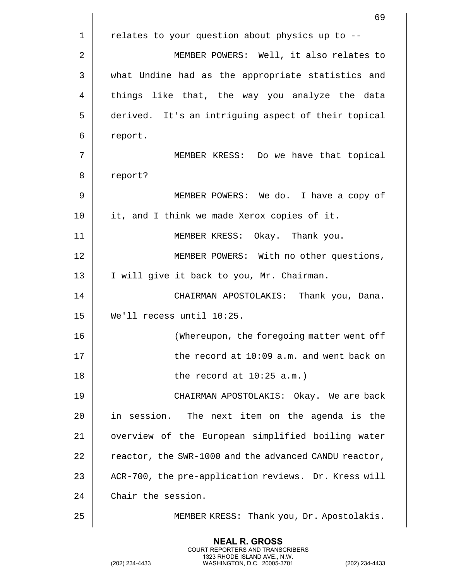|    | 69                                                    |
|----|-------------------------------------------------------|
| 1  | relates to your question about physics up to --       |
| 2  | MEMBER POWERS: Well, it also relates to               |
| 3  | what Undine had as the appropriate statistics and     |
| 4  | things like that, the way you analyze the data        |
| 5  | derived. It's an intriguing aspect of their topical   |
| 6  | report.                                               |
| 7  | MEMBER KRESS: Do we have that topical                 |
| 8  | report?                                               |
| 9  | MEMBER POWERS: We do. I have a copy of                |
| 10 | it, and I think we made Xerox copies of it.           |
| 11 | MEMBER KRESS: Okay. Thank you.                        |
| 12 | MEMBER POWERS: With no other questions,               |
| 13 | I will give it back to you, Mr. Chairman.             |
| 14 | CHAIRMAN APOSTOLAKIS: Thank you, Dana.                |
| 15 | We'll recess until 10:25.                             |
| 16 | (Whereupon, the foregoing matter went off             |
| 17 | the record at 10:09 a.m. and went back on             |
| 18 | the record at $10:25$ a.m.)                           |
| 19 | CHAIRMAN APOSTOLAKIS: Okay. We are back               |
| 20 | The next item on the agenda is the<br>in session.     |
| 21 | overview of the European simplified boiling water     |
| 22 | reactor, the SWR-1000 and the advanced CANDU reactor, |
| 23 | ACR-700, the pre-application reviews. Dr. Kress will  |
| 24 | Chair the session.                                    |
| 25 | MEMBER KRESS: Thank you, Dr. Apostolakis.             |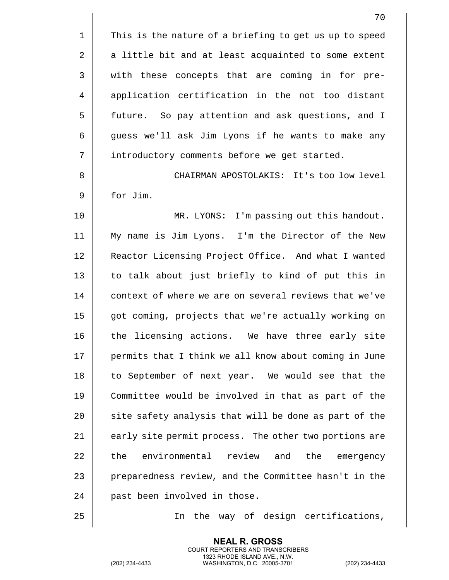1 || This is the nature of a briefing to get us up to speed  $2 \parallel$  a little bit and at least acquainted to some extent 3 || with these concepts that are coming in for pre-4 || application certification in the not too distant 5 future. So pay attention and ask questions, and I 6 | guess we'll ask Jim Lyons if he wants to make any 7 | introductory comments before we get started. 8 CHAIRMAN APOSTOLAKIS: It's too low level 9 for Jim. 10 MR. LYONS: I'm passing out this handout. 11 My name is Jim Lyons. I'm the Director of the New 12 || Reactor Licensing Project Office. And what I wanted 13 || to talk about just briefly to kind of put this in 14 || context of where we are on several reviews that we've 15 || got coming, projects that we're actually working on 16 || the licensing actions. We have three early site 17 || permits that I think we all know about coming in June 18 || to September of next year. We would see that the 19 Committee would be involved in that as part of the  $20$   $\parallel$  site safety analysis that will be done as part of the 21 || early site permit process. The other two portions are 22 | the environmental review and the emergency 23 || preparedness review, and the Committee hasn't in the 24 || past been involved in those.

25 In the way of design certifications,

**NEAL R. GROSS** COURT REPORTERS AND TRANSCRIBERS 1323 RHODE ISLAND AVE., N.W.

(202) 234-4433 WASHINGTON, D.C. 20005-3701 (202) 234-4433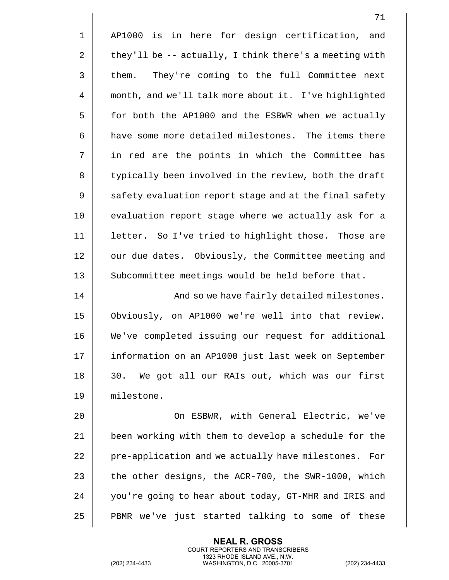|    | 71                                                     |
|----|--------------------------------------------------------|
| 1  | AP1000 is in here for design certification,<br>and     |
| 2  | they'll be -- actually, I think there's a meeting with |
| 3  | They're coming to the full Committee next<br>them.     |
| 4  | month, and we'll talk more about it. I've highlighted  |
| 5  | for both the AP1000 and the ESBWR when we actually     |
| 6  | have some more detailed milestones. The items there    |
| 7  | in red are the points in which the Committee has       |
| 8  | typically been involved in the review, both the draft  |
| 9  | safety evaluation report stage and at the final safety |
| 10 | evaluation report stage where we actually ask for a    |
| 11 | letter. So I've tried to highlight those. Those are    |
| 12 | our due dates. Obviously, the Committee meeting and    |
| 13 | Subcommittee meetings would be held before that.       |
| 14 | And so we have fairly detailed milestones.             |
| 15 | Obviously, on AP1000 we're well into that review.      |
| 16 | We've completed issuing our request for additional     |
| 17 | information on an AP1000 just last week on September   |
| 18 | We got all our RAIs out, which was our first<br>30.    |
| 19 | milestone.                                             |
| 20 | On ESBWR, with General Electric, we've                 |
| 21 | been working with them to develop a schedule for the   |
| 22 | pre-application and we actually have milestones. For   |
| 23 | the other designs, the ACR-700, the SWR-1000, which    |
| 24 | you're going to hear about today, GT-MHR and IRIS and  |
| 25 | PBMR we've just started talking to some of these       |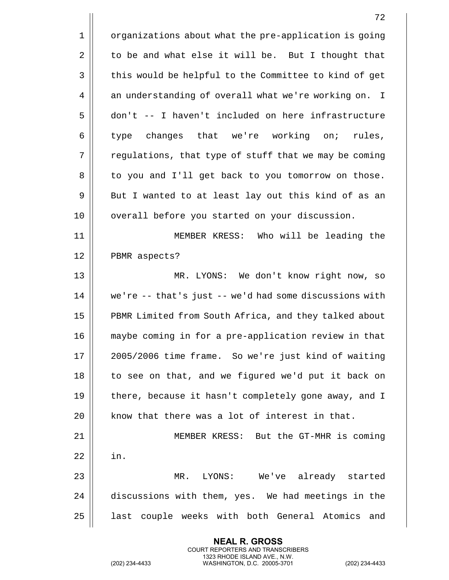|    | 72                                                     |
|----|--------------------------------------------------------|
| 1  | organizations about what the pre-application is going  |
| 2  | to be and what else it will be. But I thought that     |
| 3  | this would be helpful to the Committee to kind of get  |
| 4  | an understanding of overall what we're working on. I   |
| 5  | don't -- I haven't included on here infrastructure     |
| 6  | type changes that we're working on;<br>rules,          |
| 7  | regulations, that type of stuff that we may be coming  |
| 8  | to you and I'll get back to you tomorrow on those.     |
| 9  | But I wanted to at least lay out this kind of as an    |
| 10 | overall before you started on your discussion.         |
| 11 | MEMBER KRESS: Who will be leading the                  |
| 12 | PBMR aspects?                                          |
| 13 | MR. LYONS: We don't know right now, so                 |
| 14 | we're -- that's just -- we'd had some discussions with |
| 15 | PBMR Limited from South Africa, and they talked about  |
| 16 | maybe coming in for a pre-application review in that   |
| 17 | 2005/2006 time frame. So we're just kind of waiting    |
| 18 | to see on that, and we figured we'd put it back on     |
| 19 | there, because it hasn't completely gone away, and I   |
| 20 | know that there was a lot of interest in that.         |
| 21 | MEMBER KRESS: But the GT-MHR is coming                 |
| 22 | in.                                                    |
| 23 | MR. LYONS: We've already started                       |
| 24 | discussions with them, yes. We had meetings in the     |
| 25 | last couple weeks with both General Atomics and        |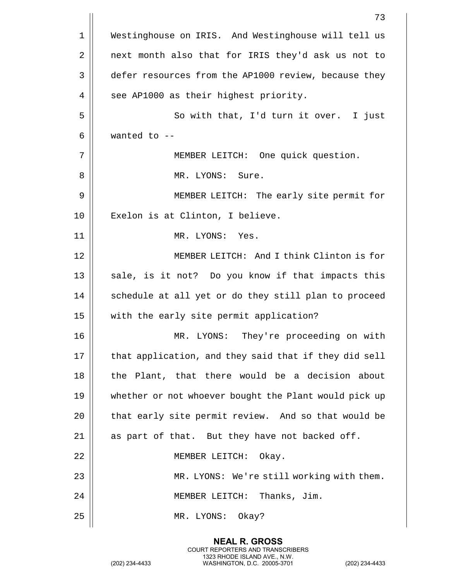|    | 73                                                    |
|----|-------------------------------------------------------|
| 1  | Westinghouse on IRIS. And Westinghouse will tell us   |
| 2  | next month also that for IRIS they'd ask us not to    |
| 3  | defer resources from the AP1000 review, because they  |
| 4  | see AP1000 as their highest priority.                 |
| 5  | So with that, I'd turn it over. I just                |
| 6  | wanted to $-$ -                                       |
| 7  | MEMBER LEITCH: One quick question.                    |
| 8  | MR. LYONS: Sure.                                      |
| 9  | MEMBER LEITCH: The early site permit for              |
| 10 | Exelon is at Clinton, I believe.                      |
| 11 | MR. LYONS: Yes.                                       |
| 12 | MEMBER LEITCH: And I think Clinton is for             |
| 13 | sale, is it not? Do you know if that impacts this     |
| 14 | schedule at all yet or do they still plan to proceed  |
| 15 | with the early site permit application?               |
| 16 | They're proceeding on with<br>MR.<br>LYONS:           |
| 17 | that application, and they said that if they did sell |
| 18 | the Plant, that there would be a decision about       |
| 19 | whether or not whoever bought the Plant would pick up |
| 20 | that early site permit review. And so that would be   |
| 21 | as part of that. But they have not backed off.        |
| 22 | MEMBER LEITCH: Okay.                                  |
| 23 | MR. LYONS: We're still working with them.             |
| 24 | MEMBER LEITCH: Thanks, Jim.                           |
| 25 | MR. LYONS:<br>Okay?                                   |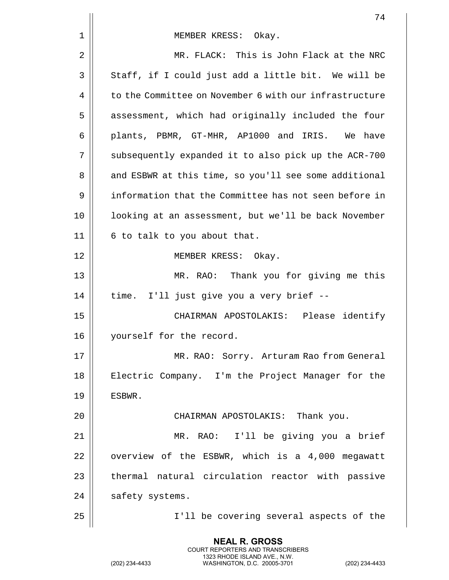|    | 74                                                     |
|----|--------------------------------------------------------|
| 1  | MEMBER KRESS: Okay.                                    |
| 2  | MR. FLACK: This is John Flack at the NRC               |
| 3  | Staff, if I could just add a little bit. We will be    |
| 4  | to the Committee on November 6 with our infrastructure |
| 5  | assessment, which had originally included the four     |
| 6  | plants, PBMR, GT-MHR, AP1000 and IRIS. We have         |
| 7  | subsequently expanded it to also pick up the ACR-700   |
| 8  | and ESBWR at this time, so you'll see some additional  |
| 9  | information that the Committee has not seen before in  |
| 10 | looking at an assessment, but we'll be back November   |
| 11 | 6 to talk to you about that.                           |
| 12 | MEMBER KRESS: Okay.                                    |
| 13 | MR. RAO: Thank you for giving me this                  |
| 14 | time. I'll just give you a very brief --               |
| 15 | CHAIRMAN APOSTOLAKIS: Please identify                  |
| 16 | yourself for the record.                               |
| 17 | MR. RAO: Sorry. Arturam Rao from General               |
| 18 | Electric Company. I'm the Project Manager for the      |
| 19 | ESBWR.                                                 |
| 20 | CHAIRMAN APOSTOLAKIS: Thank you.                       |
| 21 | MR. RAO: I'll be giving you a brief                    |
| 22 | overview of the ESBWR, which is a 4,000 megawatt       |
| 23 | thermal natural circulation reactor with passive       |
| 24 | safety systems.                                        |
| 25 | I'll be covering several aspects of the                |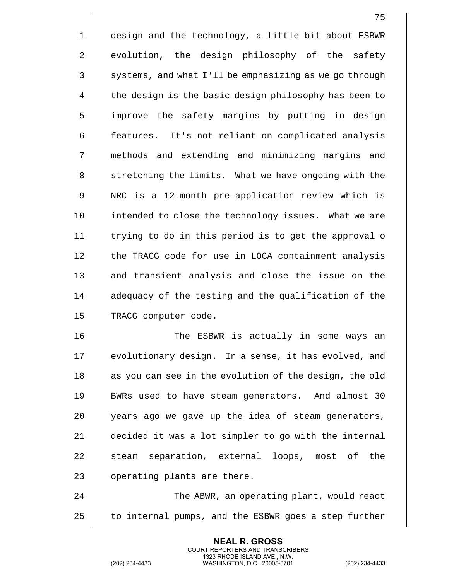1 | design and the technology, a little bit about ESBWR 2 evolution, the design philosophy of the safety  $3 \parallel$  systems, and what I'll be emphasizing as we go through 4 | the design is the basic design philosophy has been to 5 || improve the safety margins by putting in design 6 | features. It's not reliant on complicated analysis 7 methods and extending and minimizing margins and 8 | stretching the limits. What we have ongoing with the 9 || NRC is a 12-month pre-application review which is 10 intended to close the technology issues. What we are 11 trying to do in this period is to get the approval o 12 || the TRACG code for use in LOCA containment analysis 13 || and transient analysis and close the issue on the 14 || adequacy of the testing and the qualification of the 15 | TRACG computer code.

 The ESBWR is actually in some ways an 17 || evolutionary design. In a sense, it has evolved, and || as you can see in the evolution of the design, the old BWRs used to have steam generators. And almost 30 20 || years ago we gave up the idea of steam generators, decided it was a lot simpler to go with the internal 22 || steam separation, external loops, most of the | operating plants are there.

24 The ABWR, an operating plant, would react  $25$  | to internal pumps, and the ESBWR goes a step further

> **NEAL R. GROSS** COURT REPORTERS AND TRANSCRIBERS 1323 RHODE ISLAND AVE., N.W.

(202) 234-4433 WASHINGTON, D.C. 20005-3701 (202) 234-4433

75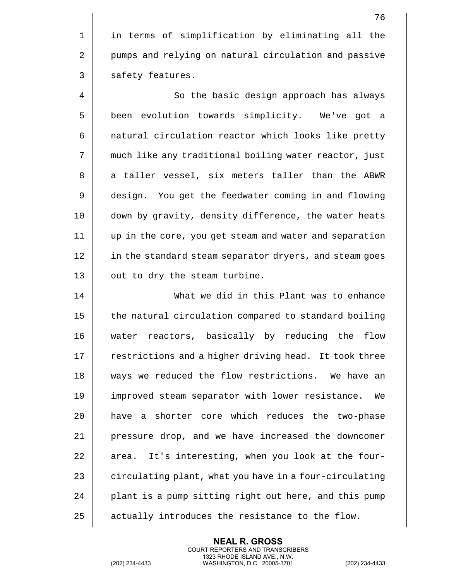1 || in terms of simplification by eliminating all the 2 | pumps and relying on natural circulation and passive  $3 \parallel$  safety features.

4 | So the basic design approach has always 5 | been evolution towards simplicity. We've got a 6 | natural circulation reactor which looks like pretty 7 much like any traditional boiling water reactor, just 8 || a taller vessel, six meters taller than the ABWR 9 design. You get the feedwater coming in and flowing 10 down by gravity, density difference, the water heats 11 up in the core, you get steam and water and separation 12 || in the standard steam separator dryers, and steam goes  $13$  || out to dry the steam turbine.

 What we did in this Plant was to enhance 15 | the natural circulation compared to standard boiling water reactors, basically by reducing the flow 17 || restrictions and a higher driving head. It took three 18 ways we reduced the flow restrictions. We have an improved steam separator with lower resistance. We have a shorter core which reduces the two-phase pressure drop, and we have increased the downcomer || area. It's interesting, when you look at the four- $\parallel$  circulating plant, what you have in a four-circulating 24 | plant is a pump sitting right out here, and this pump  $\parallel$  actually introduces the resistance to the flow.

> **NEAL R. GROSS** COURT REPORTERS AND TRANSCRIBERS 1323 RHODE ISLAND AVE., N.W.

(202) 234-4433 WASHINGTON, D.C. 20005-3701 (202) 234-4433

76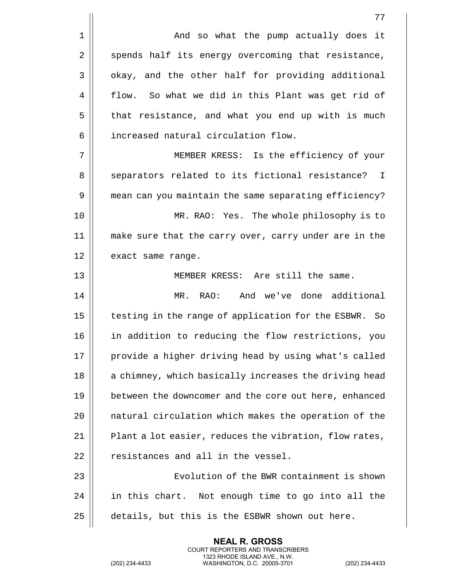|                | 77                                                     |
|----------------|--------------------------------------------------------|
| $\mathbf 1$    | And so what the pump actually does it                  |
| $\overline{2}$ | spends half its energy overcoming that resistance,     |
| 3              | okay, and the other half for providing additional      |
| 4              | flow. So what we did in this Plant was get rid of      |
| 5              | that resistance, and what you end up with is much      |
| 6              | increased natural circulation flow.                    |
| 7              | MEMBER KRESS: Is the efficiency of your                |
| 8              | separators related to its fictional resistance? I      |
| 9              | mean can you maintain the same separating efficiency?  |
| 10             | MR. RAO: Yes. The whole philosophy is to               |
| 11             | make sure that the carry over, carry under are in the  |
| 12             | exact same range.                                      |
| 13             | MEMBER KRESS: Are still the same.                      |
| 14             | And we've done additional<br>MR. RAO:                  |
| 15             | testing in the range of application for the ESBWR. So  |
| 16             | in addition to reducing the flow restrictions, you     |
| 17             | provide a higher driving head by using what's called   |
| 18             | a chimney, which basically increases the driving head  |
| 19             | between the downcomer and the core out here, enhanced  |
| 20             | natural circulation which makes the operation of the   |
| 21             | Plant a lot easier, reduces the vibration, flow rates, |
| 22             | resistances and all in the vessel.                     |
| 23             | Evolution of the BWR containment is shown              |
| 24             | in this chart. Not enough time to go into all the      |
| 25             | details, but this is the ESBWR shown out here.         |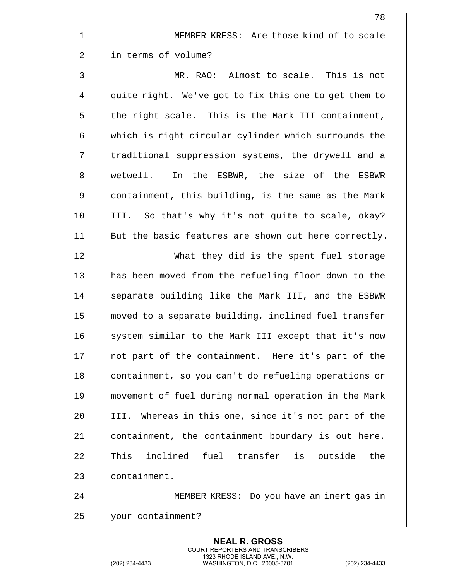|    | 78                                                    |
|----|-------------------------------------------------------|
| 1  | MEMBER KRESS: Are those kind of to scale              |
| 2  | in terms of volume?                                   |
| 3  | MR. RAO: Almost to scale. This is not                 |
| 4  | quite right. We've got to fix this one to get them to |
| 5  | the right scale. This is the Mark III containment,    |
| 6  | which is right circular cylinder which surrounds the  |
| 7  | traditional suppression systems, the drywell and a    |
| 8  | wetwell. In the ESBWR, the size of the<br>ESBWR       |
| 9  | containment, this building, is the same as the Mark   |
| 10 | III. So that's why it's not quite to scale, okay?     |
| 11 | But the basic features are shown out here correctly.  |
| 12 | What they did is the spent fuel storage               |
| 13 | has been moved from the refueling floor down to the   |
| 14 | separate building like the Mark III, and the ESBWR    |
| 15 | moved to a separate building, inclined fuel transfer  |
| 16 | system similar to the Mark III except that it's now   |
| 17 | not part of the containment. Here it's part of the    |
| 18 | containment, so you can't do refueling operations or  |
| 19 | movement of fuel during normal operation in the Mark  |
| 20 | III. Whereas in this one, since it's not part of the  |
| 21 | containment, the containment boundary is out here.    |
| 22 | inclined fuel transfer is outside<br>the<br>This      |
| 23 | containment.                                          |
| 24 | MEMBER KRESS: Do you have an inert gas in             |
| 25 | your containment?                                     |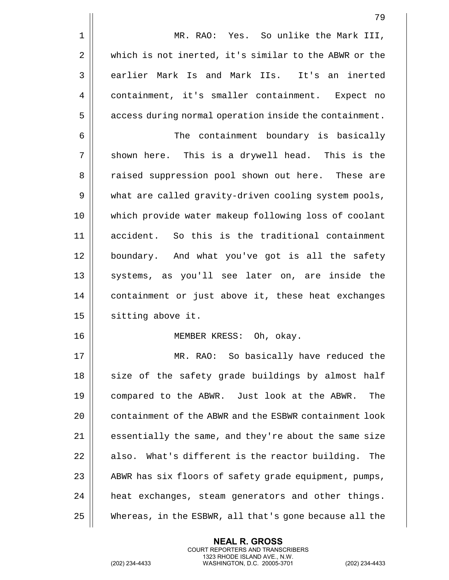|             | 79                                                        |
|-------------|-----------------------------------------------------------|
| $\mathbf 1$ | MR. RAO: Yes. So unlike the Mark III,                     |
| 2           | which is not inerted, it's similar to the ABWR or the     |
| 3           | earlier Mark Is and Mark IIs. It's an inerted             |
| 4           | containment, it's smaller containment. Expect no          |
| 5           | access during normal operation inside the containment.    |
| 6           | The containment boundary is basically                     |
| 7           | shown here. This is a drywell head. This is the           |
| 8           | raised suppression pool shown out here. These are         |
| 9           | what are called gravity-driven cooling system pools,      |
| 10          | which provide water makeup following loss of coolant      |
| 11          | accident. So this is the traditional containment          |
| 12          | boundary. And what you've got is all the safety           |
| 13          | systems, as you'll see later on, are inside the           |
| 14          | containment or just above it, these heat exchanges        |
| 15          | sitting above it.                                         |
| 16          | MEMBER KRESS: Oh, okay.                                   |
| 17          | MR. RAO: So basically have reduced the                    |
| 18          | size of the safety grade buildings by almost half         |
| 19          | compared to the ABWR. Just look at the ABWR.<br>The       |
| 20          | containment of the ABWR and the ESBWR containment look    |
| 21          | essentially the same, and they're about the same size     |
| 22          | What's different is the reactor building.<br>also.<br>The |
| 23          | ABWR has six floors of safety grade equipment, pumps,     |
| 24          | heat exchanges, steam generators and other things.        |
| 25          | Whereas, in the ESBWR, all that's gone because all the    |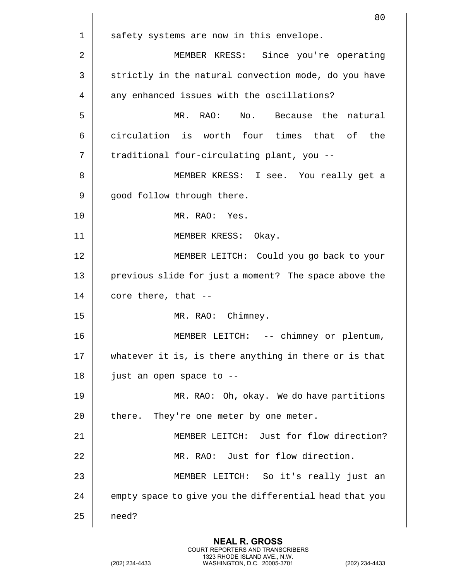|    | 80                                                     |
|----|--------------------------------------------------------|
| 1  | safety systems are now in this envelope.               |
| 2  | MEMBER KRESS: Since you're operating                   |
| 3  | strictly in the natural convection mode, do you have   |
| 4  | any enhanced issues with the oscillations?             |
| 5  | No. Because the natural<br>MR.<br>RAO:                 |
| 6  | circulation is worth four times that of the            |
| 7  | traditional four-circulating plant, you --             |
| 8  | MEMBER KRESS: I see. You really get a                  |
| 9  | good follow through there.                             |
| 10 | MR. RAO: Yes.                                          |
| 11 | MEMBER KRESS: Okay.                                    |
| 12 | MEMBER LEITCH: Could you go back to your               |
| 13 | previous slide for just a moment? The space above the  |
| 14 | core there, that --                                    |
| 15 | MR. RAO: Chimney.                                      |
| 16 | -- chimney or plentum,<br>MEMBER<br>LEITCH:            |
| 17 | whatever it is, is there anything in there or is that  |
| 18 | just an open space to --                               |
| 19 | MR. RAO: Oh, okay. We do have partitions               |
| 20 | there. They're one meter by one meter.                 |
| 21 | MEMBER LEITCH: Just for flow direction?                |
| 22 | MR. RAO: Just for flow direction.                      |
| 23 | MEMBER LEITCH: So it's really just an                  |
| 24 | empty space to give you the differential head that you |
| 25 | need?                                                  |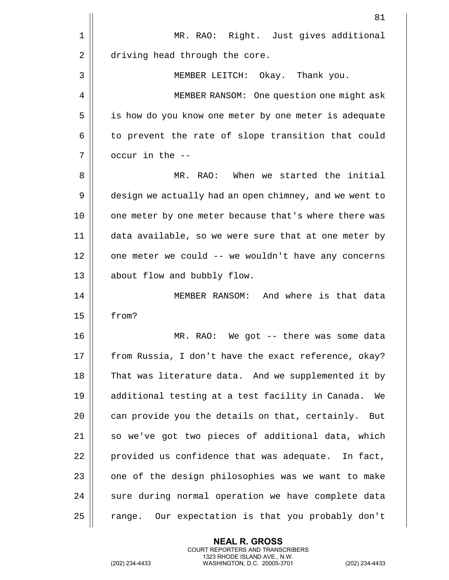|    | 81                                                     |
|----|--------------------------------------------------------|
| 1  | MR. RAO: Right. Just gives additional                  |
| 2  | driving head through the core.                         |
| 3  | MEMBER LEITCH: Okay. Thank you.                        |
| 4  | MEMBER RANSOM: One question one might ask              |
| 5  | is how do you know one meter by one meter is adequate  |
| 6  | to prevent the rate of slope transition that could     |
| 7  | occur in the --                                        |
| 8  | MR. RAO: When we started the initial                   |
| 9  | design we actually had an open chimney, and we went to |
| 10 | one meter by one meter because that's where there was  |
| 11 | data available, so we were sure that at one meter by   |
| 12 | one meter we could -- we wouldn't have any concerns    |
| 13 | about flow and bubbly flow.                            |
| 14 | MEMBER RANSOM: And where is that data                  |
| 15 | from?                                                  |
| 16 | We got -- there was some data<br>MR.<br>RAO:           |
| 17 | from Russia, I don't have the exact reference, okay?   |
| 18 | That was literature data. And we supplemented it by    |
| 19 | additional testing at a test facility in Canada.<br>We |
| 20 | can provide you the details on that, certainly.<br>But |
| 21 | so we've got two pieces of additional data, which      |
| 22 | provided us confidence that was adequate. In fact,     |
| 23 | one of the design philosophies was we want to make     |
| 24 | sure during normal operation we have complete data     |
| 25 | Our expectation is that you probably don't<br>range.   |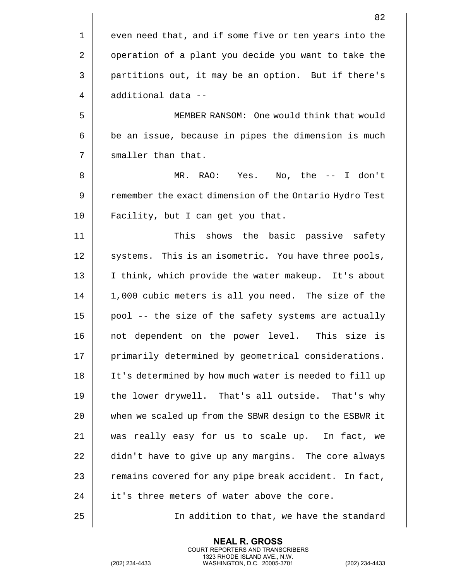82 1 || even need that, and if some five or ten years into the 2 | operation of a plant you decide you want to take the 3 | partitions out, it may be an option. But if there's  $4 \parallel$  additional data --5 MEMBER RANSOM: One would think that would  $6 \parallel$  be an issue, because in pipes the dimension is much  $7$  || smaller than that. 8 MR. RAO: Yes. No, the -- I don't 9 | Pemember the exact dimension of the Ontario Hydro Test 10 || Facility, but I can get you that. 11 This shows the basic passive safety 12 || systems. This is an isometric. You have three pools, 13 || I think, which provide the water makeup. It's about 14 1,000 cubic meters is all you need. The size of the  $15$  | pool -- the size of the safety systems are actually 16 not dependent on the power level. This size is 17 | primarily determined by geometrical considerations. 18 It's determined by how much water is needed to fill up 19 || the lower drywell. That's all outside. That's why 20 when we scaled up from the SBWR design to the ESBWR it 21 was really easy for us to scale up. In fact, we 22 didn't have to give up any margins. The core always 23  $\parallel$  remains covered for any pipe break accident. In fact, 24 || it's three meters of water above the core. 25 | Charlon to that, we have the standard

> **NEAL R. GROSS** COURT REPORTERS AND TRANSCRIBERS 1323 RHODE ISLAND AVE., N.W.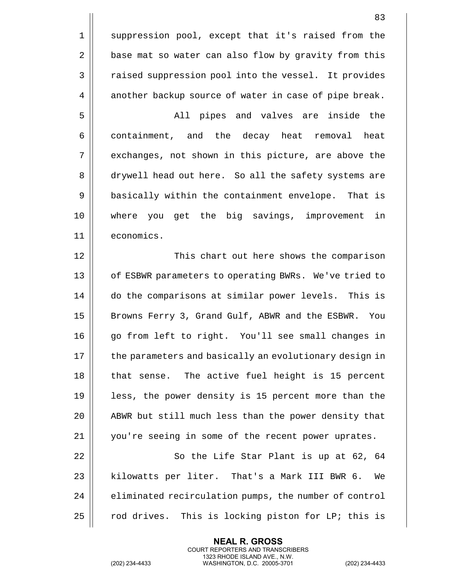1 || suppression pool, except that it's raised from the 2 | base mat so water can also flow by gravity from this 3 | raised suppression pool into the vessel. It provides 4 | another backup source of water in case of pipe break.

5 All pipes and valves are inside the 6 containment, and the decay heat removal heat 7 || exchanges, not shown in this picture, are above the 8 drywell head out here. So all the safety systems are 9 | basically within the containment envelope. That is 10 where you get the big savings, improvement in 11 economics.

12 This chart out here shows the comparison 13 || of ESBWR parameters to operating BWRs. We've tried to 14 do the comparisons at similar power levels. This is 15 || Browns Ferry 3, Grand Gulf, ABWR and the ESBWR. You 16 || qo from left to right. You'll see small changes in 17 | the parameters and basically an evolutionary design in 18 || that sense. The active fuel height is 15 percent 19 || less, the power density is 15 percent more than the 20 || ABWR but still much less than the power density that 21 || you're seeing in some of the recent power uprates.

22 || So the Life Star Plant is up at 62, 64 23 || kilowatts per liter. That's a Mark III BWR 6. We  $24$   $\parallel$  eliminated recirculation pumps, the number of control 25  $\parallel$  rod drives. This is locking piston for LP; this is

> **NEAL R. GROSS** COURT REPORTERS AND TRANSCRIBERS 1323 RHODE ISLAND AVE., N.W.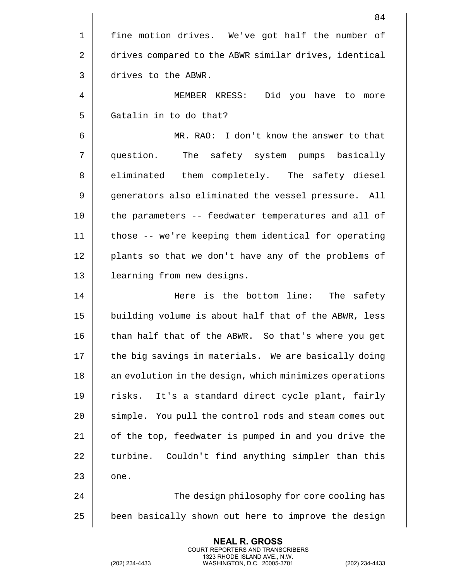|    | 84                                                     |
|----|--------------------------------------------------------|
| 1  | fine motion drives. We've got half the number of       |
| 2  | drives compared to the ABWR similar drives, identical  |
| 3  | drives to the ABWR.                                    |
| 4  | MEMBER KRESS: Did you have to more                     |
| 5  | Gatalin in to do that?                                 |
| 6  | MR. RAO: I don't know the answer to that               |
| 7  | question.<br>The safety system pumps basically         |
| 8  | eliminated them completely. The safety diesel          |
| 9  | generators also eliminated the vessel pressure. All    |
| 10 | the parameters -- feedwater temperatures and all of    |
| 11 | those -- we're keeping them identical for operating    |
| 12 | plants so that we don't have any of the problems of    |
| 13 | learning from new designs.                             |
| 14 | Here is the bottom line: The safety                    |
| 15 | building volume is about half that of the ABWR, less   |
| 16 | than half that of the ABWR. So that's where you get    |
| 17 | the big savings in materials. We are basically doing   |
| 18 | an evolution in the design, which minimizes operations |
| 19 | It's a standard direct cycle plant, fairly<br>risks.   |
| 20 | simple. You pull the control rods and steam comes out  |
| 21 | of the top, feedwater is pumped in and you drive the   |
| 22 | Couldn't find anything simpler than this<br>turbine.   |
| 23 | one.                                                   |
| 24 | The design philosophy for core cooling has             |
| 25 | been basically shown out here to improve the design    |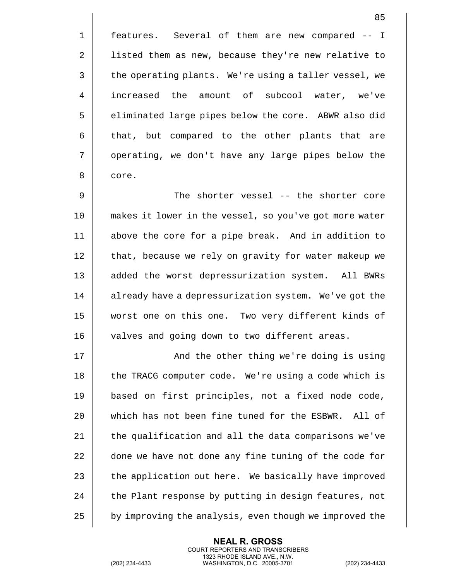85

1 || features. Several of them are new compared -- I 2 | listed them as new, because they're new relative to  $3 \parallel$  the operating plants. We're using a taller vessel, we 4 || increased the amount of subcool water, we've 5 | eliminated large pipes below the core. ABWR also did  $6 \parallel$  that, but compared to the other plants that are 7 || operating, we don't have any large pipes below the 8 | core.

 The shorter vessel -- the shorter core makes it lower in the vessel, so you've got more water above the core for a pipe break. And in addition to 12 || that, because we rely on gravity for water makeup we 13 || added the worst depressurization system. All BWRs 14 | already have a depressurization system. We've got the worst one on this one. Two very different kinds of | valves and going down to two different areas.

17 || And the other thing we're doing is using 18 || the TRACG computer code. We're using a code which is based on first principles, not a fixed node code, which has not been fine tuned for the ESBWR. All of  $\parallel$  the qualification and all the data comparisons we've 22 | done we have not done any fine tuning of the code for  $\parallel$  the application out here. We basically have improved  $\parallel$  the Plant response by putting in design features, not  $\parallel$  by improving the analysis, even though we improved the

> **NEAL R. GROSS** COURT REPORTERS AND TRANSCRIBERS 1323 RHODE ISLAND AVE., N.W.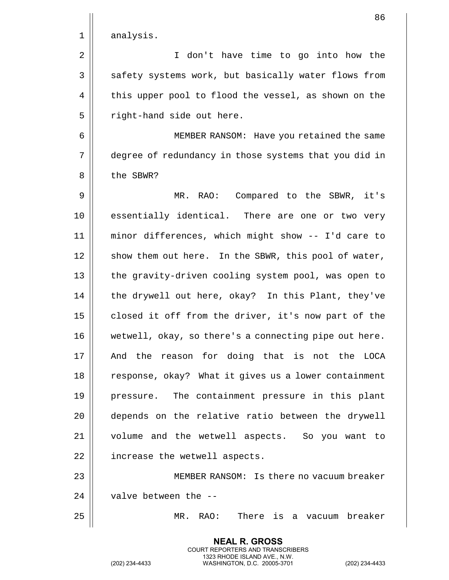|    | 86                                                    |
|----|-------------------------------------------------------|
| 1  | analysis.                                             |
| 2  | don't have time to go into how the<br>I.              |
| 3  | safety systems work, but basically water flows from   |
| 4  | this upper pool to flood the vessel, as shown on the  |
| 5  | right-hand side out here.                             |
| 6  | MEMBER RANSOM: Have you retained the same             |
| 7  | degree of redundancy in those systems that you did in |
| 8  | the SBWR?                                             |
| 9  | RAO: Compared to the SBWR, it's<br>MR.                |
| 10 | essentially identical. There are one or two very      |
| 11 | minor differences, which might show -- I'd care to    |
| 12 | show them out here. In the SBWR, this pool of water,  |
| 13 | the gravity-driven cooling system pool, was open to   |
| 14 | the drywell out here, okay? In this Plant, they've    |
| 15 | closed it off from the driver, it's now part of the   |
| 16 | wetwell, okay, so there's a connecting pipe out here. |
| 17 | And the reason for doing that is not the LOCA         |
| 18 | response, okay? What it gives us a lower containment  |
| 19 | pressure. The containment pressure in this plant      |
| 20 | depends on the relative ratio between the drywell     |
| 21 | volume and the wetwell aspects. So you want to        |
| 22 | increase the wetwell aspects.                         |
| 23 | MEMBER RANSOM: Is there no vacuum breaker             |
| 24 | valve between the --                                  |
| 25 | MR. RAO: There is a vacuum breaker                    |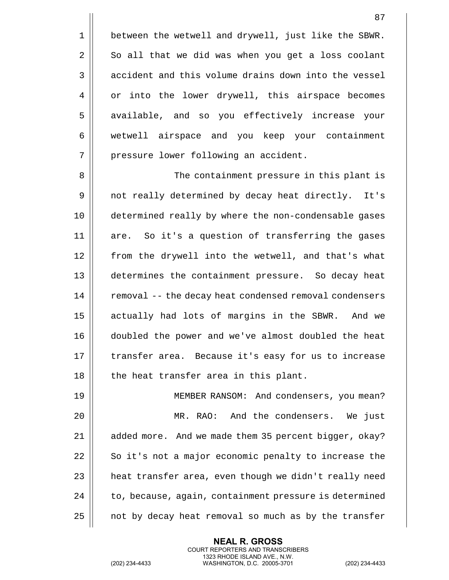1 | between the wetwell and drywell, just like the SBWR.  $2 \parallel$  So all that we did was when you get a loss coolant 3 accident and this volume drains down into the vessel 4 | or into the lower drywell, this airspace becomes 5 || available, and so you effectively increase your 6 wetwell airspace and you keep your containment 7 | pressure lower following an accident.

8 The containment pressure in this plant is 9 || not really determined by decay heat directly. It's 10 determined really by where the non-condensable gases 11 || are. So it's a question of transferring the gases 12 || from the drywell into the wetwell, and that's what 13 determines the containment pressure. So decay heat 14 | removal -- the decay heat condensed removal condensers 15 || actually had lots of margins in the SBWR. And we 16 doubled the power and we've almost doubled the heat 17 || transfer area. Because it's easy for us to increase 18 || the heat transfer area in this plant.

19 MEMBER RANSOM: And condensers, you mean? 20 MR. RAO: And the condensers. We just 21 | added more. And we made them 35 percent bigger, okay?  $22$   $\parallel$  So it's not a major economic penalty to increase the 23 | heat transfer area, even though we didn't really need  $24$   $\vert$  to, because, again, containment pressure is determined 25 | not by decay heat removal so much as by the transfer

> **NEAL R. GROSS** COURT REPORTERS AND TRANSCRIBERS 1323 RHODE ISLAND AVE., N.W.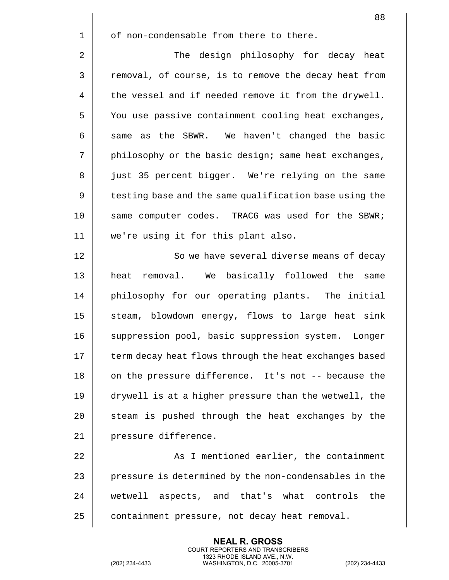|    | 88                                                     |
|----|--------------------------------------------------------|
| 1  | of non-condensable from there to there.                |
| 2  | The design philosophy for decay heat                   |
| 3  | removal, of course, is to remove the decay heat from   |
| 4  | the vessel and if needed remove it from the drywell.   |
| 5  | You use passive containment cooling heat exchanges,    |
| 6  | same as the SBWR. We haven't changed the basic         |
| 7  | philosophy or the basic design; same heat exchanges,   |
| 8  | just 35 percent bigger. We're relying on the same      |
| 9  | testing base and the same qualification base using the |
| 10 | same computer codes. TRACG was used for the SBWR;      |
| 11 | we're using it for this plant also.                    |
| 12 | So we have several diverse means of decay              |
| 13 | heat removal. We basically followed the<br>same        |
| 14 | philosophy for our operating plants. The initial       |
| 15 | steam, blowdown energy, flows to large heat sink       |
| 16 | suppression pool, basic suppression system. Longer     |
| 17 | term decay heat flows through the heat exchanges based |
| 18 | on the pressure difference. It's not -- because the    |
| 19 | drywell is at a higher pressure than the wetwell, the  |
| 20 | steam is pushed through the heat exchanges by the      |
| 21 | pressure difference.                                   |
| 22 | As I mentioned earlier, the containment                |
| 23 | pressure is determined by the non-condensables in the  |
| 24 | wetwell aspects, and that's what controls<br>the       |
| 25 | containment pressure, not decay heat removal.          |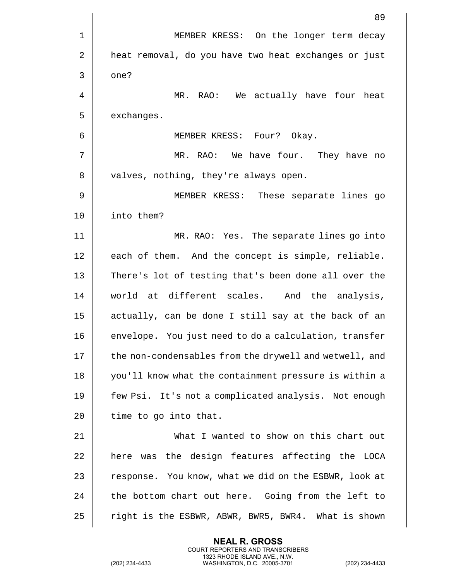|    | 89                                                     |
|----|--------------------------------------------------------|
| 1  | MEMBER KRESS: On the longer term decay                 |
| 2  | heat removal, do you have two heat exchanges or just   |
| 3  | one?                                                   |
| 4  | We actually have four heat<br>MR. RAO:                 |
| 5  | exchanges.                                             |
| 6  | MEMBER KRESS: Four? Okay.                              |
| 7  | MR. RAO: We have four. They have no                    |
| 8  | valves, nothing, they're always open.                  |
| 9  | MEMBER KRESS: These separate lines go                  |
| 10 | into them?                                             |
| 11 | MR. RAO: Yes. The separate lines go into               |
| 12 | each of them. And the concept is simple, reliable.     |
| 13 | There's lot of testing that's been done all over the   |
| 14 | world at different scales. And the analysis,           |
| 15 | actually, can be done I still say at the back of an    |
| 16 | envelope. You just need to do a calculation, transfer  |
| 17 | the non-condensables from the drywell and wetwell, and |
| 18 | you'll know what the containment pressure is within a  |
| 19 | few Psi. It's not a complicated analysis. Not enough   |
| 20 | time to go into that.                                  |
| 21 | What I wanted to show on this chart out                |
| 22 | was the design features affecting the LOCA<br>here     |
| 23 | response. You know, what we did on the ESBWR, look at  |
| 24 | the bottom chart out here. Going from the left to      |
| 25 | right is the ESBWR, ABWR, BWR5, BWR4. What is shown    |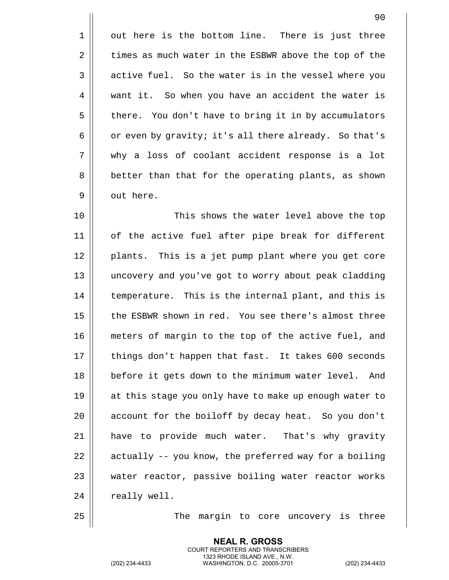1 || out here is the bottom line. There is just three 2 | times as much water in the ESBWR above the top of the 3 || active fuel. So the water is in the vessel where you 4 | want it. So when you have an accident the water is 5 | there. You don't have to bring it in by accumulators 6  $\vert$  or even by gravity; it's all there already. So that's 7 why a loss of coolant accident response is a lot 8 | better than that for the operating plants, as shown 9 | out here.

10 This shows the water level above the top 11 of the active fuel after pipe break for different 12 || plants. This is a jet pump plant where you get core 13 uncovery and you've got to worry about peak cladding 14 | temperature. This is the internal plant, and this is 15 || the ESBWR shown in red. You see there's almost three 16 meters of margin to the top of the active fuel, and 17 || things don't happen that fast. It takes 600 seconds 18 || before it gets down to the minimum water level. And 19 at this stage you only have to make up enough water to 20 || account for the boiloff by decay heat. So you don't 21 || have to provide much water. That's why gravity  $22$  | actually -- you know, the preferred way for a boiling 23 || water reactor, passive boiling water reactor works  $24$  || really well.

25 || The margin to core uncovery is three

**NEAL R. GROSS** COURT REPORTERS AND TRANSCRIBERS 1323 RHODE ISLAND AVE., N.W.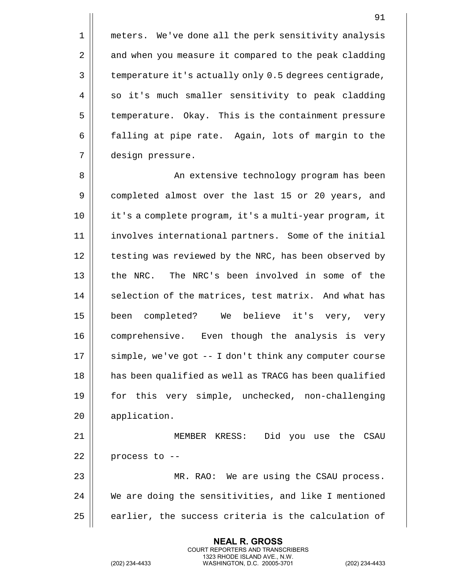1 | meters. We've done all the perk sensitivity analysis 2 | and when you measure it compared to the peak cladding 3 | temperature it's actually only 0.5 degrees centigrade,  $4 \parallel$  so it's much smaller sensitivity to peak cladding 5 | temperature. Okay. This is the containment pressure 6 | falling at pipe rate. Again, lots of margin to the 7 design pressure.

8 An extensive technology program has been 9 || completed almost over the last 15 or 20 years, and 10 it's a complete program, it's a multi-year program, it 11 involves international partners. Some of the initial 12 | testing was reviewed by the NRC, has been observed by 13 || the NRC. The NRC's been involved in some of the 14 | selection of the matrices, test matrix. And what has 15 been completed? We believe it's very, very 16 || comprehensive. Even though the analysis is very  $17$   $\parallel$  simple, we've got -- I don't think any computer course 18 || has been qualified as well as TRACG has been qualified 19 for this very simple, unchecked, non-challenging 20 application. 21 MEMBER KRESS: Did you use the CSAU

 | process to  $-$ - MR. RAO: We are using the CSAU process. We are doing the sensitivities, and like I mentioned | earlier, the success criteria is the calculation of

> **NEAL R. GROSS** COURT REPORTERS AND TRANSCRIBERS 1323 RHODE ISLAND AVE., N.W.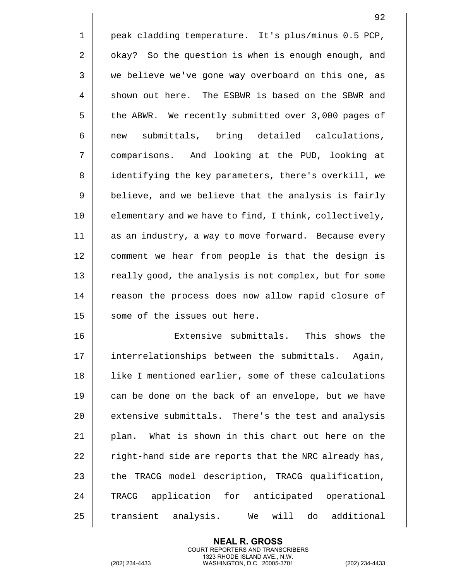1 peak cladding temperature. It's plus/minus 0.5 PCP,  $2 \parallel$  okay? So the question is when is enough enough, and 3 we believe we've gone way overboard on this one, as 4 || shown out here. The ESBWR is based on the SBWR and 5 | the ABWR. We recently submitted over 3,000 pages of 6 | new submittals, bring detailed calculations, 7 comparisons. And looking at the PUD, looking at 8 || identifying the key parameters, there's overkill, we  $9 \parallel$  believe, and we believe that the analysis is fairly 10 || elementary and we have to find, I think, collectively, 11 as an industry, a way to move forward. Because every 12 comment we hear from people is that the design is 13 || really good, the analysis is not complex, but for some 14 || reason the process does now allow rapid closure of 15 || some of the issues out here. 16 || Extensive submittals. This shows the

17 || interrelationships between the submittals. Again, 18 || like I mentioned earlier, some of these calculations 19  $\parallel$  can be done on the back of an envelope, but we have 20 | extensive submittals. There's the test and analysis  $21$  || plan. What is shown in this chart out here on the 22  $\parallel$  right-hand side are reports that the NRC already has,  $23$  | the TRACG model description, TRACG qualification, 24 || TRACG application for anticipated operational 25 || transient analysis. We will do additional

> **NEAL R. GROSS** COURT REPORTERS AND TRANSCRIBERS 1323 RHODE ISLAND AVE., N.W.

(202) 234-4433 WASHINGTON, D.C. 20005-3701 (202) 234-4433

92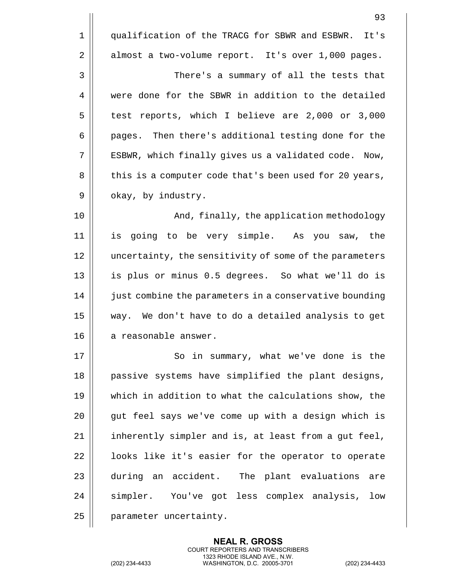|    | 93                                                     |
|----|--------------------------------------------------------|
| 1  | qualification of the TRACG for SBWR and ESBWR. It's    |
| 2  | almost a two-volume report. It's over 1,000 pages.     |
| 3  | There's a summary of all the tests that                |
| 4  | were done for the SBWR in addition to the detailed     |
| 5  | test reports, which I believe are 2,000 or 3,000       |
| 6  | pages. Then there's additional testing done for the    |
| 7  | ESBWR, which finally gives us a validated code. Now,   |
| 8  | this is a computer code that's been used for 20 years, |
| 9  | okay, by industry.                                     |
| 10 | And, finally, the application methodology              |
| 11 | is going to be very simple. As you saw, the            |
| 12 | uncertainty, the sensitivity of some of the parameters |
| 13 | is plus or minus 0.5 degrees. So what we'll do is      |
| 14 | just combine the parameters in a conservative bounding |
| 15 | way. We don't have to do a detailed analysis to get    |
| 16 | a reasonable answer.                                   |
| 17 | So in summary, what we've done is the                  |
| 18 | passive systems have simplified the plant designs,     |
| 19 | which in addition to what the calculations show, the   |
| 20 | gut feel says we've come up with a design which is     |
| 21 | inherently simpler and is, at least from a gut feel,   |
| 22 | looks like it's easier for the operator to operate     |
| 23 | during an accident. The plant evaluations<br>are       |
| 24 | simpler. You've got less complex analysis, low         |
| 25 | parameter uncertainty.                                 |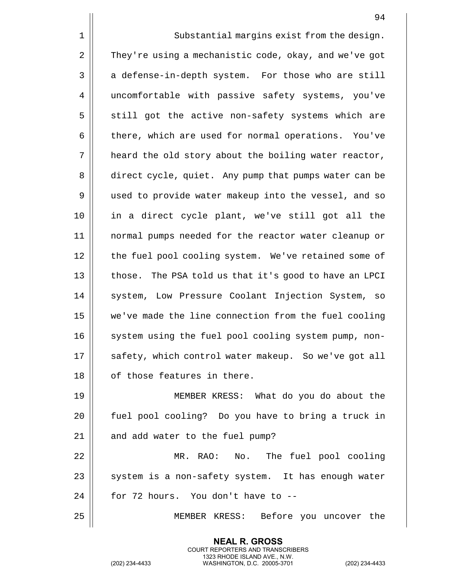|    | 94                                                    |
|----|-------------------------------------------------------|
| 1  | Substantial margins exist from the design.            |
| 2  | They're using a mechanistic code, okay, and we've got |
| 3  | a defense-in-depth system. For those who are still    |
| 4  | uncomfortable with passive safety systems, you've     |
| 5  | still got the active non-safety systems which are     |
| 6  | there, which are used for normal operations. You've   |
| 7  | heard the old story about the boiling water reactor,  |
| 8  | direct cycle, quiet. Any pump that pumps water can be |
| 9  | used to provide water makeup into the vessel, and so  |
| 10 | in a direct cycle plant, we've still got all the      |
| 11 | normal pumps needed for the reactor water cleanup or  |
| 12 | the fuel pool cooling system. We've retained some of  |
| 13 | those. The PSA told us that it's good to have an LPCI |
| 14 | system, Low Pressure Coolant Injection System, so     |
| 15 | we've made the line connection from the fuel cooling  |
| 16 | system using the fuel pool cooling system pump, non-  |
| 17 | safety, which control water makeup. So we've got all  |
| 18 | of those features in there.                           |
| 19 | MEMBER KRESS: What do you do about the                |
| 20 | fuel pool cooling? Do you have to bring a truck in    |
| 21 | and add water to the fuel pump?                       |
| 22 | MR. RAO: No. The fuel pool cooling                    |
| 23 | system is a non-safety system. It has enough water    |
| 24 | for 72 hours. You don't have to --                    |
| 25 | MEMBER KRESS: Before you uncover the                  |

(202) 234-4433 WASHINGTON, D.C. 20005-3701 (202) 234-4433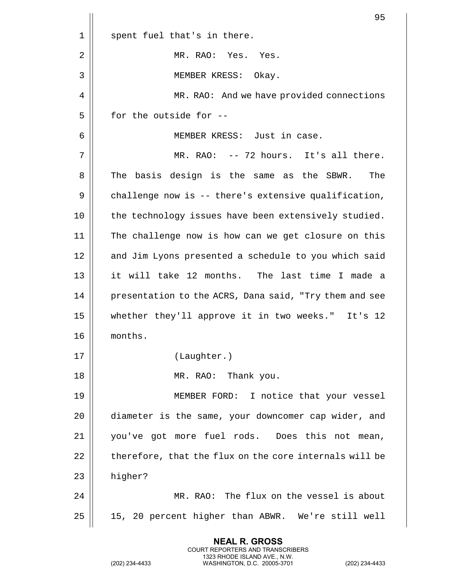|    | 95                                                     |
|----|--------------------------------------------------------|
| 1  | spent fuel that's in there.                            |
| 2  | MR. RAO: Yes. Yes.                                     |
| 3  | MEMBER KRESS: Okay.                                    |
| 4  | MR. RAO: And we have provided connections              |
| 5  | for the outside for --                                 |
| 6  | MEMBER KRESS: Just in case.                            |
| 7  | MR. RAO: -- 72 hours. It's all there.                  |
| 8  | The basis design is the same as the SBWR.<br>The       |
| 9  | challenge now is -- there's extensive qualification,   |
| 10 | the technology issues have been extensively studied.   |
| 11 | The challenge now is how can we get closure on this    |
| 12 | and Jim Lyons presented a schedule to you which said   |
| 13 | it will take 12 months. The last time I made a         |
| 14 | presentation to the ACRS, Dana said, "Try them and see |
| 15 | whether they'll approve it in two weeks." It's 12      |
| 16 | months.                                                |
| 17 | (Laughter.)                                            |
| 18 | MR. RAO: Thank you.                                    |
| 19 | MEMBER FORD: I notice that your vessel                 |
| 20 | diameter is the same, your downcomer cap wider, and    |
| 21 | you've got more fuel rods. Does this not mean,         |
| 22 | therefore, that the flux on the core internals will be |
| 23 | higher?                                                |
| 24 | MR. RAO: The flux on the vessel is about               |
| 25 | 15, 20 percent higher than ABWR. We're still well      |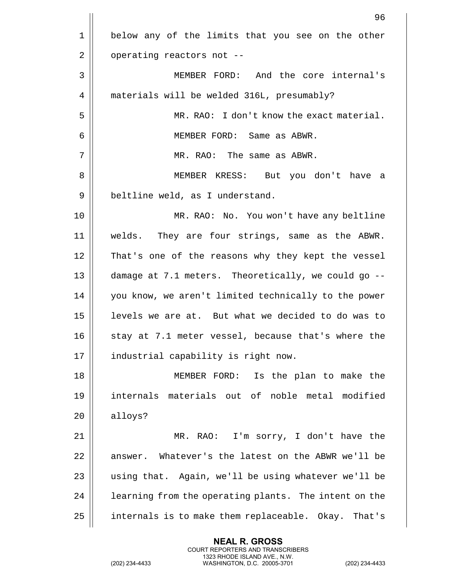|    | 96                                                    |
|----|-------------------------------------------------------|
| 1  | below any of the limits that you see on the other     |
| 2  | operating reactors not --                             |
| 3  | MEMBER FORD: And the core internal's                  |
| 4  | materials will be welded 316L, presumably?            |
| 5  | MR. RAO: I don't know the exact material.             |
| 6  | MEMBER FORD: Same as ABWR.                            |
| 7  | MR. RAO: The same as ABWR.                            |
| 8  | MEMBER KRESS: But you don't have a                    |
| 9  | beltline weld, as I understand.                       |
| 10 | MR. RAO: No. You won't have any beltline              |
| 11 | welds. They are four strings, same as the ABWR.       |
| 12 | That's one of the reasons why they kept the vessel    |
| 13 | damage at 7.1 meters. Theoretically, we could go --   |
| 14 | you know, we aren't limited technically to the power  |
| 15 | levels we are at. But what we decided to do was to    |
| 16 | stay at 7.1 meter vessel, because that's where the    |
| 17 | industrial capability is right now.                   |
| 18 | MEMBER FORD:<br>Is the plan to make the               |
| 19 | internals materials out of noble metal modified       |
| 20 | alloys?                                               |
| 21 | MR. RAO: I'm sorry, I don't have the                  |
| 22 | Whatever's the latest on the ABWR we'll be<br>answer. |
| 23 | using that. Again, we'll be using whatever we'll be   |
| 24 | learning from the operating plants. The intent on the |
| 25 | internals is to make them replaceable. Okay. That's   |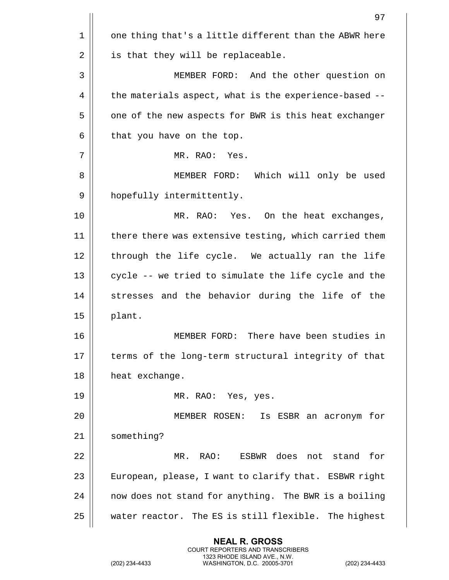|    | 97                                                     |
|----|--------------------------------------------------------|
| 1  | one thing that's a little different than the ABWR here |
| 2  | is that they will be replaceable.                      |
| 3  | MEMBER FORD: And the other question on                 |
| 4  | the materials aspect, what is the experience-based --  |
| 5  | one of the new aspects for BWR is this heat exchanger  |
| 6  | that you have on the top.                              |
| 7  | MR. RAO: Yes.                                          |
| 8  | Which will only be used<br>MEMBER FORD:                |
| 9  | hopefully intermittently.                              |
| 10 | MR. RAO: Yes. On the heat exchanges,                   |
| 11 | there there was extensive testing, which carried them  |
| 12 | through the life cycle. We actually ran the life       |
| 13 | cycle -- we tried to simulate the life cycle and the   |
| 14 | stresses and the behavior during the life of the       |
| 15 | plant.                                                 |
| 16 | There have been studies in<br>MEMBER FORD:             |
| 17 | terms of the long-term structural integrity of that    |
| 18 | heat exchange.                                         |
| 19 | MR. RAO: Yes, yes.                                     |
| 20 | MEMBER ROSEN:<br>Is ESBR an acronym for                |
| 21 | something?                                             |
| 22 | MR. RAO: ESBWR does not stand for                      |
| 23 | European, please, I want to clarify that. ESBWR right  |
| 24 | now does not stand for anything. The BWR is a boiling  |
| 25 | water reactor. The ES is still flexible. The highest   |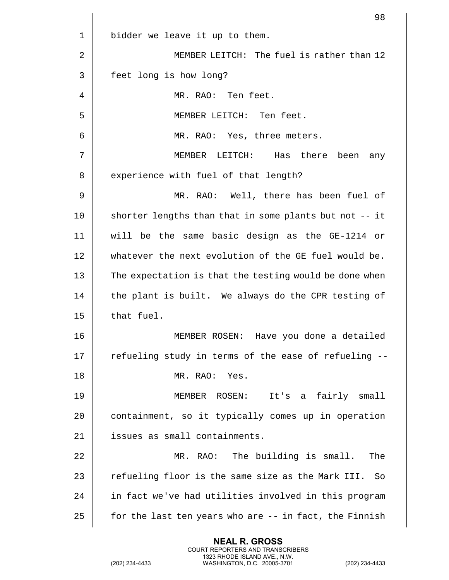| 98                                                     |
|--------------------------------------------------------|
| bidder we leave it up to them.                         |
| MEMBER LEITCH: The fuel is rather than 12              |
| feet long is how long?                                 |
| MR. RAO: Ten feet.                                     |
| MEMBER LEITCH: Ten feet.                               |
| MR. RAO: Yes, three meters.                            |
| MEMBER LEITCH:<br>Has there<br>been<br>any             |
| experience with fuel of that length?                   |
| MR. RAO: Well, there has been fuel of                  |
| shorter lengths than that in some plants but not -- it |
| will be the same basic design as the GE-1214 or        |
| whatever the next evolution of the GE fuel would be.   |
| The expectation is that the testing would be done when |
| the plant is built. We always do the CPR testing of    |
| that fuel.                                             |
| MEMBER ROSEN:<br>Have you done a detailed              |
| refueling study in terms of the ease of refueling --   |
| MR. RAO:<br>Yes.                                       |
| It's a fairly small<br>MEMBER ROSEN:                   |
| containment, so it typically comes up in operation     |
| issues as small containments.                          |
| MR. RAO: The building is small.<br>The                 |
| refueling floor is the same size as the Mark III. So   |
| in fact we've had utilities involved in this program   |
| for the last ten years who are -- in fact, the Finnish |
|                                                        |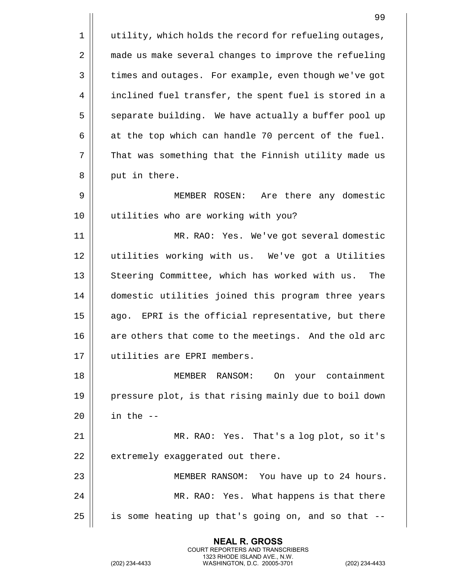|    | 99                                                     |
|----|--------------------------------------------------------|
| 1  | utility, which holds the record for refueling outages, |
| 2  | made us make several changes to improve the refueling  |
| 3  | times and outages. For example, even though we've got  |
| 4  | inclined fuel transfer, the spent fuel is stored in a  |
| 5  | separate building. We have actually a buffer pool up   |
| 6  | at the top which can handle 70 percent of the fuel.    |
| 7  | That was something that the Finnish utility made us    |
| 8  | put in there.                                          |
| 9  | MEMBER ROSEN:<br>Are there any domestic                |
| 10 | utilities who are working with you?                    |
| 11 | MR. RAO: Yes. We've got several domestic               |
| 12 | utilities working with us. We've got a Utilities       |
| 13 | Steering Committee, which has worked with us.<br>The   |
| 14 | domestic utilities joined this program three years     |
| 15 | ago. EPRI is the official representative, but there    |
| 16 | are others that come to the meetings. And the old arc  |
| 17 | utilities are EPRI members.                            |
| 18 | MEMBER RANSOM:<br>On your containment                  |
| 19 | pressure plot, is that rising mainly due to boil down  |
| 20 | in the $-$                                             |
| 21 | MR. RAO: Yes. That's a log plot, so it's               |
| 22 | extremely exaggerated out there.                       |
| 23 | MEMBER RANSOM: You have up to 24 hours.                |
| 24 | MR. RAO: Yes. What happens is that there               |
| 25 | is some heating up that's going on, and so that --     |

(202) 234-4433 WASHINGTON, D.C. 20005-3701 (202) 234-4433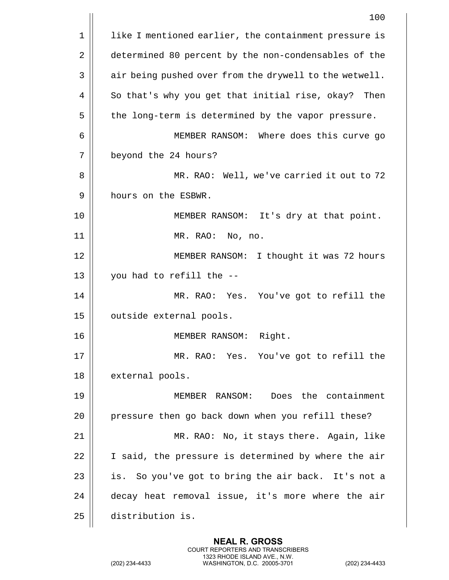|    | 100                                                    |
|----|--------------------------------------------------------|
| 1  | like I mentioned earlier, the containment pressure is  |
| 2  | determined 80 percent by the non-condensables of the   |
| 3  | air being pushed over from the drywell to the wetwell. |
| 4  | So that's why you get that initial rise, okay? Then    |
| 5  | the long-term is determined by the vapor pressure.     |
| 6  | MEMBER RANSOM: Where does this curve go                |
| 7  | beyond the 24 hours?                                   |
| 8  | MR. RAO: Well, we've carried it out to 72              |
| 9  | hours on the ESBWR.                                    |
| 10 | MEMBER RANSOM: It's dry at that point.                 |
| 11 | MR. RAO: No, no.                                       |
| 12 | MEMBER RANSOM: I thought it was 72 hours               |
| 13 | you had to refill the --                               |
| 14 | MR. RAO: Yes. You've got to refill the                 |
| 15 | outside external pools.                                |
| 16 | MEMBER RANSOM:<br>Right.                               |
| 17 | MR. RAO: Yes. You've got to refill the                 |
| 18 | external pools.                                        |
| 19 | MEMBER RANSOM: Does the containment                    |
| 20 | pressure then go back down when you refill these?      |
| 21 | MR. RAO: No, it stays there. Again, like               |
| 22 | I said, the pressure is determined by where the air    |
| 23 | is. So you've got to bring the air back. It's not a    |
| 24 | decay heat removal issue, it's more where the air      |
| 25 | distribution is.                                       |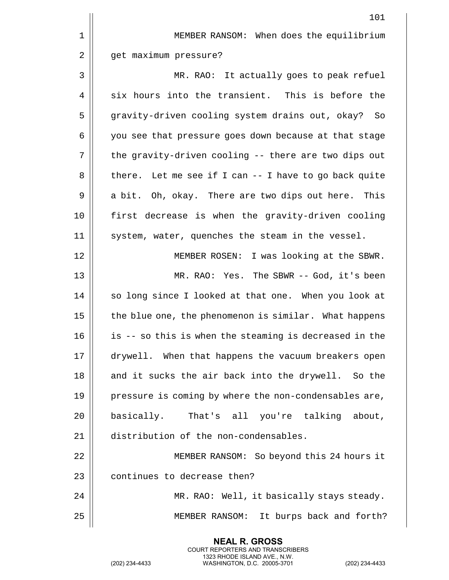|    | 101                                                    |
|----|--------------------------------------------------------|
| 1  | MEMBER RANSOM: When does the equilibrium               |
| 2  | get maximum pressure?                                  |
| 3  | MR. RAO: It actually goes to peak refuel               |
| 4  | six hours into the transient. This is before the       |
| 5  | gravity-driven cooling system drains out, okay?<br>So  |
| 6  | you see that pressure goes down because at that stage  |
| 7  | the gravity-driven cooling -- there are two dips out   |
| 8  | there. Let me see if I can -- I have to go back quite  |
| 9  | a bit. Oh, okay. There are two dips out here. This     |
| 10 | first decrease is when the gravity-driven cooling      |
| 11 | system, water, quenches the steam in the vessel.       |
| 12 | MEMBER ROSEN: I was looking at the SBWR.               |
| 13 | MR. RAO: Yes. The SBWR -- God, it's been               |
| 14 | so long since I looked at that one. When you look at   |
| 15 | the blue one, the phenomenon is similar. What happens  |
| 16 | is -- so this is when the steaming is decreased in the |
| 17 | drywell. When that happens the vacuum breakers open    |
| 18 | and it sucks the air back into the drywell. So the     |
| 19 | pressure is coming by where the non-condensables are,  |
| 20 | basically. That's all you're talking about,            |
| 21 | distribution of the non-condensables.                  |
| 22 | MEMBER RANSOM: So beyond this 24 hours it              |
| 23 | continues to decrease then?                            |
| 24 | MR. RAO: Well, it basically stays steady.              |
| 25 | It burps back and forth?<br>MEMBER RANSOM:             |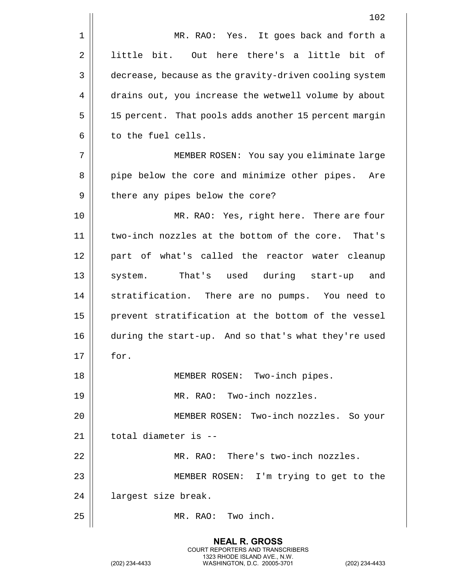|    | 102                                                    |
|----|--------------------------------------------------------|
| 1  | MR. RAO: Yes. It goes back and forth a                 |
| 2  | little bit. Out here there's a little bit of           |
| 3  | decrease, because as the gravity-driven cooling system |
| 4  | drains out, you increase the wetwell volume by about   |
| 5  | 15 percent. That pools adds another 15 percent margin  |
| 6  | to the fuel cells.                                     |
| 7  | MEMBER ROSEN: You say you eliminate large              |
| 8  | pipe below the core and minimize other pipes.<br>Are   |
| 9  | there any pipes below the core?                        |
| 10 | MR. RAO: Yes, right here. There are four               |
| 11 | two-inch nozzles at the bottom of the core.<br>That's  |
| 12 | part of what's called the reactor water cleanup        |
| 13 | system. That's used during start-up<br>and             |
| 14 | stratification. There are no pumps. You need to        |
| 15 | prevent stratification at the bottom of the vessel     |
| 16 | during the start-up. And so that's what they're used   |
| 17 | for.                                                   |
| 18 | MEMBER ROSEN: Two-inch pipes.                          |
| 19 | MR. RAO: Two-inch nozzles.                             |
| 20 | MEMBER ROSEN: Two-inch nozzles. So your                |
| 21 | total diameter is --                                   |
| 22 | MR. RAO: There's two-inch nozzles.                     |
| 23 | MEMBER ROSEN: I'm trying to get to the                 |
| 24 | largest size break.                                    |
| 25 | MR. RAO: Two inch.                                     |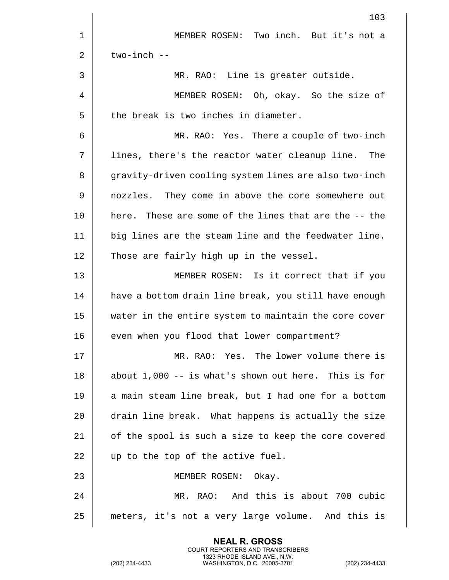|    | 103                                                    |
|----|--------------------------------------------------------|
| 1  | MEMBER ROSEN: Two inch. But it's not a                 |
| 2  | $two$ -inch $-$                                        |
| 3  | MR. RAO: Line is greater outside.                      |
| 4  | MEMBER ROSEN: Oh, okay. So the size of                 |
| 5  | the break is two inches in diameter.                   |
| 6  | MR. RAO: Yes. There a couple of two-inch               |
| 7  | lines, there's the reactor water cleanup line.<br>The  |
| 8  | gravity-driven cooling system lines are also two-inch  |
| 9  | nozzles. They come in above the core somewhere out     |
| 10 | here. These are some of the lines that are the -- the  |
| 11 | big lines are the steam line and the feedwater line.   |
| 12 | Those are fairly high up in the vessel.                |
| 13 | MEMBER ROSEN: Is it correct that if you                |
| 14 | have a bottom drain line break, you still have enough  |
| 15 | water in the entire system to maintain the core cover  |
| 16 | even when you flood that lower compartment?            |
| 17 | MR. RAO: Yes. The lower volume there is                |
| 18 | about $1,000 - i s$ what's shown out here. This is for |
| 19 | a main steam line break, but I had one for a bottom    |
| 20 | drain line break. What happens is actually the size    |
| 21 | of the spool is such a size to keep the core covered   |
| 22 | up to the top of the active fuel.                      |
| 23 | MEMBER ROSEN: Okay.                                    |
| 24 | MR. RAO: And this is about 700 cubic                   |
| 25 | meters, it's not a very large volume. And this is      |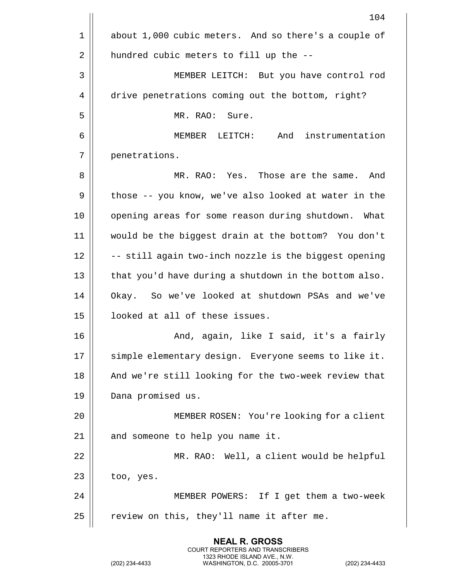| 104                                                   |
|-------------------------------------------------------|
| about 1,000 cubic meters. And so there's a couple of  |
| hundred cubic meters to fill up the --                |
| MEMBER LEITCH: But you have control rod               |
| drive penetrations coming out the bottom, right?      |
| MR. RAO: Sure.                                        |
| MEMBER LEITCH: And instrumentation                    |
| penetrations.                                         |
| MR. RAO: Yes. Those are the same.<br>And              |
| those -- you know, we've also looked at water in the  |
| opening areas for some reason during shutdown. What   |
| would be the biggest drain at the bottom? You don't   |
| -- still again two-inch nozzle is the biggest opening |
| that you'd have during a shutdown in the bottom also. |
| Okay. So we've looked at shutdown PSAs and we've      |
| looked at all of these issues.                        |
| And, again, like I said, it's a fairly                |
| simple elementary design. Everyone seems to like it.  |
| And we're still looking for the two-week review that  |
| Dana promised us.                                     |
| MEMBER ROSEN: You're looking for a client             |
| and someone to help you name it.                      |
| MR. RAO: Well, a client would be helpful              |
| too, yes.                                             |
| MEMBER POWERS: If I get them a two-week               |
| review on this, they'll name it after me.             |
|                                                       |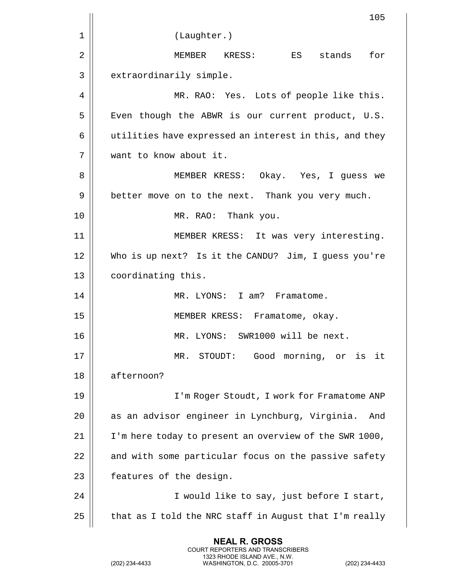|    | 105                                                    |
|----|--------------------------------------------------------|
| 1  | (Laughter.)                                            |
| 2  | for<br>MEMBER KRESS:<br>ES ES<br>stands                |
| 3  | extraordinarily simple.                                |
| 4  | MR. RAO: Yes. Lots of people like this.                |
| 5  | Even though the ABWR is our current product, U.S.      |
| 6  | utilities have expressed an interest in this, and they |
| 7  | want to know about it.                                 |
| 8  | MEMBER KRESS: Okay. Yes, I guess we                    |
| 9  | better move on to the next. Thank you very much.       |
| 10 | MR. RAO: Thank you.                                    |
| 11 | MEMBER KRESS: It was very interesting.                 |
| 12 | Who is up next? Is it the CANDU? Jim, I guess you're   |
| 13 | coordinating this.                                     |
| 14 | MR. LYONS: I am? Framatome.                            |
| 15 | MEMBER KRESS: Framatome, okay.                         |
| 16 | MR. LYONS: SWR1000 will be next.                       |
| 17 | STOUDT: Good morning, or is it<br>MR.                  |
| 18 | afternoon?                                             |
| 19 | I'm Roger Stoudt, I work for Framatome ANP             |
| 20 | as an advisor engineer in Lynchburg, Virginia.<br>And  |
| 21 | I'm here today to present an overview of the SWR 1000, |
| 22 | and with some particular focus on the passive safety   |
| 23 | features of the design.                                |
| 24 | I would like to say, just before I start,              |
| 25 | that as I told the NRC staff in August that I'm really |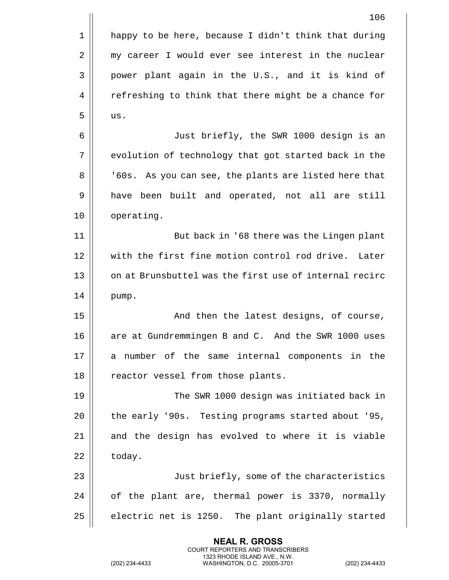|    | 106                                                    |
|----|--------------------------------------------------------|
| 1  | happy to be here, because I didn't think that during   |
| 2  | my career I would ever see interest in the nuclear     |
| 3  | power plant again in the U.S., and it is kind of       |
| 4  | refreshing to think that there might be a chance for   |
| 5  | us.                                                    |
| 6  | Just briefly, the SWR 1000 design is an                |
| 7  | evolution of technology that got started back in the   |
| 8  | '60s. As you can see, the plants are listed here that  |
| 9  | have been built and operated, not all are still        |
| 10 | operating.                                             |
| 11 | But back in '68 there was the Lingen plant             |
| 12 | with the first fine motion control rod drive. Later    |
| 13 | on at Brunsbuttel was the first use of internal recirc |
| 14 | pump.                                                  |
| 15 | And then the latest designs, of course,                |
| 16 | are at Gundremmingen B and C. And the SWR 1000 uses    |
| 17 | a number of the same internal components in the        |
| 18 | reactor vessel from those plants.                      |
| 19 | The SWR 1000 design was initiated back in              |
| 20 | the early '90s. Testing programs started about '95,    |
| 21 | and the design has evolved to where it is viable       |
| 22 | today.                                                 |
| 23 | Just briefly, some of the characteristics              |
| 24 | of the plant are, thermal power is 3370, normally      |
| 25 | electric net is 1250. The plant originally started     |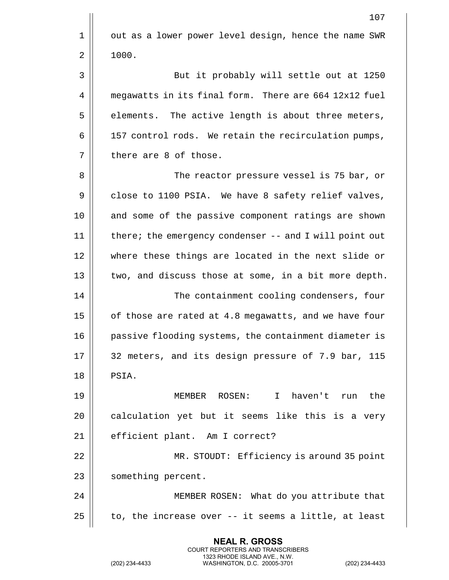|    | 107                                                    |
|----|--------------------------------------------------------|
| 1  | out as a lower power level design, hence the name SWR  |
| 2  | 1000.                                                  |
| 3  | But it probably will settle out at 1250                |
| 4  | megawatts in its final form. There are 664 12x12 fuel  |
| 5  | elements. The active length is about three meters,     |
| 6  | 157 control rods. We retain the recirculation pumps,   |
| 7  | there are 8 of those.                                  |
| 8  | The reactor pressure vessel is 75 bar, or              |
| 9  | close to 1100 PSIA. We have 8 safety relief valves,    |
| 10 | and some of the passive component ratings are shown    |
| 11 | there; the emergency condenser -- and I will point out |
| 12 | where these things are located in the next slide or    |
| 13 | two, and discuss those at some, in a bit more depth.   |
| 14 | The containment cooling condensers, four               |
| 15 | of those are rated at 4.8 megawatts, and we have four  |
| 16 | passive flooding systems, the containment diameter is  |
| 17 | 32 meters, and its design pressure of 7.9 bar, 115     |
| 18 | PSIA.                                                  |
| 19 | MEMBER ROSEN:<br>$\mathbf{I}$<br>haven't run the       |
| 20 | calculation yet but it seems like this is a very       |
| 21 | efficient plant. Am I correct?                         |
| 22 | MR. STOUDT: Efficiency is around 35 point              |
| 23 | something percent.                                     |
| 24 | MEMBER ROSEN: What do you attribute that               |
| 25 | to, the increase over -- it seems a little, at least   |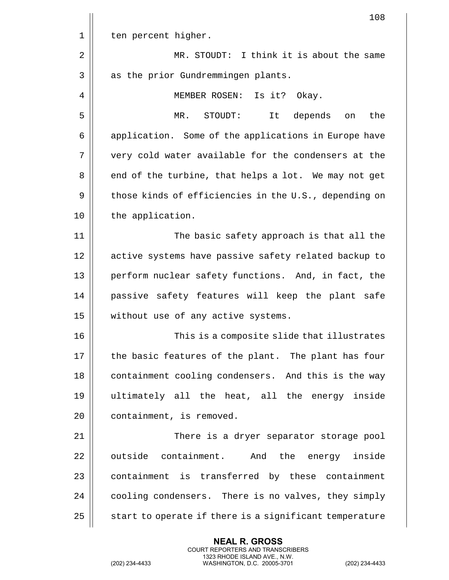|    | 108                                                    |
|----|--------------------------------------------------------|
| 1  | ten percent higher.                                    |
| 2  | MR. STOUDT: I think it is about the same               |
| 3  | as the prior Gundremmingen plants.                     |
| 4  | MEMBER ROSEN: Is it? Okay.                             |
| 5  | depends<br>MR.<br>STOUDT:<br>It<br>the<br>on           |
| 6  | application. Some of the applications in Europe have   |
| 7  | very cold water available for the condensers at the    |
| 8  | end of the turbine, that helps a lot. We may not get   |
| 9  | those kinds of efficiencies in the U.S., depending on  |
| 10 | the application.                                       |
| 11 | The basic safety approach is that all the              |
| 12 | active systems have passive safety related backup to   |
| 13 | perform nuclear safety functions. And, in fact, the    |
| 14 | passive safety features will keep the plant safe       |
| 15 | without use of any active systems.                     |
| 16 | This is a composite slide that illustrates             |
| 17 | the basic features of the plant. The plant has four    |
| 18 | containment cooling condensers. And this is the way    |
| 19 | ultimately all the heat, all the energy inside         |
| 20 | containment, is removed.                               |
| 21 | There is a dryer separator storage pool                |
| 22 | outside containment. And the energy inside             |
| 23 | containment is transferred by these containment        |
| 24 | cooling condensers. There is no valves, they simply    |
| 25 | start to operate if there is a significant temperature |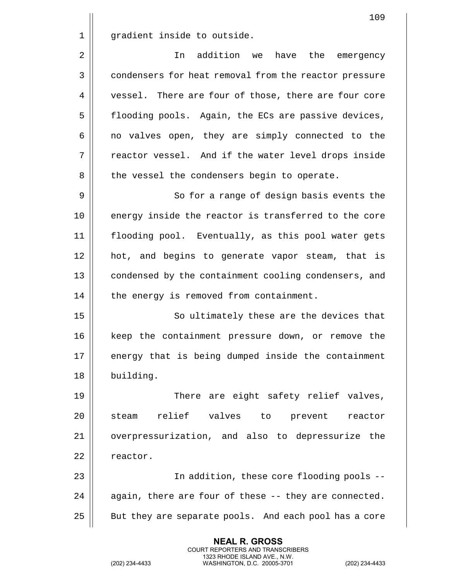| 109                                                   |
|-------------------------------------------------------|
| gradient inside to outside.                           |
| addition we<br>have<br>the<br>In<br>emergency         |
| condensers for heat removal from the reactor pressure |
| vessel. There are four of those, there are four core  |
| flooding pools. Again, the ECs are passive devices,   |
| no valves open, they are simply connected to the      |
| reactor vessel. And if the water level drops inside   |
| the vessel the condensers begin to operate.           |
| So for a range of design basis events the             |
| energy inside the reactor is transferred to the core  |
| flooding pool. Eventually, as this pool water gets    |
| hot, and begins to generate vapor steam, that is      |
| condensed by the containment cooling condensers, and  |
| the energy is removed from containment.               |
| So ultimately these are the devices that              |
| keep the containment pressure down, or remove the     |
| energy that is being dumped inside the containment    |
| building.                                             |
| There are eight safety relief valves,                 |
| relief valves to prevent<br>steam<br>reactor          |
| overpressurization, and also to depressurize the      |
| reactor.                                              |
| In addition, these core flooding pools --             |
| again, there are four of these -- they are connected. |
| But they are separate pools. And each pool has a core |
|                                                       |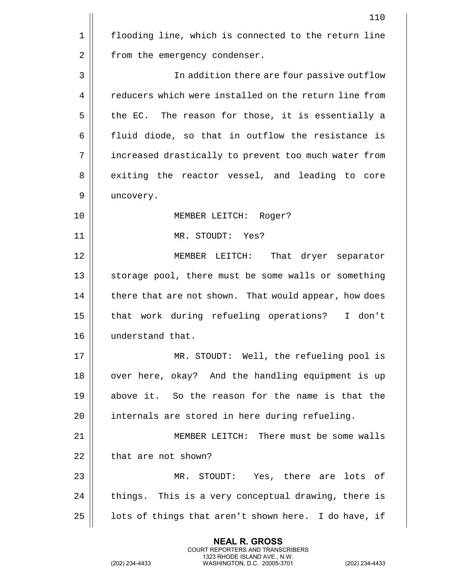|             | 110                                                   |
|-------------|-------------------------------------------------------|
| $\mathbf 1$ | flooding line, which is connected to the return line  |
| 2           | from the emergency condenser.                         |
| 3           | In addition there are four passive outflow            |
| 4           | reducers which were installed on the return line from |
| 5           | the EC. The reason for those, it is essentially a     |
| 6           | fluid diode, so that in outflow the resistance is     |
| 7           | increased drastically to prevent too much water from  |
| 8           | exiting the reactor vessel, and leading to core       |
| 9           | uncovery.                                             |
| 10          | MEMBER LEITCH: Roger?                                 |
| 11          | MR. STOUDT: Yes?                                      |
| 12          | MEMBER LEITCH: That dryer separator                   |
| 13          | storage pool, there must be some walls or something   |
| 14          | there that are not shown. That would appear, how does |
| 15          | that work during refueling operations?<br>I don't     |
| 16          | understand that.                                      |
| 17          | MR. STOUDT: Well, the refueling pool is               |
| 18          | over here, okay? And the handling equipment is up     |
| 19          | above it. So the reason for the name is that the      |
| 20          | internals are stored in here during refueling.        |
| 21          | MEMBER LEITCH: There must be some walls               |
| 22          | that are not shown?                                   |
| 23          | MR. STOUDT: Yes, there are lots of                    |
| 24          | things. This is a very conceptual drawing, there is   |
| 25          | lots of things that aren't shown here. I do have, if  |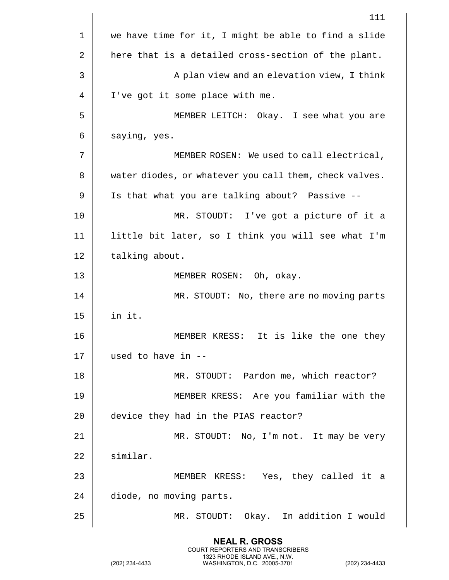|    | 111                                                    |
|----|--------------------------------------------------------|
| 1  | we have time for it, I might be able to find a slide   |
| 2  | here that is a detailed cross-section of the plant.    |
| 3  | A plan view and an elevation view, I think             |
| 4  | I've got it some place with me.                        |
| 5  | MEMBER LEITCH: Okay. I see what you are                |
| 6  | saying, yes.                                           |
| 7  | MEMBER ROSEN: We used to call electrical,              |
| 8  | water diodes, or whatever you call them, check valves. |
| 9  | Is that what you are talking about? Passive --         |
| 10 | MR. STOUDT: I've got a picture of it a                 |
| 11 | little bit later, so I think you will see what I'm     |
| 12 | talking about.                                         |
| 13 | MEMBER ROSEN: Oh, okay.                                |
| 14 | MR. STOUDT: No, there are no moving parts              |
| 15 | in it.                                                 |
| 16 | It is like the one they<br>MEMBER KRESS:               |
| 17 | used to have in --                                     |
| 18 | MR. STOUDT: Pardon me, which reactor?                  |
| 19 | MEMBER KRESS: Are you familiar with the                |
| 20 | device they had in the PIAS reactor?                   |
| 21 | MR. STOUDT: No, I'm not. It may be very                |
| 22 | similar.                                               |
| 23 | MEMBER KRESS: Yes, they called it a                    |
| 24 | diode, no moving parts.                                |
| 25 | MR. STOUDT: Okay. In addition I would                  |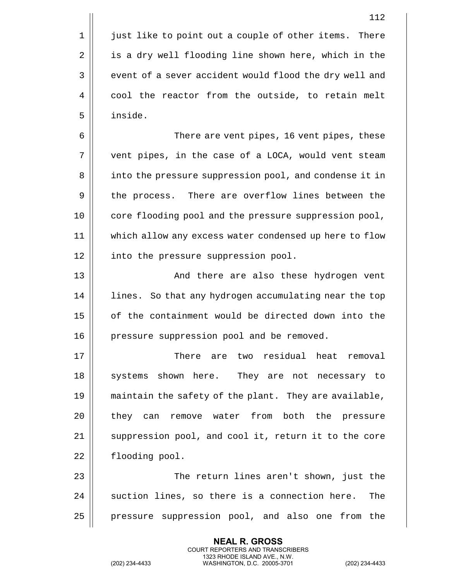1 | just like to point out a couple of other items. There 2 | is a dry well flooding line shown here, which in the 3 || event of a sever accident would flood the dry well and 4 | cool the reactor from the outside, to retain melt 5 inside.

6 There are vent pipes, 16 vent pipes, these 7 vent pipes, in the case of a LOCA, would vent steam 8 || into the pressure suppression pool, and condense it in 9 | the process. There are overflow lines between the 10 || core flooding pool and the pressure suppression pool, 11 which allow any excess water condensed up here to flow 12 | into the pressure suppression pool.

13 And there are also these hydrogen vent 14 | lines. So that any hydrogen accumulating near the top 15 | of the containment would be directed down into the 16 | pressure suppression pool and be removed.

17 There are two residual heat removal 18 || systems shown here. They are not necessary to 19 | maintain the safety of the plant. They are available, 20 || they can remove water from both the pressure 21 || suppression pool, and cool it, return it to the core 22 | flooding pool.

23 The return lines aren't shown, just the  $24$   $\parallel$  suction lines, so there is a connection here. The 25 | pressure suppression pool, and also one from the

> **NEAL R. GROSS** COURT REPORTERS AND TRANSCRIBERS 1323 RHODE ISLAND AVE., N.W.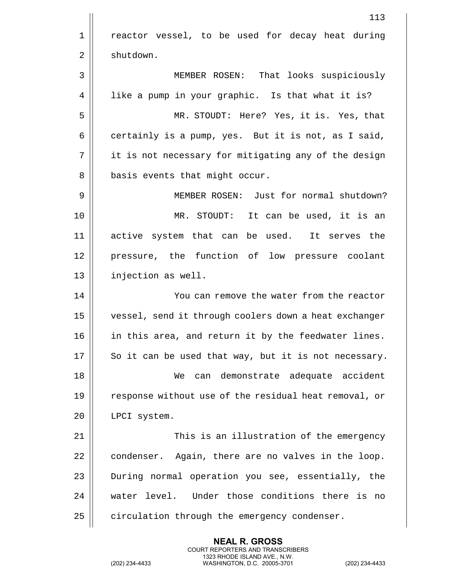|    | 113                                                   |
|----|-------------------------------------------------------|
| 1  | reactor vessel, to be used for decay heat during      |
| 2  | shutdown.                                             |
| 3  | MEMBER ROSEN: That looks suspiciously                 |
| 4  | like a pump in your graphic. Is that what it is?      |
| 5  | MR. STOUDT: Here? Yes, it is. Yes, that               |
| 6  | certainly is a pump, yes. But it is not, as I said,   |
| 7  | it is not necessary for mitigating any of the design  |
| 8  | basis events that might occur.                        |
| 9  | MEMBER ROSEN: Just for normal shutdown?               |
| 10 | MR. STOUDT: It can be used, it is an                  |
| 11 | active system that can be used.<br>It serves the      |
| 12 | pressure, the function of low pressure coolant        |
| 13 | injection as well.                                    |
| 14 | You can remove the water from the reactor             |
| 15 | vessel, send it through coolers down a heat exchanger |
| 16 | in this area, and return it by the feedwater lines.   |
| 17 | So it can be used that way, but it is not necessary.  |
| 18 | can demonstrate adequate accident<br>We               |
| 19 | response without use of the residual heat removal, or |
| 20 | LPCI system.                                          |
| 21 | This is an illustration of the emergency              |
| 22 | condenser. Again, there are no valves in the loop.    |
| 23 | During normal operation you see, essentially, the     |
| 24 | water level. Under those conditions there is no       |
| 25 | circulation through the emergency condenser.          |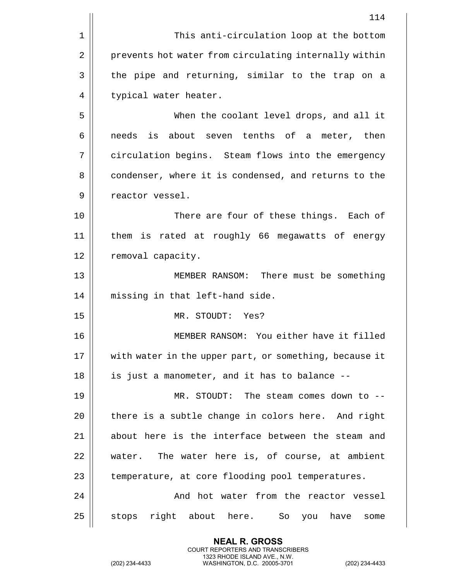|    | 114                                                    |
|----|--------------------------------------------------------|
| 1  | This anti-circulation loop at the bottom               |
| 2  | prevents hot water from circulating internally within  |
| 3  | the pipe and returning, similar to the trap on a       |
| 4  | typical water heater.                                  |
| 5  | When the coolant level drops, and all it               |
| 6  | needs is about seven tenths of a meter, then           |
| 7  | circulation begins. Steam flows into the emergency     |
| 8  | condenser, where it is condensed, and returns to the   |
| 9  | reactor vessel.                                        |
| 10 | There are four of these things. Each of                |
| 11 | them is rated at roughly 66 megawatts of energy        |
| 12 | removal capacity.                                      |
| 13 | MEMBER RANSOM: There must be something                 |
| 14 | missing in that left-hand side.                        |
| 15 | MR. STOUDT: Yes?                                       |
| 16 | MEMBER RANSOM: You either have it filled               |
| 17 | with water in the upper part, or something, because it |
| 18 | is just a manometer, and it has to balance --          |
| 19 | MR. STOUDT: The steam comes down to --                 |
| 20 | there is a subtle change in colors here. And right     |
| 21 | about here is the interface between the steam and      |
| 22 | The water here is, of course, at ambient<br>water.     |
| 23 | temperature, at core flooding pool temperatures.       |
| 24 | And hot water from the reactor vessel                  |
| 25 | stops right about here. So<br>you have<br>some         |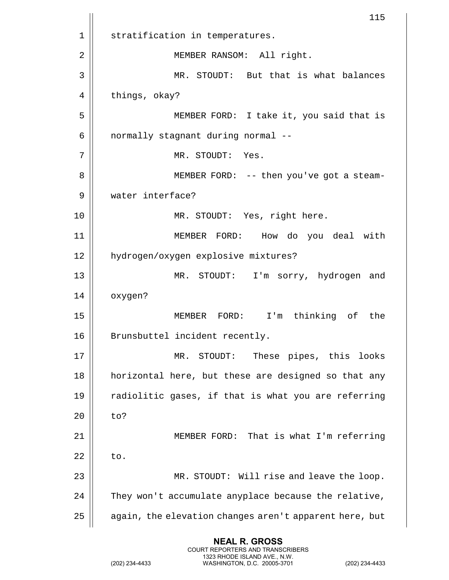|    | 115                                                    |
|----|--------------------------------------------------------|
| 1  | stratification in temperatures.                        |
| 2  | MEMBER RANSOM: All right.                              |
| 3  | MR. STOUDT: But that is what balances                  |
| 4  | things, okay?                                          |
| 5  | MEMBER FORD: I take it, you said that is               |
| 6  | normally stagnant during normal --                     |
| 7  | MR. STOUDT: Yes.                                       |
| 8  | MEMBER FORD: -- then you've got a steam-               |
| 9  | water interface?                                       |
| 10 | MR. STOUDT: Yes, right here.                           |
| 11 | MEMBER FORD:<br>How do you deal with                   |
| 12 | hydrogen/oxygen explosive mixtures?                    |
| 13 | I'm sorry, hydrogen and<br>MR. STOUDT:                 |
| 14 | oxygen?                                                |
| 15 | MEMBER FORD:<br>$I'$ m<br>thinking of<br>the           |
| 16 | Brunsbuttel incident recently.                         |
| 17 | These pipes, this looks<br>STOUDT:<br>MR.              |
| 18 | horizontal here, but these are designed so that any    |
| 19 | radiolitic gases, if that is what you are referring    |
| 20 | to?                                                    |
| 21 | MEMBER FORD: That is what I'm referring                |
| 22 | to.                                                    |
| 23 | MR. STOUDT: Will rise and leave the loop.              |
| 24 | They won't accumulate anyplace because the relative,   |
| 25 | again, the elevation changes aren't apparent here, but |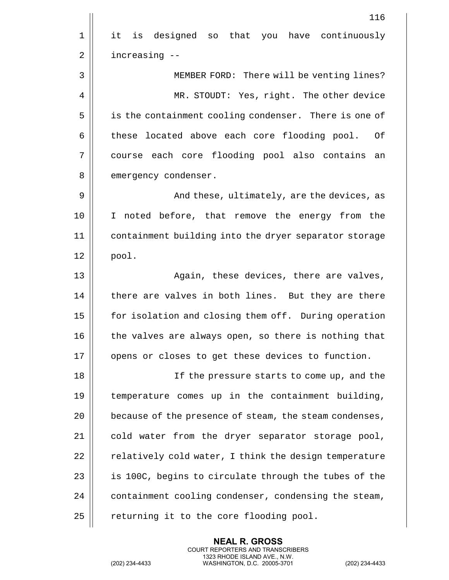|    | 116                                                    |
|----|--------------------------------------------------------|
| 1  | it is designed so that you have continuously           |
| 2  | increasing --                                          |
| 3  | MEMBER FORD: There will be venting lines?              |
| 4  | MR. STOUDT: Yes, right. The other device               |
| 5  | is the containment cooling condenser. There is one of  |
| 6  | these located above each core flooding pool.<br>Οf     |
| 7  | course each core flooding pool also contains<br>an     |
| 8  | emergency condenser.                                   |
| 9  | And these, ultimately, are the devices, as             |
| 10 | I noted before, that remove the energy from the        |
| 11 | containment building into the dryer separator storage  |
| 12 | pool.                                                  |
| 13 | Again, these devices, there are valves,                |
| 14 | there are valves in both lines. But they are there     |
| 15 | for isolation and closing them off. During operation   |
| 16 | the valves are always open, so there is nothing that   |
| 17 | opens or closes to get these devices to function.      |
| 18 | If the pressure starts to come up, and the             |
| 19 | temperature comes up in the containment building,      |
| 20 | because of the presence of steam, the steam condenses, |
| 21 | cold water from the dryer separator storage pool,      |
| 22 | relatively cold water, I think the design temperature  |
| 23 | is 100C, begins to circulate through the tubes of the  |
| 24 | containment cooling condenser, condensing the steam,   |
| 25 | returning it to the core flooding pool.                |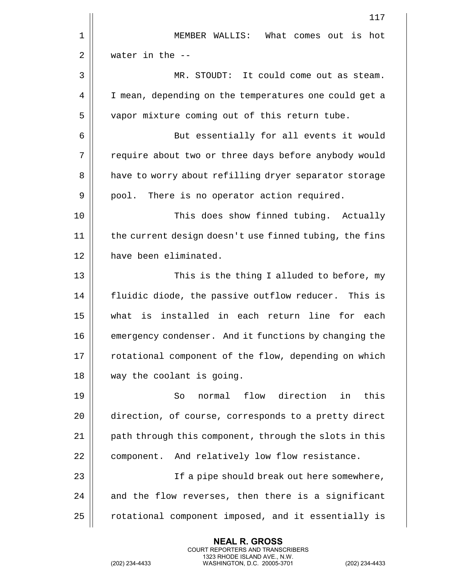|    | 117                                                    |
|----|--------------------------------------------------------|
| 1  | MEMBER WALLIS: What comes out is<br>hot                |
| 2  | water in the $-$ -                                     |
| 3  | It could come out as steam.<br>MR. STOUDT:             |
| 4  | I mean, depending on the temperatures one could get a  |
| 5  | vapor mixture coming out of this return tube.          |
| 6  | But essentially for all events it would                |
| 7  | require about two or three days before anybody would   |
| 8  | have to worry about refilling dryer separator storage  |
| 9  | pool. There is no operator action required.            |
| 10 | This does show finned tubing. Actually                 |
| 11 | the current design doesn't use finned tubing, the fins |
| 12 | have been eliminated.                                  |
| 13 | This is the thing I alluded to before, my              |
| 14 | fluidic diode, the passive outflow reducer. This is    |
| 15 | what is installed in each return line for each         |
| 16 | emergency condenser. And it functions by changing the  |
| 17 | rotational component of the flow, depending on which   |
| 18 | way the coolant is going.                              |
| 19 | flow direction in<br>normal<br>this<br>So              |
| 20 | direction, of course, corresponds to a pretty direct   |
| 21 | path through this component, through the slots in this |
| 22 | component. And relatively low flow resistance.         |
| 23 | If a pipe should break out here somewhere,             |
| 24 | and the flow reverses, then there is a significant     |
| 25 | rotational component imposed, and it essentially is    |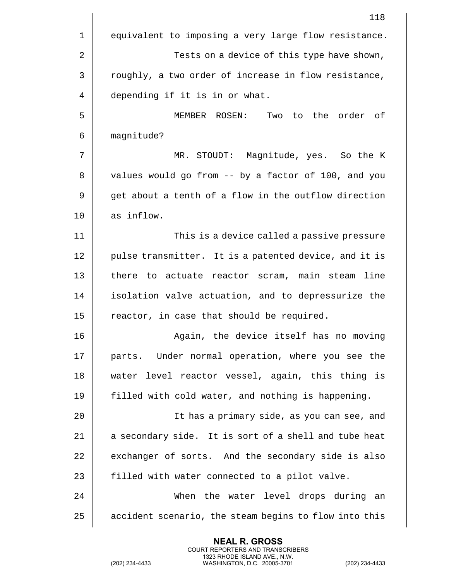|             | 118                                                   |
|-------------|-------------------------------------------------------|
| $\mathbf 1$ | equivalent to imposing a very large flow resistance.  |
| 2           | Tests on a device of this type have shown,            |
| 3           | roughly, a two order of increase in flow resistance,  |
| 4           | depending if it is in or what.                        |
| 5           | to the order of<br>MEMBER ROSEN:<br>Two               |
| 6           | magnitude?                                            |
| 7           | MR. STOUDT: Magnitude, yes. So the K                  |
| 8           | values would go from -- by a factor of 100, and you   |
| 9           | get about a tenth of a flow in the outflow direction  |
| 10          | as inflow.                                            |
| 11          | This is a device called a passive pressure            |
| 12          | pulse transmitter. It is a patented device, and it is |
| 13          | there to actuate reactor scram, main steam line       |
| 14          | isolation valve actuation, and to depressurize the    |
| 15          | reactor, in case that should be required.             |
| 16          | Again, the device itself has no moving                |
| 17          | parts. Under normal operation, where you see the      |
| 18          | water level reactor vessel, again, this thing is      |
| 19          | filled with cold water, and nothing is happening.     |
| 20          | It has a primary side, as you can see, and            |
| 21          | a secondary side. It is sort of a shell and tube heat |
| 22          | exchanger of sorts. And the secondary side is also    |
| 23          | filled with water connected to a pilot valve.         |
| 24          | When the water level drops during an                  |
| 25          | accident scenario, the steam begins to flow into this |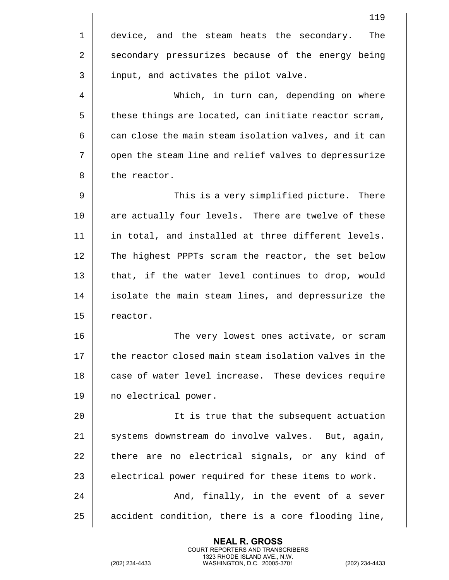|    | 119                                                   |
|----|-------------------------------------------------------|
| 1  | device, and the steam heats the secondary.<br>The     |
| 2  | secondary pressurizes because of the energy being     |
| 3  | input, and activates the pilot valve.                 |
| 4  | Which, in turn can, depending on where                |
| 5  | these things are located, can initiate reactor scram, |
| 6  | can close the main steam isolation valves, and it can |
| 7  | open the steam line and relief valves to depressurize |
| 8  | the reactor.                                          |
| 9  | This is a very simplified picture. There              |
| 10 | are actually four levels. There are twelve of these   |
| 11 | in total, and installed at three different levels.    |
| 12 | The highest PPPTs scram the reactor, the set below    |
| 13 | that, if the water level continues to drop, would     |
| 14 | isolate the main steam lines, and depressurize the    |
| 15 | reactor.                                              |
| 16 | The very lowest ones activate, or scram               |
| 17 | the reactor closed main steam isolation valves in the |
| 18 | case of water level increase. These devices require   |
| 19 | no electrical power.                                  |
| 20 | It is true that the subsequent actuation              |
| 21 | systems downstream do involve valves. But, again,     |
| 22 | there are no electrical signals, or any kind of       |
| 23 | electrical power required for these items to work.    |
| 24 | And, finally, in the event of a sever                 |
| 25 | accident condition, there is a core flooding line,    |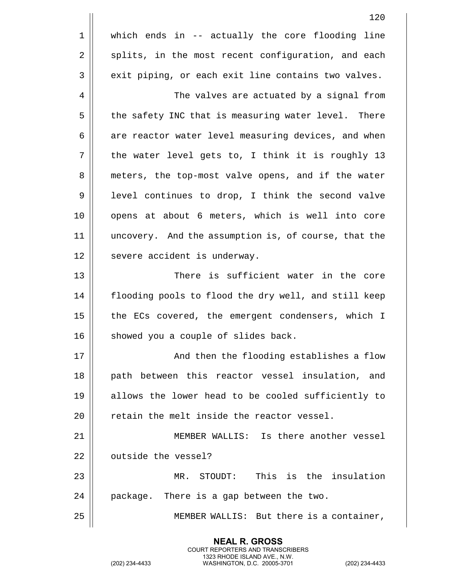|    | 120                                                  |
|----|------------------------------------------------------|
| 1  | which ends in -- actually the core flooding line     |
| 2  | splits, in the most recent configuration, and each   |
| 3  | exit piping, or each exit line contains two valves.  |
| 4  | The valves are actuated by a signal from             |
| 5  | the safety INC that is measuring water level. There  |
| 6  | are reactor water level measuring devices, and when  |
| 7  | the water level gets to, I think it is roughly 13    |
| 8  | meters, the top-most valve opens, and if the water   |
| 9  | level continues to drop, I think the second valve    |
| 10 | opens at about 6 meters, which is well into core     |
| 11 | uncovery. And the assumption is, of course, that the |
| 12 | severe accident is underway.                         |
| 13 | There is sufficient water in the core                |
| 14 | flooding pools to flood the dry well, and still keep |
| 15 | the ECs covered, the emergent condensers, which I    |
| 16 | showed you a couple of slides back.                  |
| 17 | And then the flooding establishes a flow             |
| 18 | path between this reactor vessel insulation, and     |
| 19 | allows the lower head to be cooled sufficiently to   |
| 20 | retain the melt inside the reactor vessel.           |
| 21 | MEMBER WALLIS: Is there another vessel               |
| 22 | outside the vessel?                                  |
| 23 | This is the insulation<br>STOUDT:<br>MR.             |
| 24 | package. There is a gap between the two.             |
| 25 | MEMBER WALLIS: But there is a container,             |

**NEAL R. GROSS**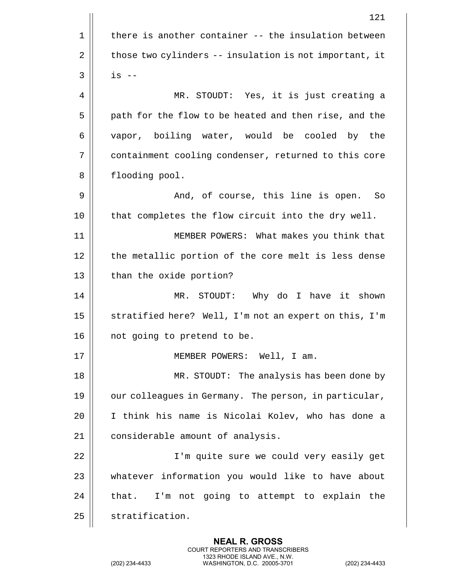|    | 121                                                    |
|----|--------------------------------------------------------|
| 1  | there is another container -- the insulation between   |
| 2  | those two cylinders -- insulation is not important, it |
| 3  | $is$ $-$                                               |
| 4  | MR. STOUDT: Yes, it is just creating a                 |
| 5  | path for the flow to be heated and then rise, and the  |
| 6  | vapor, boiling water, would be cooled by the           |
| 7  | containment cooling condenser, returned to this core   |
| 8  | flooding pool.                                         |
| 9  | And, of course, this line is open. So                  |
| 10 | that completes the flow circuit into the dry well.     |
| 11 | MEMBER POWERS: What makes you think that               |
| 12 | the metallic portion of the core melt is less dense    |
| 13 | than the oxide portion?                                |
| 14 | MR. STOUDT: Why do I have it shown                     |
| 15 | stratified here? Well, I'm not an expert on this, I'm  |
| 16 | not going to pretend to be.                            |
| 17 | MEMBER POWERS: Well, I am.                             |
| 18 | MR. STOUDT: The analysis has been done by              |
| 19 | our colleagues in Germany. The person, in particular,  |
| 20 | I think his name is Nicolai Kolev, who has done a      |
| 21 | considerable amount of analysis.                       |
| 22 | I'm quite sure we could very easily get                |
| 23 | whatever information you would like to have about      |
| 24 | that. I'm not going to attempt to explain the          |
| 25 | stratification.                                        |
|    |                                                        |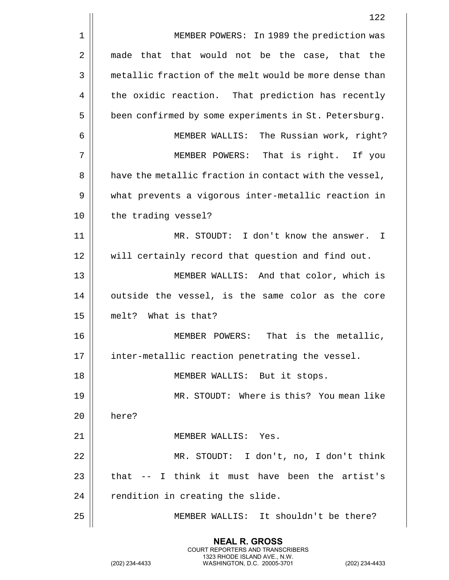|    | 122                                                    |
|----|--------------------------------------------------------|
| 1  | MEMBER POWERS: In 1989 the prediction was              |
| 2  | that that would not be the case, that the<br>made      |
| 3  | metallic fraction of the melt would be more dense than |
| 4  | the oxidic reaction. That prediction has recently      |
| 5  | been confirmed by some experiments in St. Petersburg.  |
| 6  | MEMBER WALLIS: The Russian work, right?                |
| 7  | MEMBER POWERS: That is right. If you                   |
| 8  | have the metallic fraction in contact with the vessel, |
| 9  | what prevents a vigorous inter-metallic reaction in    |
| 10 | the trading vessel?                                    |
| 11 | MR. STOUDT: I don't know the answer. I                 |
| 12 | will certainly record that question and find out.      |
| 13 | MEMBER WALLIS: And that color, which is                |
| 14 | outside the vessel, is the same color as the core      |
| 15 | melt? What is that?                                    |
| 16 | That is the metallic,<br>MEMBER POWERS:                |
| 17 | inter-metallic reaction penetrating the vessel.        |
| 18 | MEMBER WALLIS: But it stops.                           |
| 19 | MR. STOUDT: Where is this? You mean like               |
| 20 | here?                                                  |
| 21 | MEMBER WALLIS: Yes.                                    |
| 22 | MR. STOUDT: I don't, no, I don't think                 |
| 23 | -- I think it must have been the artist's<br>that      |
| 24 | rendition in creating the slide.                       |
| 25 | MEMBER WALLIS: It shouldn't be there?                  |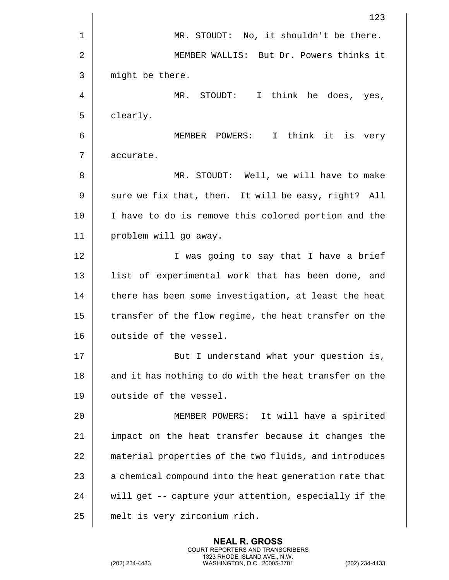|    | 123                                                    |
|----|--------------------------------------------------------|
| 1  | No, it shouldn't be there.<br>MR. STOUDT:              |
| 2  | MEMBER WALLIS: But Dr. Powers thinks it                |
| 3  | might be there.                                        |
| 4  | MR. STOUDT: I think he does, yes,                      |
| 5  | clearly.                                               |
| 6  | MEMBER POWERS: I think it<br>is very                   |
| 7  | accurate.                                              |
| 8  | MR. STOUDT: Well, we will have to make                 |
| 9  | sure we fix that, then. It will be easy, right? All    |
| 10 | I have to do is remove this colored portion and the    |
| 11 | problem will go away.                                  |
| 12 | I was going to say that I have a brief                 |
| 13 | list of experimental work that has been done, and      |
| 14 | there has been some investigation, at least the heat   |
| 15 | transfer of the flow regime, the heat transfer on the  |
| 16 | outside of the vessel.                                 |
| 17 | But I understand what your question is,                |
| 18 | and it has nothing to do with the heat transfer on the |
| 19 | outside of the vessel.                                 |
| 20 | MEMBER POWERS: It will have a spirited                 |
| 21 | impact on the heat transfer because it changes the     |
| 22 | material properties of the two fluids, and introduces  |
| 23 | a chemical compound into the heat generation rate that |
| 24 | will get -- capture your attention, especially if the  |
| 25 | melt is very zirconium rich.                           |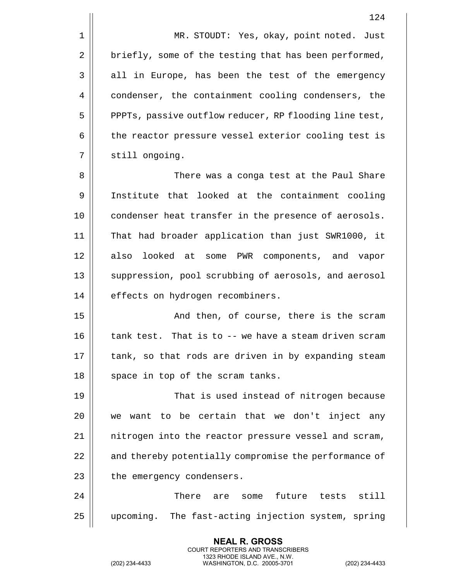1 | MR. STOUDT: Yes, okay, point noted. Just 2 | briefly, some of the testing that has been performed, 3 || all in Europe, has been the test of the emergency 4 condenser, the containment cooling condensers, the 5 | PPPTs, passive outflow reducer, RP flooding line test, 6 the reactor pressure vessel exterior cooling test is 7 || still ongoing.

8 There was a conga test at the Paul Share 9 Institute that looked at the containment cooling 10 || condenser heat transfer in the presence of aerosols. 11 That had broader application than just SWR1000, it 12 || also looked at some PWR components, and vapor 13 || suppression, pool scrubbing of aerosols, and aerosol 14 | effects on hydrogen recombiners.

15 || And then, of course, there is the scram 16 d tank test. That is to -- we have a steam driven scram 17 || tank, so that rods are driven in by expanding steam  $18$  || space in top of the scram tanks.

19 That is used instead of nitrogen because  $20$  we want to be certain that we don't inject any 21 | nitrogen into the reactor pressure vessel and scram, 22 | and thereby potentially compromise the performance of  $23$  | the emergency condensers.

24 There are some future tests still 25 upcoming. The fast-acting injection system, spring

> **NEAL R. GROSS** COURT REPORTERS AND TRANSCRIBERS 1323 RHODE ISLAND AVE., N.W.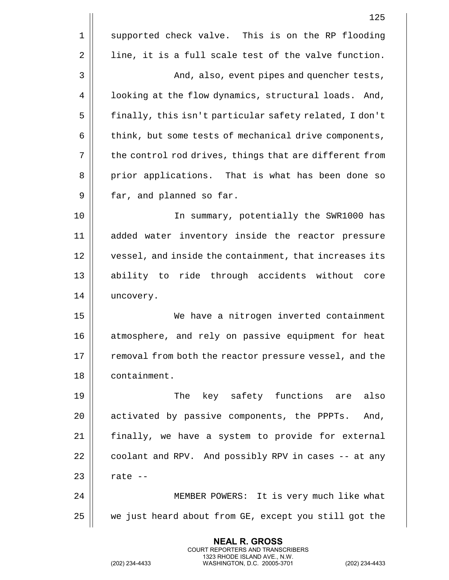|    | 125                                                    |
|----|--------------------------------------------------------|
| 1  | supported check valve. This is on the RP flooding      |
| 2  | line, it is a full scale test of the valve function.   |
| 3  | And, also, event pipes and quencher tests,             |
| 4  | looking at the flow dynamics, structural loads. And,   |
| 5  | finally, this isn't particular safety related, I don't |
| 6  | think, but some tests of mechanical drive components,  |
| 7  | the control rod drives, things that are different from |
| 8  | prior applications. That is what has been done so      |
| 9  | far, and planned so far.                               |
| 10 | In summary, potentially the SWR1000 has                |
| 11 | added water inventory inside the reactor pressure      |
| 12 | vessel, and inside the containment, that increases its |
| 13 | ability to ride through accidents without<br>core      |
| 14 | uncovery.                                              |
| 15 | We have a nitrogen inverted containment                |
| 16 | atmosphere, and rely on passive equipment for heat     |
| 17 | removal from both the reactor pressure vessel, and the |
| 18 | containment.                                           |
| 19 | The key safety functions are<br>also                   |
| 20 | activated by passive components, the PPPTs.<br>And,    |
| 21 | finally, we have a system to provide for external      |
| 22 | coolant and RPV. And possibly RPV in cases -- at any   |
| 23 | rate --                                                |
| 24 | MEMBER POWERS: It is very much like what               |
| 25 | we just heard about from GE, except you still got the  |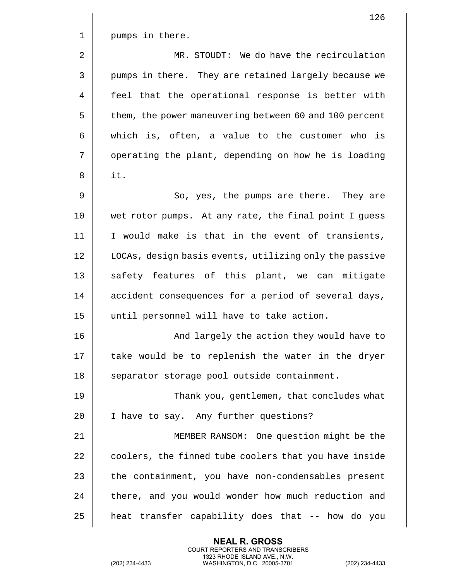|             | 126                                                    |
|-------------|--------------------------------------------------------|
| $\mathbf 1$ | pumps in there.                                        |
| $\sqrt{2}$  | MR. STOUDT: We do have the recirculation               |
| 3           | pumps in there. They are retained largely because we   |
| 4           | feel that the operational response is better with      |
| 5           | them, the power maneuvering between 60 and 100 percent |
| 6           | which is, often, a value to the customer who is        |
| 7           | operating the plant, depending on how he is loading    |
| 8           | it.                                                    |
| 9           | So, yes, the pumps are there. They are                 |
| 10          | wet rotor pumps. At any rate, the final point I guess  |
| 11          | I would make is that in the event of transients,       |
| 12          | LOCAs, design basis events, utilizing only the passive |
| 13          | safety features of this plant, we can mitigate         |
| 14          | accident consequences for a period of several days,    |
| 15          | until personnel will have to take action.              |
| 16          | And largely the action they would have to              |
| 17          | take would be to replenish the water in the dryer      |
| 18          | separator storage pool outside containment.            |
| 19          | Thank you, gentlemen, that concludes what              |
| 20          | I have to say. Any further questions?                  |
| 21          | MEMBER RANSOM: One question might be the               |
| 22          | coolers, the finned tube coolers that you have inside  |
| 23          | the containment, you have non-condensables present     |
| 24          | there, and you would wonder how much reduction and     |
| 25          | heat transfer capability does that -- how do you       |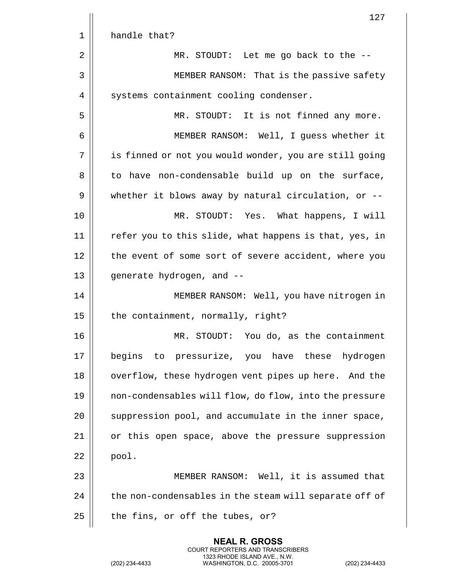|    | 127                                                    |
|----|--------------------------------------------------------|
| 1  | handle that?                                           |
| 2  | MR. STOUDT: Let me go back to the --                   |
| 3  | MEMBER RANSOM: That is the passive safety              |
| 4  | systems containment cooling condenser.                 |
| 5  | MR. STOUDT: It is not finned any more.                 |
| 6  | MEMBER RANSOM: Well, I guess whether it                |
| 7  | is finned or not you would wonder, you are still going |
| 8  | to have non-condensable build up on the surface,       |
| 9  | whether it blows away by natural circulation, or $-$ - |
| 10 | MR. STOUDT: Yes. What happens, I will                  |
| 11 | refer you to this slide, what happens is that, yes, in |
| 12 | the event of some sort of severe accident, where you   |
| 13 | generate hydrogen, and --                              |
| 14 | MEMBER RANSOM: Well, you have nitrogen in              |
| 15 | the containment, normally, right?                      |
| 16 | STOUDT: You do, as the containment<br>MR.              |
| 17 | begins to pressurize, you have these hydrogen          |
| 18 | overflow, these hydrogen vent pipes up here. And the   |
| 19 | non-condensables will flow, do flow, into the pressure |
| 20 | suppression pool, and accumulate in the inner space,   |
| 21 | or this open space, above the pressure suppression     |
| 22 | pool.                                                  |
| 23 | MEMBER RANSOM: Well, it is assumed that                |
| 24 | the non-condensables in the steam will separate off of |
| 25 | the fins, or off the tubes, or?                        |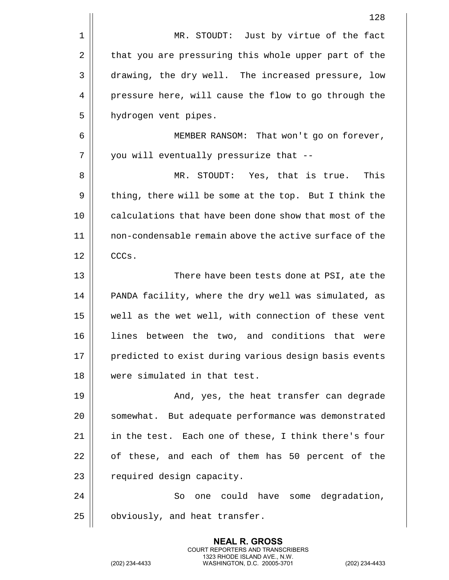|    | 128                                                    |
|----|--------------------------------------------------------|
| 1  | MR. STOUDT: Just by virtue of the fact                 |
| 2  | that you are pressuring this whole upper part of the   |
| 3  | drawing, the dry well. The increased pressure, low     |
| 4  | pressure here, will cause the flow to go through the   |
| 5  | hydrogen vent pipes.                                   |
| 6  | MEMBER RANSOM: That won't go on forever,               |
| 7  | you will eventually pressurize that --                 |
| 8  | MR. STOUDT: Yes, that is true.<br>This                 |
| 9  | thing, there will be some at the top. But I think the  |
| 10 | calculations that have been done show that most of the |
| 11 | non-condensable remain above the active surface of the |
| 12 | CCCs.                                                  |
| 13 | There have been tests done at PSI, ate the             |
| 14 | PANDA facility, where the dry well was simulated, as   |
| 15 | well as the wet well, with connection of these vent    |
| 16 | lines between the two, and conditions that were        |
| 17 | predicted to exist during various design basis events  |
| 18 | were simulated in that test.                           |
| 19 | And, yes, the heat transfer can degrade                |
| 20 | somewhat. But adequate performance was demonstrated    |
| 21 | in the test. Each one of these, I think there's four   |
| 22 | of these, and each of them has 50 percent of the       |
| 23 | required design capacity.                              |
| 24 | one could have some degradation,<br>So                 |
| 25 | obviously, and heat transfer.                          |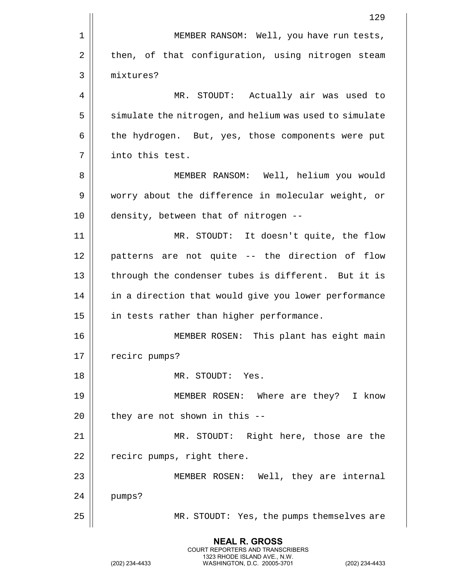|             | 129                                                    |
|-------------|--------------------------------------------------------|
| $\mathbf 1$ | MEMBER RANSOM: Well, you have run tests,               |
| 2           | then, of that configuration, using nitrogen steam      |
| 3           | mixtures?                                              |
| 4           | MR. STOUDT: Actually air was used to                   |
| 5           | simulate the nitrogen, and helium was used to simulate |
| 6           | the hydrogen. But, yes, those components were put      |
| 7           | into this test.                                        |
| 8           | MEMBER RANSOM: Well, helium you would                  |
| 9           | worry about the difference in molecular weight, or     |
| 10          | density, between that of nitrogen --                   |
| 11          | MR. STOUDT: It doesn't quite, the flow                 |
| 12          | patterns are not quite -- the direction of flow        |
| 13          | through the condenser tubes is different. But it is    |
| 14          | in a direction that would give you lower performance   |
| 15          | in tests rather than higher performance.               |
| 16          | This plant has eight main<br>MEMBER ROSEN:             |
| 17          | recirc pumps?                                          |
| 18          | MR. STOUDT: Yes.                                       |
| 19          | MEMBER ROSEN: Where are they? I know                   |
| 20          | they are not shown in this --                          |
| 21          | MR. STOUDT: Right here, those are the                  |
| 22          | recirc pumps, right there.                             |
| 23          | MEMBER ROSEN: Well, they are internal                  |
| 24          | pumps?                                                 |
| 25          | MR. STOUDT: Yes, the pumps themselves are              |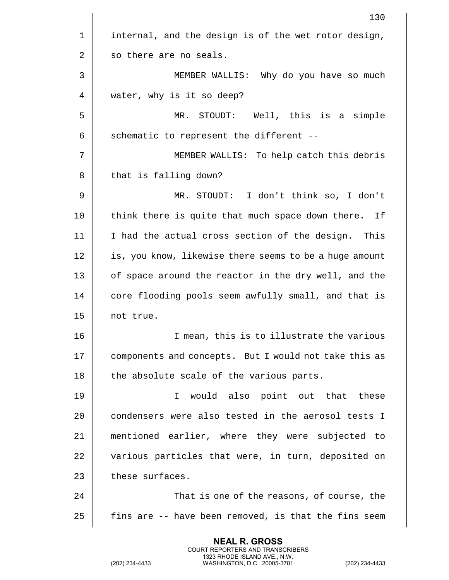|             | 130                                                    |
|-------------|--------------------------------------------------------|
| $\mathbf 1$ | internal, and the design is of the wet rotor design,   |
| 2           | so there are no seals.                                 |
| 3           | MEMBER WALLIS: Why do you have so much                 |
| 4           | water, why is it so deep?                              |
| 5           | STOUDT: Well, this is a simple<br>MR.                  |
| 6           | schematic to represent the different --                |
| 7           | MEMBER WALLIS: To help catch this debris               |
| 8           | that is falling down?                                  |
| 9           | MR. STOUDT: I don't think so, I don't                  |
| 10          | think there is quite that much space down there. If    |
| 11          | I had the actual cross section of the design. This     |
| 12          | is, you know, likewise there seems to be a huge amount |
| 13          | of space around the reactor in the dry well, and the   |
| 14          | core flooding pools seem awfully small, and that is    |
| 15          | not true.                                              |
| 16          | I mean, this is to illustrate the various              |
| 17          | components and concepts. But I would not take this as  |
| 18          | the absolute scale of the various parts.               |
| 19          | would also point out that these<br>I.                  |
| 20          | condensers were also tested in the aerosol tests I     |
| 21          | mentioned earlier, where they were subjected to        |
| 22          | various particles that were, in turn, deposited on     |
| 23          | these surfaces.                                        |
| 24          | That is one of the reasons, of course, the             |
| 25          | fins are -- have been removed, is that the fins seem   |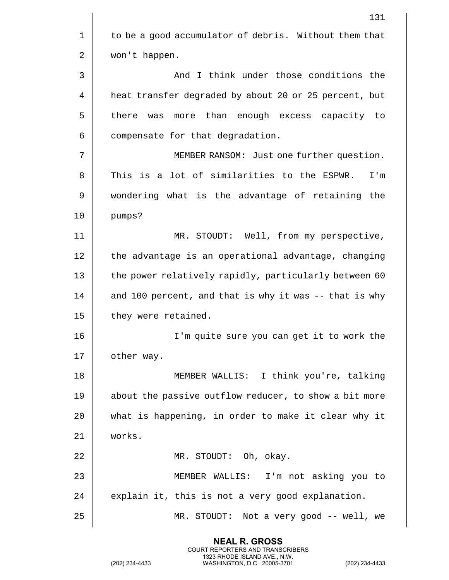|    | 131                                                    |
|----|--------------------------------------------------------|
| 1  | to be a good accumulator of debris. Without them that  |
| 2  | won't happen.                                          |
| 3  | And I think under those conditions the                 |
| 4  | heat transfer degraded by about 20 or 25 percent, but  |
| 5  | more than enough excess capacity to<br>there was       |
| 6  | compensate for that degradation.                       |
| 7  | MEMBER RANSOM: Just one further question.              |
| 8  | This is a lot of similarities to the ESPWR.<br>I'm     |
| 9  | wondering what is the advantage of retaining the       |
| 10 | pumps?                                                 |
| 11 | MR. STOUDT: Well, from my perspective,                 |
| 12 | the advantage is an operational advantage, changing    |
| 13 | the power relatively rapidly, particularly between 60  |
| 14 | and 100 percent, and that is why it was -- that is why |
| 15 | they were retained.                                    |
| 16 | I'm quite sure you can get it to work the              |
| 17 | other way.                                             |
| 18 | MEMBER WALLIS: I think you're, talking                 |
| 19 | about the passive outflow reducer, to show a bit more  |
| 20 | what is happening, in order to make it clear why it    |
| 21 | works.                                                 |
| 22 | MR. STOUDT: Oh, okay.                                  |
| 23 | MEMBER WALLIS: I'm not asking you to                   |
| 24 | explain it, this is not a very good explanation.       |
| 25 | MR. STOUDT: Not a very good -- well, we                |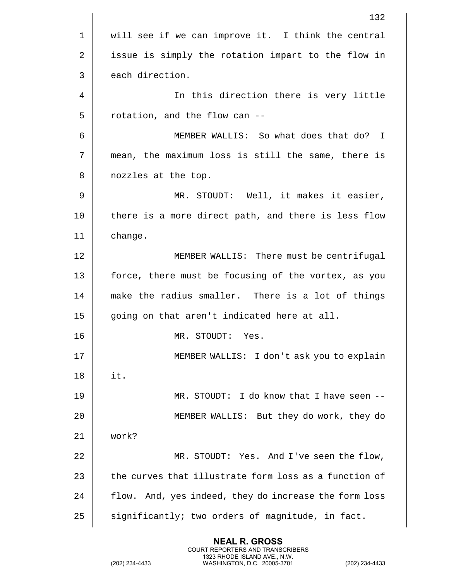|    | 132                                                   |
|----|-------------------------------------------------------|
| 1  | will see if we can improve it. I think the central    |
| 2  | issue is simply the rotation impart to the flow in    |
| 3  | each direction.                                       |
| 4  | In this direction there is very little                |
| 5  | rotation, and the flow can --                         |
| 6  | MEMBER WALLIS: So what does that do? I                |
| 7  | mean, the maximum loss is still the same, there is    |
| 8  | nozzles at the top.                                   |
| 9  | MR. STOUDT: Well, it makes it easier,                 |
| 10 | there is a more direct path, and there is less flow   |
| 11 | change.                                               |
| 12 | MEMBER WALLIS: There must be centrifugal              |
| 13 | force, there must be focusing of the vortex, as you   |
| 14 | make the radius smaller. There is a lot of things     |
| 15 | going on that aren't indicated here at all.           |
| 16 | MR. STOUDT:<br>Yes.                                   |
| 17 | MEMBER WALLIS: I don't ask you to explain             |
| 18 | it.                                                   |
| 19 | MR. STOUDT: I do know that I have seen --             |
| 20 | MEMBER WALLIS: But they do work, they do              |
| 21 | work?                                                 |
| 22 | MR. STOUDT: Yes. And I've seen the flow,              |
| 23 | the curves that illustrate form loss as a function of |
| 24 | flow. And, yes indeed, they do increase the form loss |
| 25 | significantly; two orders of magnitude, in fact.      |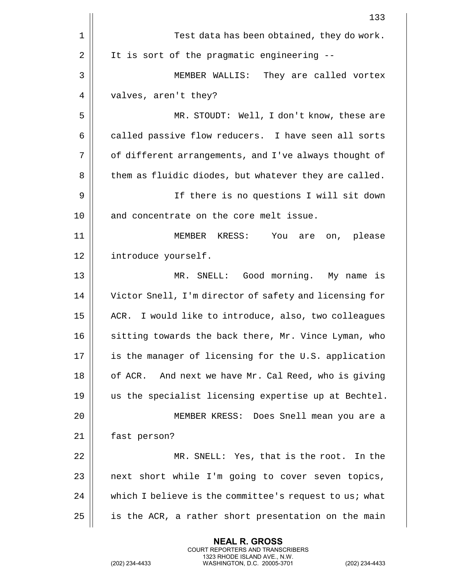|    | 133                                                     |
|----|---------------------------------------------------------|
| 1  | Test data has been obtained, they do work.              |
| 2  | It is sort of the pragmatic engineering --              |
| 3  | MEMBER WALLIS: They are called vortex                   |
| 4  | valves, aren't they?                                    |
| 5  | MR. STOUDT: Well, I don't know, these are               |
| 6  | called passive flow reducers. I have seen all sorts     |
| 7  | of different arrangements, and I've always thought of   |
| 8  | them as fluidic diodes, but whatever they are called.   |
| 9  | If there is no questions I will sit down                |
| 10 | and concentrate on the core melt issue.                 |
| 11 | You are<br>MEMBER KRESS:<br>on, please                  |
| 12 | introduce yourself.                                     |
| 13 | MR. SNELL: Good morning. My name is                     |
| 14 | Victor Snell, I'm director of safety and licensing for  |
| 15 | ACR. I would like to introduce, also, two colleagues    |
| 16 | sitting towards the back there, Mr. Vince Lyman, who    |
| 17 | is the manager of licensing for the U.S. application    |
| 18 | And next we have Mr. Cal Reed, who is giving<br>of ACR. |
| 19 | us the specialist licensing expertise up at Bechtel.    |
| 20 | MEMBER KRESS: Does Snell mean you are a                 |
| 21 | fast person?                                            |
| 22 | MR. SNELL: Yes, that is the root. In the                |
| 23 | next short while I'm going to cover seven topics,       |
| 24 | which I believe is the committee's request to us; what  |
| 25 | is the ACR, a rather short presentation on the main     |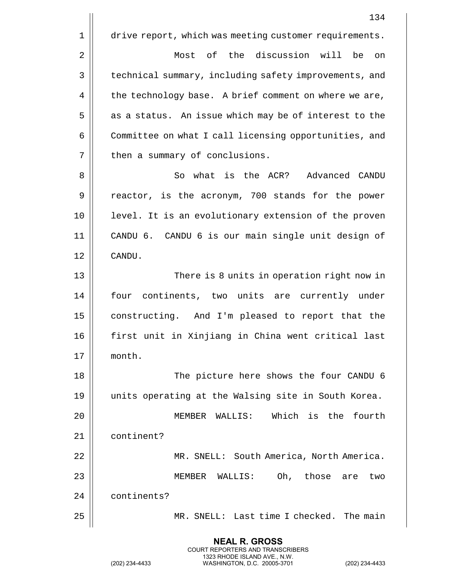134 1 | drive report, which was meeting customer requirements. 2 Most of the discussion will be on 3 | technical summary, including safety improvements, and  $4 \parallel$  the technology base. A brief comment on where we are,  $5 \parallel$  as a status. An issue which may be of interest to the 6 Committee on what I call licensing opportunities, and 7 | then a summary of conclusions. 8 So what is the ACR? Advanced CANDU 9 || reactor, is the acronym, 700 stands for the power 10 || level. It is an evolutionary extension of the proven 11 CANDU 6. CANDU 6 is our main single unit design of 12 CANDU. 13 There is 8 units in operation right now in 14 || four continents, two units are currently under 15 | constructing. And I'm pleased to report that the 16 first unit in Xinjiang in China went critical last 17 month. 18 || The picture here shows the four CANDU 6 19 units operating at the Walsing site in South Korea. 20 MEMBER WALLIS: Which is the fourth 21 | continent? 22 MR. SNELL: South America, North America. 23 MEMBER WALLIS: Oh, those are two 24 | continents? 25 MR. SNELL: Last time I checked. The main

> **NEAL R. GROSS** COURT REPORTERS AND TRANSCRIBERS 1323 RHODE ISLAND AVE., N.W.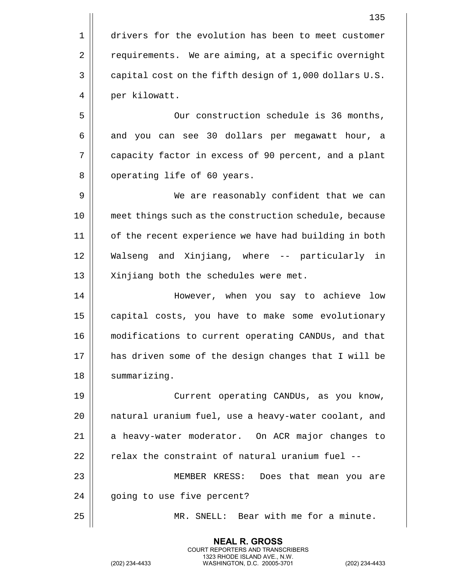135 1 drivers for the evolution has been to meet customer 2 | requirements. We are aiming, at a specific overnight 3 | capital cost on the fifth design of 1,000 dollars U.S. 4 | per kilowatt. 5 | Cur construction schedule is 36 months, 6 and you can see 30 dollars per megawatt hour, a 7 capacity factor in excess of 90 percent, and a plant 8 || operating life of 60 years. 9 We are reasonably confident that we can 10 meet things such as the construction schedule, because 11 || of the recent experience we have had building in both 12 Walseng and Xinjiang, where -- particularly in 13 || Xinjiang both the schedules were met. 14 However, when you say to achieve low 15 | capital costs, you have to make some evolutionary 16 modifications to current operating CANDUs, and that 17 has driven some of the design changes that I will be 18 | summarizing. 19 Current operating CANDUs, as you know, 20 || natural uranium fuel, use a heavy-water coolant, and 21 a heavy-water moderator. On ACR major changes to  $22$   $\parallel$  relax the constraint of natural uranium fuel --23 MEMBER KRESS: Does that mean you are 24 || qoing to use five percent? 25 MR. SNELL: Bear with me for a minute.

> **NEAL R. GROSS** COURT REPORTERS AND TRANSCRIBERS 1323 RHODE ISLAND AVE., N.W.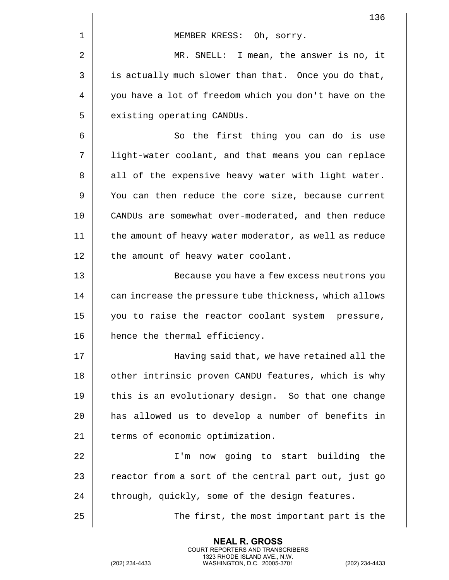|    | 136                                                    |
|----|--------------------------------------------------------|
| 1  | MEMBER KRESS: Oh, sorry.                               |
| 2  | MR. SNELL: I mean, the answer is no, it                |
| 3  | is actually much slower than that. Once you do that,   |
| 4  | you have a lot of freedom which you don't have on the  |
| 5  | existing operating CANDUs.                             |
| 6  | So the first thing you can do is use                   |
| 7  | light-water coolant, and that means you can replace    |
| 8  | all of the expensive heavy water with light water.     |
| 9  | You can then reduce the core size, because current     |
| 10 | CANDUs are somewhat over-moderated, and then reduce    |
| 11 | the amount of heavy water moderator, as well as reduce |
| 12 | the amount of heavy water coolant.                     |
| 13 | Because you have a few excess neutrons you             |
| 14 | can increase the pressure tube thickness, which allows |
| 15 | you to raise the reactor coolant system pressure,      |
| 16 | hence the thermal efficiency.                          |
| 17 | Having said that, we have retained all the             |
| 18 | other intrinsic proven CANDU features, which is why    |
| 19 | this is an evolutionary design. So that one change     |
| 20 | has allowed us to develop a number of benefits in      |
| 21 | terms of economic optimization.                        |
| 22 | I'm now going to start building the                    |
| 23 | reactor from a sort of the central part out, just go   |
| 24 | through, quickly, some of the design features.         |
| 25 | The first, the most important part is the              |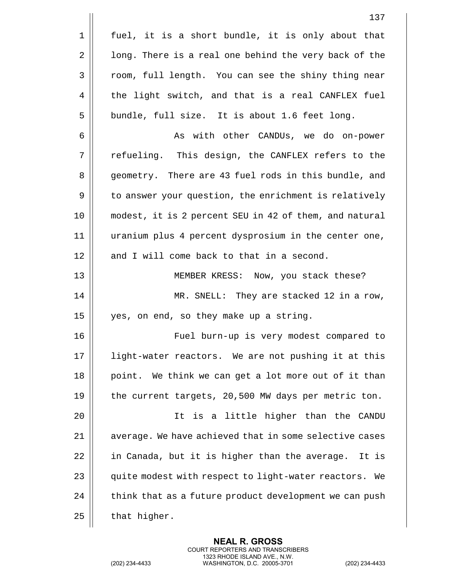|    | 137                                                    |
|----|--------------------------------------------------------|
| 1  | fuel, it is a short bundle, it is only about that      |
| 2  | long. There is a real one behind the very back of the  |
| 3  | room, full length. You can see the shiny thing near    |
| 4  | the light switch, and that is a real CANFLEX fuel      |
| 5  | bundle, full size. It is about 1.6 feet long.          |
| 6  | As with other CANDUs, we do on-power                   |
| 7  | refueling. This design, the CANFLEX refers to the      |
| 8  | geometry. There are 43 fuel rods in this bundle, and   |
| 9  | to answer your question, the enrichment is relatively  |
| 10 | modest, it is 2 percent SEU in 42 of them, and natural |
| 11 | uranium plus 4 percent dysprosium in the center one,   |
| 12 | and I will come back to that in a second.              |
| 13 | MEMBER KRESS: Now, you stack these?                    |
| 14 | MR. SNELL: They are stacked 12 in a row,               |
| 15 | yes, on end, so they make up a string.                 |
| 16 | Fuel burn-up is very modest compared to                |
| 17 | light-water reactors. We are not pushing it at this    |
| 18 | point. We think we can get a lot more out of it than   |
| 19 | the current targets, 20,500 MW days per metric ton.    |
| 20 | It is a little higher than the CANDU                   |
| 21 | average. We have achieved that in some selective cases |
| 22 | in Canada, but it is higher than the average. It is    |
| 23 | quite modest with respect to light-water reactors. We  |
| 24 | think that as a future product development we can push |
|    |                                                        |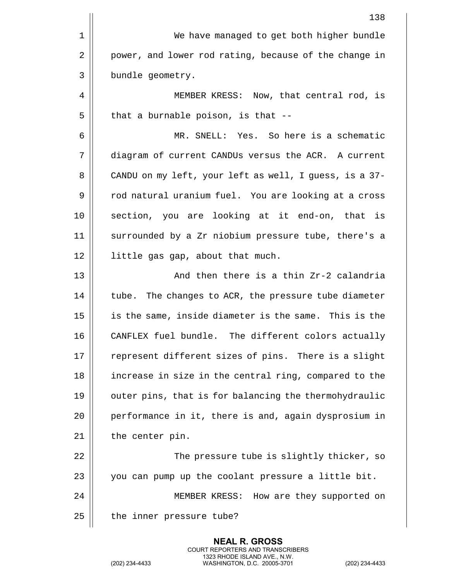| 138                                                    |
|--------------------------------------------------------|
| We have managed to get both higher bundle              |
| power, and lower rod rating, because of the change in  |
| bundle geometry.                                       |
| MEMBER KRESS: Now, that central rod, is                |
| that a burnable poison, is that --                     |
| MR. SNELL: Yes. So here is a schematic                 |
| diagram of current CANDUs versus the ACR. A current    |
| CANDU on my left, your left as well, I guess, is a 37- |
| rod natural uranium fuel. You are looking at a cross   |
| section, you are looking at it end-on, that is         |
| surrounded by a Zr niobium pressure tube, there's a    |
| little gas gap, about that much.                       |
| And then there is a thin Zr-2 calandria                |
| tube. The changes to ACR, the pressure tube diameter   |
| is the same, inside diameter is the same. This is the  |
| CANFLEX fuel bundle. The different colors actually     |
| represent different sizes of pins. There is a slight   |
| increase in size in the central ring, compared to the  |
| outer pins, that is for balancing the thermohydraulic  |
| performance in it, there is and, again dysprosium in   |
| the center pin.                                        |
| The pressure tube is slightly thicker, so              |
| you can pump up the coolant pressure a little bit.     |
| MEMBER KRESS: How are they supported on                |
| the inner pressure tube?                               |
|                                                        |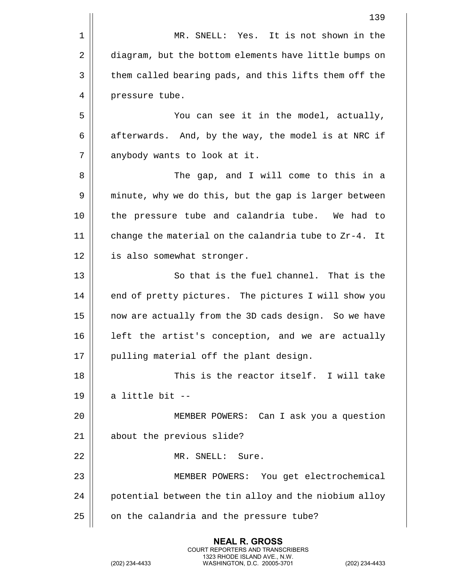|    | 139                                                   |
|----|-------------------------------------------------------|
| 1  | MR. SNELL: Yes. It is not shown in the                |
| 2  | diagram, but the bottom elements have little bumps on |
| 3  | them called bearing pads, and this lifts them off the |
| 4  | pressure tube.                                        |
| 5  | You can see it in the model, actually,                |
| 6  | afterwards. And, by the way, the model is at NRC if   |
| 7  | anybody wants to look at it.                          |
| 8  | The gap, and I will come to this in a                 |
| 9  | minute, why we do this, but the gap is larger between |
| 10 | the pressure tube and calandria tube. We had to       |
| 11 | change the material on the calandria tube to Zr-4. It |
| 12 | is also somewhat stronger.                            |
| 13 | So that is the fuel channel. That is the              |
| 14 | end of pretty pictures. The pictures I will show you  |
| 15 | now are actually from the 3D cads design. So we have  |
| 16 | left the artist's conception, and we are actually     |
| 17 | pulling material off the plant design.                |
| 18 | This is the reactor itself. I will take               |
| 19 | a little bit --                                       |
| 20 | MEMBER POWERS: Can I ask you a question               |
| 21 | about the previous slide?                             |
| 22 | MR. SNELL: Sure.                                      |
| 23 | MEMBER POWERS: You get electrochemical                |
| 24 | potential between the tin alloy and the niobium alloy |
| 25 | on the calandria and the pressure tube?               |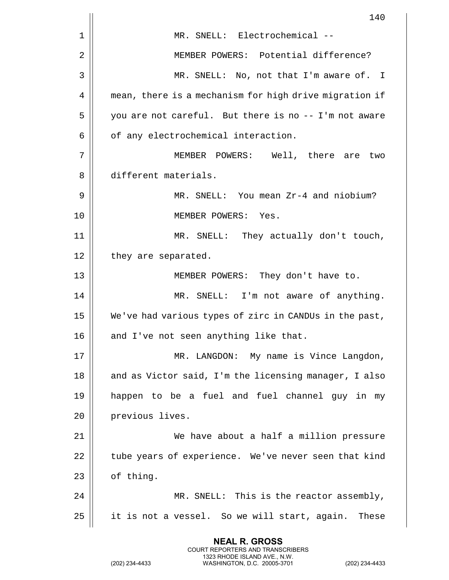|    | 140                                                    |
|----|--------------------------------------------------------|
| 1  | MR. SNELL: Electrochemical --                          |
| 2  | MEMBER POWERS: Potential difference?                   |
| 3  | MR. SNELL: No, not that I'm aware of. I                |
| 4  | mean, there is a mechanism for high drive migration if |
| 5  | you are not careful. But there is no -- I'm not aware  |
| 6  | of any electrochemical interaction.                    |
| 7  | MEMBER POWERS: Well, there are two                     |
| 8  | different materials.                                   |
| 9  | MR. SNELL: You mean Zr-4 and niobium?                  |
| 10 | MEMBER POWERS: Yes.                                    |
| 11 | MR. SNELL: They actually don't touch,                  |
| 12 | they are separated.                                    |
| 13 | MEMBER POWERS: They don't have to.                     |
| 14 | MR. SNELL: I'm not aware of anything.                  |
| 15 | We've had various types of zirc in CANDUs in the past, |
| 16 | and I've not seen anything like that.                  |
| 17 | MR. LANGDON: My name is Vince Langdon,                 |
| 18 | and as Victor said, I'm the licensing manager, I also  |
| 19 | happen to be a fuel and fuel channel guy in my         |
| 20 | previous lives.                                        |
| 21 | We have about a half a million pressure                |
| 22 | tube years of experience. We've never seen that kind   |
| 23 | of thing.                                              |
| 24 | MR. SNELL: This is the reactor assembly,               |
| 25 | it is not a vessel. So we will start, again. These     |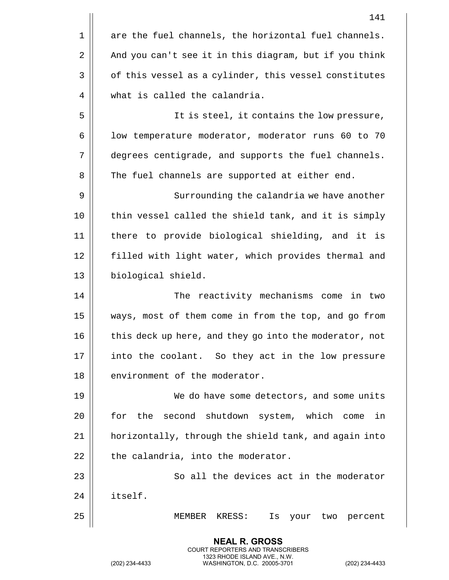|    | 141                                                    |
|----|--------------------------------------------------------|
| 1  | are the fuel channels, the horizontal fuel channels.   |
| 2  | And you can't see it in this diagram, but if you think |
| 3  | of this vessel as a cylinder, this vessel constitutes  |
| 4  | what is called the calandria.                          |
| 5  | It is steel, it contains the low pressure,             |
| 6  | low temperature moderator, moderator runs 60 to 70     |
| 7  | degrees centigrade, and supports the fuel channels.    |
| 8  | The fuel channels are supported at either end.         |
| 9  | Surrounding the calandria we have another              |
| 10 | thin vessel called the shield tank, and it is simply   |
| 11 | there to provide biological shielding, and it is       |
| 12 | filled with light water, which provides thermal and    |
| 13 | biological shield.                                     |
| 14 | The reactivity mechanisms come in two                  |
| 15 | ways, most of them come in from the top, and go from   |
| 16 | this deck up here, and they go into the moderator, not |
| 17 | into the coolant. So they act in the low pressure      |
| 18 | environment of the moderator.                          |
| 19 | We do have some detectors, and some units              |
| 20 | for the second shutdown system, which come<br>in       |
| 21 | horizontally, through the shield tank, and again into  |
| 22 | the calandria, into the moderator.                     |
| 23 | So all the devices act in the moderator                |
| 24 | itself.                                                |
| 25 | MEMBER<br>KRESS:<br>Is<br>your two percent             |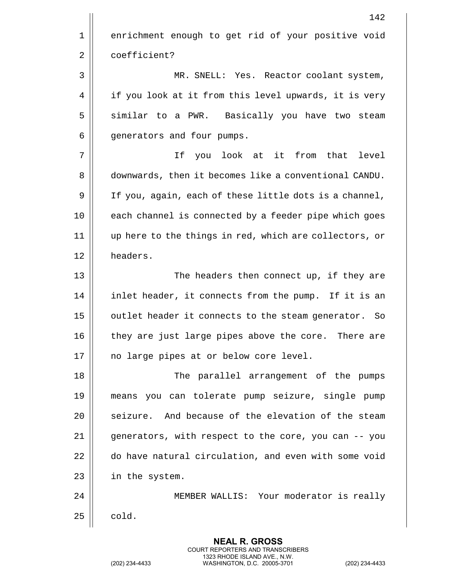|    | 142                                                    |
|----|--------------------------------------------------------|
| 1  | enrichment enough to get rid of your positive void     |
| 2  | coefficient?                                           |
| 3  | MR. SNELL: Yes. Reactor coolant system,                |
| 4  | if you look at it from this level upwards, it is very  |
| 5  | similar to a PWR. Basically you have two steam         |
| 6  | generators and four pumps.                             |
| 7  | look at it from that level<br>If you                   |
| 8  | downwards, then it becomes like a conventional CANDU.  |
| 9  | If you, again, each of these little dots is a channel, |
| 10 | each channel is connected by a feeder pipe which goes  |
| 11 | up here to the things in red, which are collectors, or |
| 12 | headers.                                               |
| 13 | The headers then connect up, if they are               |
| 14 | inlet header, it connects from the pump. If it is an   |
| 15 | outlet header it connects to the steam generator. So   |
| 16 | they are just large pipes above the core. There are    |
| 17 | no large pipes at or below core level.                 |
| 18 | The parallel arrangement of the pumps                  |
| 19 | means you can tolerate pump seizure, single pump       |
| 20 | seizure. And because of the elevation of the steam     |
| 21 | generators, with respect to the core, you can -- you   |
| 22 | do have natural circulation, and even with some void   |
| 23 | in the system.                                         |
| 24 | MEMBER WALLIS: Your moderator is really                |
| 25 | cold.                                                  |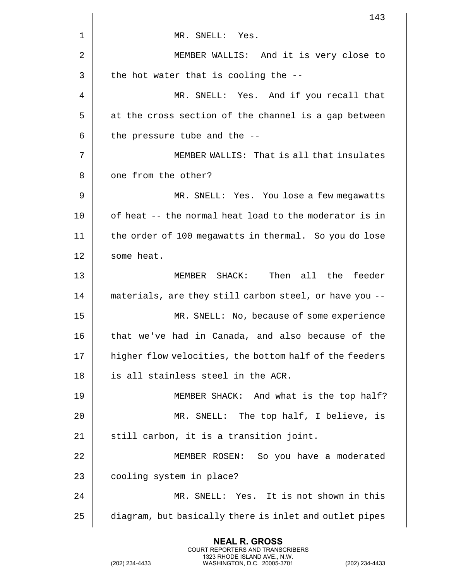|    | 143                                                    |
|----|--------------------------------------------------------|
| 1  | MR. SNELL: Yes.                                        |
| 2  | MEMBER WALLIS: And it is very close to                 |
| 3  | the hot water that is cooling the --                   |
| 4  | MR. SNELL: Yes. And if you recall that                 |
| 5  | at the cross section of the channel is a gap between   |
| 6  | the pressure tube and the --                           |
| 7  | MEMBER WALLIS: That is all that insulates              |
| 8  | one from the other?                                    |
| 9  | MR. SNELL: Yes. You lose a few megawatts               |
| 10 | of heat -- the normal heat load to the moderator is in |
| 11 | the order of 100 megawatts in thermal. So you do lose  |
| 12 | some heat.                                             |
| 13 | Then all the feeder<br>MEMBER SHACK:                   |
| 14 | materials, are they still carbon steel, or have you -- |
| 15 | MR. SNELL: No, because of some experience              |
| 16 | that we've had in Canada, and also because of the      |
| 17 | higher flow velocities, the bottom half of the feeders |
| 18 | is all stainless steel in the ACR.                     |
| 19 | MEMBER SHACK: And what is the top half?                |
| 20 | MR. SNELL: The top half, I believe, is                 |
| 21 | still carbon, it is a transition joint.                |
| 22 | MEMBER ROSEN: So you have a moderated                  |
| 23 | cooling system in place?                               |
| 24 | MR. SNELL: Yes. It is not shown in this                |
| 25 | diagram, but basically there is inlet and outlet pipes |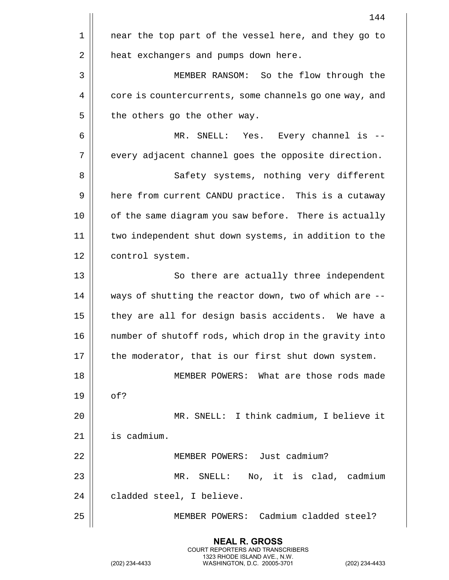|    | 144                                                    |
|----|--------------------------------------------------------|
| 1  | near the top part of the vessel here, and they go to   |
| 2  | heat exchangers and pumps down here.                   |
| 3  | MEMBER RANSOM: So the flow through the                 |
| 4  | core is countercurrents, some channels go one way, and |
| 5  | the others go the other way.                           |
| 6  | MR. SNELL: Yes.<br>Every channel is --                 |
| 7  | every adjacent channel goes the opposite direction.    |
| 8  | Safety systems, nothing very different                 |
| 9  | here from current CANDU practice. This is a cutaway    |
| 10 | of the same diagram you saw before. There is actually  |
| 11 | two independent shut down systems, in addition to the  |
| 12 | control system.                                        |
| 13 | So there are actually three independent                |
| 14 | ways of shutting the reactor down, two of which are -- |
| 15 | they are all for design basis accidents. We have a     |
| 16 | number of shutoff rods, which drop in the gravity into |
| 17 | the moderator, that is our first shut down system.     |
| 18 | MEMBER POWERS: What are those rods made                |
| 19 | of?                                                    |
| 20 | MR. SNELL: I think cadmium, I believe it               |
| 21 | is cadmium.                                            |
| 22 | MEMBER POWERS: Just cadmium?                           |
| 23 | MR. SNELL: No, it is clad, cadmium                     |
| 24 | cladded steel, I believe.                              |
| 25 | MEMBER POWERS: Cadmium cladded steel?                  |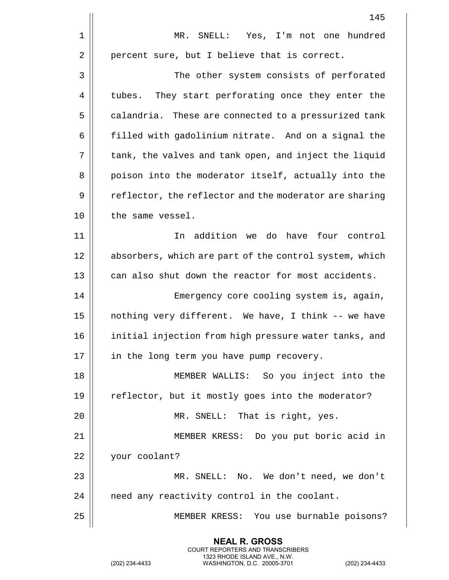|    | 145                                                    |
|----|--------------------------------------------------------|
| 1  | SNELL: Yes, I'm not one hundred<br>$MR$ .              |
| 2  | percent sure, but I believe that is correct.           |
| 3  | The other system consists of perforated                |
| 4  | tubes. They start perforating once they enter the      |
| 5  | calandria. These are connected to a pressurized tank   |
| 6  | filled with gadolinium nitrate. And on a signal the    |
| 7  | tank, the valves and tank open, and inject the liquid  |
| 8  | poison into the moderator itself, actually into the    |
| 9  | reflector, the reflector and the moderator are sharing |
| 10 | the same vessel.                                       |
| 11 | In addition we do have four control                    |
| 12 | absorbers, which are part of the control system, which |
| 13 | can also shut down the reactor for most accidents.     |
| 14 | Emergency core cooling system is, again,               |
| 15 | nothing very different. We have, I think -- we have    |
| 16 | initial injection from high pressure water tanks, and  |
| 17 | in the long term you have pump recovery.               |
| 18 | MEMBER WALLIS: So you inject into the                  |
| 19 | reflector, but it mostly goes into the moderator?      |
| 20 | MR. SNELL: That is right, yes.                         |
| 21 | MEMBER KRESS: Do you put boric acid in                 |
| 22 | your coolant?                                          |
| 23 | MR. SNELL: No. We don't need, we don't                 |
| 24 | need any reactivity control in the coolant.            |
| 25 | MEMBER KRESS: You use burnable poisons?                |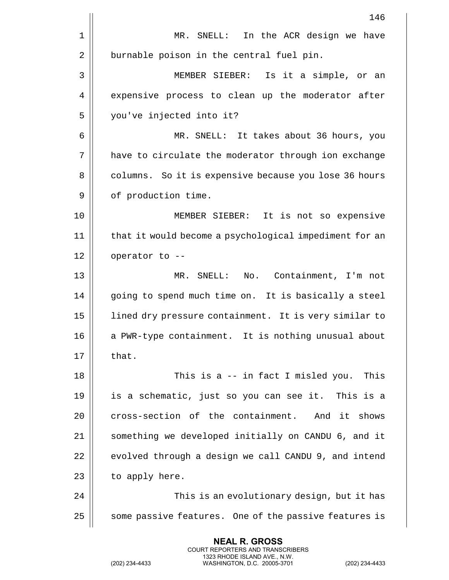|    | 146                                                    |
|----|--------------------------------------------------------|
| 1  | In the ACR design we have<br>MR.<br>${\tt SNELL}$ :    |
| 2  | burnable poison in the central fuel pin.               |
| 3  | MEMBER SIEBER: Is it a simple, or an                   |
| 4  | expensive process to clean up the moderator after      |
| 5  | you've injected into it?                               |
| 6  | MR. SNELL: It takes about 36 hours, you                |
| 7  | have to circulate the moderator through ion exchange   |
| 8  | columns. So it is expensive because you lose 36 hours  |
| 9  | of production time.                                    |
| 10 | MEMBER SIEBER: It is not so expensive                  |
| 11 | that it would become a psychological impediment for an |
| 12 | operator to --                                         |
| 13 | SNELL: No. Containment, I'm not<br>MR.                 |
| 14 | going to spend much time on. It is basically a steel   |
| 15 | lined dry pressure containment. It is very similar to  |
| 16 | a PWR-type containment. It is nothing unusual about    |
| 17 | that.                                                  |
| 18 | This is a -- in fact I misled you.<br>This             |
| 19 | is a schematic, just so you can see it. This is a      |
| 20 | cross-section of the containment.<br>And it shows      |
| 21 | something we developed initially on CANDU 6, and it    |
| 22 | evolved through a design we call CANDU 9, and intend   |
| 23 | to apply here.                                         |
| 24 | This is an evolutionary design, but it has             |
| 25 | some passive features. One of the passive features is  |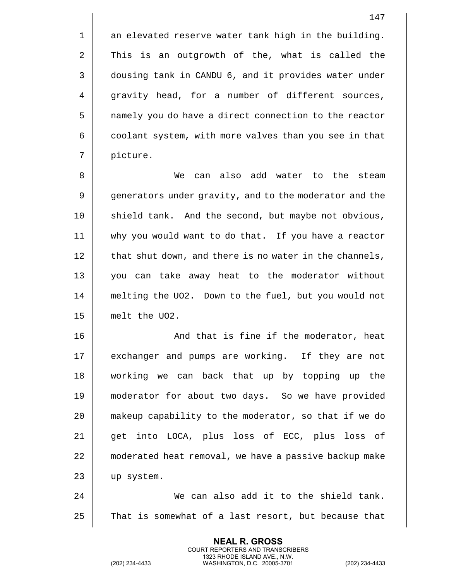1 || an elevated reserve water tank high in the building.  $2 \parallel$  This is an outgrowth of the, what is called the 3 | dousing tank in CANDU 6, and it provides water under 4 gravity head, for a number of different sources, 5 | namely you do have a direct connection to the reactor  $6 \parallel$  coolant system, with more valves than you see in that 7 | picture.

 We can also add water to the steam 9 | generators under gravity, and to the moderator and the 10 || shield tank. And the second, but maybe not obvious, why you would want to do that. If you have a reactor | that shut down, and there is no water in the channels, you can take away heat to the moderator without melting the UO2. Down to the fuel, but you would not melt the UO2.

16 || And that is fine if the moderator, heat 17 || exchanger and pumps are working. If they are not working we can back that up by topping up the moderator for about two days. So we have provided makeup capability to the moderator, so that if we do 21 || qet into LOCA, plus loss of ECC, plus loss of moderated heat removal, we have a passive backup make up system.

24 We can also add it to the shield tank. 25 | That is somewhat of a last resort, but because that

> **NEAL R. GROSS** COURT REPORTERS AND TRANSCRIBERS 1323 RHODE ISLAND AVE., N.W.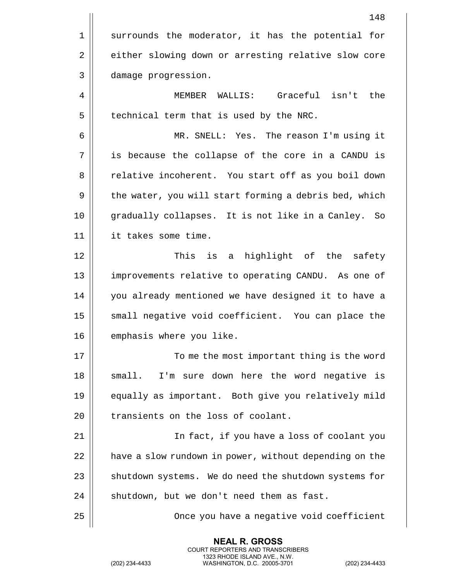|    | 148                                                    |
|----|--------------------------------------------------------|
| 1  | surrounds the moderator, it has the potential for      |
| 2  | either slowing down or arresting relative slow core    |
| 3  | damage progression.                                    |
| 4  | MEMBER WALLIS: Graceful isn't the                      |
| 5  | technical term that is used by the NRC.                |
| 6  | MR. SNELL: Yes. The reason I'm using it                |
| 7  | is because the collapse of the core in a CANDU is      |
| 8  | relative incoherent. You start off as you boil down    |
| 9  | the water, you will start forming a debris bed, which  |
| 10 | gradually collapses. It is not like in a Canley. So    |
| 11 | it takes some time.                                    |
| 12 | This is a<br>highlight of the safety                   |
| 13 | improvements relative to operating CANDU. As one of    |
| 14 | you already mentioned we have designed it to have a    |
| 15 | small negative void coefficient. You can place the     |
| 16 | emphasis where you like.                               |
| 17 | To me the most important thing is the word             |
| 18 | I'm sure down here the word negative<br>small.<br>is   |
| 19 | equally as important. Both give you relatively mild    |
| 20 | transients on the loss of coolant.                     |
| 21 | In fact, if you have a loss of coolant you             |
| 22 | have a slow rundown in power, without depending on the |
| 23 | shutdown systems. We do need the shutdown systems for  |
| 24 | shutdown, but we don't need them as fast.              |
| 25 | Once you have a negative void coefficient              |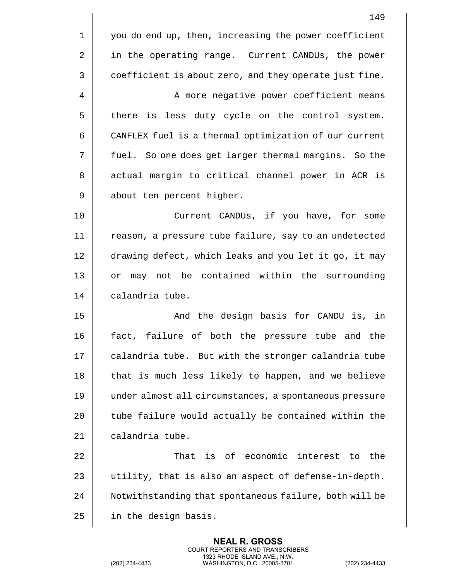| 149                                                    |
|--------------------------------------------------------|
| you do end up, then, increasing the power coefficient  |
| in the operating range. Current CANDUs, the power      |
| coefficient is about zero, and they operate just fine. |
| A more negative power coefficient means                |
| there is less duty cycle on the control system.        |
| CANFLEX fuel is a thermal optimization of our current  |
| fuel. So one does get larger thermal margins. So the   |
| actual margin to critical channel power in ACR is      |
| about ten percent higher.                              |
| Current CANDUs, if you have, for some                  |
| reason, a pressure tube failure, say to an undetected  |
| drawing defect, which leaks and you let it go, it may  |
| may not be contained within the surrounding<br>or      |
| calandria tube.                                        |
| And the design basis for CANDU is, in                  |
| fact, failure of both the pressure tube and the        |
| calandria tube. But with the stronger calandria tube   |
| that is much less likely to happen, and we believe     |
| under almost all circumstances, a spontaneous pressure |
| tube failure would actually be contained within the    |
| calandria tube.                                        |
| That is of economic interest to<br>the                 |
| utility, that is also an aspect of defense-in-depth.   |
| Notwithstanding that spontaneous failure, both will be |
| in the design basis.                                   |
|                                                        |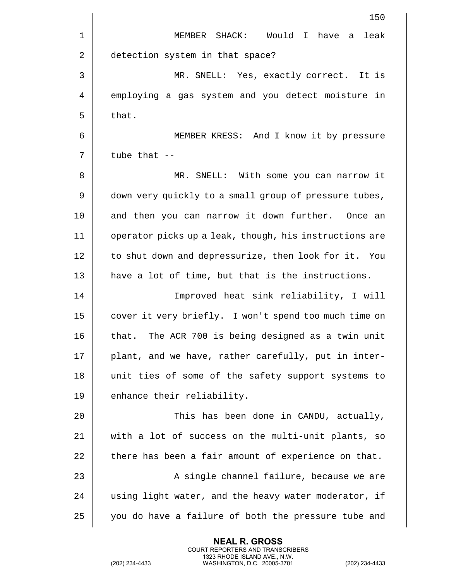| 150                                                    |
|--------------------------------------------------------|
| MEMBER SHACK: Would I have a<br>leak                   |
| detection system in that space?                        |
| MR. SNELL: Yes, exactly correct. It is                 |
| employing a gas system and you detect moisture in      |
| that.                                                  |
| MEMBER KRESS: And I know it by pressure                |
| tube that --                                           |
| MR. SNELL: With some you can narrow it                 |
| down very quickly to a small group of pressure tubes,  |
| and then you can narrow it down further. Once an       |
| operator picks up a leak, though, his instructions are |
| to shut down and depressurize, then look for it. You   |
| have a lot of time, but that is the instructions.      |
| Improved heat sink reliability, I will                 |
| cover it very briefly. I won't spend too much time on  |
| that. The ACR 700 is being designed as a twin unit     |
| plant, and we have, rather carefully, put in inter-    |
| unit ties of some of the safety support systems to     |
| enhance their reliability.                             |
| This has been done in CANDU, actually,                 |
| with a lot of success on the multi-unit plants, so     |
| there has been a fair amount of experience on that.    |
| A single channel failure, because we are               |
| using light water, and the heavy water moderator, if   |
| you do have a failure of both the pressure tube and    |
|                                                        |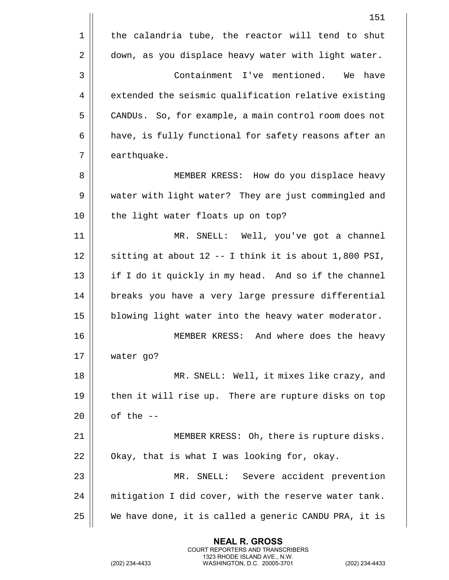|    | 151                                                   |
|----|-------------------------------------------------------|
| 1  | the calandria tube, the reactor will tend to shut     |
| 2  | down, as you displace heavy water with light water.   |
| 3  | Containment I've mentioned. We have                   |
| 4  | extended the seismic qualification relative existing  |
| 5  | CANDUs. So, for example, a main control room does not |
| 6  | have, is fully functional for safety reasons after an |
| 7  | earthquake.                                           |
| 8  | MEMBER KRESS: How do you displace heavy               |
| 9  | water with light water? They are just commingled and  |
| 10 | the light water floats up on top?                     |
| 11 | MR. SNELL: Well, you've got a channel                 |
| 12 | sitting at about 12 -- I think it is about 1,800 PSI, |
| 13 | if I do it quickly in my head. And so if the channel  |
| 14 | breaks you have a very large pressure differential    |
| 15 | blowing light water into the heavy water moderator.   |
| 16 | MEMBER KRESS:<br>And where does the heavy             |
| 17 | water go?                                             |
| 18 | MR. SNELL: Well, it mixes like crazy, and             |
| 19 | then it will rise up. There are rupture disks on top  |
| 20 | of the --                                             |
| 21 | MEMBER KRESS: Oh, there is rupture disks.             |
| 22 | Okay, that is what I was looking for, okay.           |
| 23 | MR. SNELL: Severe accident prevention                 |
| 24 | mitigation I did cover, with the reserve water tank.  |
| 25 | We have done, it is called a generic CANDU PRA, it is |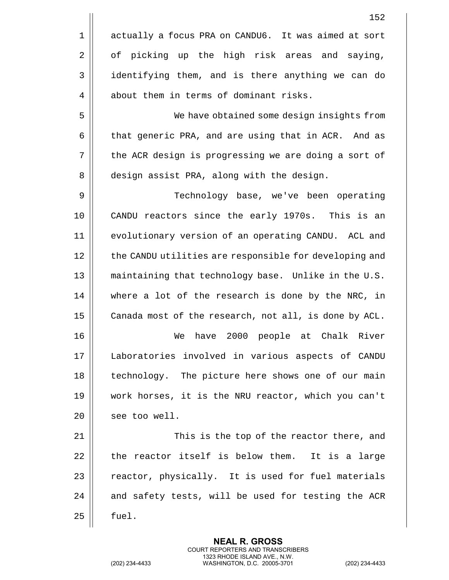|    | 152                                                    |
|----|--------------------------------------------------------|
| 1  | actually a focus PRA on CANDU6. It was aimed at sort   |
| 2  | of picking up the high risk areas and saying,          |
| 3  | identifying them, and is there anything we can do      |
| 4  | about them in terms of dominant risks.                 |
| 5  | We have obtained some design insights from             |
| 6  | that generic PRA, and are using that in ACR. And as    |
| 7  | the ACR design is progressing we are doing a sort of   |
| 8  | design assist PRA, along with the design.              |
| 9  | Technology base, we've been operating                  |
| 10 | CANDU reactors since the early 1970s. This is an       |
| 11 | evolutionary version of an operating CANDU. ACL and    |
| 12 | the CANDU utilities are responsible for developing and |
| 13 | maintaining that technology base. Unlike in the U.S.   |
| 14 | where a lot of the research is done by the NRC, in     |
| 15 | Canada most of the research, not all, is done by ACL.  |
| 16 | 2000<br>people at<br>Chalk River<br>We<br>have         |
| 17 | Laboratories involved in various aspects of CANDU      |
| 18 | technology. The picture here shows one of our main     |
| 19 | work horses, it is the NRU reactor, which you can't    |
| 20 | see too well.                                          |
| 21 | This is the top of the reactor there, and              |
| 22 | the reactor itself is below them.<br>It is a large     |
| 23 | reactor, physically. It is used for fuel materials     |
| 24 | and safety tests, will be used for testing the ACR     |
| 25 | fuel.                                                  |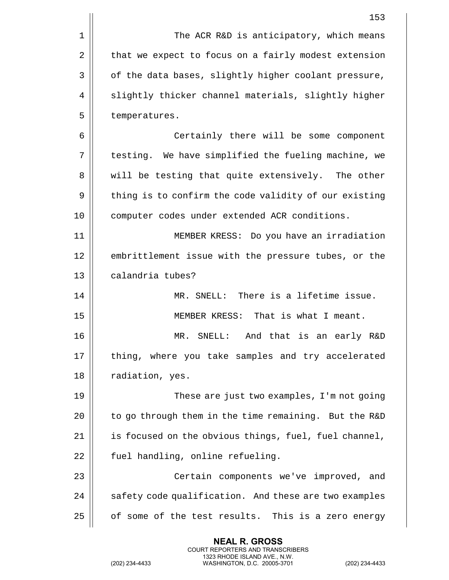|            | 153                                                   |
|------------|-------------------------------------------------------|
| $1\,$      | The ACR R&D is anticipatory, which means              |
| $\sqrt{2}$ | that we expect to focus on a fairly modest extension  |
| 3          | of the data bases, slightly higher coolant pressure,  |
| 4          | slightly thicker channel materials, slightly higher   |
| 5          | temperatures.                                         |
| 6          | Certainly there will be some component                |
| 7          | testing. We have simplified the fueling machine, we   |
| 8          | will be testing that quite extensively. The other     |
| 9          | thing is to confirm the code validity of our existing |
| 10         | computer codes under extended ACR conditions.         |
| 11         | MEMBER KRESS: Do you have an irradiation              |
| 12         | embrittlement issue with the pressure tubes, or the   |
| 13         | calandria tubes?                                      |
| 14         | MR. SNELL: There is a lifetime issue.                 |
| 15         | MEMBER KRESS: That is what I meant.                   |
| 16         | MR. SNELL: And that is an early R&D                   |
| 17         | thing, where you take samples and try accelerated     |
| 18         | radiation, yes.                                       |
| 19         | These are just two examples, I'm not going            |
| 20         | to go through them in the time remaining. But the R&D |
| 21         | is focused on the obvious things, fuel, fuel channel, |
| 22         | fuel handling, online refueling.                      |
| 23         | Certain components we've improved, and                |
| 24         | safety code qualification. And these are two examples |
| 25         | of some of the test results. This is a zero energy    |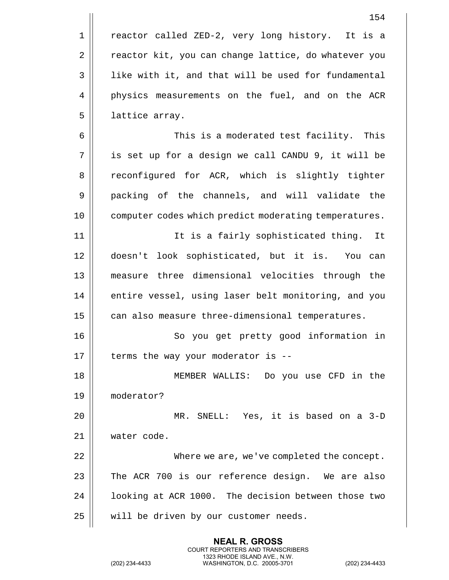1 || reactor called ZED-2, very long history. It is a 2 | reactor kit, you can change lattice, do whatever you 3 | like with it, and that will be used for fundamental 4 physics measurements on the fuel, and on the ACR 5 lattice array. 6 This is a moderated test facility. This 7 is set up for a design we call CANDU 9, it will be 8 || reconfigured for ACR, which is slightly tighter 9 || packing of the channels, and will validate the 10 computer codes which predict moderating temperatures. 11 || It is a fairly sophisticated thing. It 12 doesn't look sophisticated, but it is. You can 13 measure three dimensional velocities through the 14 || entire vessel, using laser belt monitoring, and you 15 | can also measure three-dimensional temperatures. 16 || So you get pretty good information in  $17$  || terms the way your moderator is --18 MEMBER WALLIS: Do you use CFD in the 19 moderator? 20 MR. SNELL: Yes, it is based on a 3-D 21 water code. 22 | Where we are, we've completed the concept.  $23$  The ACR 700 is our reference design. We are also 24 | | looking at ACR 1000. The decision between those two  $25$  | will be driven by our customer needs.

> **NEAL R. GROSS** COURT REPORTERS AND TRANSCRIBERS 1323 RHODE ISLAND AVE., N.W.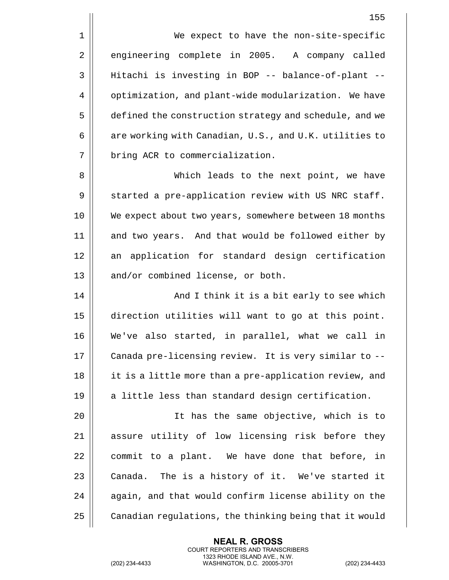1 | We expect to have the non-site-specific 2 engineering complete in 2005. A company called 3 Hitachi is investing in BOP -- balance-of-plant -- 4 | optimization, and plant-wide modularization. We have 5 | defined the construction strategy and schedule, and we 6  $\parallel$  are working with Canadian, U.S., and U.K. utilities to 7 | bring ACR to commercialization.

8 Which leads to the next point, we have  $9 \parallel$  started a pre-application review with US NRC staff. 10 || We expect about two years, somewhere between 18 months 11 || and two years. And that would be followed either by 12 || an application for standard design certification 13 || and/or combined license, or both.

14 || And I think it is a bit early to see which 15 direction utilities will want to go at this point. 16 We've also started, in parallel, what we call in 17 || Canada pre-licensing review. It is very similar to --18 || it is a little more than a pre-application review, and  $19$  || a little less than standard design certification.

 It has the same objective, which is to 21 || assure utility of low licensing risk before they | commit to a plant. We have done that before, in  $\parallel$  Canada. The is a history of it. We've started it  $\parallel$  again, and that would confirm license ability on the 25 | Canadian regulations, the thinking being that it would

> **NEAL R. GROSS** COURT REPORTERS AND TRANSCRIBERS 1323 RHODE ISLAND AVE., N.W.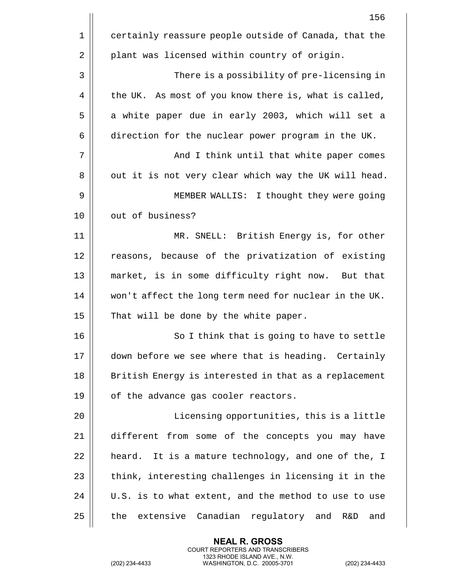|    | 156                                                       |
|----|-----------------------------------------------------------|
| 1  | certainly reassure people outside of Canada, that the     |
| 2  | plant was licensed within country of origin.              |
| 3  | There is a possibility of pre-licensing in                |
| 4  | the UK. As most of you know there is, what is called,     |
| 5  | a white paper due in early 2003, which will set a         |
| 6  | direction for the nuclear power program in the UK.        |
| 7  | And I think until that white paper comes                  |
| 8  | out it is not very clear which way the UK will head.      |
| 9  | MEMBER WALLIS: I thought they were going                  |
| 10 | out of business?                                          |
| 11 | MR. SNELL: British Energy is, for other                   |
| 12 | reasons, because of the privatization of existing         |
| 13 | market, is in some difficulty right now. But that         |
| 14 | won't affect the long term need for nuclear in the UK.    |
| 15 | That will be done by the white paper.                     |
| 16 | So I think that is going to have to settle                |
| 17 | down before we see where that is heading. Certainly       |
| 18 | British Energy is interested in that as a replacement     |
| 19 | of the advance gas cooler reactors.                       |
| 20 | Licensing opportunities, this is a little                 |
| 21 | different from some of the concepts you may have          |
| 22 | heard. It is a mature technology, and one of the, I       |
| 23 | think, interesting challenges in licensing it in the      |
| 24 | U.S. is to what extent, and the method to use to use      |
| 25 | the<br>extensive<br>Canadian regulatory and<br>and<br>R&D |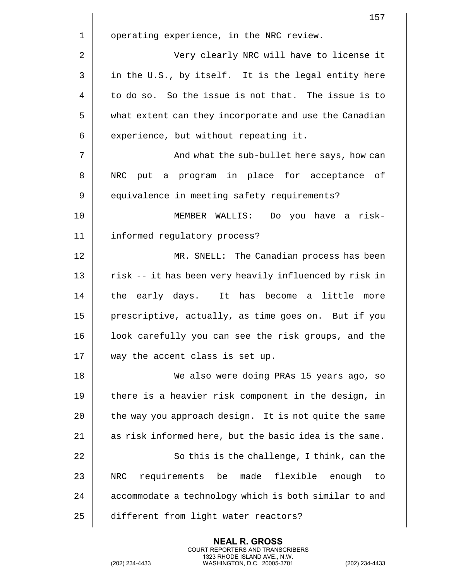|    | 157                                                    |
|----|--------------------------------------------------------|
| 1  | operating experience, in the NRC review.               |
| 2  | Very clearly NRC will have to license it               |
| 3  | in the U.S., by itself. It is the legal entity here    |
| 4  | to do so. So the issue is not that. The issue is to    |
| 5  | what extent can they incorporate and use the Canadian  |
| 6  | experience, but without repeating it.                  |
| 7  | And what the sub-bullet here says, how can             |
| 8  | put a program in place for acceptance of<br>NRC        |
| 9  | equivalence in meeting safety requirements?            |
| 10 | Do you have a risk-<br>MEMBER WALLIS:                  |
| 11 | informed regulatory process?                           |
| 12 | MR. SNELL: The Canadian process has been               |
| 13 | risk -- it has been very heavily influenced by risk in |
| 14 | the early days. It has become a little more            |
| 15 | prescriptive, actually, as time goes on. But if you    |
| 16 | look carefully you can see the risk groups, and the    |
| 17 | way the accent class is set up.                        |
| 18 | We also were doing PRAs 15 years ago, so               |
| 19 | there is a heavier risk component in the design, in    |
| 20 | the way you approach design. It is not quite the same  |
| 21 | as risk informed here, but the basic idea is the same. |
| 22 | So this is the challenge, I think, can the             |
| 23 | requirements be made flexible<br>NRC<br>enough<br>to   |
| 24 | accommodate a technology which is both similar to and  |
| 25 | different from light water reactors?                   |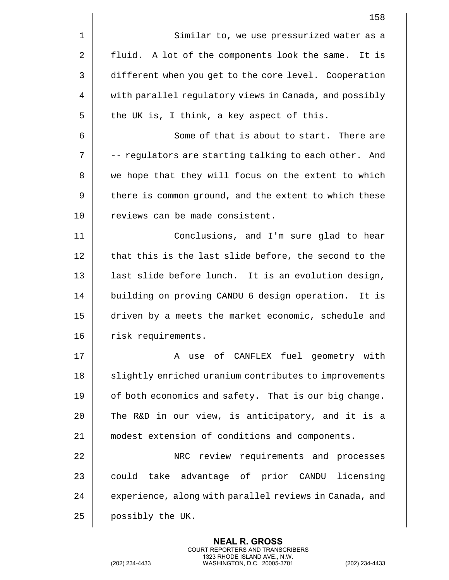|    | 158                                                    |
|----|--------------------------------------------------------|
| 1  | Similar to, we use pressurized water as a              |
| 2  | fluid. A lot of the components look the same. It is    |
| 3  | different when you get to the core level. Cooperation  |
| 4  | with parallel regulatory views in Canada, and possibly |
| 5  | the UK is, I think, a key aspect of this.              |
| 6  | Some of that is about to start. There are              |
| 7  | -- regulators are starting talking to each other. And  |
| 8  | we hope that they will focus on the extent to which    |
| 9  | there is common ground, and the extent to which these  |
| 10 | reviews can be made consistent.                        |
| 11 | Conclusions, and I'm sure glad to hear                 |
| 12 | that this is the last slide before, the second to the  |
| 13 | last slide before lunch. It is an evolution design,    |
| 14 | building on proving CANDU 6 design operation. It is    |
| 15 | driven by a meets the market economic, schedule and    |
| 16 | risk requirements.                                     |
| 17 | use of CANFLEX fuel geometry with<br>Α                 |
| 18 | slightly enriched uranium contributes to improvements  |
| 19 | of both economics and safety. That is our big change.  |
| 20 | The R&D in our view, is anticipatory, and it is a      |
| 21 | modest extension of conditions and components.         |
| 22 | NRC review requirements and processes                  |
| 23 | could take advantage of prior CANDU licensing          |
| 24 | experience, along with parallel reviews in Canada, and |
| 25 | possibly the UK.                                       |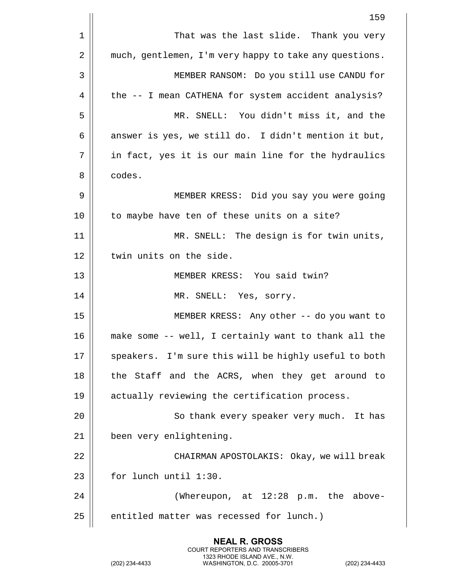|    | 159                                                    |
|----|--------------------------------------------------------|
| 1  | That was the last slide. Thank you very                |
| 2  | much, gentlemen, I'm very happy to take any questions. |
| 3  | MEMBER RANSOM: Do you still use CANDU for              |
| 4  | the -- I mean CATHENA for system accident analysis?    |
| 5  | MR. SNELL: You didn't miss it, and the                 |
| 6  | answer is yes, we still do. I didn't mention it but,   |
| 7  | in fact, yes it is our main line for the hydraulics    |
| 8  | codes.                                                 |
| 9  | MEMBER KRESS: Did you say you were going               |
| 10 | to maybe have ten of these units on a site?            |
| 11 | MR. SNELL: The design is for twin units,               |
| 12 | twin units on the side.                                |
| 13 | MEMBER KRESS: You said twin?                           |
| 14 | MR. SNELL: Yes, sorry.                                 |
| 15 | MEMBER KRESS: Any other -- do you want to              |
| 16 | make some -- well, I certainly want to thank all the   |
| 17 | speakers. I'm sure this will be highly useful to both  |
| 18 | the Staff and the ACRS, when they get around to        |
| 19 | actually reviewing the certification process.          |
| 20 | So thank every speaker very much. It has               |
| 21 | been very enlightening.                                |
| 22 | CHAIRMAN APOSTOLAKIS: Okay, we will break              |
| 23 | for lunch until 1:30.                                  |
| 24 | (Whereupon, at 12:28 p.m. the above-                   |
| 25 | entitled matter was recessed for lunch.)               |
|    |                                                        |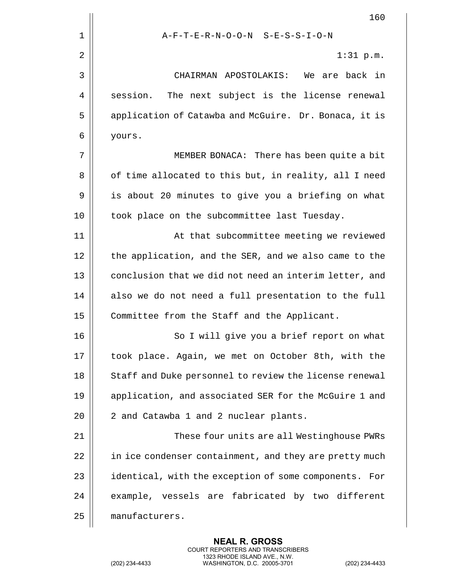|    | 160                                                      |
|----|----------------------------------------------------------|
| 1  | A-F-T-E-R-N-O-O-N S-E-S-S-I-O-N                          |
| 2  | $1:31$ p.m.                                              |
| 3  | CHAIRMAN APOSTOLAKIS:<br>We are back in                  |
| 4  | session.<br>The next subject is the license renewal      |
| 5  | application of Catawba and McGuire. Dr. Bonaca, it is    |
| 6  | yours.                                                   |
| 7  | MEMBER BONACA: There has been quite a bit                |
| 8  | of time allocated to this but, in reality, all I need    |
| 9  | is about 20 minutes to give you a briefing on what       |
| 10 | took place on the subcommittee last Tuesday.             |
| 11 | At that subcommittee meeting we reviewed                 |
| 12 | the application, and the SER, and we also came to the    |
| 13 | conclusion that we did not need an interim letter, and   |
| 14 | also we do not need a full presentation to the full      |
| 15 | Committee from the Staff and the Applicant.              |
| 16 | So I will give you a brief report on what                |
| 17 | took place. Again, we met on October 8th, with the       |
| 18 | Staff and Duke personnel to review the license renewal   |
| 19 | application, and associated SER for the McGuire 1 and    |
| 20 | 2 and Catawba 1 and 2 nuclear plants.                    |
| 21 | These four units are all Westinghouse PWRs               |
| 22 | in ice condenser containment, and they are pretty much   |
| 23 | identical, with the exception of some components.<br>For |
| 24 | example, vessels are fabricated by two different         |
| 25 | manufacturers.                                           |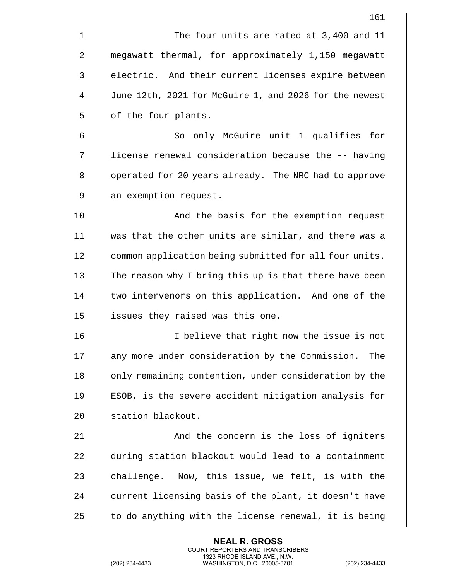|             | 161                                                    |
|-------------|--------------------------------------------------------|
| $\mathbf 1$ | The four units are rated at 3,400 and 11               |
| 2           | megawatt thermal, for approximately 1,150 megawatt     |
| 3           | electric. And their current licenses expire between    |
| 4           | June 12th, 2021 for McGuire 1, and 2026 for the newest |
| 5           | of the four plants.                                    |
| 6           | So only McGuire unit 1 qualifies for                   |
| 7           | license renewal consideration because the -- having    |
| 8           | operated for 20 years already. The NRC had to approve  |
| 9           | an exemption request.                                  |
| 10          | And the basis for the exemption request                |
| 11          | was that the other units are similar, and there was a  |
| 12          | common application being submitted for all four units. |
| 13          | The reason why I bring this up is that there have been |
| 14          | two intervenors on this application. And one of the    |
| 15          | issues they raised was this one.                       |
| 16          | I believe that right now the issue is not              |
| 17          | any more under consideration by the Commission.<br>The |
| 18          | only remaining contention, under consideration by the  |
| 19          | ESOB, is the severe accident mitigation analysis for   |
| 20          | station blackout.                                      |
| 21          | And the concern is the loss of igniters                |
| 22          | during station blackout would lead to a containment    |
| 23          | challenge.<br>Now, this issue, we felt, is with the    |
| 24          | current licensing basis of the plant, it doesn't have  |
| 25          | to do anything with the license renewal, it is being   |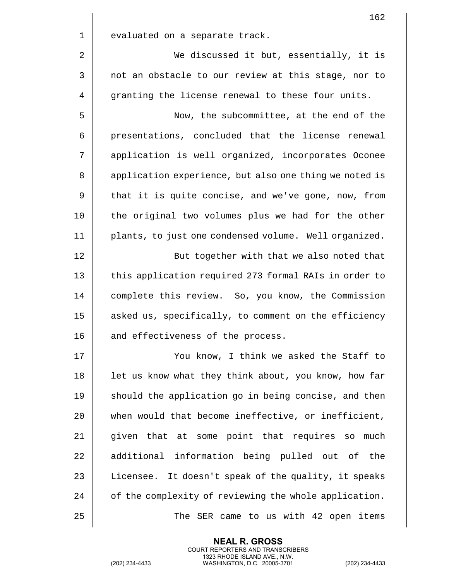|             | 162                                                    |
|-------------|--------------------------------------------------------|
| $\mathbf 1$ | evaluated on a separate track.                         |
| 2           | We discussed it but, essentially, it is                |
| 3           | not an obstacle to our review at this stage, nor to    |
| 4           | granting the license renewal to these four units.      |
| 5           | Now, the subcommittee, at the end of the               |
| 6           | presentations, concluded that the license renewal      |
| 7           | application is well organized, incorporates Oconee     |
| 8           | application experience, but also one thing we noted is |
| 9           | that it is quite concise, and we've gone, now, from    |
| 10          | the original two volumes plus we had for the other     |
| 11          | plants, to just one condensed volume. Well organized.  |
| 12          | But together with that we also noted that              |
| 13          | this application required 273 formal RAIs in order to  |
| 14          | complete this review. So, you know, the Commission     |
| 15          | asked us, specifically, to comment on the efficiency   |
| 16          | and effectiveness of the process.                      |
| 17          | You know, I think we asked the Staff to                |
| 18          | let us know what they think about, you know, how far   |
| 19          | should the application go in being concise, and then   |
| 20          | when would that become ineffective, or inefficient,    |
| 21          | given that at some point that requires so<br>much      |
| 22          | additional information being pulled out of the         |
| 23          | Licensee. It doesn't speak of the quality, it speaks   |
| 24          | of the complexity of reviewing the whole application.  |
| 25          | SER came to us with 42 open items<br>The               |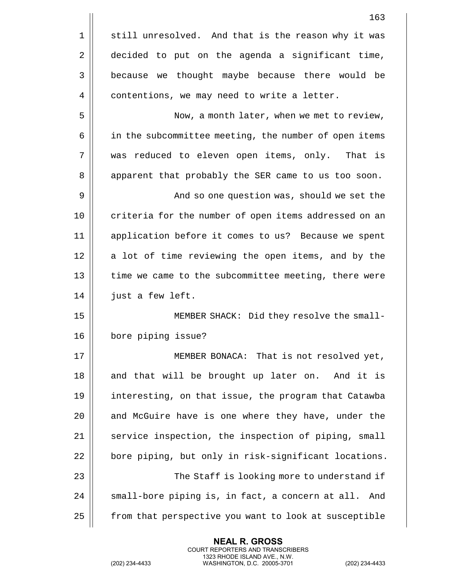|    | 163                                                   |
|----|-------------------------------------------------------|
| 1  | still unresolved. And that is the reason why it was   |
| 2  | decided to put on the agenda a significant time,      |
| 3  | because we thought maybe because there would be       |
| 4  | contentions, we may need to write a letter.           |
| 5  | Now, a month later, when we met to review,            |
| 6  | in the subcommittee meeting, the number of open items |
| 7  | was reduced to eleven open items, only. That is       |
| 8  | apparent that probably the SER came to us too soon.   |
| 9  | And so one question was, should we set the            |
| 10 | criteria for the number of open items addressed on an |
| 11 | application before it comes to us? Because we spent   |
| 12 | a lot of time reviewing the open items, and by the    |
| 13 | time we came to the subcommittee meeting, there were  |
| 14 | just a few left.                                      |
| 15 | MEMBER SHACK: Did they resolve the small-             |
| 16 | bore piping issue?                                    |
| 17 | MEMBER BONACA: That is not resolved yet,              |
| 18 | and that will be brought up later on. And it is       |
| 19 | interesting, on that issue, the program that Catawba  |
| 20 | and McGuire have is one where they have, under the    |
| 21 | service inspection, the inspection of piping, small   |
| 22 | bore piping, but only in risk-significant locations.  |
| 23 | The Staff is looking more to understand if            |
| 24 | small-bore piping is, in fact, a concern at all. And  |
| 25 | from that perspective you want to look at susceptible |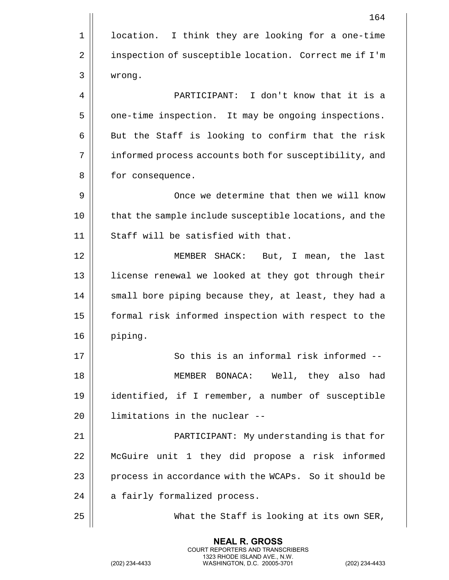|    | 164                                                    |
|----|--------------------------------------------------------|
| 1  | location. I think they are looking for a one-time      |
| 2  | inspection of susceptible location. Correct me if I'm  |
| 3  | wrong.                                                 |
| 4  | PARTICIPANT: I don't know that it is a                 |
| 5  | one-time inspection. It may be ongoing inspections.    |
| 6  | But the Staff is looking to confirm that the risk      |
| 7  | informed process accounts both for susceptibility, and |
| 8  | for consequence.                                       |
| 9  | Once we determine that then we will know               |
| 10 | that the sample include susceptible locations, and the |
| 11 | Staff will be satisfied with that.                     |
| 12 | MEMBER SHACK: But, I mean, the last                    |
| 13 | license renewal we looked at they got through their    |
| 14 | small bore piping because they, at least, they had a   |
| 15 | formal risk informed inspection with respect to the    |
| 16 | piping.                                                |
| 17 | So this is an informal risk informed --                |
| 18 | MEMBER BONACA: Well, they also<br>had                  |
| 19 | identified, if I remember, a number of susceptible     |
| 20 | limitations in the nuclear --                          |
| 21 | PARTICIPANT: My understanding is that for              |
| 22 | McGuire unit 1 they did propose a risk informed        |
| 23 | process in accordance with the WCAPs. So it should be  |
| 24 | a fairly formalized process.                           |
| 25 | What the Staff is looking at its own SER,              |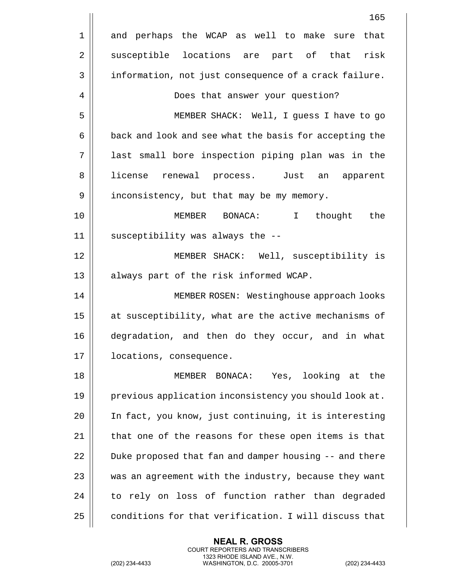|    | 165                                                    |
|----|--------------------------------------------------------|
| 1  | and perhaps the WCAP as well to make sure that         |
| 2  | susceptible locations are part of that risk            |
| 3  | information, not just consequence of a crack failure.  |
| 4  | Does that answer your question?                        |
| 5  | MEMBER SHACK: Well, I guess I have to go               |
| 6  | back and look and see what the basis for accepting the |
| 7  | last small bore inspection piping plan was in the      |
| 8  | license renewal process. Just an apparent              |
| 9  | inconsistency, but that may be my memory.              |
| 10 | $\mathbf{I}$<br>the<br>MEMBER BONACA:<br>thought       |
| 11 | susceptibility was always the --                       |
| 12 | MEMBER SHACK: Well, susceptibility is                  |
| 13 | always part of the risk informed WCAP.                 |
| 14 | MEMBER ROSEN: Westinghouse approach looks              |
| 15 | at susceptibility, what are the active mechanisms of   |
| 16 | degradation, and then do they occur, and in what       |
| 17 | locations, consequence.                                |
| 18 | MEMBER BONACA: Yes, looking at the                     |
| 19 | previous application inconsistency you should look at. |
| 20 | In fact, you know, just continuing, it is interesting  |
| 21 | that one of the reasons for these open items is that   |
| 22 | Duke proposed that fan and damper housing -- and there |
| 23 | was an agreement with the industry, because they want  |
| 24 | to rely on loss of function rather than degraded       |
| 25 | conditions for that verification. I will discuss that  |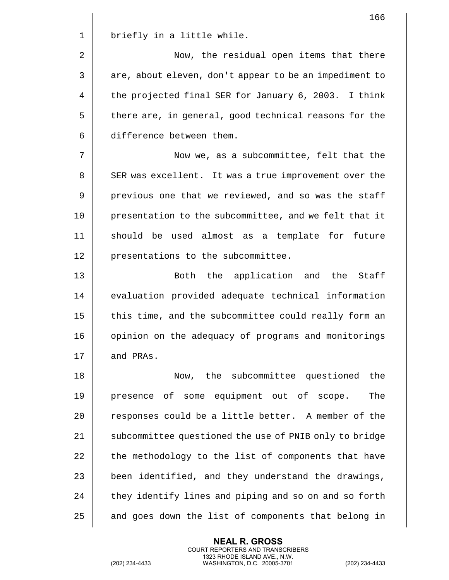|    | 166                                                    |
|----|--------------------------------------------------------|
| 1  | briefly in a little while.                             |
| 2  | Now, the residual open items that there                |
| 3  | are, about eleven, don't appear to be an impediment to |
| 4  | the projected final SER for January 6, 2003. I think   |
| 5  | there are, in general, good technical reasons for the  |
| 6  | difference between them.                               |
| 7  | Now we, as a subcommittee, felt that the               |
| 8  | SER was excellent. It was a true improvement over the  |
| 9  | previous one that we reviewed, and so was the staff    |
| 10 | presentation to the subcommittee, and we felt that it  |
| 11 | should be used almost as a template for future         |
| 12 | presentations to the subcommittee.                     |
| 13 | Both the application and the<br>Staff                  |
| 14 | evaluation provided adequate technical information     |
| 15 | this time, and the subcommittee could really form an   |
| 16 | opinion on the adequacy of programs and monitorings    |
| 17 | and PRAs.                                              |
| 18 | the subcommittee questioned the<br>Now,                |
| 19 | presence of some equipment out of scope.<br>The        |
| 20 | responses could be a little better. A member of the    |
| 21 | subcommittee questioned the use of PNIB only to bridge |
| 22 | the methodology to the list of components that have    |
| 23 | been identified, and they understand the drawings,     |
| 24 | they identify lines and piping and so on and so forth  |
| 25 | and goes down the list of components that belong in    |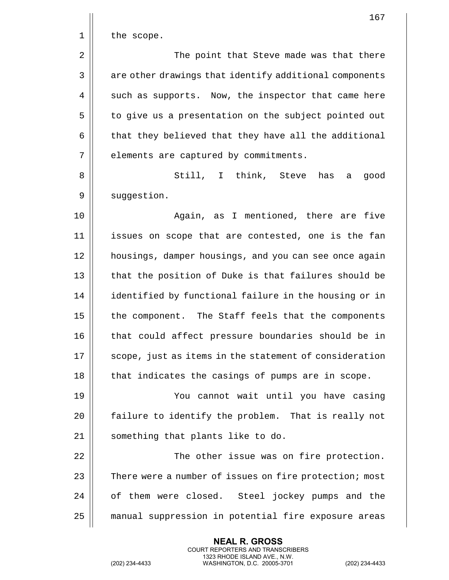|    | 167                                                    |
|----|--------------------------------------------------------|
| 1  | the scope.                                             |
| 2  | The point that Steve made was that there               |
| 3  | are other drawings that identify additional components |
| 4  | such as supports. Now, the inspector that came here    |
| 5  | to give us a presentation on the subject pointed out   |
| 6  | that they believed that they have all the additional   |
| 7  | elements are captured by commitments.                  |
| 8  | Still, I think, Steve<br>has<br>good<br>а              |
| 9  | suggestion.                                            |
| 10 | Again, as I mentioned, there are five                  |
| 11 | issues on scope that are contested, one is the fan     |
| 12 | housings, damper housings, and you can see once again  |
| 13 | that the position of Duke is that failures should be   |
| 14 | identified by functional failure in the housing or in  |
| 15 | the component. The Staff feels that the components     |
| 16 | that could affect pressure boundaries should be in     |
| 17 | scope, just as items in the statement of consideration |
| 18 | that indicates the casings of pumps are in scope.      |
| 19 | You cannot wait until you have casing                  |
| 20 | failure to identify the problem. That is really not    |
| 21 | something that plants like to do.                      |
| 22 | The other issue was on fire protection.                |
| 23 | There were a number of issues on fire protection; most |
| 24 | of them were closed. Steel jockey pumps and the        |
| 25 | manual suppression in potential fire exposure areas    |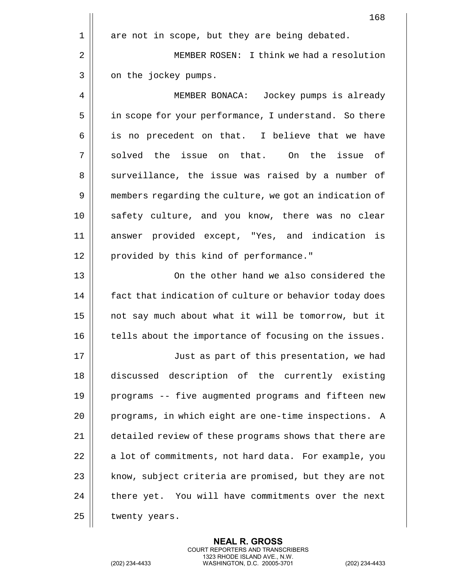|             | 168                                                    |
|-------------|--------------------------------------------------------|
| $\mathbf 1$ | are not in scope, but they are being debated.          |
| 2           | MEMBER ROSEN: I think we had a resolution              |
| 3           | on the jockey pumps.                                   |
| 4           | MEMBER BONACA: Jockey pumps is already                 |
| 5           | in scope for your performance, I understand. So there  |
| 6           | is no precedent on that. I believe that we have        |
| 7           | solved the issue on that. On the issue<br>of           |
| 8           | surveillance, the issue was raised by a number of      |
| 9           | members regarding the culture, we got an indication of |
| 10          | safety culture, and you know, there was no clear       |
| 11          | answer provided except, "Yes, and indication is        |
| 12          | provided by this kind of performance."                 |
| 13          | On the other hand we also considered the               |
| 14          | fact that indication of culture or behavior today does |
| 15          | not say much about what it will be tomorrow, but it    |
| 16          | tells about the importance of focusing on the issues.  |
| 17          | Just as part of this presentation, we had              |
| 18          | discussed description of the currently existing        |
| 19          | programs -- five augmented programs and fifteen new    |
| 20          | programs, in which eight are one-time inspections. A   |
| 21          | detailed review of these programs shows that there are |
| 22          | a lot of commitments, not hard data. For example, you  |
| 23          | know, subject criteria are promised, but they are not  |
| 24          | there yet. You will have commitments over the next     |
| 25          | twenty years.                                          |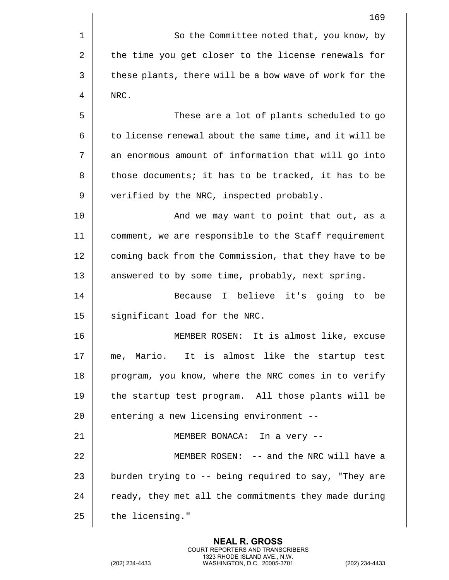1 | So the Committee noted that, you know, by 2 | the time you get closer to the license renewals for 3 | these plants, there will be a bow wave of work for the 4 | NRC. 5 These are a lot of plants scheduled to go  $6 \parallel$  to license renewal about the same time, and it will be 7 || an enormous amount of information that will go into 8 | those documents; it has to be tracked, it has to be 9 | verified by the NRC, inspected probably. 10 And we may want to point that out, as a 11 comment, we are responsible to the Staff requirement 12 | coming back from the Commission, that they have to be 13  $\parallel$  answered to by some time, probably, next spring. 14 || Because I believe it's going to be 15 | significant load for the NRC. 16 MEMBER ROSEN: It is almost like, excuse 17 me, Mario. It is almost like the startup test 18 || program, you know, where the NRC comes in to verify 19 || the startup test program. All those plants will be  $20$  || entering a new licensing environment --21 || MEMBER BONACA: In a very --22 MEMBER ROSEN: -- and the NRC will have a 23  $\parallel$  burden trying to -- being required to say, "They are 24  $\parallel$  ready, they met all the commitments they made during  $25$  | the licensing."

> **NEAL R. GROSS** COURT REPORTERS AND TRANSCRIBERS 1323 RHODE ISLAND AVE., N.W.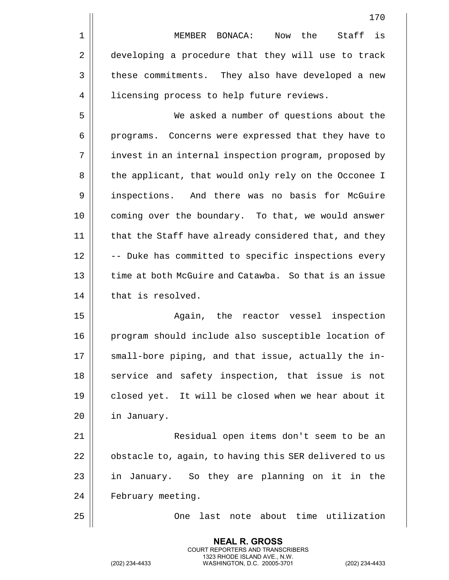|                | 170                                                    |
|----------------|--------------------------------------------------------|
| $1\,$          | is<br>Now the<br>Staff<br>MEMBER BONACA:               |
| $\overline{2}$ | developing a procedure that they will use to track     |
| 3              | these commitments. They also have developed a new      |
| 4              | licensing process to help future reviews.              |
| 5              | We asked a number of questions about the               |
| 6              | programs. Concerns were expressed that they have to    |
| 7              | invest in an internal inspection program, proposed by  |
| 8              | the applicant, that would only rely on the Occonee I   |
| 9              | inspections. And there was no basis for McGuire        |
| 10             | coming over the boundary. To that, we would answer     |
| 11             | that the Staff have already considered that, and they  |
| 12             | -- Duke has committed to specific inspections every    |
| 13             | time at both McGuire and Catawba. So that is an issue  |
| 14             | that is resolved.                                      |
| 15             | Again, the reactor vessel<br>inspection                |
| 16             | program should include also susceptible location of    |
| 17             | small-bore piping, and that issue, actually the in-    |
| 18             | service and safety inspection, that issue is not       |
| 19             | closed yet. It will be closed when we hear about it    |
| 20             | in January.                                            |
| 21             | Residual open items don't seem to be an                |
| 22             | obstacle to, again, to having this SER delivered to us |
| 23             | in January. So they are planning on it in the          |
| 24             | February meeting.                                      |
| 25             | last note about time utilization<br>One                |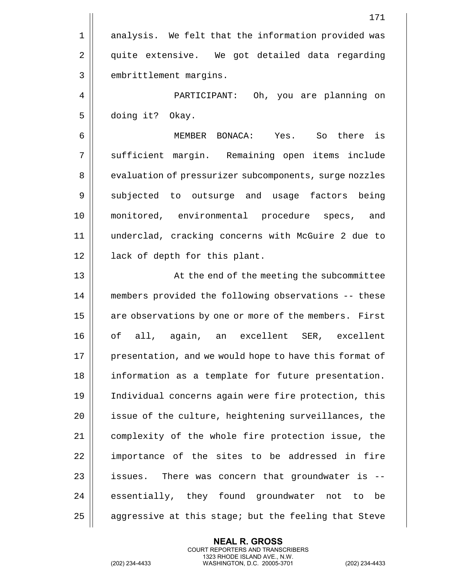|                | 171                                                    |
|----------------|--------------------------------------------------------|
| $\mathbf 1$    | analysis. We felt that the information provided was    |
| $\overline{2}$ | quite extensive. We got detailed data regarding        |
| 3              | embrittlement margins.                                 |
| 4              | PARTICIPANT: Oh, you are planning on                   |
| 5              | doing it? Okay.                                        |
| 6              | MEMBER BONACA: Yes. So there is                        |
| 7              | sufficient margin. Remaining open items include        |
| 8              | evaluation of pressurizer subcomponents, surge nozzles |
| 9              | subjected to outsurge and usage factors being          |
| 10             | monitored, environmental procedure specs,<br>and       |
| 11             | underclad, cracking concerns with McGuire 2 due to     |
| 12             | lack of depth for this plant.                          |
| 13             | At the end of the meeting the subcommittee             |
| 14             | members provided the following observations -- these   |
| 15             | are observations by one or more of the members. First  |
| 16             | of all, again, an excellent SER, excellent             |
| 17             | presentation, and we would hope to have this format of |
| 18             | information as a template for future presentation.     |
| 19             | Individual concerns again were fire protection, this   |
| 20             | issue of the culture, heightening surveillances, the   |
| 21             | complexity of the whole fire protection issue, the     |
| 22             | importance of the sites to be addressed in fire        |
| 23             | issues. There was concern that groundwater is --       |
| 24             | essentially, they found groundwater not to be          |
| 25             | aggressive at this stage; but the feeling that Steve   |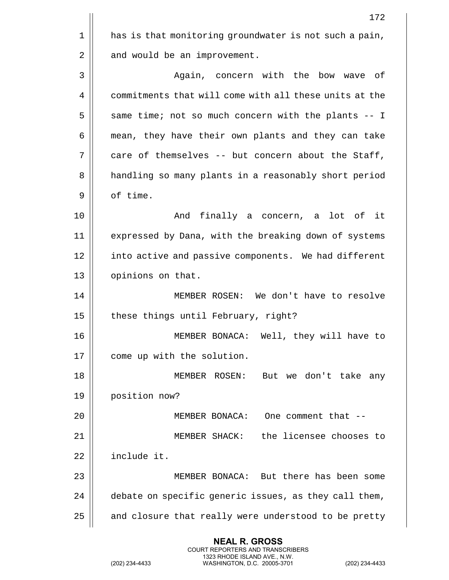| 172                                                    |
|--------------------------------------------------------|
| has is that monitoring groundwater is not such a pain, |
| and would be an improvement.                           |
| Again, concern with the bow wave of                    |
| commitments that will come with all these units at the |
| same time; not so much concern with the plants -- I    |
| mean, they have their own plants and they can take     |
| care of themselves -- but concern about the Staff,     |
| handling so many plants in a reasonably short period   |
| of time.                                               |
| And finally a concern, a lot of it                     |
| expressed by Dana, with the breaking down of systems   |
| into active and passive components. We had different   |
| opinions on that.                                      |
| MEMBER ROSEN: We don't have to resolve                 |
| these things until February, right?                    |
| Well, they will have to<br>MEMBER BONACA:              |
| come up with the solution.                             |
| MEMBER ROSEN: But we don't take any                    |
| position now?                                          |
| MEMBER BONACA: One comment that --                     |
| the licensee chooses to<br>MEMBER SHACK:               |
| include it.                                            |
| MEMBER BONACA: But there has been some                 |
| debate on specific generic issues, as they call them,  |
| and closure that really were understood to be pretty   |
|                                                        |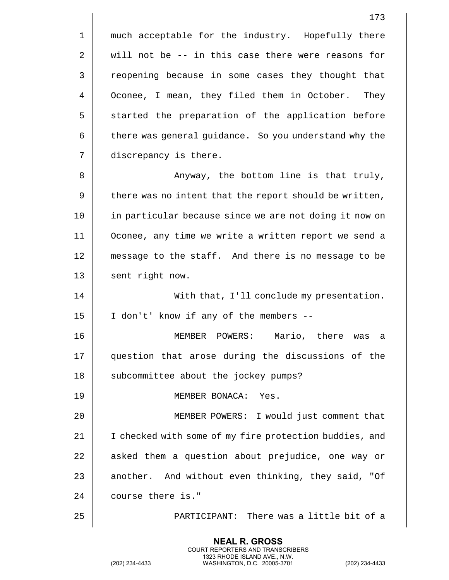1 || much acceptable for the industry. Hopefully there  $2 \parallel$  will not be -- in this case there were reasons for 3 | reopening because in some cases they thought that 4 | Oconee, I mean, they filed them in October. They 5 S is started the preparation of the application before 6 | there was general guidance. So you understand why the 7 | discrepancy is there. 8 || Anyway, the bottom line is that truly,  $9 \parallel$  there was no intent that the report should be written, 10 in particular because since we are not doing it now on 11 Oconee, any time we write a written report we send a 12 message to the staff. And there is no message to be 13 | sent right now. 14 || With that, I'll conclude my presentation.  $15$  | I don't' know if any of the members --16 MEMBER POWERS: Mario, there was a 17 question that arose during the discussions of the 18 || subcommittee about the jockey pumps? 19 MEMBER BONACA: Yes. 20 MEMBER POWERS: I would just comment that 21 || I checked with some of my fire protection buddies, and 22 || asked them a question about prejudice, one way or 23  $\parallel$  another. And without even thinking, they said, "Of 24 course there is." 25 || PARTICIPANT: There was a little bit of a

> **NEAL R. GROSS** COURT REPORTERS AND TRANSCRIBERS 1323 RHODE ISLAND AVE., N.W.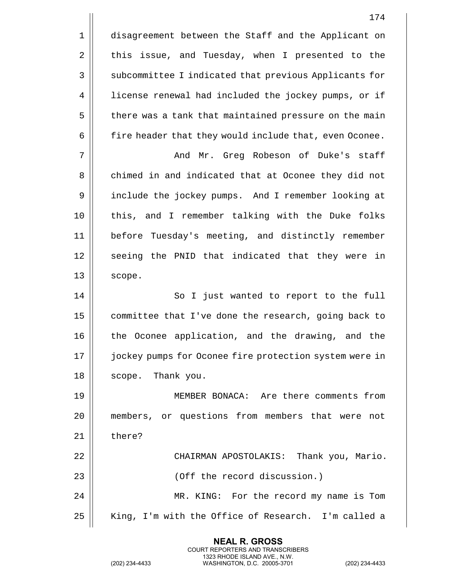1 | disagreement between the Staff and the Applicant on 2 this issue, and Tuesday, when I presented to the 3 | subcommittee I indicated that previous Applicants for 4 | license renewal had included the jockey pumps, or if 5 | there was a tank that maintained pressure on the main  $6 \parallel$  fire header that they would include that, even Oconee. 7 And Mr. Greg Robeson of Duke's staff 8 chimed in and indicated that at Oconee they did not 9 include the jockey pumps. And I remember looking at 10 || this, and I remember talking with the Duke folks 11 before Tuesday's meeting, and distinctly remember 12 || seeing the PNID that indicated that they were in  $13 \parallel$  scope. 14 || So I just wanted to report to the full 15 committee that I've done the research, going back to 16 || the Oconee application, and the drawing, and the 17 || jockey pumps for Oconee fire protection system were in 18 || scope. Thank you. 19 MEMBER BONACA: Are there comments from 20 members, or questions from members that were not 21 l there? 22 CHAIRMAN APOSTOLAKIS: Thank you, Mario. 23 || (Off the record discussion.) 24 MR. KING: For the record my name is Tom 25 || King, I'm with the Office of Research. I'm called a

> **NEAL R. GROSS** COURT REPORTERS AND TRANSCRIBERS 1323 RHODE ISLAND AVE., N.W.

(202) 234-4433 WASHINGTON, D.C. 20005-3701 (202) 234-4433

174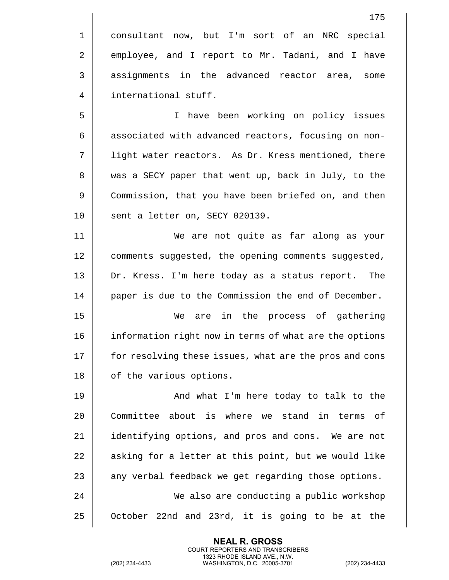1 || consultant now, but I'm sort of an NRC special 2 employee, and I report to Mr. Tadani, and I have 3 || assignments in the advanced reactor area, some 4 | international stuff.

5 I have been working on policy issues 6 | associated with advanced reactors, focusing on non-7 || light water reactors. As Dr. Kress mentioned, there 8 was a SECY paper that went up, back in July, to the 9 | Commission, that you have been briefed on, and then 10 || sent a letter on, SECY 020139.

11 We are not quite as far along as your 12 | comments suggested, the opening comments suggested, 13 Dr. Kress. I'm here today as a status report. The 14 | paper is due to the Commission the end of December.

15 We are in the process of gathering 16 information right now in terms of what are the options 17 || for resolving these issues, what are the pros and cons 18 | of the various options.

19 || And what I'm here today to talk to the 20 Committee about is where we stand in terms of 21 | identifying options, and pros and cons. We are not 22 | asking for a letter at this point, but we would like  $23$   $\parallel$  any verbal feedback we get regarding those options. 24 We also are conducting a public workshop  $25$  | October 22nd and 23rd, it is going to be at the

> **NEAL R. GROSS** COURT REPORTERS AND TRANSCRIBERS 1323 RHODE ISLAND AVE., N.W.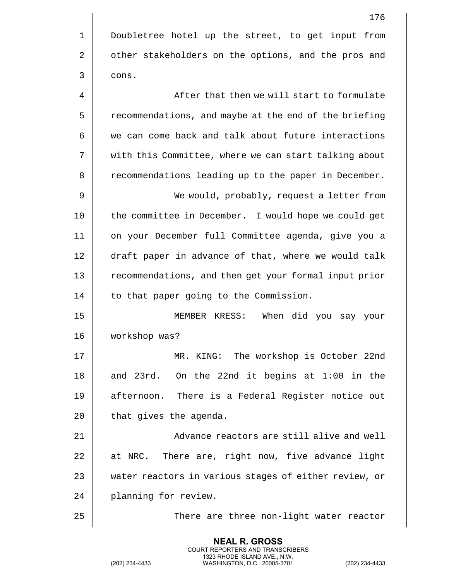1 | Doubletree hotel up the street, to get input from 2 | other stakeholders on the options, and the pros and  $3 \parallel \cdot \cdot \cdot$ 4 || After that then we will start to formulate 5 | recommendations, and maybe at the end of the briefing 6 we can come back and talk about future interactions 7 || with this Committee, where we can start talking about 8 | recommendations leading up to the paper in December. 9 We would, probably, request a letter from 10 the committee in December. I would hope we could get 11 on your December full Committee agenda, give you a 12 || draft paper in advance of that, where we would talk 13 recommendations, and then get your formal input prior 14 | to that paper going to the Commission. 15 MEMBER KRESS: When did you say your 16 workshop was? 17 MR. KING: The workshop is October 22nd  $18$  and 23rd. On the 22nd it begins at 1:00 in the 19 || afternoon. There is a Federal Register notice out  $20$  | that gives the agenda. 21 || Advance reactors are still alive and well  $22$  || at NRC. There are, right now, five advance light 23 || water reactors in various stages of either review, or 24 || planning for review. 25 | There are three non-light water reactor

> **NEAL R. GROSS** COURT REPORTERS AND TRANSCRIBERS 1323 RHODE ISLAND AVE., N.W.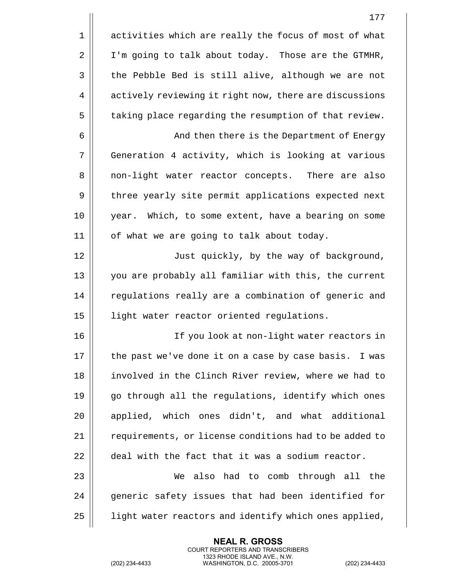|    | 177                                                    |
|----|--------------------------------------------------------|
| 1  | activities which are really the focus of most of what  |
| 2  | I'm going to talk about today. Those are the GTMHR,    |
| 3  | the Pebble Bed is still alive, although we are not     |
| 4  | actively reviewing it right now, there are discussions |
| 5  | taking place regarding the resumption of that review.  |
| 6  | And then there is the Department of Energy             |
| 7  | Generation 4 activity, which is looking at various     |
| 8  | non-light water reactor concepts. There are also       |
| 9  | three yearly site permit applications expected next    |
| 10 | year. Which, to some extent, have a bearing on some    |
| 11 | of what we are going to talk about today.              |
| 12 | Just quickly, by the way of background,                |
| 13 | you are probably all familiar with this, the current   |
| 14 | regulations really are a combination of generic and    |
| 15 | light water reactor oriented regulations.              |
| 16 | If you look at non-light water reactors in             |
| 17 | the past we've done it on a case by case basis. I was  |
| 18 | involved in the Clinch River review, where we had to   |
| 19 | go through all the regulations, identify which ones    |
| 20 | applied, which ones didn't, and what additional        |
| 21 | requirements, or license conditions had to be added to |
| 22 | deal with the fact that it was a sodium reactor.       |
| 23 | also had to comb through all the<br>We                 |
| 24 | generic safety issues that had been identified for     |
| 25 | light water reactors and identify which ones applied,  |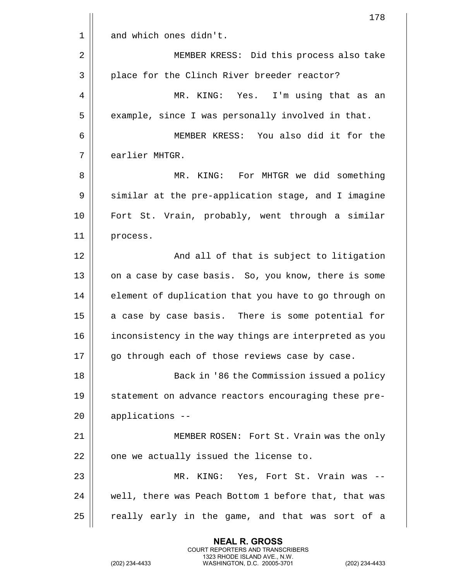|    | 178                                                    |
|----|--------------------------------------------------------|
| 1  | and which ones didn't.                                 |
| 2  | MEMBER KRESS: Did this process also take               |
| 3  | place for the Clinch River breeder reactor?            |
| 4  | MR. KING: Yes. I'm using that as an                    |
| 5  | example, since I was personally involved in that.      |
| 6  | MEMBER KRESS: You also did it for the                  |
| 7  | earlier MHTGR.                                         |
| 8  | MR. KING: For MHTGR we did something                   |
| 9  | similar at the pre-application stage, and I imagine    |
| 10 | Fort St. Vrain, probably, went through a similar       |
| 11 | process.                                               |
| 12 | And all of that is subject to litigation               |
| 13 | on a case by case basis. So, you know, there is some   |
| 14 | element of duplication that you have to go through on  |
| 15 | a case by case basis. There is some potential for      |
| 16 | inconsistency in the way things are interpreted as you |
| 17 | go through each of those reviews case by case.         |
| 18 | Back in '86 the Commission issued a policy             |
| 19 | statement on advance reactors encouraging these pre-   |
| 20 | applications --                                        |
| 21 | MEMBER ROSEN: Fort St. Vrain was the only              |
| 22 | one we actually issued the license to.                 |
| 23 | MR. KING: Yes, Fort St. Vrain was --                   |
| 24 | well, there was Peach Bottom 1 before that, that was   |
| 25 | really early in the game, and that was sort of a       |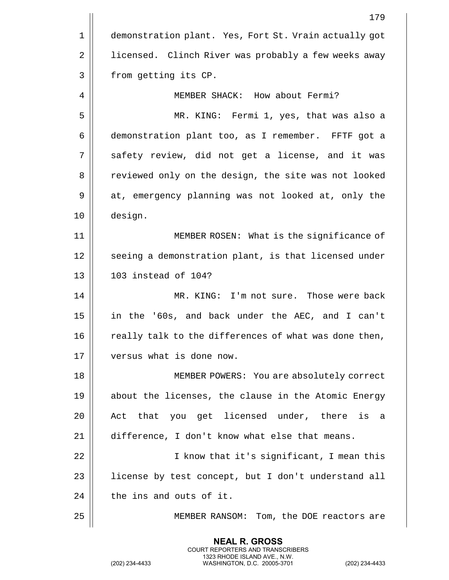|    | 179                                                   |
|----|-------------------------------------------------------|
| 1  | demonstration plant. Yes, Fort St. Vrain actually got |
| 2  | licensed. Clinch River was probably a few weeks away  |
| 3  | from getting its CP.                                  |
| 4  | MEMBER SHACK: How about Fermi?                        |
| 5  | MR. KING: Fermi 1, yes, that was also a               |
| 6  | demonstration plant too, as I remember. FFTF got a    |
| 7  | safety review, did not get a license, and it was      |
| 8  | reviewed only on the design, the site was not looked  |
| 9  | at, emergency planning was not looked at, only the    |
| 10 | design.                                               |
| 11 | MEMBER ROSEN: What is the significance of             |
| 12 | seeing a demonstration plant, is that licensed under  |
| 13 | 103 instead of 104?                                   |
| 14 | MR. KING: I'm not sure. Those were back               |
| 15 | in the '60s, and back under the AEC, and I can't      |
| 16 | really talk to the differences of what was done then, |
| 17 | versus what is done now.                              |
| 18 | MEMBER POWERS: You are absolutely correct             |
| 19 | about the licenses, the clause in the Atomic Energy   |
| 20 | Act that you get licensed under, there is<br>- a      |
| 21 | difference, I don't know what else that means.        |
| 22 | I know that it's significant, I mean this             |
| 23 | license by test concept, but I don't understand all   |
| 24 | the ins and outs of it.                               |
| 25 | MEMBER RANSOM: Tom, the DOE reactors are              |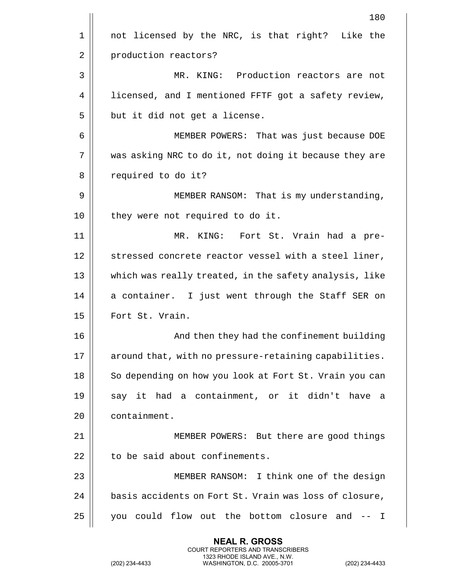|    | 180                                                    |
|----|--------------------------------------------------------|
| 1  | not licensed by the NRC, is that right? Like the       |
| 2  | production reactors?                                   |
| 3  | MR. KING: Production reactors are not                  |
| 4  | licensed, and I mentioned FFTF got a safety review,    |
| 5  | but it did not get a license.                          |
| 6  | MEMBER POWERS: That was just because DOE               |
| 7  | was asking NRC to do it, not doing it because they are |
| 8  | required to do it?                                     |
| 9  | MEMBER RANSOM: That is my understanding,               |
| 10 | they were not required to do it.                       |
| 11 | MR.<br>KING: Fort St. Vrain had a pre-                 |
| 12 | stressed concrete reactor vessel with a steel liner,   |
| 13 | which was really treated, in the safety analysis, like |
| 14 | a container. I just went through the Staff SER on      |
| 15 | Fort St. Vrain.                                        |
| 16 | And then they had the confinement building             |
| 17 | around that, with no pressure-retaining capabilities.  |
| 18 | So depending on how you look at Fort St. Vrain you can |
| 19 | say it had a containment, or it didn't have a          |
| 20 | containment.                                           |
| 21 | MEMBER POWERS: But there are good things               |
| 22 | to be said about confinements.                         |
| 23 | MEMBER RANSOM: I think one of the design               |
| 24 | basis accidents on Fort St. Vrain was loss of closure, |
| 25 | you could flow out the bottom closure and<br>$---$ I   |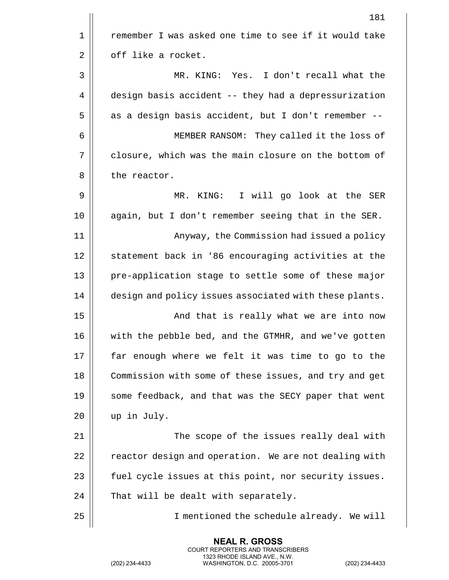|    | 181                                                    |
|----|--------------------------------------------------------|
| 1  | remember I was asked one time to see if it would take  |
| 2  | off like a rocket.                                     |
| 3  | MR. KING: Yes. I don't recall what the                 |
| 4  | design basis accident -- they had a depressurization   |
| 5  | as a design basis accident, but I don't remember --    |
| 6  | MEMBER RANSOM: They called it the loss of              |
| 7  | closure, which was the main closure on the bottom of   |
| 8  | the reactor.                                           |
| 9  | I will go look at the SER<br>KING:<br>$MR$ .           |
| 10 | again, but I don't remember seeing that in the SER.    |
| 11 | Anyway, the Commission had issued a policy             |
| 12 | statement back in '86 encouraging activities at the    |
| 13 | pre-application stage to settle some of these major    |
| 14 | design and policy issues associated with these plants. |
| 15 | And that is really what we are into now                |
| 16 | with the pebble bed, and the GTMHR, and we've gotten   |
| 17 | far enough where we felt it was time to go to the      |
| 18 | Commission with some of these issues, and try and get  |
| 19 | some feedback, and that was the SECY paper that went   |
| 20 | up in July.                                            |
| 21 | The scope of the issues really deal with               |
| 22 | reactor design and operation. We are not dealing with  |
| 23 | fuel cycle issues at this point, nor security issues.  |
| 24 | That will be dealt with separately.                    |
| 25 | I mentioned the schedule already. We will              |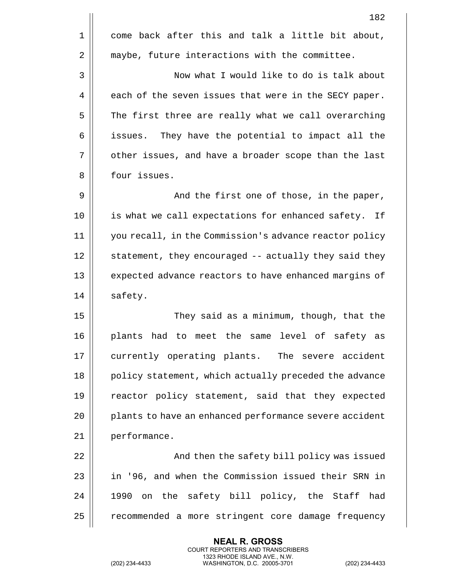|    | 182                                                    |
|----|--------------------------------------------------------|
| 1  | come back after this and talk a little bit about,      |
| 2  | maybe, future interactions with the committee.         |
| 3  | Now what I would like to do is talk about              |
| 4  | each of the seven issues that were in the SECY paper.  |
| 5  | The first three are really what we call overarching    |
| 6  | They have the potential to impact all the<br>issues.   |
| 7  | other issues, and have a broader scope than the last   |
| 8  | four issues.                                           |
| 9  | And the first one of those, in the paper,              |
| 10 | is what we call expectations for enhanced safety. If   |
| 11 | you recall, in the Commission's advance reactor policy |
| 12 | statement, they encouraged -- actually they said they  |
| 13 | expected advance reactors to have enhanced margins of  |
| 14 | safety.                                                |
| 15 | They said as a minimum, though, that the               |
| 16 | had to meet the<br>same level of safety as<br>plants   |
| 17 | currently operating plants. The severe accident        |
| 18 | policy statement, which actually preceded the advance  |
| 19 | reactor policy statement, said that they expected      |
| 20 | plants to have an enhanced performance severe accident |
| 21 | performance.                                           |
| 22 | And then the safety bill policy was issued             |
| 23 | in '96, and when the Commission issued their SRN in    |
| 24 | 1990 on the safety bill policy, the Staff had          |
| 25 | recommended a more stringent core damage frequency     |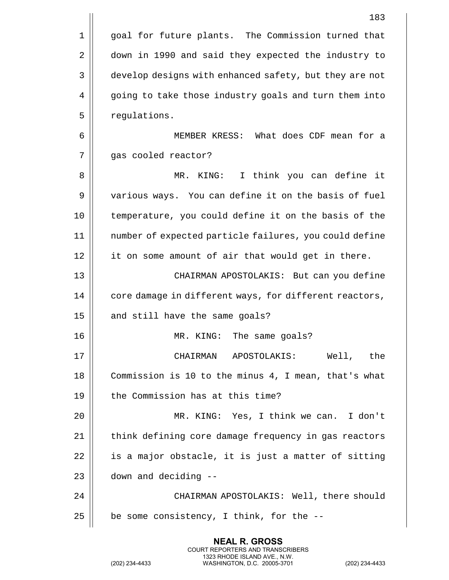|    | 183                                                    |
|----|--------------------------------------------------------|
| 1  | goal for future plants. The Commission turned that     |
| 2  | down in 1990 and said they expected the industry to    |
| 3  | develop designs with enhanced safety, but they are not |
| 4  | going to take those industry goals and turn them into  |
| 5  | regulations.                                           |
| 6  | MEMBER KRESS: What does CDF mean for a                 |
| 7  | gas cooled reactor?                                    |
| 8  | I think you can define it<br>MR.<br>KING:              |
| 9  | various ways. You can define it on the basis of fuel   |
| 10 | temperature, you could define it on the basis of the   |
| 11 | number of expected particle failures, you could define |
| 12 | it on some amount of air that would get in there.      |
| 13 | CHAIRMAN APOSTOLAKIS: But can you define               |
| 14 | core damage in different ways, for different reactors, |
| 15 | and still have the same goals?                         |
| 16 | The same goals?<br>MR.<br>KING:                        |
| 17 | CHAIRMAN APOSTOLAKIS: Well, the                        |
| 18 | Commission is 10 to the minus 4, I mean, that's what   |
| 19 | the Commission has at this time?                       |
| 20 | MR. KING: Yes, I think we can. I don't                 |
| 21 | think defining core damage frequency in gas reactors   |
| 22 | is a major obstacle, it is just a matter of sitting    |
| 23 | down and deciding --                                   |
| 24 | CHAIRMAN APOSTOLAKIS: Well, there should               |
| 25 | be some consistency, I think, for the --               |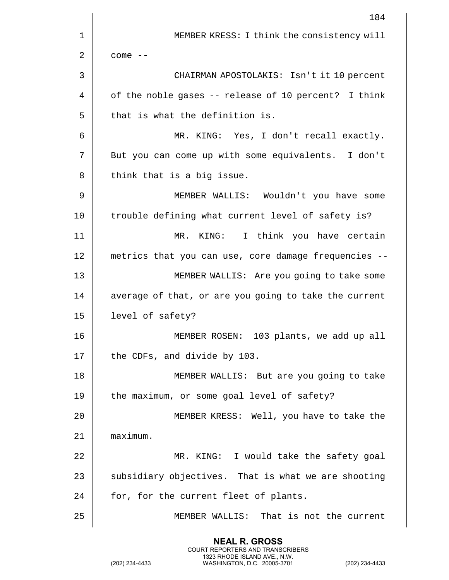|    | 184                                                   |
|----|-------------------------------------------------------|
| 1  | MEMBER KRESS: I think the consistency will            |
| 2  | $come - -$                                            |
| 3  | CHAIRMAN APOSTOLAKIS: Isn't it 10 percent             |
| 4  | of the noble gases -- release of 10 percent? I think  |
| 5  | that is what the definition is.                       |
| 6  | MR. KING: Yes, I don't recall exactly.                |
| 7  | But you can come up with some equivalents. I don't    |
| 8  | think that is a big issue.                            |
| 9  | MEMBER WALLIS: Wouldn't you have some                 |
| 10 | trouble defining what current level of safety is?     |
| 11 | MR. KING:<br>I think you have certain                 |
| 12 | metrics that you can use, core damage frequencies --  |
| 13 | MEMBER WALLIS: Are you going to take some             |
| 14 | average of that, or are you going to take the current |
| 15 | level of safety?                                      |
| 16 | MEMBER ROSEN:<br>103 plants, we add up all            |
| 17 | the CDFs, and divide by 103.                          |
| 18 | MEMBER WALLIS: But are you going to take              |
| 19 | the maximum, or some goal level of safety?            |
| 20 | MEMBER KRESS: Well, you have to take the              |
| 21 | maximum.                                              |
| 22 | MR. KING: I would take the safety goal                |
| 23 | subsidiary objectives. That is what we are shooting   |
| 24 | for, for the current fleet of plants.                 |
| 25 | MEMBER WALLIS: That is not the current                |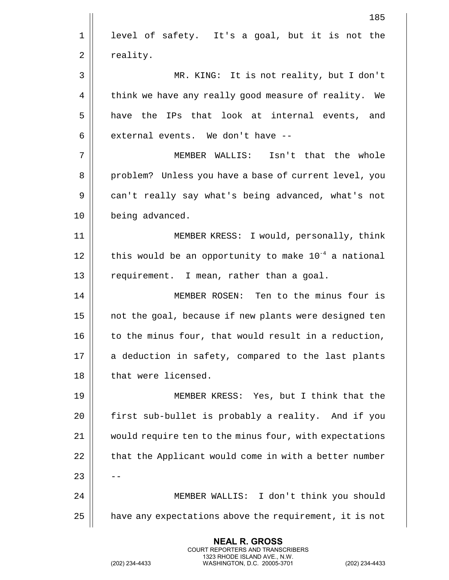|    | 185                                                       |
|----|-----------------------------------------------------------|
| 1  | level of safety. It's a goal, but it is not the           |
| 2  | reality.                                                  |
| 3  | MR. KING: It is not reality, but I don't                  |
| 4  | think we have any really good measure of reality. We      |
| 5  | have the IPs that look at internal events, and            |
| 6  | external events. We don't have --                         |
| 7  | MEMBER WALLIS: Isn't that the whole                       |
| 8  | problem? Unless you have a base of current level, you     |
| 9  | can't really say what's being advanced, what's not        |
| 10 | being advanced.                                           |
| 11 | MEMBER KRESS: I would, personally, think                  |
| 12 | this would be an opportunity to make $10^{-4}$ a national |
| 13 | requirement. I mean, rather than a goal.                  |
| 14 | MEMBER ROSEN: Ten to the minus four is                    |
| 15 | not the goal, because if new plants were designed ten     |
| 16 | to the minus four, that would result in a reduction,      |
| 17 | a deduction in safety, compared to the last plants        |
| 18 | that were licensed.                                       |
| 19 | MEMBER KRESS: Yes, but I think that the                   |
| 20 | first sub-bullet is probably a reality. And if you        |
| 21 | would require ten to the minus four, with expectations    |
| 22 | that the Applicant would come in with a better number     |
| 23 |                                                           |
| 24 | MEMBER WALLIS: I don't think you should                   |
| 25 | have any expectations above the requirement, it is not    |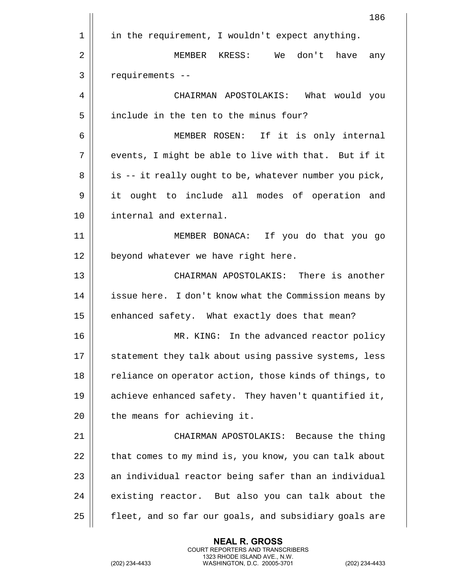|    | 186                                                    |
|----|--------------------------------------------------------|
| 1  | in the requirement, I wouldn't expect anything.        |
| 2  | MEMBER KRESS: We don't have<br>any                     |
| 3  | requirements --                                        |
| 4  | CHAIRMAN APOSTOLAKIS: What would you                   |
| 5  | include in the ten to the minus four?                  |
| 6  | MEMBER ROSEN: If it is only internal                   |
| 7  | events, I might be able to live with that. But if it   |
| 8  | is -- it really ought to be, whatever number you pick, |
| 9  | it ought to include all modes of operation and         |
| 10 | internal and external.                                 |
| 11 | MEMBER BONACA: If you do that you go                   |
| 12 | beyond whatever we have right here.                    |
| 13 | CHAIRMAN APOSTOLAKIS: There is another                 |
| 14 | issue here. I don't know what the Commission means by  |
| 15 | enhanced safety. What exactly does that mean?          |
| 16 | MR. KING: In the advanced reactor policy               |
| 17 | statement they talk about using passive systems, less  |
| 18 | reliance on operator action, those kinds of things, to |
| 19 | achieve enhanced safety. They haven't quantified it,   |
| 20 | the means for achieving it.                            |
| 21 | CHAIRMAN APOSTOLAKIS: Because the thing                |
| 22 | that comes to my mind is, you know, you can talk about |
| 23 | an individual reactor being safer than an individual   |
| 24 | existing reactor. But also you can talk about the      |
| 25 | fleet, and so far our goals, and subsidiary goals are  |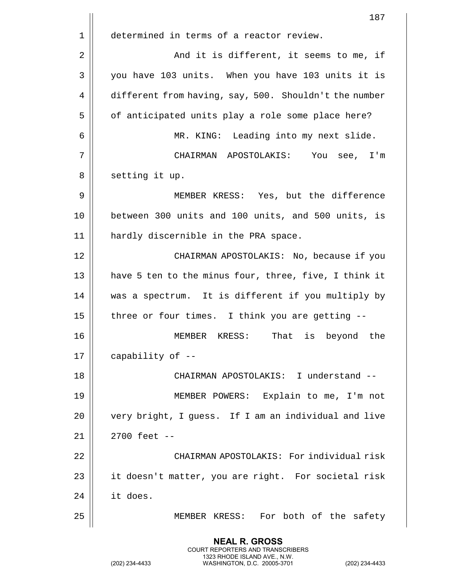|    | 187                                                   |
|----|-------------------------------------------------------|
| 1  | determined in terms of a reactor review.              |
| 2  | And it is different, it seems to me, if               |
| 3  | you have 103 units. When you have 103 units it is     |
| 4  | different from having, say, 500. Shouldn't the number |
| 5  | of anticipated units play a role some place here?     |
| 6  | MR. KING: Leading into my next slide.                 |
| 7  | CHAIRMAN APOSTOLAKIS: You see, I'm                    |
| 8  | setting it up.                                        |
| 9  | MEMBER KRESS: Yes, but the difference                 |
| 10 | between 300 units and 100 units, and 500 units, is    |
| 11 | hardly discernible in the PRA space.                  |
| 12 | CHAIRMAN APOSTOLAKIS: No, because if you              |
| 13 | have 5 ten to the minus four, three, five, I think it |
| 14 | was a spectrum. It is different if you multiply by    |
| 15 | three or four times. I think you are getting --       |
| 16 | That is beyond<br>the<br>KRESS:<br>MEMBER             |
| 17 | capability of --                                      |
| 18 | CHAIRMAN APOSTOLAKIS: I understand --                 |
| 19 | MEMBER POWERS: Explain to me, I'm not                 |
| 20 | very bright, I guess. If I am an individual and live  |
| 21 | $2700$ feet $-$                                       |
| 22 | CHAIRMAN APOSTOLAKIS: For individual risk             |
| 23 | it doesn't matter, you are right. For societal risk   |
| 24 | it does.                                              |
| 25 | MEMBER KRESS: For both of the safety                  |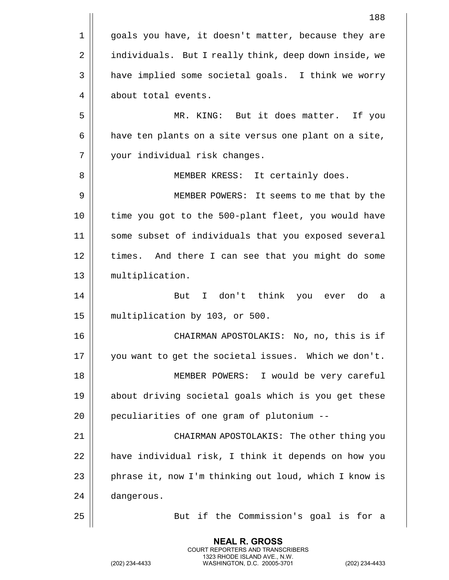|    | 188                                                   |
|----|-------------------------------------------------------|
| 1  | goals you have, it doesn't matter, because they are   |
| 2  | individuals. But I really think, deep down inside, we |
| 3  | have implied some societal goals. I think we worry    |
| 4  | about total events.                                   |
| 5  | MR. KING: But it does matter. If you                  |
| 6  | have ten plants on a site versus one plant on a site, |
| 7  | your individual risk changes.                         |
| 8  | MEMBER KRESS: It certainly does.                      |
| 9  | MEMBER POWERS: It seems to me that by the             |
| 10 | time you got to the 500-plant fleet, you would have   |
| 11 | some subset of individuals that you exposed several   |
| 12 | times. And there I can see that you might do some     |
| 13 | multiplication.                                       |
| 14 | But I don't think you ever do<br>а                    |
| 15 | multiplication by 103, or 500.                        |
| 16 | CHAIRMAN APOSTOLAKIS: No, no, this is if              |
| 17 | you want to get the societal issues. Which we don't.  |
| 18 | MEMBER POWERS: I would be very careful                |
| 19 | about driving societal goals which is you get these   |
| 20 | peculiarities of one gram of plutonium --             |
| 21 | CHAIRMAN APOSTOLAKIS: The other thing you             |
| 22 | have individual risk, I think it depends on how you   |
| 23 | phrase it, now I'm thinking out loud, which I know is |
| 24 | dangerous.                                            |
| 25 | But if the Commission's goal is for a                 |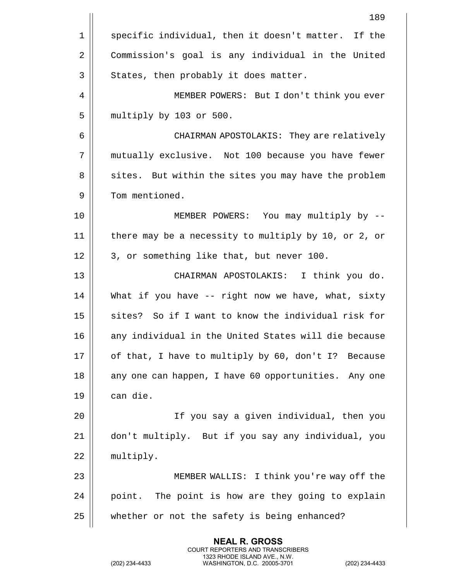|    | 189                                                  |
|----|------------------------------------------------------|
| 1  | specific individual, then it doesn't matter. If the  |
| 2  | Commission's goal is any individual in the United    |
| 3  | States, then probably it does matter.                |
| 4  | MEMBER POWERS: But I don't think you ever            |
| 5  | multiply by 103 or 500.                              |
| 6  | CHAIRMAN APOSTOLAKIS: They are relatively            |
| 7  | mutually exclusive. Not 100 because you have fewer   |
| 8  | sites. But within the sites you may have the problem |
| 9  | Tom mentioned.                                       |
| 10 | MEMBER POWERS: You may multiply by --                |
| 11 | there may be a necessity to multiply by 10, or 2, or |
| 12 | 3, or something like that, but never 100.            |
| 13 | CHAIRMAN APOSTOLAKIS: I think you do.                |
| 14 | What if you have -- right now we have, what, sixty   |
| 15 | sites? So if I want to know the individual risk for  |
| 16 | any individual in the United States will die because |
| 17 | of that, I have to multiply by 60, don't I? Because  |
| 18 | any one can happen, I have 60 opportunities. Any one |
| 19 | can die.                                             |
| 20 | If you say a given individual, then you              |
| 21 | don't multiply. But if you say any individual, you   |
| 22 | multiply.                                            |
| 23 | MEMBER WALLIS: I think you're way off the            |
| 24 | point. The point is how are they going to explain    |
| 25 | whether or not the safety is being enhanced?         |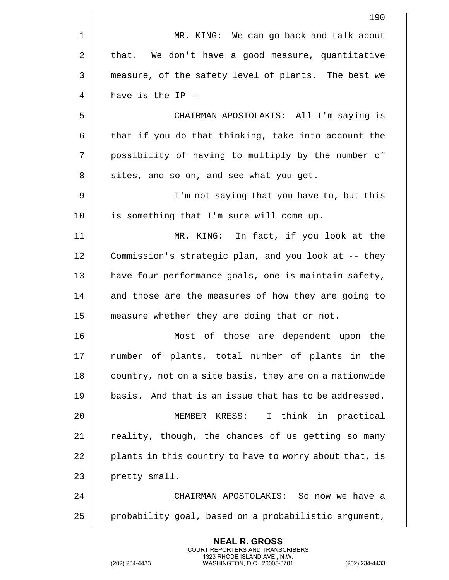|    | 190                                                    |
|----|--------------------------------------------------------|
| 1  | MR. KING: We can go back and talk about                |
| 2  | that. We don't have a good measure, quantitative       |
| 3  | measure, of the safety level of plants. The best we    |
| 4  | have is the IP --                                      |
| 5  | CHAIRMAN APOSTOLAKIS: All I'm saying is                |
| 6  | that if you do that thinking, take into account the    |
| 7  | possibility of having to multiply by the number of     |
| 8  | sites, and so on, and see what you get.                |
| 9  | I'm not saying that you have to, but this              |
| 10 | is something that I'm sure will come up.               |
| 11 | MR. KING: In fact, if you look at the                  |
| 12 | Commission's strategic plan, and you look at -- they   |
| 13 | have four performance goals, one is maintain safety,   |
| 14 | and those are the measures of how they are going to    |
| 15 | measure whether they are doing that or not.            |
| 16 | Most of those are dependent upon<br>the                |
| 17 | number of plants, total number of plants in the        |
| 18 | country, not on a site basis, they are on a nationwide |
| 19 | basis. And that is an issue that has to be addressed.  |
| 20 | I think in practical<br>MEMBER KRESS:                  |
| 21 | reality, though, the chances of us getting so many     |
| 22 | plants in this country to have to worry about that, is |
| 23 | pretty small.                                          |
| 24 | CHAIRMAN APOSTOLAKIS: So now we have a                 |
| 25 | probability goal, based on a probabilistic argument,   |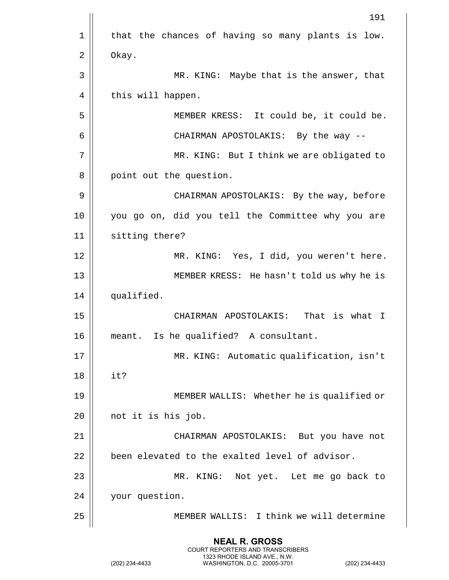|    | 191                                               |
|----|---------------------------------------------------|
| 1  | that the chances of having so many plants is low. |
| 2  | Okay.                                             |
| 3  | MR. KING: Maybe that is the answer, that          |
| 4  | this will happen.                                 |
| 5  | MEMBER KRESS: It could be, it could be.           |
| 6  | CHAIRMAN APOSTOLAKIS: By the way --               |
| 7  | MR. KING: But I think we are obligated to         |
| 8  | point out the question.                           |
| 9  | CHAIRMAN APOSTOLAKIS: By the way, before          |
| 10 | you go on, did you tell the Committee why you are |
| 11 | sitting there?                                    |
| 12 | MR. KING: Yes, I did, you weren't here.           |
| 13 | MEMBER KRESS: He hasn't told us why he is         |
| 14 | qualified.                                        |
| 15 | CHAIRMAN APOSTOLAKIS:<br>That is what I           |
| 16 | Is he qualified? A consultant.<br>meant.          |
| 17 | MR. KING: Automatic qualification, isn't          |
| 18 | it?                                               |
| 19 | MEMBER WALLIS: Whether he is qualified or         |
| 20 | not it is his job.                                |
| 21 | CHAIRMAN APOSTOLAKIS: But you have not            |
| 22 | been elevated to the exalted level of advisor.    |
| 23 | MR. KING: Not yet. Let me go back to              |
| 24 | your question.                                    |
| 25 | MEMBER WALLIS: I think we will determine          |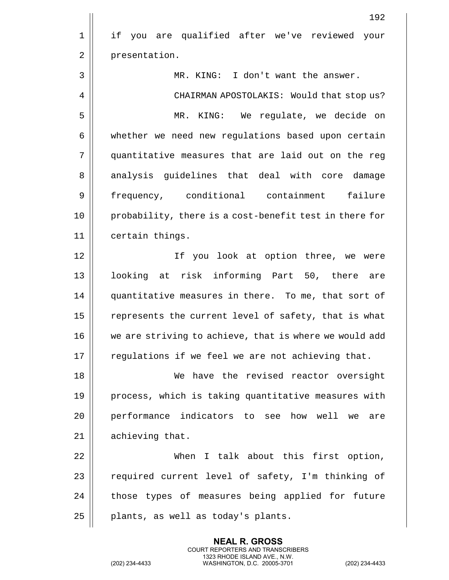|             | 192                                                    |
|-------------|--------------------------------------------------------|
| $\mathbf 1$ | if you are qualified after we've reviewed your         |
| 2           | presentation.                                          |
| 3           | MR. KING: I don't want the answer.                     |
| 4           | CHAIRMAN APOSTOLAKIS: Would that stop us?              |
| 5           | MR. KING: We regulate, we decide on                    |
| 6           | whether we need new regulations based upon certain     |
| 7           | quantitative measures that are laid out on the reg     |
| 8           | analysis guidelines that deal with core damage         |
| 9           | frequency, conditional containment failure             |
| 10          | probability, there is a cost-benefit test in there for |
| 11          | certain things.                                        |
| 12          | If you look at option three, we were                   |
| 13          | looking at risk informing Part 50, there are           |
| 14          | quantitative measures in there. To me, that sort of    |
| 15          | represents the current level of safety, that is what   |
| 16          | we are striving to achieve, that is where we would add |
| 17          | regulations if we feel we are not achieving that.      |
| 18          | We have the revised reactor oversight                  |
| 19          | process, which is taking quantitative measures with    |
| 20          | performance indicators to see how well we<br>are       |
| 21          | achieving that.                                        |
| 22          | When I talk about this first option,                   |
| 23          | required current level of safety, I'm thinking of      |
| 24          | those types of measures being applied for future       |
| 25          | plants, as well as today's plants.                     |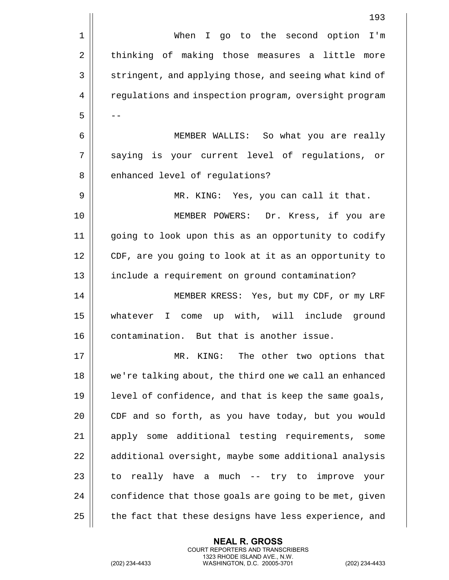|             | 193                                                              |
|-------------|------------------------------------------------------------------|
| $\mathbf 1$ | When<br>I go to the second option<br>I'm                         |
| 2           | thinking of making those measures a little<br>more               |
| 3           | stringent, and applying those, and seeing what kind of           |
| 4           | regulations and inspection program, oversight program            |
| 5           |                                                                  |
| 6           | MEMBER WALLIS: So what you are really                            |
| 7           | saying is your current level of regulations, or                  |
| 8           | enhanced level of regulations?                                   |
| 9           | MR. KING: Yes, you can call it that.                             |
| 10          | Dr. Kress, if you are<br>MEMBER POWERS:                          |
| 11          | going to look upon this as an opportunity to codify              |
| 12          | CDF, are you going to look at it as an opportunity to            |
| 13          | include a requirement on ground contamination?                   |
| 14          | MEMBER KRESS: Yes, but my CDF, or my LRF                         |
| 15          | up with, will include ground<br>whatever<br>$\mathbf{I}$<br>come |
| 16          | contamination. But that is another issue.                        |
| 17          | KING: The other two options that<br>MR.                          |
| 18          | we're talking about, the third one we call an enhanced           |
| 19          | level of confidence, and that is keep the same goals,            |
| 20          | CDF and so forth, as you have today, but you would               |
| 21          | apply some additional testing requirements, some                 |
| 22          | additional oversight, maybe some additional analysis             |
| 23          | to really have a much -- try to improve your                     |
| 24          | confidence that those goals are going to be met, given           |
| 25          | the fact that these designs have less experience, and            |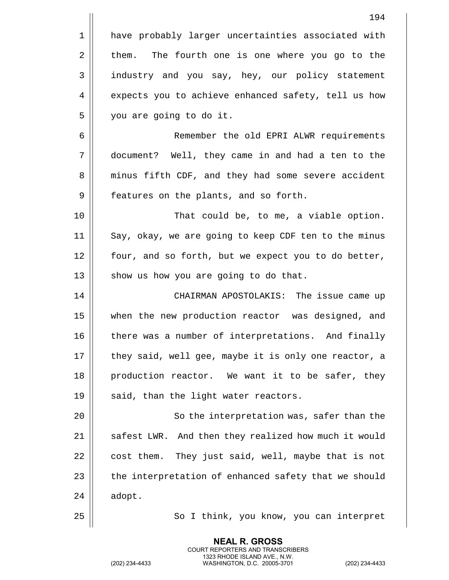|    | 194                                                   |
|----|-------------------------------------------------------|
| 1  | have probably larger uncertainties associated with    |
| 2  | The fourth one is one where you go to the<br>them.    |
| 3  | industry and you say, hey, our policy statement       |
| 4  | expects you to achieve enhanced safety, tell us how   |
| 5  | you are going to do it.                               |
| 6  | Remember the old EPRI ALWR requirements               |
| 7  | document? Well, they came in and had a ten to the     |
| 8  | minus fifth CDF, and they had some severe accident    |
| 9  | features on the plants, and so forth.                 |
| 10 | That could be, to me, a viable option.                |
| 11 | Say, okay, we are going to keep CDF ten to the minus  |
| 12 | four, and so forth, but we expect you to do better,   |
| 13 | show us how you are going to do that.                 |
| 14 | CHAIRMAN APOSTOLAKIS: The issue came up               |
| 15 | when the new production reactor was designed, and     |
| 16 | there was a number of interpretations. And finally    |
| 17 | they said, well gee, maybe it is only one reactor, a  |
| 18 | production reactor. We want it to be safer, they      |
| 19 | said, than the light water reactors.                  |
| 20 | So the interpretation was, safer than the             |
| 21 | safest LWR. And then they realized how much it would  |
| 22 | They just said, well, maybe that is not<br>cost them. |
| 23 | the interpretation of enhanced safety that we should  |
| 24 | adopt.                                                |
| 25 | So I think, you know, you can interpret               |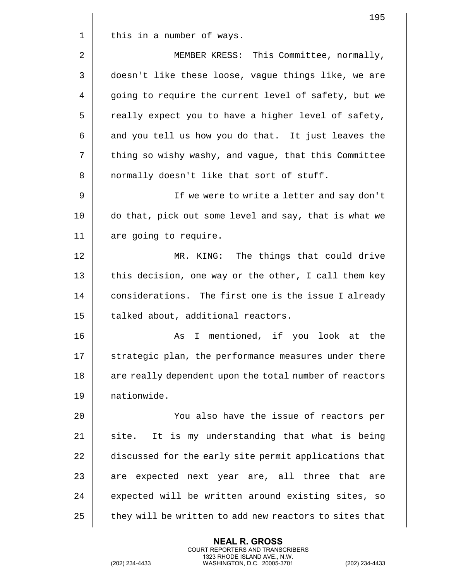|    | 195                                                    |
|----|--------------------------------------------------------|
| 1  | this in a number of ways.                              |
| 2  | MEMBER KRESS: This Committee, normally,                |
| 3  | doesn't like these loose, vague things like, we are    |
| 4  | going to require the current level of safety, but we   |
| 5  | really expect you to have a higher level of safety,    |
| 6  | and you tell us how you do that. It just leaves the    |
| 7  | thing so wishy washy, and vague, that this Committee   |
| 8  | normally doesn't like that sort of stuff.              |
| 9  | If we were to write a letter and say don't             |
| 10 | do that, pick out some level and say, that is what we  |
| 11 | are going to require.                                  |
| 12 | MR. KING: The things that could drive                  |
| 13 | this decision, one way or the other, I call them key   |
| 14 | considerations. The first one is the issue I already   |
| 15 | talked about, additional reactors.                     |
| 16 | As I mentioned, if you look at the                     |
| 17 | strategic plan, the performance measures under there   |
| 18 | are really dependent upon the total number of reactors |
| 19 | nationwide.                                            |
| 20 | You also have the issue of reactors per                |
| 21 | It is my understanding that what is being<br>site.     |
| 22 | discussed for the early site permit applications that  |
| 23 | are expected next year are, all three that<br>are      |
| 24 | expected will be written around existing sites, so     |
| 25 | they will be written to add new reactors to sites that |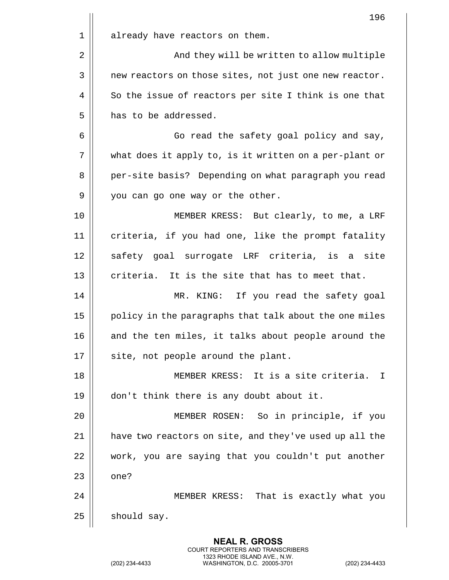|    | 196                                                    |
|----|--------------------------------------------------------|
| 1  | already have reactors on them.                         |
| 2  | And they will be written to allow multiple             |
| 3  | new reactors on those sites, not just one new reactor. |
| 4  | So the issue of reactors per site I think is one that  |
| 5  | has to be addressed.                                   |
| 6  | Go read the safety goal policy and say,                |
| 7  | what does it apply to, is it written on a per-plant or |
| 8  | per-site basis? Depending on what paragraph you read   |
| 9  | you can go one way or the other.                       |
| 10 | MEMBER KRESS: But clearly, to me, a LRF                |
| 11 | criteria, if you had one, like the prompt fatality     |
| 12 | safety goal surrogate LRF criteria, is a site          |
| 13 | criteria. It is the site that has to meet that.        |
| 14 | If you read the safety goal<br>MR. KING:               |
| 15 | policy in the paragraphs that talk about the one miles |
| 16 | and the ten miles, it talks about people around the    |
| 17 | site, not people around the plant.                     |
| 18 | MEMBER KRESS: It is a site criteria.<br>$\mathbf I$    |
| 19 | don't think there is any doubt about it.               |
| 20 | MEMBER ROSEN: So in principle, if you                  |
| 21 | have two reactors on site, and they've used up all the |
| 22 | work, you are saying that you couldn't put another     |
| 23 | one?                                                   |
| 24 | MEMBER KRESS: That is exactly what you                 |
| 25 | should say.                                            |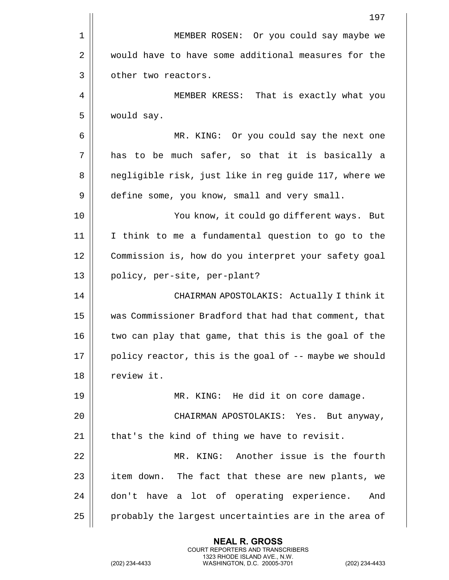|    | 197                                                    |
|----|--------------------------------------------------------|
| 1  | MEMBER ROSEN: Or you could say maybe we                |
| 2  | would have to have some additional measures for the    |
| 3  | other two reactors.                                    |
| 4  | MEMBER KRESS: That is exactly what you                 |
| 5  | would say.                                             |
| 6  | MR. KING: Or you could say the next one                |
| 7  | has to be much safer, so that it is basically a        |
| 8  | negligible risk, just like in reg guide 117, where we  |
| 9  | define some, you know, small and very small.           |
| 10 | You know, it could go different ways. But              |
| 11 | I think to me a fundamental question to go to the      |
| 12 | Commission is, how do you interpret your safety goal   |
| 13 | policy, per-site, per-plant?                           |
| 14 | CHAIRMAN APOSTOLAKIS: Actually I think it              |
| 15 | was Commissioner Bradford that had that comment, that  |
| 16 | two can play that game, that this is the goal of the   |
| 17 | policy reactor, this is the goal of -- maybe we should |
| 18 | review it.                                             |
| 19 | MR. KING: He did it on core damage.                    |
| 20 | CHAIRMAN APOSTOLAKIS: Yes. But anyway,                 |
| 21 | that's the kind of thing we have to revisit.           |
| 22 | Another issue is the fourth<br>MR. KING:               |
| 23 | item down. The fact that these are new plants, we      |
| 24 | don't have a lot of operating experience.<br>And       |
| 25 | probably the largest uncertainties are in the area of  |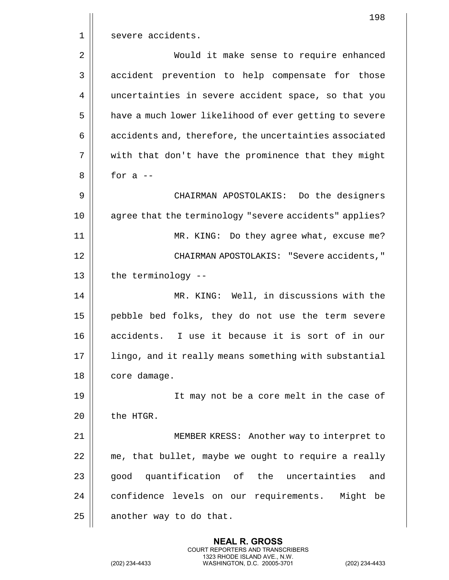|    | 198                                                    |
|----|--------------------------------------------------------|
| 1  | severe accidents.                                      |
| 2  | Would it make sense to require enhanced                |
| 3  | accident prevention to help compensate for those       |
| 4  | uncertainties in severe accident space, so that you    |
| 5  | have a much lower likelihood of ever getting to severe |
| 6  | accidents and, therefore, the uncertainties associated |
| 7  | with that don't have the prominence that they might    |
| 8  | for $a$ --                                             |
| 9  | CHAIRMAN APOSTOLAKIS: Do the designers                 |
| 10 | agree that the terminology "severe accidents" applies? |
| 11 | MR. KING: Do they agree what, excuse me?               |
| 12 | CHAIRMAN APOSTOLAKIS: "Severe accidents,"              |
| 13 | the terminology --                                     |
| 14 | MR. KING: Well, in discussions with the                |
| 15 | pebble bed folks, they do not use the term severe      |
| 16 | accidents. I use it because it is sort of in our       |
| 17 | lingo, and it really means something with substantial  |
| 18 | core damage.                                           |
| 19 | It may not be a core melt in the case of               |
| 20 | the HTGR.                                              |
| 21 | MEMBER KRESS: Another way to interpret to              |
| 22 | me, that bullet, maybe we ought to require a really    |
| 23 | quantification of the uncertainties<br>good<br>and     |
| 24 | confidence levels on our requirements. Might be        |
| 25 | another way to do that.                                |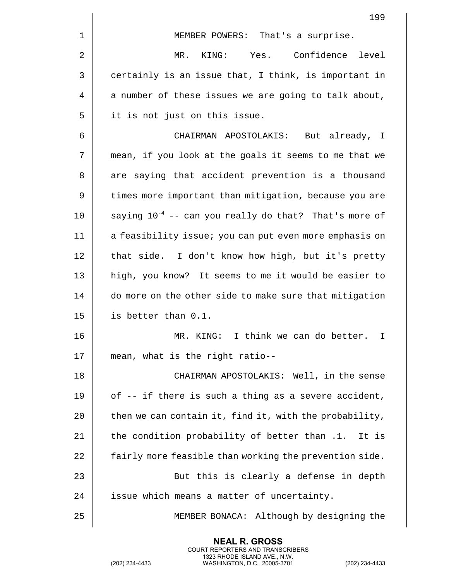|    | 199                                                        |
|----|------------------------------------------------------------|
| 1  | MEMBER POWERS: That's a surprise.                          |
| 2  | KING: Yes. Confidence level<br>MR.                         |
| 3  | certainly is an issue that, I think, is important in       |
| 4  | a number of these issues we are going to talk about,       |
| 5  | it is not just on this issue.                              |
| 6  | CHAIRMAN APOSTOLAKIS: But already, I                       |
| 7  | mean, if you look at the goals it seems to me that we      |
| 8  | are saying that accident prevention is a thousand          |
| 9  | times more important than mitigation, because you are      |
| 10 | saying $10^{-4}$ -- can you really do that? That's more of |
| 11 | a feasibility issue; you can put even more emphasis on     |
| 12 | that side. I don't know how high, but it's pretty          |
| 13 | high, you know? It seems to me it would be easier to       |
| 14 | do more on the other side to make sure that mitigation     |
| 15 | is better than 0.1.                                        |
| 16 | I think we can do better. I<br>MR.<br>KING:                |
| 17 | mean, what is the right ratio--                            |
| 18 | CHAIRMAN APOSTOLAKIS: Well, in the sense                   |
| 19 | of -- if there is such a thing as a severe accident,       |
| 20 | then we can contain it, find it, with the probability,     |
| 21 | the condition probability of better than .1. It is         |
| 22 | fairly more feasible than working the prevention side.     |
| 23 | But this is clearly a defense in depth                     |
| 24 | issue which means a matter of uncertainty.                 |
| 25 | MEMBER BONACA: Although by designing the                   |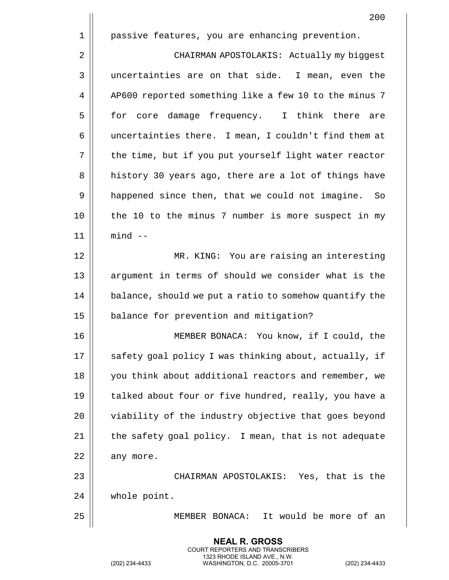|    | 200                                                    |
|----|--------------------------------------------------------|
| 1  | passive features, you are enhancing prevention.        |
| 2  | CHAIRMAN APOSTOLAKIS: Actually my biggest              |
| 3  | uncertainties are on that side. I mean, even the       |
| 4  | AP600 reported something like a few 10 to the minus 7  |
| 5  | core damage frequency. I think there are<br>for        |
| 6  | uncertainties there. I mean, I couldn't find them at   |
| 7  | the time, but if you put yourself light water reactor  |
| 8  | history 30 years ago, there are a lot of things have   |
| 9  | happened since then, that we could not imagine. So     |
| 10 | the 10 to the minus 7 number is more suspect in my     |
| 11 | $mind$ --                                              |
| 12 | MR. KING: You are raising an interesting               |
| 13 | argument in terms of should we consider what is the    |
| 14 | balance, should we put a ratio to somehow quantify the |
| 15 | balance for prevention and mitigation?                 |
| 16 | MEMBER BONACA: You know, if I could, the               |
| 17 | safety goal policy I was thinking about, actually, if  |
| 18 | you think about additional reactors and remember, we   |
| 19 | talked about four or five hundred, really, you have a  |
| 20 | viability of the industry objective that goes beyond   |
| 21 | the safety goal policy. I mean, that is not adequate   |
| 22 | any more.                                              |
| 23 | CHAIRMAN APOSTOLAKIS: Yes, that is the                 |
| 24 | whole point.                                           |
| 25 | It would be more of an<br>MEMBER BONACA:               |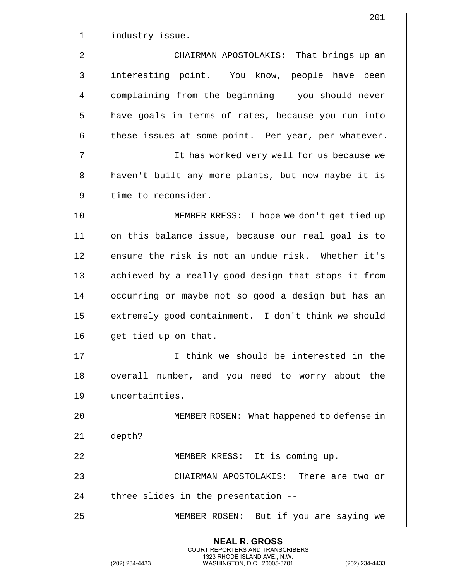|             | 201                                                 |
|-------------|-----------------------------------------------------|
| $\mathbf 1$ | industry issue.                                     |
| $\sqrt{2}$  | CHAIRMAN APOSTOLAKIS: That brings up an             |
| 3           | interesting point. You know, people have been       |
| 4           | complaining from the beginning -- you should never  |
| 5           | have goals in terms of rates, because you run into  |
| 6           | these issues at some point. Per-year, per-whatever. |
| 7           | It has worked very well for us because we           |
| 8           | haven't built any more plants, but now maybe it is  |
| 9           | time to reconsider.                                 |
| 10          | MEMBER KRESS: I hope we don't get tied up           |
| 11          | on this balance issue, because our real goal is to  |
| 12          | ensure the risk is not an undue risk. Whether it's  |
| 13          | achieved by a really good design that stops it from |
| 14          | occurring or maybe not so good a design but has an  |
| 15          | extremely good containment. I don't think we should |
| 16          | get tied up on that.                                |
| 17          | I think we should be interested in the              |
| 18          | overall number, and you need to worry about the     |
| 19          | uncertainties.                                      |
| 20          | MEMBER ROSEN: What happened to defense in           |
| 21          | depth?                                              |
| 22          | MEMBER KRESS: It is coming up.                      |
| 23          | CHAIRMAN APOSTOLAKIS: There are two or              |
| 24          | three slides in the presentation --                 |
| 25          | MEMBER ROSEN: But if you are saying we              |
|             |                                                     |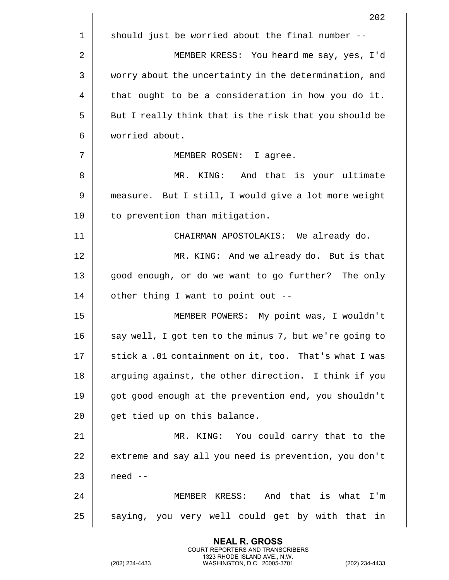|    | 202                                                    |
|----|--------------------------------------------------------|
| 1  | should just be worried about the final number --       |
| 2  | MEMBER KRESS: You heard me say, yes, I'd               |
| 3  | worry about the uncertainty in the determination, and  |
| 4  | that ought to be a consideration in how you do it.     |
| 5  | But I really think that is the risk that you should be |
| 6  | worried about.                                         |
| 7  | MEMBER ROSEN: I agree.                                 |
| 8  | MR. KING: And that is your ultimate                    |
| 9  | measure. But I still, I would give a lot more weight   |
| 10 | to prevention than mitigation.                         |
| 11 | CHAIRMAN APOSTOLAKIS: We already do.                   |
| 12 | MR. KING: And we already do. But is that               |
| 13 | good enough, or do we want to go further? The only     |
| 14 | other thing I want to point out --                     |
| 15 | MEMBER POWERS: My point was, I wouldn't                |
| 16 | say well, I got ten to the minus 7, but we're going to |
| 17 | stick a .01 containment on it, too. That's what I was  |
| 18 | arguing against, the other direction. I think if you   |
| 19 | got good enough at the prevention end, you shouldn't   |
| 20 | get tied up on this balance.                           |
| 21 | MR. KING: You could carry that to the                  |
| 22 | extreme and say all you need is prevention, you don't  |
| 23 | need --                                                |
| 24 | MEMBER KRESS: And that is what<br>$I'$ m               |
| 25 | saying, you very well could get by with that in        |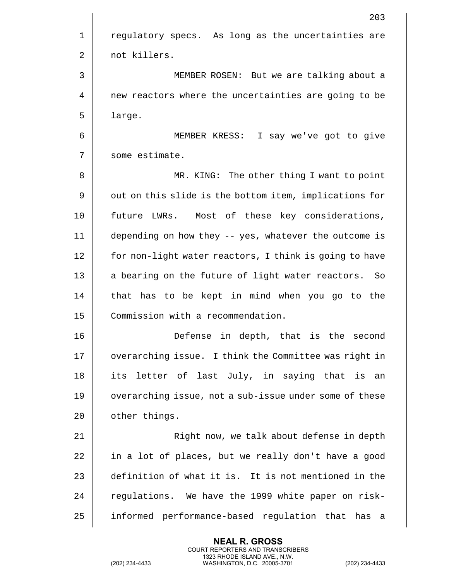|             | 203                                                    |
|-------------|--------------------------------------------------------|
| $\mathbf 1$ | regulatory specs. As long as the uncertainties are     |
| 2           | not killers.                                           |
| 3           | MEMBER ROSEN: But we are talking about a               |
| 4           | new reactors where the uncertainties are going to be   |
| 5           | large.                                                 |
| 6           | MEMBER KRESS: I say we've got to give                  |
| 7           | some estimate.                                         |
| 8           | MR. KING: The other thing I want to point              |
| 9           | out on this slide is the bottom item, implications for |
| 10          | future LWRs. Most of these key considerations,         |
| 11          | depending on how they -- yes, whatever the outcome is  |
| 12          | for non-light water reactors, I think is going to have |
| 13          | a bearing on the future of light water reactors.<br>So |
| 14          | that has to be kept in mind when you go to the         |
| 15          | Commission with a recommendation.                      |
| 16          | Defense<br>in depth, that is the second                |
| 17          | overarching issue. I think the Committee was right in  |
| 18          | its letter of last July, in saying that is an          |
| 19          | overarching issue, not a sub-issue under some of these |
| 20          | other things.                                          |
| 21          | Right now, we talk about defense in depth              |
| 22          | in a lot of places, but we really don't have a good    |
| 23          | definition of what it is. It is not mentioned in the   |
| 24          | regulations. We have the 1999 white paper on risk-     |
| 25          | informed performance-based regulation that has a       |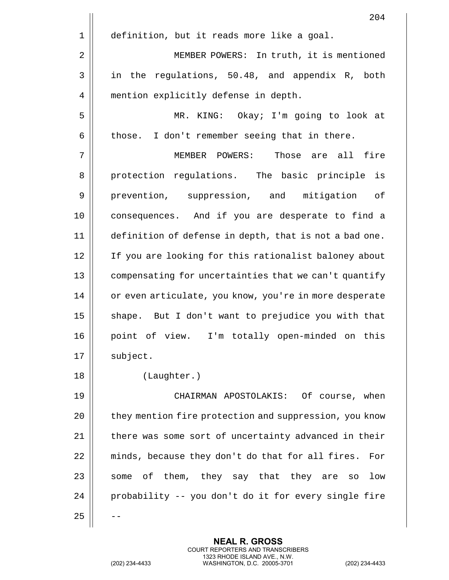204 1 | definition, but it reads more like a goal. 2 | MEMBER POWERS: In truth, it is mentioned  $3 \parallel$  in the regulations, 50.48, and appendix R, both 4 | mention explicitly defense in depth. 5 || MR. KING: Okay; I'm going to look at  $6 \parallel$  those. I don't remember seeing that in there. 7 MEMBER POWERS: Those are all fire 8 || protection regulations. The basic principle is 9 | prevention, suppression, and mitigation of 10 consequences. And if you are desperate to find a 11 definition of defense in depth, that is not a bad one. 12 || If you are looking for this rationalist baloney about 13 | compensating for uncertainties that we can't quantify 14 || or even articulate, you know, you're in more desperate  $15$  shape. But I don't want to prejudice you with that 16 || point of view. I'm totally open-minded on this  $17 \parallel$  subject. 18 (Laughter.) 19 CHAIRMAN APOSTOLAKIS: Of course, when 20 | they mention fire protection and suppression, you know 21 | there was some sort of uncertainty advanced in their 22 | minds, because they don't do that for all fires. For  $23$  some of them, they say that they are so low  $24$  | probability -- you don't do it for every single fire  $25$ 

> **NEAL R. GROSS** COURT REPORTERS AND TRANSCRIBERS 1323 RHODE ISLAND AVE., N.W.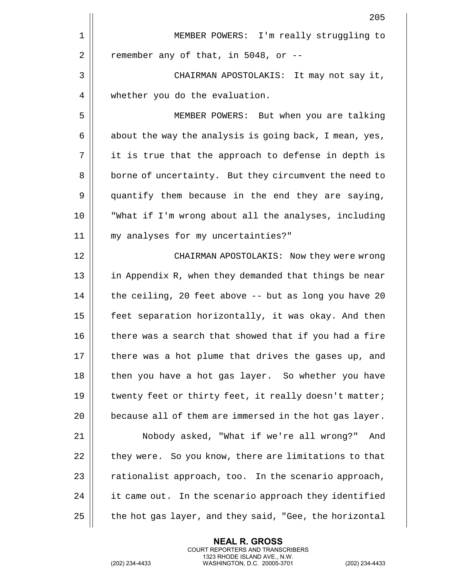|    | 205                                                    |
|----|--------------------------------------------------------|
| 1  | MEMBER POWERS: I'm really struggling to                |
| 2  | remember any of that, in 5048, or --                   |
| 3  | CHAIRMAN APOSTOLAKIS: It may not say it,               |
| 4  | whether you do the evaluation.                         |
| 5  | MEMBER POWERS: But when you are talking                |
| 6  | about the way the analysis is going back, I mean, yes, |
| 7  | it is true that the approach to defense in depth is    |
| 8  | borne of uncertainty. But they circumvent the need to  |
| 9  | quantify them because in the end they are saying,      |
| 10 | "What if I'm wrong about all the analyses, including   |
| 11 | my analyses for my uncertainties?"                     |
| 12 | CHAIRMAN APOSTOLAKIS: Now they were wrong              |
| 13 | in Appendix R, when they demanded that things be near  |
| 14 | the ceiling, 20 feet above -- but as long you have 20  |
| 15 | feet separation horizontally, it was okay. And then    |
| 16 | there was a search that showed that if you had a fire  |
| 17 | there was a hot plume that drives the gases up, and    |
| 18 | then you have a hot gas layer. So whether you have     |
| 19 | twenty feet or thirty feet, it really doesn't matter;  |
| 20 | because all of them are immersed in the hot gas layer. |
| 21 | Nobody asked, "What if we're all wrong?"<br>And        |
| 22 | they were. So you know, there are limitations to that  |
| 23 | rationalist approach, too. In the scenario approach,   |
| 24 | it came out. In the scenario approach they identified  |
| 25 | the hot gas layer, and they said, "Gee, the horizontal |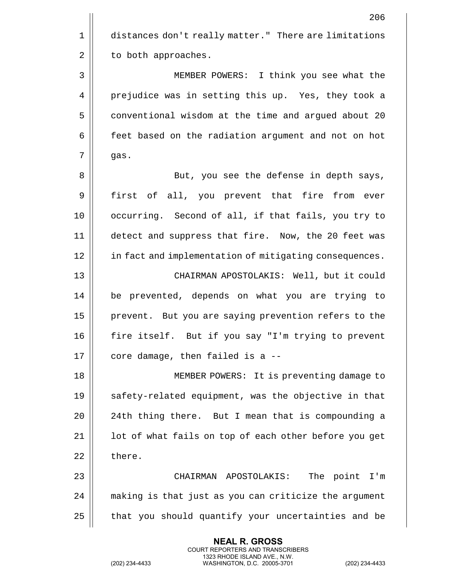|    | 206                                                    |
|----|--------------------------------------------------------|
| 1  | distances don't really matter." There are limitations  |
| 2  | to both approaches.                                    |
| 3  | MEMBER POWERS: I think you see what the                |
| 4  | prejudice was in setting this up. Yes, they took a     |
| 5  | conventional wisdom at the time and argued about 20    |
| 6  | feet based on the radiation argument and not on hot    |
| 7  | gas.                                                   |
| 8  | But, you see the defense in depth says,                |
| 9  | first of all, you prevent that fire from ever          |
| 10 | occurring. Second of all, if that fails, you try to    |
| 11 | detect and suppress that fire. Now, the 20 feet was    |
| 12 | in fact and implementation of mitigating consequences. |
| 13 | CHAIRMAN APOSTOLAKIS: Well, but it could               |
| 14 | be prevented, depends on what you are trying to        |
| 15 | prevent. But you are saying prevention refers to the   |
| 16 | fire itself. But if you say "I'm trying to prevent     |
| 17 | core damage, then failed is a --                       |
| 18 | MEMBER POWERS: It is preventing damage to              |
| 19 | safety-related equipment, was the objective in that    |
| 20 | 24th thing there. But I mean that is compounding a     |
| 21 | lot of what fails on top of each other before you get  |
| 22 | there.                                                 |
| 23 | CHAIRMAN APOSTOLAKIS:<br>The point<br>$I'$ m           |
| 24 | making is that just as you can criticize the argument  |
| 25 | that you should quantify your uncertainties and be     |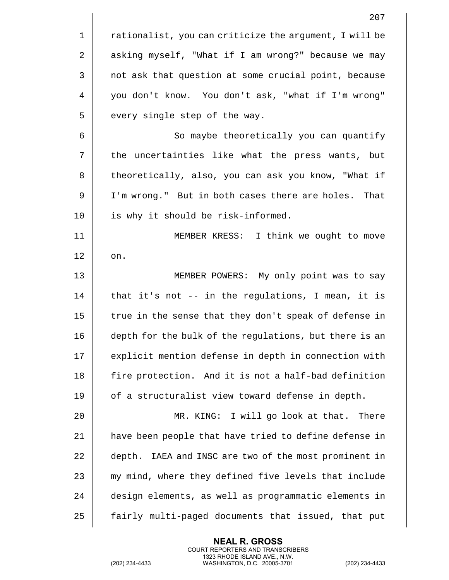|    | 207                                                    |
|----|--------------------------------------------------------|
| 1  | rationalist, you can criticize the argument, I will be |
| 2  | asking myself, "What if I am wrong?" because we may    |
| 3  | not ask that question at some crucial point, because   |
| 4  | you don't know. You don't ask, "what if I'm wrong"     |
| 5  | every single step of the way.                          |
| 6  | So maybe theoretically you can quantify                |
| 7  | the uncertainties like what the press wants, but       |
| 8  | theoretically, also, you can ask you know, "What if    |
| 9  | I'm wrong." But in both cases there are holes. That    |
| 10 | is why it should be risk-informed.                     |
| 11 | MEMBER KRESS: I think we ought to move                 |
| 12 | on.                                                    |
| 13 | MEMBER POWERS: My only point was to say                |
| 14 | that it's not -- in the regulations, I mean, it is     |
| 15 | true in the sense that they don't speak of defense in  |
| 16 | depth for the bulk of the regulations, but there is an |
| 17 | explicit mention defense in depth in connection with   |
| 18 | fire protection. And it is not a half-bad definition   |
| 19 | of a structuralist view toward defense in depth.       |
| 20 | MR. KING: I will go look at that.<br>There             |
| 21 | have been people that have tried to define defense in  |
| 22 | depth. IAEA and INSC are two of the most prominent in  |
| 23 | my mind, where they defined five levels that include   |
| 24 | design elements, as well as programmatic elements in   |
| 25 | fairly multi-paged documents that issued, that put     |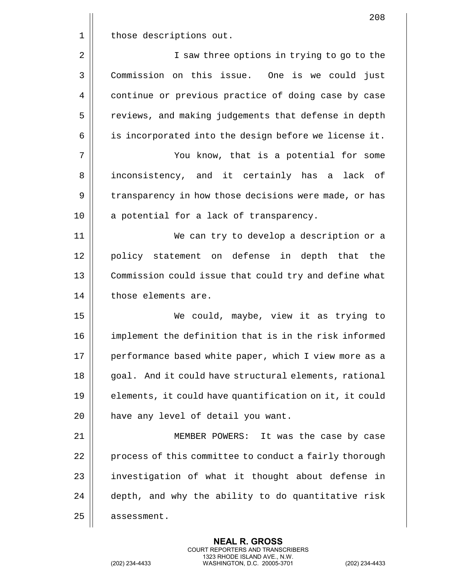|                | 208                                                    |
|----------------|--------------------------------------------------------|
| $\mathbf 1$    | those descriptions out.                                |
| $\overline{2}$ | I saw three options in trying to go to the             |
| 3              | Commission on this issue. One is we could just         |
| 4              | continue or previous practice of doing case by case    |
| 5              | reviews, and making judgements that defense in depth   |
| 6              | is incorporated into the design before we license it.  |
| 7              | You know, that is a potential for some                 |
| 8              | inconsistency, and it certainly has a lack of          |
| 9              | transparency in how those decisions were made, or has  |
| 10             | a potential for a lack of transparency.                |
| 11             | We can try to develop a description or a               |
| 12             | policy statement on defense in depth that the          |
| 13             | Commission could issue that could try and define what  |
| 14             | those elements are.                                    |
| 15             | We could, maybe, view it as trying to                  |
| 16             | implement the definition that is in the risk informed  |
| 17             | performance based white paper, which I view more as a  |
| 18             | goal. And it could have structural elements, rational  |
| 19             | elements, it could have quantification on it, it could |
| 20             | have any level of detail you want.                     |
| 21             | MEMBER POWERS: It was the case by case                 |
| 22             | process of this committee to conduct a fairly thorough |
| 23             | investigation of what it thought about defense in      |
| 24             | depth, and why the ability to do quantitative risk     |
| 25             | assessment.                                            |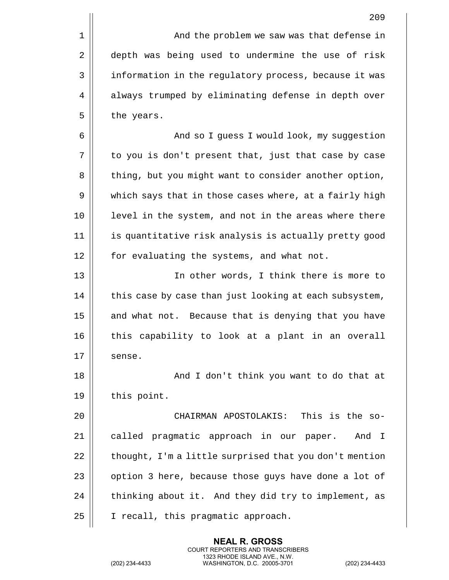1 And the problem we saw was that defense in 2 | depth was being used to undermine the use of risk 3 | information in the regulatory process, because it was 4 | always trumped by eliminating defense in depth over  $5 \parallel$  the years. 6 And so I guess I would look, my suggestion  $7 \parallel$  to you is don't present that, just that case by case 8 | thing, but you might want to consider another option, 9 || which says that in those cases where, at a fairly high 10 || level in the system, and not in the areas where there 11 is quantitative risk analysis is actually pretty good 12 | for evaluating the systems, and what not. 13 || In other words, I think there is more to

 $14$  | this case by case than just looking at each subsystem,  $15$  and what not. Because that is denying that you have 16 || this capability to look at a plant in an overall  $17 \parallel$  sense.

18 || And I don't think you want to do that at 19 | this point.

 CHAIRMAN APOSTOLAKIS: This is the so-21 || called pragmatic approach in our paper. And I | thought, I'm a little surprised that you don't mention  $\parallel$  option 3 here, because those guys have done a lot of  $\parallel$  thinking about it. And they did try to implement, as 25 | I recall, this pragmatic approach.

> **NEAL R. GROSS** COURT REPORTERS AND TRANSCRIBERS 1323 RHODE ISLAND AVE., N.W.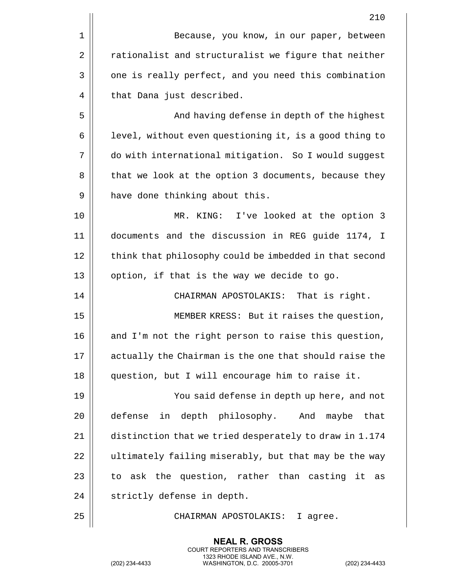|    | 210                                                    |
|----|--------------------------------------------------------|
| 1  | Because, you know, in our paper, between               |
| 2  | rationalist and structuralist we figure that neither   |
| 3  | one is really perfect, and you need this combination   |
| 4  | that Dana just described.                              |
| 5  | And having defense in depth of the highest             |
| 6  | level, without even questioning it, is a good thing to |
| 7  | do with international mitigation. So I would suggest   |
| 8  | that we look at the option 3 documents, because they   |
| 9  | have done thinking about this.                         |
| 10 | MR. KING: I've looked at the option 3                  |
| 11 | documents and the discussion in REG guide 1174, I      |
| 12 | think that philosophy could be imbedded in that second |
| 13 | option, if that is the way we decide to go.            |
| 14 | CHAIRMAN APOSTOLAKIS: That is right.                   |
| 15 | MEMBER KRESS: But it raises the question,              |
| 16 | and I'm not the right person to raise this question,   |
| 17 | actually the Chairman is the one that should raise the |
| 18 | question, but I will encourage him to raise it.        |
| 19 | You said defense in depth up here, and not             |
| 20 | in depth philosophy. And<br>defense<br>maybe<br>that   |
| 21 | distinction that we tried desperately to draw in 1.174 |
| 22 | ultimately failing miserably, but that may be the way  |
| 23 | to ask the question, rather than casting it<br>as      |
| 24 | strictly defense in depth.                             |
| 25 | CHAIRMAN APOSTOLAKIS:<br>I agree.                      |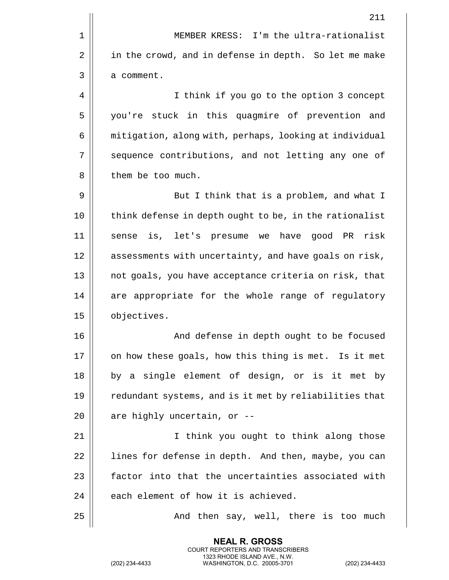|              | 211                                                      |
|--------------|----------------------------------------------------------|
| $1\,$        | MEMBER KRESS: I'm the ultra-rationalist                  |
| $\sqrt{2}$   | in the crowd, and in defense in depth. So let me make    |
| $\mathsf{3}$ | a comment.                                               |
| 4            | I think if you go to the option 3 concept                |
| 5            | you're stuck in this quagmire of prevention and          |
| 6            | mitigation, along with, perhaps, looking at individual   |
| 7            | sequence contributions, and not letting any one of       |
| 8            | them be too much.                                        |
| 9            | But I think that is a problem, and what I                |
| 10           | think defense in depth ought to be, in the rationalist   |
| 11           | is, let's presume we<br>have<br>risk<br>good PR<br>sense |
| 12           | assessments with uncertainty, and have goals on risk,    |
| 13           | not goals, you have acceptance criteria on risk, that    |
| 14           | are appropriate for the whole range of regulatory        |
| 15           | objectives.                                              |
| 16           | And defense in depth ought to be focused                 |
| 17           | on how these goals, how this thing is met. Is it met     |
| 18           | by a single element of design, or is it met by           |
| 19           | redundant systems, and is it met by reliabilities that   |
| 20           | are highly uncertain, or --                              |
| 21           | I think you ought to think along those                   |
| 22           | lines for defense in depth. And then, maybe, you can     |
| 23           | factor into that the uncertainties associated with       |
| 24           | each element of how it is achieved.                      |
| 25           | And then say, well, there is too much                    |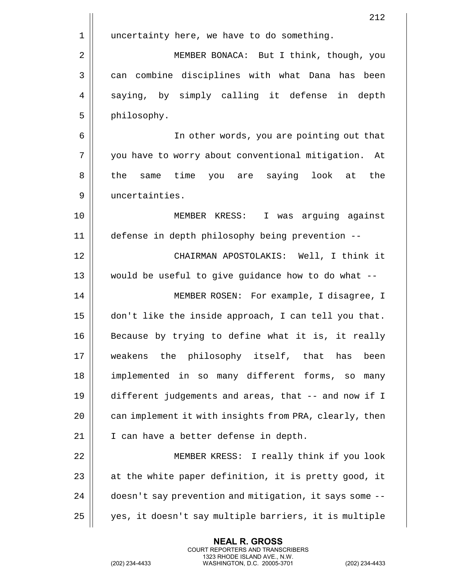|    | 212                                                        |
|----|------------------------------------------------------------|
| 1  | uncertainty here, we have to do something.                 |
| 2  | MEMBER BONACA: But I think, though, you                    |
| 3  | can combine disciplines with what Dana has been            |
| 4  | saying, by simply calling it defense<br>in depth           |
| 5  | philosophy.                                                |
| 6  | In other words, you are pointing out that                  |
| 7  | you have to worry about conventional mitigation.<br>At     |
| 8  | same time<br>saying<br>the<br>look<br>the<br>you are<br>at |
| 9  | uncertainties.                                             |
| 10 | MEMBER KRESS: I was arguing against                        |
| 11 | defense in depth philosophy being prevention --            |
| 12 | CHAIRMAN APOSTOLAKIS: Well, I think it                     |
| 13 | would be useful to give guidance how to do what --         |
| 14 | MEMBER ROSEN: For example, I disagree, I                   |
| 15 | don't like the inside approach, I can tell you that.       |
| 16 | Because by trying to define what it is, it really          |
| 17 | weakens the philosophy itself, that<br>has<br>been         |
| 18 | implemented in so many different forms,<br>SO<br>many      |
| 19 | different judgements and areas, that -- and now if I       |
| 20 | can implement it with insights from PRA, clearly, then     |
| 21 | I can have a better defense in depth.                      |
| 22 | MEMBER KRESS: I really think if you look                   |
| 23 | at the white paper definition, it is pretty good, it       |
| 24 | doesn't say prevention and mitigation, it says some --     |
| 25 | yes, it doesn't say multiple barriers, it is multiple      |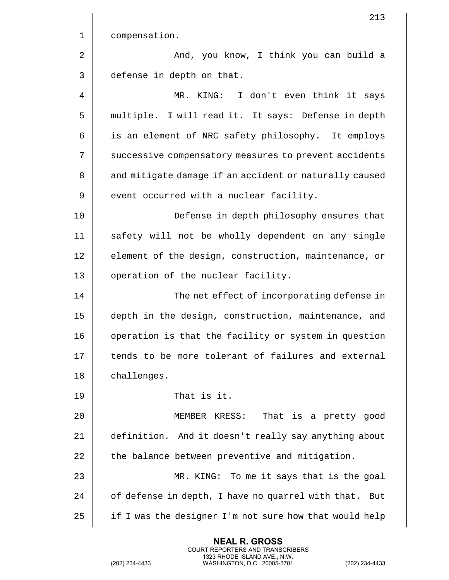|    | 213                                                      |
|----|----------------------------------------------------------|
| 1  | compensation.                                            |
| 2  | And, you know, I think you can build a                   |
| 3  | defense in depth on that.                                |
| 4  | MR. KING: I don't even think it says                     |
| 5  | multiple. I will read it. It says: Defense in depth      |
| 6  | is an element of NRC safety philosophy. It employs       |
| 7  | successive compensatory measures to prevent accidents    |
| 8  | and mitigate damage if an accident or naturally caused   |
| 9  | event occurred with a nuclear facility.                  |
| 10 | Defense in depth philosophy ensures that                 |
| 11 | safety will not be wholly dependent on any single        |
| 12 | element of the design, construction, maintenance, or     |
| 13 | operation of the nuclear facility.                       |
| 14 | The net effect of incorporating defense in               |
| 15 | depth in the design, construction, maintenance, and      |
| 16 | operation is that the facility or system in question     |
| 17 | tends to be more tolerant of failures and external       |
| 18 | challenges.                                              |
| 19 | That is it.                                              |
| 20 | That is a pretty good<br>MEMBER KRESS:                   |
| 21 | definition. And it doesn't really say anything about     |
| 22 | the balance between preventive and mitigation.           |
| 23 | MR. KING: To me it says that is the goal                 |
| 24 | of defense in depth, I have no quarrel with that.<br>But |
| 25 | if I was the designer I'm not sure how that would help   |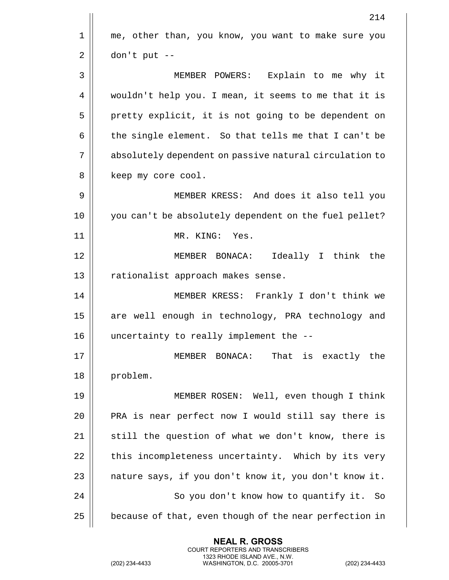|    | 214                                                    |
|----|--------------------------------------------------------|
| 1  | me, other than, you know, you want to make sure you    |
| 2  | don't put --                                           |
| 3  | MEMBER POWERS: Explain to me why it                    |
| 4  | wouldn't help you. I mean, it seems to me that it is   |
| 5  | pretty explicit, it is not going to be dependent on    |
| 6  | the single element. So that tells me that I can't be   |
| 7  | absolutely dependent on passive natural circulation to |
| 8  | keep my core cool.                                     |
| 9  | MEMBER KRESS: And does it also tell you                |
| 10 | you can't be absolutely dependent on the fuel pellet?  |
| 11 | MR. KING: Yes.                                         |
| 12 | Ideally I think the<br>MEMBER BONACA:                  |
| 13 | rationalist approach makes sense.                      |
| 14 | MEMBER KRESS: Frankly I don't think we                 |
| 15 | are well enough in technology, PRA technology and      |
| 16 | uncertainty to really implement the --                 |
| 17 | MEMBER BONACA: That is exactly the                     |
| 18 | problem.                                               |
| 19 | MEMBER ROSEN: Well, even though I think                |
| 20 | PRA is near perfect now I would still say there is     |
| 21 | still the question of what we don't know, there is     |
| 22 | this incompleteness uncertainty. Which by its very     |
| 23 | nature says, if you don't know it, you don't know it.  |
| 24 | So you don't know how to quantify it. So               |
| 25 | because of that, even though of the near perfection in |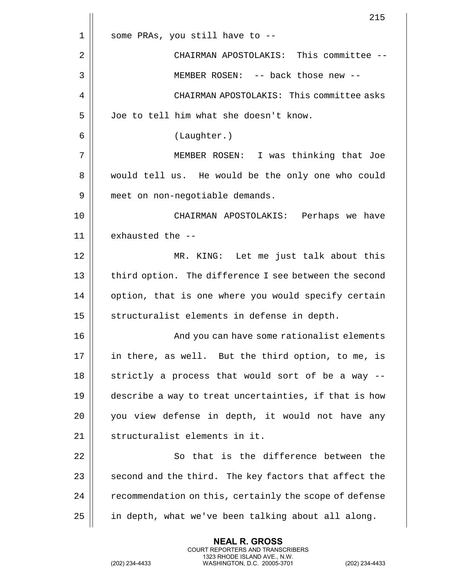|    | 215                                                    |
|----|--------------------------------------------------------|
| 1  | some PRAs, you still have to --                        |
| 2  | CHAIRMAN APOSTOLAKIS: This committee --                |
| 3  | MEMBER ROSEN: -- back those new --                     |
| 4  | CHAIRMAN APOSTOLAKIS: This committee asks              |
| 5  | Joe to tell him what she doesn't know.                 |
| 6  | (Laughter.)                                            |
| 7  | MEMBER ROSEN: I was thinking that Joe                  |
| 8  | would tell us. He would be the only one who could      |
| 9  | meet on non-negotiable demands.                        |
| 10 | CHAIRMAN APOSTOLAKIS: Perhaps we have                  |
| 11 | exhausted the --                                       |
| 12 | MR. KING: Let me just talk about this                  |
| 13 | third option. The difference I see between the second  |
| 14 | option, that is one where you would specify certain    |
| 15 | structuralist elements in defense in depth.            |
| 16 | And you can have some rationalist elements             |
| 17 | in there, as well. But the third option, to me, is     |
| 18 | strictly a process that would sort of be a way --      |
| 19 | describe a way to treat uncertainties, if that is how  |
| 20 | you view defense in depth, it would not have any       |
| 21 | structuralist elements in it.                          |
| 22 | So that is the difference between the                  |
| 23 | second and the third. The key factors that affect the  |
| 24 | recommendation on this, certainly the scope of defense |
| 25 | in depth, what we've been talking about all along.     |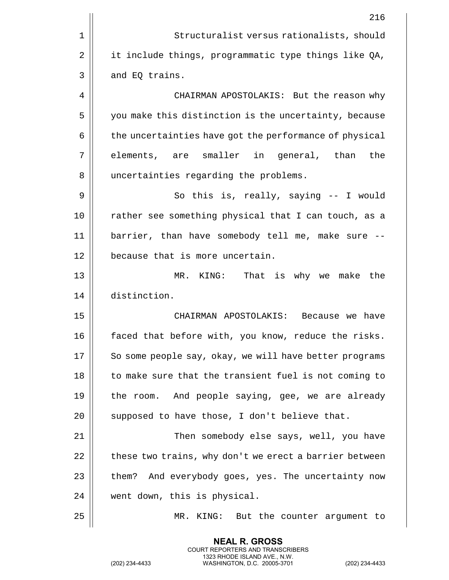|    | 216                                                    |
|----|--------------------------------------------------------|
| 1  | Structuralist versus rationalists, should              |
| 2  | it include things, programmatic type things like QA,   |
| 3  | and EQ trains.                                         |
| 4  | CHAIRMAN APOSTOLAKIS: But the reason why               |
| 5  | you make this distinction is the uncertainty, because  |
| 6  | the uncertainties have got the performance of physical |
| 7  | elements, are smaller in general, than<br>the          |
| 8  | uncertainties regarding the problems.                  |
| 9  | So this is, really, saying -- I would                  |
| 10 | rather see something physical that I can touch, as a   |
| 11 | barrier, than have somebody tell me, make sure --      |
| 12 | because that is more uncertain.                        |
| 13 | That is why we make the<br>MR. KING:                   |
| 14 | distinction.                                           |
| 15 | CHAIRMAN APOSTOLAKIS: Because we have                  |
| 16 | faced that before with, you know, reduce the risks.    |
| 17 | So some people say, okay, we will have better programs |
| 18 | to make sure that the transient fuel is not coming to  |
| 19 | the room. And people saying, gee, we are already       |
| 20 | supposed to have those, I don't believe that.          |
| 21 | Then somebody else says, well, you have                |
| 22 | these two trains, why don't we erect a barrier between |
| 23 | And everybody goes, yes. The uncertainty now<br>them?  |
| 24 | went down, this is physical.                           |
| 25 | KING:<br>But the counter argument to<br>MR.            |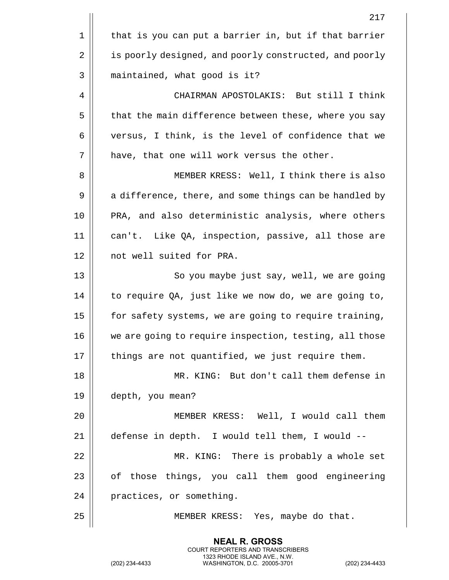|      | 217                                                    |
|------|--------------------------------------------------------|
| 1    | that is you can put a barrier in, but if that barrier  |
| 2    | is poorly designed, and poorly constructed, and poorly |
| 3    | maintained, what good is it?                           |
| 4    | CHAIRMAN APOSTOLAKIS: But still I think                |
| 5    | that the main difference between these, where you say  |
| 6    | versus, I think, is the level of confidence that we    |
| 7    | have, that one will work versus the other.             |
| 8    | MEMBER KRESS: Well, I think there is also              |
| 9    | a difference, there, and some things can be handled by |
| 10   | PRA, and also deterministic analysis, where others     |
| 11   | can't. Like QA, inspection, passive, all those are     |
| 12   | not well suited for PRA.                               |
| 13   | So you maybe just say, well, we are going              |
| 14   | to require QA, just like we now do, we are going to,   |
| 15   | for safety systems, we are going to require training,  |
| 16   | we are going to require inspection, testing, all those |
| $17$ | things are not quantified, we just require them.       |
| 18   | MR. KING: But don't call them defense in               |
| 19   | depth, you mean?                                       |
| 20   | MEMBER KRESS: Well, I would call them                  |
| 21   | defense in depth. I would tell them, I would --        |
| 22   | MR. KING: There is probably a whole set                |
| 23   | of those things, you call them good engineering        |
| 24   | practices, or something.                               |
| 25   | MEMBER KRESS: Yes, maybe do that.                      |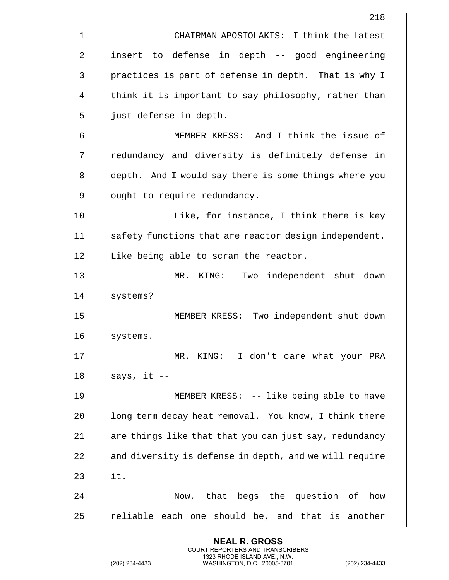|    | 218                                                    |
|----|--------------------------------------------------------|
| 1  | CHAIRMAN APOSTOLAKIS: I think the latest               |
| 2  | insert to defense in depth -- good engineering         |
| 3  | practices is part of defense in depth. That is why I   |
| 4  | think it is important to say philosophy, rather than   |
| 5  | just defense in depth.                                 |
| 6  | MEMBER KRESS: And I think the issue of                 |
| 7  | redundancy and diversity is definitely defense in      |
| 8  | depth. And I would say there is some things where you  |
| 9  | ought to require redundancy.                           |
| 10 | Like, for instance, I think there is key               |
| 11 | safety functions that are reactor design independent.  |
| 12 | Like being able to scram the reactor.                  |
| 13 | Two independent shut down<br>MR. KING:                 |
| 14 | systems?                                               |
| 15 | MEMBER KRESS: Two independent shut down                |
| 16 | systems.                                               |
| 17 | MR. KING: I don't care what your PRA                   |
| 18 | says, it --                                            |
| 19 | MEMBER KRESS: -- like being able to have               |
| 20 | long term decay heat removal. You know, I think there  |
| 21 | are things like that that you can just say, redundancy |
| 22 | and diversity is defense in depth, and we will require |
| 23 | it.                                                    |
| 24 | Now, that begs the question of<br>how                  |
| 25 | reliable each one should be, and that is another       |
|    |                                                        |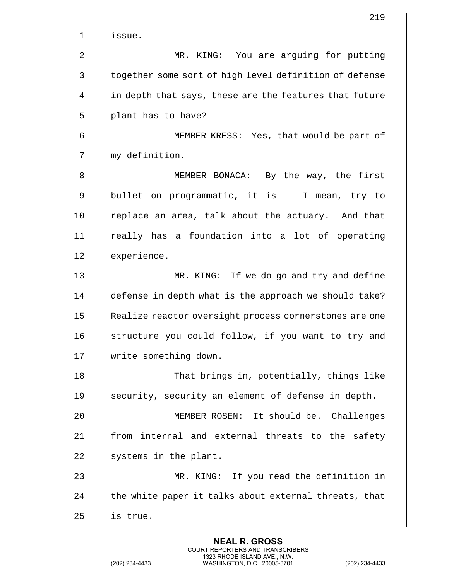|             | 219                                                    |
|-------------|--------------------------------------------------------|
| $\mathbf 1$ | issue.                                                 |
| 2           | MR. KING: You are arguing for putting                  |
| 3           | together some sort of high level definition of defense |
| 4           | in depth that says, these are the features that future |
| 5           | plant has to have?                                     |
| 6           | MEMBER KRESS: Yes, that would be part of               |
| 7           | my definition.                                         |
| 8           | MEMBER BONACA: By the way, the first                   |
| 9           | bullet on programmatic, it is -- I mean, try to        |
| 10          | replace an area, talk about the actuary. And that      |
| 11          | really has a foundation into a lot of operating        |
| 12          | experience.                                            |
| 13          | MR. KING: If we do go and try and define               |
| 14          | defense in depth what is the approach we should take?  |
| 15          | Realize reactor oversight process cornerstones are one |
| 16          | structure you could follow, if you want to try and     |
| 17          | write something down.                                  |
| 18          | That brings in, potentially, things like               |
| 19          | security, security an element of defense in depth.     |
| 20          | MEMBER ROSEN: It should be. Challenges                 |
| 21          | from internal and external threats to the safety       |
| 22          | systems in the plant.                                  |
| 23          | MR. KING: If you read the definition in                |
| 24          | the white paper it talks about external threats, that  |
| 25          | is true.                                               |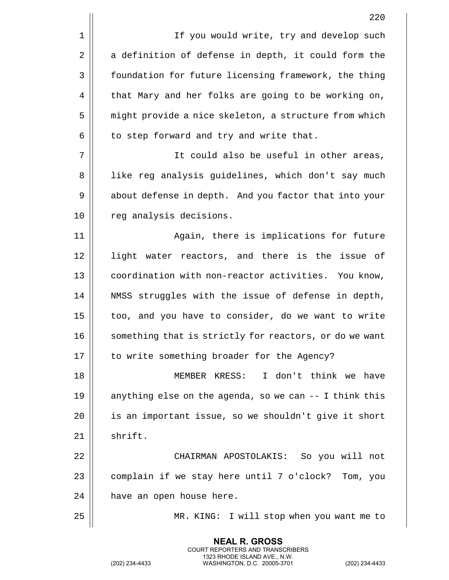1 | If you would write, try and develop such  $2 \parallel$  a definition of defense in depth, it could form the 3 | foundation for future licensing framework, the thing 4 | that Mary and her folks are going to be working on, 5 | might provide a nice skeleton, a structure from which  $6$  | to step forward and try and write that.

7 It could also be useful in other areas, 8 || Iike reg analysis guidelines, which don't say much 9 | about defense in depth. And you factor that into your 10 || reg analysis decisions.

11 || Again, there is implications for future 12 || light water reactors, and there is the issue of 13 || coordination with non-reactor activities. You know, 14 || NMSS struggles with the issue of defense in depth, 15 | too, and you have to consider, do we want to write 16 || something that is strictly for reactors, or do we want 17 || to write something broader for the Agency?

18 MEMBER KRESS: I don't think we have 19  $\parallel$  anything else on the agenda, so we can  $-$  I think this 20 || is an important issue, so we shouldn't give it short  $21$  shrift.

22 CHAIRMAN APOSTOLAKIS: So you will not  $23$  | complain if we stay here until 7 o'clock? Tom, you  $24$  | have an open house here.

> **NEAL R. GROSS** COURT REPORTERS AND TRANSCRIBERS 1323 RHODE ISLAND AVE., N.W.

25 MR. KING: I will stop when you want me to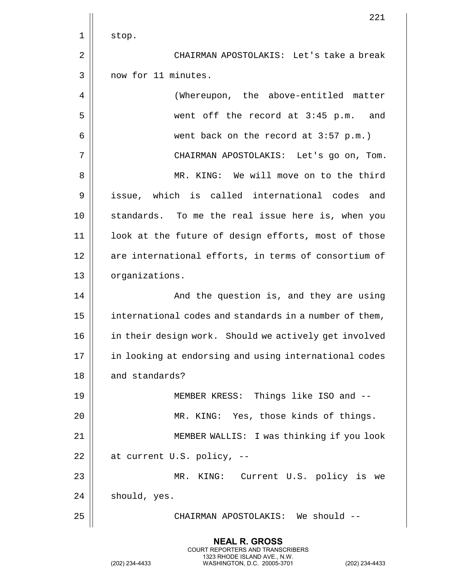|    | 221                                                    |
|----|--------------------------------------------------------|
| 1  | stop.                                                  |
| 2  | CHAIRMAN APOSTOLAKIS: Let's take a break               |
| 3  | now for 11 minutes.                                    |
| 4  | (Whereupon, the above-entitled matter                  |
| 5  | went off the record at 3:45 p.m. and                   |
| 6  | went back on the record at $3:57$ p.m.)                |
| 7  | CHAIRMAN APOSTOLAKIS: Let's go on, Tom.                |
| 8  | MR. KING: We will move on to the third                 |
| 9  | issue, which is called international codes and         |
| 10 | standards. To me the real issue here is, when you      |
| 11 | look at the future of design efforts, most of those    |
| 12 | are international efforts, in terms of consortium of   |
| 13 | organizations.                                         |
| 14 | And the question is, and they are using                |
| 15 | international codes and standards in a number of them, |
| 16 | in their design work. Should we actively get involved  |
| 17 | in looking at endorsing and using international codes  |
| 18 | and standards?                                         |
| 19 | MEMBER KRESS: Things like ISO and --                   |
| 20 | MR. KING: Yes, those kinds of things.                  |
| 21 | MEMBER WALLIS: I was thinking if you look              |
| 22 | at current U.S. policy, --                             |
| 23 | MR. KING: Current U.S. policy is we                    |
| 24 | should, yes.                                           |
| 25 | CHAIRMAN APOSTOLAKIS: We should --                     |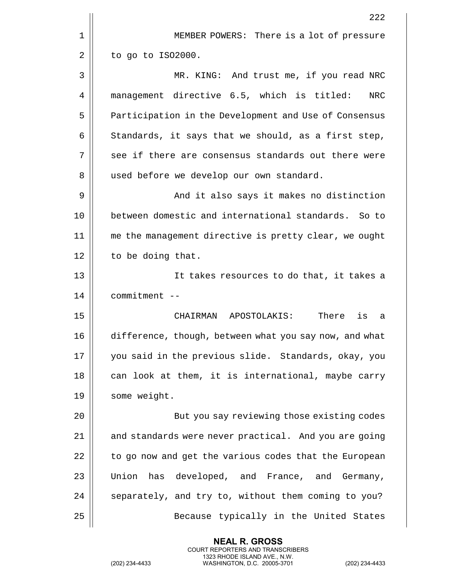|    | 222                                                      |
|----|----------------------------------------------------------|
| 1  | MEMBER POWERS: There is a lot of pressure                |
| 2  | to go to IS02000.                                        |
| 3  | MR. KING: And trust me, if you read NRC                  |
| 4  | management directive 6.5, which is titled:<br><b>NRC</b> |
| 5  | Participation in the Development and Use of Consensus    |
| 6  | Standards, it says that we should, as a first step,      |
| 7  | see if there are consensus standards out there were      |
| 8  | used before we develop our own standard.                 |
| 9  | And it also says it makes no distinction                 |
| 10 | between domestic and international standards. So to      |
| 11 | me the management directive is pretty clear, we ought    |
| 12 | to be doing that.                                        |
| 13 | It takes resources to do that, it takes a                |
| 14 | commitment --                                            |
| 15 | CHAIRMAN APOSTOLAKIS:<br>There<br>is<br>а                |
| 16 | difference, though, between what you say now, and what   |
| 17 | you said in the previous slide. Standards, okay, you     |
| 18 | can look at them, it is international, maybe carry       |
| 19 | some weight.                                             |
| 20 | But you say reviewing those existing codes               |
| 21 | and standards were never practical. And you are going    |
| 22 | to go now and get the various codes that the European    |
| 23 | has developed, and France, and Germany,<br>Union         |
| 24 | separately, and try to, without them coming to you?      |
| 25 | Because typically in the United States                   |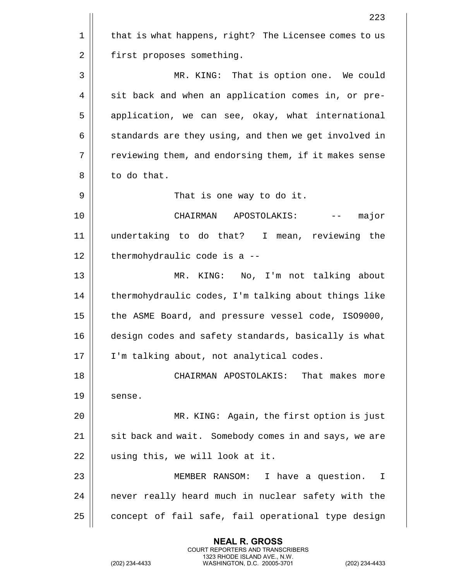|    | 223                                                   |
|----|-------------------------------------------------------|
| 1  | that is what happens, right? The Licensee comes to us |
| 2  | first proposes something.                             |
| 3  | MR. KING: That is option one. We could                |
| 4  | sit back and when an application comes in, or pre-    |
| 5  | application, we can see, okay, what international     |
| 6  | standards are they using, and then we get involved in |
| 7  | reviewing them, and endorsing them, if it makes sense |
| 8  | to do that.                                           |
| 9  | That is one way to do it.                             |
| 10 | major<br>CHAIRMAN APOSTOLAKIS:                        |
| 11 | undertaking to do that? I mean, reviewing the         |
| 12 | thermohydraulic code is a --                          |
| 13 | KING: No, I'm not talking about<br>MR.                |
| 14 | thermohydraulic codes, I'm talking about things like  |
| 15 | the ASME Board, and pressure vessel code, ISO9000,    |
| 16 | design codes and safety standards, basically is what  |
| 17 | I'm talking about, not analytical codes.              |
| 18 | CHAIRMAN APOSTOLAKIS:<br>That makes more              |
| 19 | sense.                                                |
| 20 | MR. KING: Again, the first option is just             |
| 21 | sit back and wait. Somebody comes in and says, we are |
| 22 | using this, we will look at it.                       |
| 23 | MEMBER RANSOM:<br>I have a question.<br>$\mathbb{I}$  |
| 24 | never really heard much in nuclear safety with the    |
| 25 | concept of fail safe, fail operational type design    |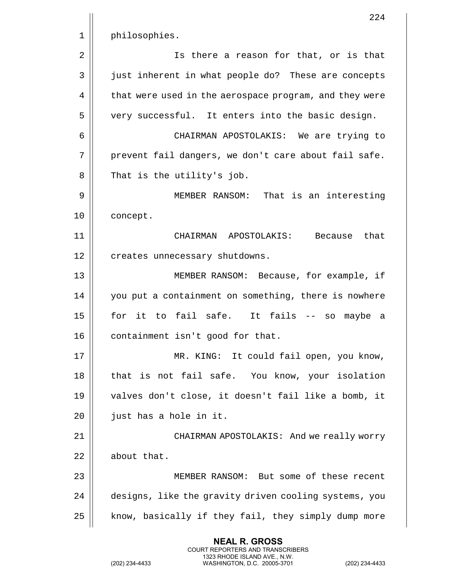|    | 224                                                    |
|----|--------------------------------------------------------|
| 1  | philosophies.                                          |
| 2  | Is there a reason for that, or is that                 |
| 3  | just inherent in what people do? These are concepts    |
| 4  | that were used in the aerospace program, and they were |
| 5  | very successful. It enters into the basic design.      |
| 6  | CHAIRMAN APOSTOLAKIS: We are trying to                 |
| 7  | prevent fail dangers, we don't care about fail safe.   |
| 8  | That is the utility's job.                             |
| 9  | MEMBER RANSOM: That is an interesting                  |
| 10 | concept.                                               |
| 11 | CHAIRMAN APOSTOLAKIS: Because<br>that                  |
| 12 | creates unnecessary shutdowns.                         |
| 13 | MEMBER RANSOM: Because, for example, if                |
| 14 | you put a containment on something, there is nowhere   |
| 15 | for it to fail safe. It fails<br>maybe a<br>SO<br>$--$ |
| 16 | containment isn't good for that.                       |
| 17 | MR. KING: It could fail open, you know,                |
| 18 | that is not fail safe. You know, your isolation        |
| 19 | valves don't close, it doesn't fail like a bomb, it    |
| 20 | just has a hole in it.                                 |
| 21 | CHAIRMAN APOSTOLAKIS: And we really worry              |
| 22 | about that.                                            |
| 23 | MEMBER RANSOM: But some of these recent                |
| 24 | designs, like the gravity driven cooling systems, you  |
| 25 | know, basically if they fail, they simply dump more    |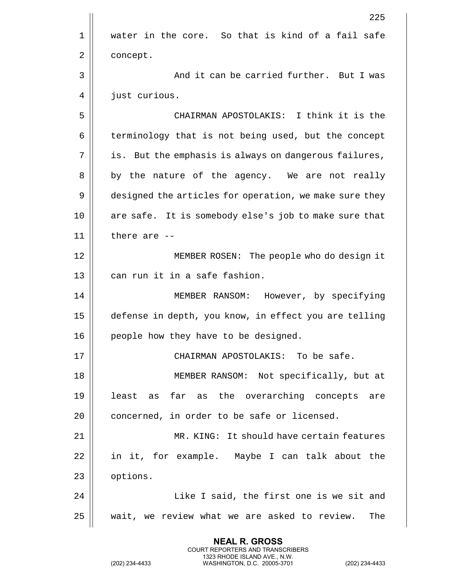|    | 225                                                    |
|----|--------------------------------------------------------|
| 1  | water in the core. So that is kind of a fail safe      |
| 2  | concept.                                               |
| 3  | And it can be carried further. But I was               |
| 4  | just curious.                                          |
| 5  | CHAIRMAN APOSTOLAKIS: I think it is the                |
| 6  | terminology that is not being used, but the concept    |
| 7  | is. But the emphasis is always on dangerous failures,  |
| 8  | by the nature of the agency. We are not really         |
| 9  | designed the articles for operation, we make sure they |
| 10 | are safe. It is somebody else's job to make sure that  |
| 11 | there are --                                           |
| 12 | MEMBER ROSEN: The people who do design it              |
| 13 | can run it in a safe fashion.                          |
| 14 | MEMBER RANSOM: However, by specifying                  |
| 15 | defense in depth, you know, in effect you are telling  |
| 16 | people how they have to be designed.                   |
| 17 | CHAIRMAN APOSTOLAKIS: To be safe.                      |
| 18 | MEMBER RANSOM: Not specifically, but at                |
| 19 | least as far as the overarching concepts are           |
| 20 | concerned, in order to be safe or licensed.            |
| 21 | MR. KING: It should have certain features              |
| 22 | in it, for example. Maybe I can talk about the         |
| 23 | options.                                               |
| 24 | Like I said, the first one is we sit and               |
| 25 | wait, we review what we are asked to review.<br>The    |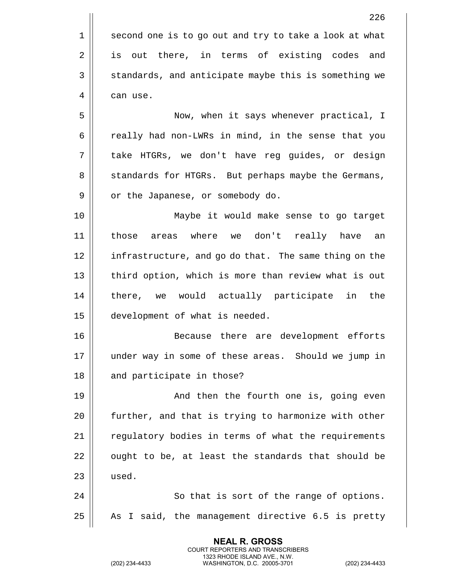|    | 226                                                    |
|----|--------------------------------------------------------|
| 1  | second one is to go out and try to take a look at what |
| 2  | is out there, in terms of existing codes<br>and        |
| 3  | standards, and anticipate maybe this is something we   |
| 4  | can use.                                               |
| 5  | Now, when it says whenever practical, I                |
| 6  | really had non-LWRs in mind, in the sense that you     |
| 7  | take HTGRs, we don't have reg guides, or design        |
| 8  | standards for HTGRs. But perhaps maybe the Germans,    |
| 9  | or the Japanese, or somebody do.                       |
| 10 | Maybe it would make sense to go target                 |
| 11 | where we don't really have<br>those<br>areas<br>an     |
| 12 | infrastructure, and go do that. The same thing on the  |
| 13 | third option, which is more than review what is out    |
| 14 | there, we would actually participate in the            |
| 15 | development of what is needed.                         |
| 16 | Because there are development efforts                  |
| 17 | under way in some of these areas. Should we jump in    |
| 18 | and participate in those?                              |
| 19 | And then the fourth one is, going even                 |
| 20 | further, and that is trying to harmonize with other    |
| 21 | regulatory bodies in terms of what the requirements    |
| 22 | ought to be, at least the standards that should be     |
| 23 | used.                                                  |
| 24 | So that is sort of the range of options.               |
| 25 | As I said, the management directive 6.5 is pretty      |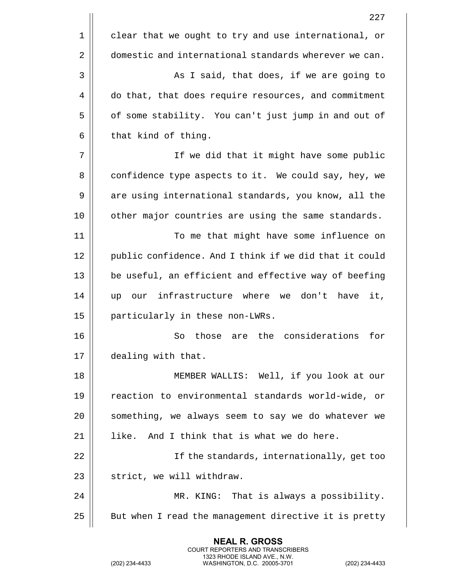|    | 227                                                    |
|----|--------------------------------------------------------|
| 1  | clear that we ought to try and use international, or   |
| 2  | domestic and international standards wherever we can.  |
| 3  | As I said, that does, if we are going to               |
| 4  | do that, that does require resources, and commitment   |
| 5  | of some stability. You can't just jump in and out of   |
| 6  | that kind of thing.                                    |
| 7  | If we did that it might have some public               |
| 8  | confidence type aspects to it. We could say, hey, we   |
| 9  | are using international standards, you know, all the   |
| 10 | other major countries are using the same standards.    |
| 11 | To me that might have some influence on                |
| 12 | public confidence. And I think if we did that it could |
| 13 | be useful, an efficient and effective way of beefing   |
| 14 | our infrastructure where we don't have<br>it,<br>up    |
| 15 | particularly in these non-LWRs.                        |
| 16 | are the considerations<br>for<br>So<br>those           |
| 17 | dealing with that.                                     |
| 18 | MEMBER WALLIS: Well, if you look at our                |
| 19 | reaction to environmental standards world-wide, or     |
| 20 | something, we always seem to say we do whatever we     |
| 21 | like. And I think that is what we do here.             |
| 22 | If the standards, internationally, get too             |
| 23 | strict, we will withdraw.                              |
| 24 | MR. KING: That is always a possibility.                |
| 25 | But when I read the management directive it is pretty  |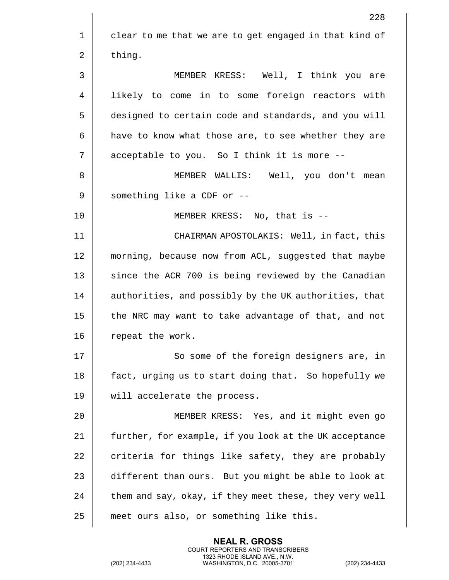|    | 228                                                    |
|----|--------------------------------------------------------|
| 1  | clear to me that we are to get engaged in that kind of |
| 2  | thing.                                                 |
| 3  | MEMBER KRESS: Well, I think you are                    |
| 4  | likely to come in to some foreign reactors with        |
| 5  | designed to certain code and standards, and you will   |
| 6  | have to know what those are, to see whether they are   |
| 7  | acceptable to you. So I think it is more --            |
| 8  | MEMBER WALLIS: Well, you don't mean                    |
| 9  | something like a CDF or --                             |
| 10 | MEMBER KRESS: No, that is --                           |
| 11 | CHAIRMAN APOSTOLAKIS: Well, in fact, this              |
| 12 | morning, because now from ACL, suggested that maybe    |
| 13 | since the ACR 700 is being reviewed by the Canadian    |
| 14 | authorities, and possibly by the UK authorities, that  |
| 15 | the NRC may want to take advantage of that, and not    |
| 16 | repeat the work.                                       |
| 17 | So some of the foreign designers are, in               |
| 18 | fact, urging us to start doing that. So hopefully we   |
| 19 | will accelerate the process.                           |
| 20 | MEMBER KRESS: Yes, and it might even go                |
| 21 | further, for example, if you look at the UK acceptance |
| 22 | criteria for things like safety, they are probably     |
| 23 | different than ours. But you might be able to look at  |
| 24 | them and say, okay, if they meet these, they very well |
| 25 | meet ours also, or something like this.                |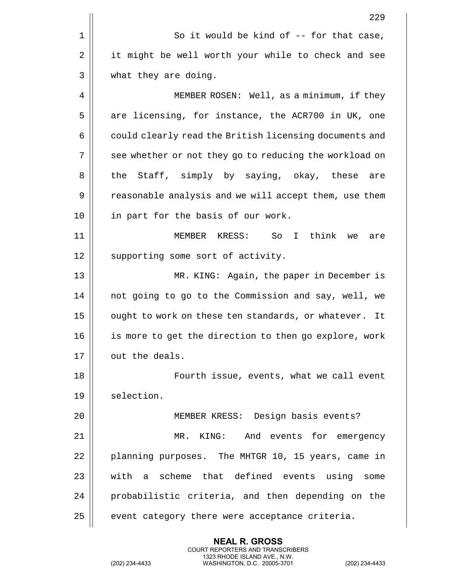| 229                                                    |
|--------------------------------------------------------|
| So it would be kind of $-$ - for that case,            |
| it might be well worth your while to check and see     |
| what they are doing.                                   |
| MEMBER ROSEN: Well, as a minimum, if they              |
| are licensing, for instance, the ACR700 in UK, one     |
| could clearly read the British licensing documents and |
| see whether or not they go to reducing the workload on |
| Staff, simply by saying, okay, these are<br>the        |
| reasonable analysis and we will accept them, use them  |
| in part for the basis of our work.                     |
| MEMBER KRESS: So I<br>think<br>we<br>are               |
| supporting some sort of activity.                      |
| MR. KING: Again, the paper in December is              |
| not going to go to the Commission and say, well, we    |
| ought to work on these ten standards, or whatever. It  |
| is more to get the direction to then go explore, work  |
| out the deals.                                         |
| Fourth issue, events, what we call event               |
| selection.                                             |
| MEMBER KRESS: Design basis events?                     |
| KING: And events for emergency<br>MR.                  |
| planning purposes. The MHTGR 10, 15 years, came in     |
| with a scheme that defined events using some           |
| probabilistic criteria, and then depending on the      |
| event category there were acceptance criteria.         |
|                                                        |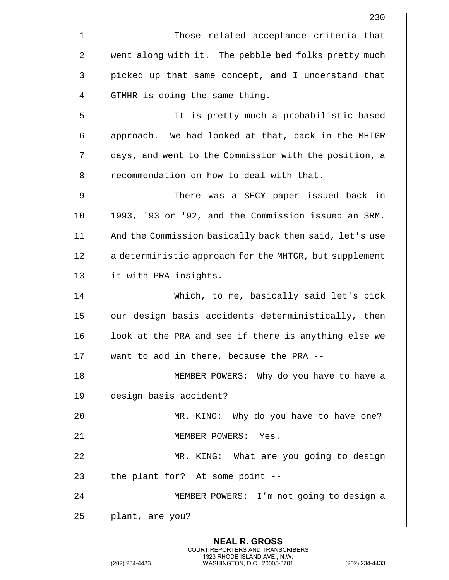| 230                                                    |
|--------------------------------------------------------|
| Those related acceptance criteria that                 |
| went along with it. The pebble bed folks pretty much   |
| picked up that same concept, and I understand that     |
| GTMHR is doing the same thing.                         |
| It is pretty much a probabilistic-based                |
| approach. We had looked at that, back in the MHTGR     |
| days, and went to the Commission with the position, a  |
| recommendation on how to deal with that.               |
| There was a SECY paper issued back in                  |
| 1993, '93 or '92, and the Commission issued an SRM.    |
| And the Commission basically back then said, let's use |
| a deterministic approach for the MHTGR, but supplement |
| it with PRA insights.                                  |
| Which, to me, basically said let's pick                |
| our design basis accidents deterministically, then     |
| look at the PRA and see if there is anything else we   |
| want to add in there, because the PRA --               |
| MEMBER POWERS: Why do you have to have a               |
| design basis accident?                                 |
| MR. KING: Why do you have to have one?                 |
| MEMBER POWERS: Yes.                                    |
| MR. KING: What are you going to design                 |
| the plant for? At some point --                        |
| MEMBER POWERS: I'm not going to design a               |
| plant, are you?                                        |
|                                                        |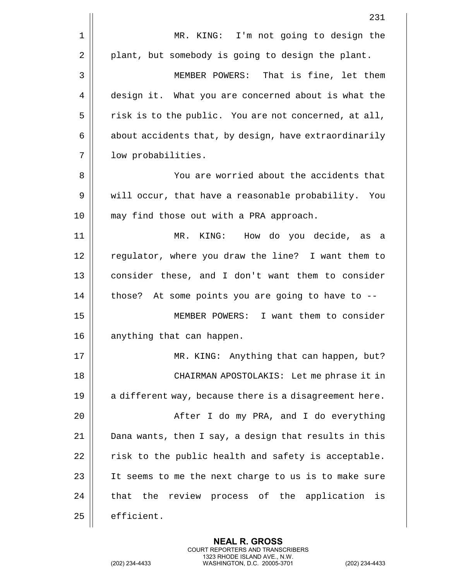|    | 231                                                    |
|----|--------------------------------------------------------|
| 1  | MR. KING: I'm not going to design the                  |
| 2  | plant, but somebody is going to design the plant.      |
| 3  | MEMBER POWERS: That is fine, let them                  |
| 4  | design it. What you are concerned about is what the    |
| 5  | risk is to the public. You are not concerned, at all,  |
| 6  | about accidents that, by design, have extraordinarily  |
| 7  | low probabilities.                                     |
| 8  | You are worried about the accidents that               |
| 9  | will occur, that have a reasonable probability. You    |
| 10 | may find those out with a PRA approach.                |
| 11 | MR.<br>KING: How do you decide, as<br>- a              |
| 12 | regulator, where you draw the line? I want them to     |
| 13 | consider these, and I don't want them to consider      |
| 14 | those? At some points you are going to have to --      |
| 15 | MEMBER POWERS: I want them to consider                 |
| 16 | anything that can happen.                              |
| 17 | MR. KING: Anything that can happen, but?               |
| 18 | CHAIRMAN APOSTOLAKIS: Let me phrase it in              |
| 19 | a different way, because there is a disagreement here. |
| 20 | After I do my PRA, and I do everything                 |
| 21 | Dana wants, then I say, a design that results in this  |
| 22 | risk to the public health and safety is acceptable.    |
| 23 | It seems to me the next charge to us is to make sure   |
| 24 | that the review process of the application is          |
| 25 | efficient.                                             |
|    |                                                        |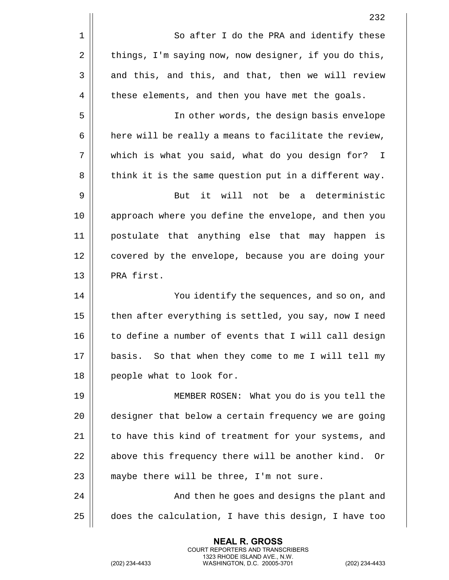|    | 232                                                    |
|----|--------------------------------------------------------|
| 1  | So after I do the PRA and identify these               |
| 2  | things, I'm saying now, now designer, if you do this,  |
| 3  | and this, and this, and that, then we will review      |
| 4  | these elements, and then you have met the goals.       |
| 5  | In other words, the design basis envelope              |
| 6  | here will be really a means to facilitate the review,  |
| 7  | which is what you said, what do you design for? I      |
| 8  | think it is the same question put in a different way.  |
| 9  | it will not be<br>a deterministic<br>But               |
| 10 | approach where you define the envelope, and then you   |
| 11 | postulate that anything else that may happen is        |
| 12 | covered by the envelope, because you are doing your    |
| 13 | PRA first.                                             |
| 14 | You identify the sequences, and so on, and             |
| 15 | then after everything is settled, you say, now I need  |
| 16 | to define a number of events that I will call design   |
| 17 | basis. So that when they come to me I will tell my     |
| 18 | people what to look for.                               |
| 19 | MEMBER ROSEN: What you do is you tell the              |
| 20 | designer that below a certain frequency we are going   |
| 21 | to have this kind of treatment for your systems, and   |
| 22 | above this frequency there will be another kind.<br>Or |
| 23 | maybe there will be three, I'm not sure.               |
| 24 | And then he goes and designs the plant and             |
| 25 | does the calculation, I have this design, I have too   |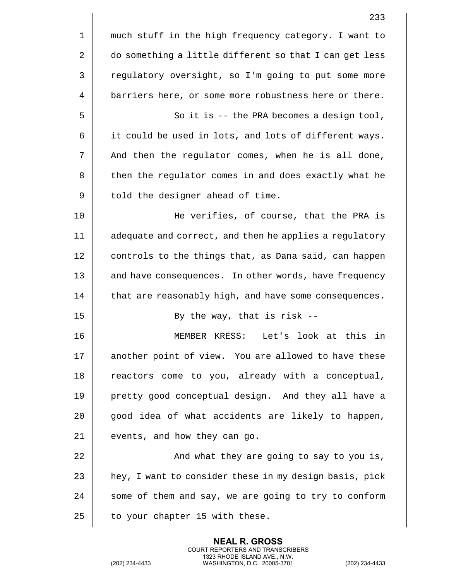|    | 233                                                    |
|----|--------------------------------------------------------|
| 1  | much stuff in the high frequency category. I want to   |
| 2  | do something a little different so that I can get less |
| 3  | regulatory oversight, so I'm going to put some more    |
| 4  | barriers here, or some more robustness here or there.  |
| 5  | So it is -- the PRA becomes a design tool,             |
| 6  | it could be used in lots, and lots of different ways.  |
| 7  | And then the regulator comes, when he is all done,     |
| 8  | then the regulator comes in and does exactly what he   |
| 9  | told the designer ahead of time.                       |
| 10 | He verifies, of course, that the PRA is                |
| 11 | adequate and correct, and then he applies a regulatory |
| 12 | controls to the things that, as Dana said, can happen  |
| 13 | and have consequences. In other words, have frequency  |
| 14 | that are reasonably high, and have some consequences.  |
| 15 | By the way, that is risk --                            |
| 16 | MEMBER KRESS:<br>Let's look at this in                 |
| 17 | another point of view. You are allowed to have these   |
| 18 | reactors come to you, already with a conceptual,       |
| 19 | pretty good conceptual design. And they all have a     |
| 20 | good idea of what accidents are likely to happen,      |
| 21 | events, and how they can go.                           |
| 22 | And what they are going to say to you is,              |
| 23 | hey, I want to consider these in my design basis, pick |
| 24 | some of them and say, we are going to try to conform   |
| 25 | to your chapter 15 with these.                         |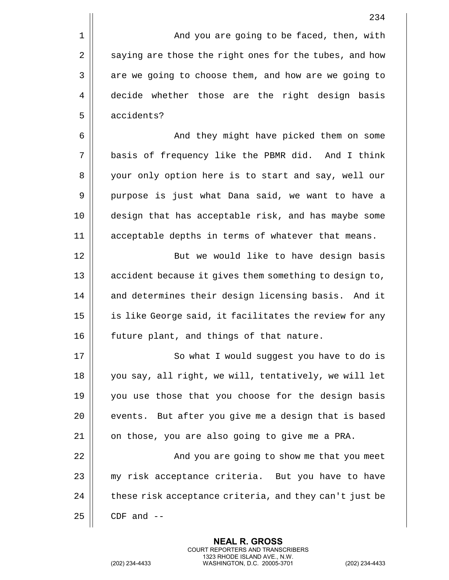1 | And you are going to be faced, then, with  $2 \parallel$  saying are those the right ones for the tubes, and how  $3 \parallel$  are we going to choose them, and how are we going to 4 decide whether those are the right design basis 5 accidents?

6 And they might have picked them on some 7 basis of frequency like the PBMR did. And I think 8 || your only option here is to start and say, well our 9 || purpose is just what Dana said, we want to have a 10 || design that has acceptable risk, and has maybe some 11 acceptable depths in terms of whatever that means.

12 || But we would like to have design basis 13 || accident because it gives them something to design to, 14 || and determines their design licensing basis. And it 15 || is like George said, it facilitates the review for any 16 | future plant, and things of that nature.

17 || So what I would suggest you have to do is 18 || you say, all right, we will, tentatively, we will let 19 || you use those that you choose for the design basis 20 || events. But after you give me a design that is based  $21$  | on those, you are also going to give me a PRA.

 And you are going to show me that you meet 23 || my risk acceptance criteria. But you have to have  $\parallel$  these risk acceptance criteria, and they can't just be | CDF and  $-$ 

> **NEAL R. GROSS** COURT REPORTERS AND TRANSCRIBERS 1323 RHODE ISLAND AVE., N.W.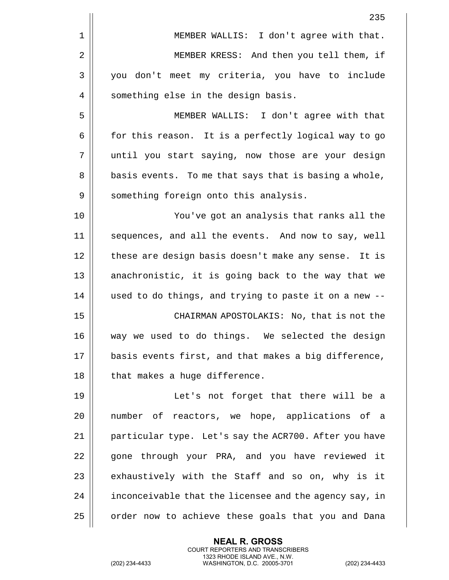|             | 235                                                    |
|-------------|--------------------------------------------------------|
| $\mathbf 1$ | MEMBER WALLIS: I don't agree with that.                |
| 2           | MEMBER KRESS: And then you tell them, if               |
| 3           | you don't meet my criteria, you have to include        |
| 4           | something else in the design basis.                    |
| 5           | MEMBER WALLIS: I don't agree with that                 |
| 6           | for this reason. It is a perfectly logical way to go   |
| 7           | until you start saying, now those are your design      |
| 8           | basis events. To me that says that is basing a whole,  |
| 9           | something foreign onto this analysis.                  |
| 10          | You've got an analysis that ranks all the              |
| 11          | sequences, and all the events. And now to say, well    |
| 12          | these are design basis doesn't make any sense. It is   |
| 13          | anachronistic, it is going back to the way that we     |
| 14          | used to do things, and trying to paste it on a new --  |
| 15          | CHAIRMAN APOSTOLAKIS: No, that is not the              |
| 16          | way we used to do things. We selected the design       |
| 17          | basis events first, and that makes a big difference,   |
| 18          | that makes a huge difference.                          |
| 19          | Let's not forget that there will be a                  |
| 20          | number of reactors, we hope, applications of a         |
| 21          | particular type. Let's say the ACR700. After you have  |
| 22          | gone through your PRA, and you have reviewed it        |
| 23          | exhaustively with the Staff and so on, why is it       |
| 24          | inconceivable that the licensee and the agency say, in |
| 25          | order now to achieve these goals that you and Dana     |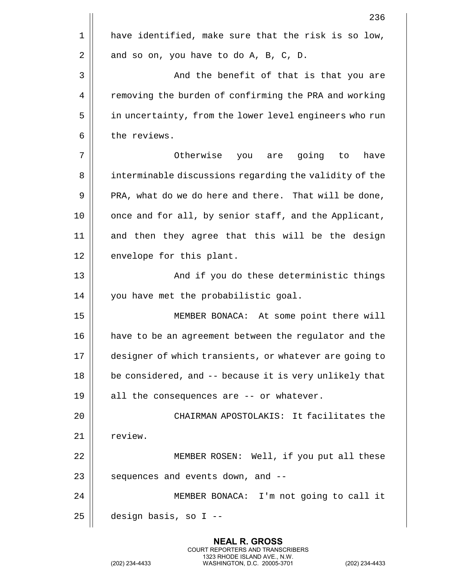|    | 236                                                    |
|----|--------------------------------------------------------|
| 1  | have identified, make sure that the risk is so low,    |
| 2  | and so on, you have to do A, B, C, D.                  |
| 3  | And the benefit of that is that you are                |
| 4  | removing the burden of confirming the PRA and working  |
| 5  | in uncertainty, from the lower level engineers who run |
| 6  | the reviews.                                           |
| 7  | Otherwise you are going to<br>have                     |
| 8  | interminable discussions regarding the validity of the |
| 9  | PRA, what do we do here and there. That will be done,  |
| 10 | once and for all, by senior staff, and the Applicant,  |
| 11 | and then they agree that this will be the design       |
| 12 | envelope for this plant.                               |
| 13 | And if you do these deterministic things               |
| 14 | you have met the probabilistic goal.                   |
| 15 | MEMBER BONACA: At some point there will                |
| 16 | have to be an agreement between the regulator and the  |
| 17 | designer of which transients, or whatever are going to |
| 18 | be considered, and -- because it is very unlikely that |
| 19 | all the consequences are -- or whatever.               |
| 20 | CHAIRMAN APOSTOLAKIS: It facilitates the               |
| 21 | review.                                                |
| 22 | MEMBER ROSEN: Well, if you put all these               |
| 23 | sequences and events down, and --                      |
| 24 | MEMBER BONACA: I'm not going to call it                |
| 25 | design basis, so I --                                  |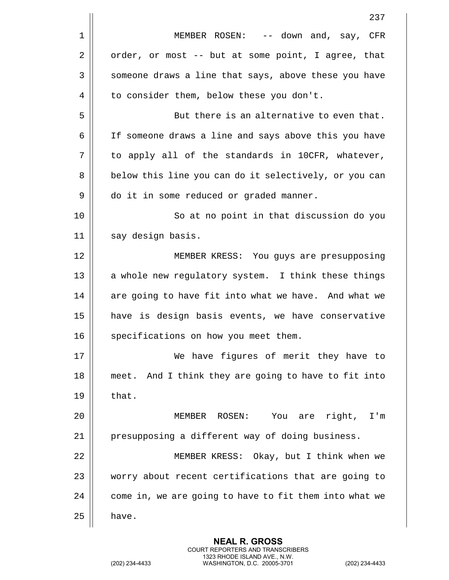|    | 237                                                    |
|----|--------------------------------------------------------|
| 1  | MEMBER ROSEN: -- down and, say, CFR                    |
| 2  | order, or most -- but at some point, I agree, that     |
| 3  | someone draws a line that says, above these you have   |
| 4  | to consider them, below these you don't.               |
| 5  | But there is an alternative to even that.              |
| 6  | If someone draws a line and says above this you have   |
| 7  | to apply all of the standards in 10CFR, whatever,      |
| 8  | below this line you can do it selectively, or you can  |
| 9  | do it in some reduced or graded manner.                |
| 10 | So at no point in that discussion do you               |
| 11 | say design basis.                                      |
| 12 | MEMBER KRESS: You guys are presupposing                |
| 13 | a whole new regulatory system. I think these things    |
| 14 | are going to have fit into what we have. And what we   |
| 15 | have is design basis events, we have conservative      |
| 16 | specifications on how you meet them.                   |
| 17 | We have figures of merit they have to                  |
| 18 | meet. And I think they are going to have to fit into   |
| 19 | that.                                                  |
| 20 | MEMBER ROSEN: You are<br>right,<br>I'm                 |
| 21 | presupposing a different way of doing business.        |
| 22 | MEMBER KRESS: Okay, but I think when we                |
| 23 | worry about recent certifications that are going to    |
| 24 | come in, we are going to have to fit them into what we |
| 25 | have.                                                  |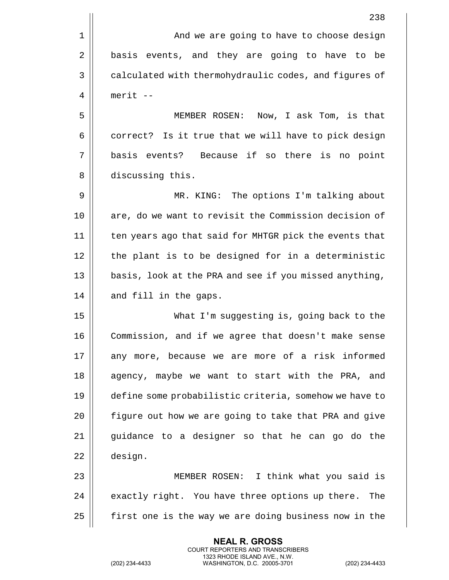|    | 238                                                    |
|----|--------------------------------------------------------|
| 1  | And we are going to have to choose design              |
| 2  | basis events, and they are going to have to be         |
| 3  | calculated with thermohydraulic codes, and figures of  |
| 4  | $merit$ --                                             |
| 5  | MEMBER ROSEN: Now, I ask Tom, is that                  |
| 6  | correct? Is it true that we will have to pick design   |
| 7  | basis events? Because if so there is no point          |
| 8  | discussing this.                                       |
| 9  | MR. KING: The options I'm talking about                |
| 10 | are, do we want to revisit the Commission decision of  |
| 11 | ten years ago that said for MHTGR pick the events that |
| 12 | the plant is to be designed for in a deterministic     |
| 13 | basis, look at the PRA and see if you missed anything, |
| 14 | and fill in the gaps.                                  |
| 15 | What I'm suggesting is, going back to the              |
| 16 | Commission, and if we agree that doesn't make sense    |
| 17 | any more, because we are more of a risk informed       |
| 18 | agency, maybe we want to start with the PRA, and       |
| 19 | define some probabilistic criteria, somehow we have to |
| 20 | figure out how we are going to take that PRA and give  |
| 21 | guidance to a designer so that he can go do the        |
| 22 | design.                                                |
| 23 | MEMBER ROSEN: I think what you said is                 |
| 24 | exactly right. You have three options up there. The    |
| 25 | first one is the way we are doing business now in the  |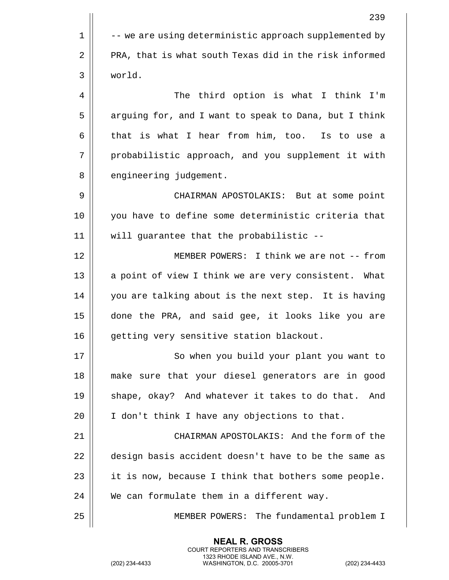239  $1 \parallel$  -- we are using deterministic approach supplemented by  $2 \parallel$  PRA, that is what south Texas did in the risk informed 3 world. 4 The third option is what I think I'm 5 | arguing for, and I want to speak to Dana, but I think  $6 \parallel$  that is what I hear from him, too. Is to use a 7 || probabilistic approach, and you supplement it with 8 || engineering judgement. 9 CHAIRMAN APOSTOLAKIS: But at some point 10 you have to define some deterministic criteria that 11 will guarantee that the probabilistic -- 12 MEMBER POWERS: I think we are not -- from 13 || a point of view I think we are very consistent. What 14 || you are talking about is the next step. It is having 15 done the PRA, and said gee, it looks like you are 16 | qetting very sensitive station blackout. 17 || So when you build your plant you want to 18 make sure that your diesel generators are in good 19 Shape, okay? And whatever it takes to do that. And 20  $\parallel$  I don't think I have any objections to that. 21 CHAIRMAN APOSTOLAKIS: And the form of the 22 design basis accident doesn't have to be the same as 23  $\parallel$  it is now, because I think that bothers some people.  $24$   $\parallel$  We can formulate them in a different way. 25 || MEMBER POWERS: The fundamental problem I

> **NEAL R. GROSS** COURT REPORTERS AND TRANSCRIBERS 1323 RHODE ISLAND AVE., N.W.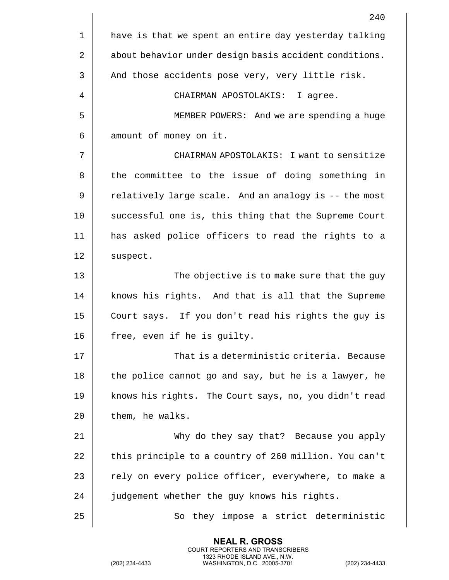|    | 240                                                    |
|----|--------------------------------------------------------|
| 1  | have is that we spent an entire day yesterday talking  |
| 2  | about behavior under design basis accident conditions. |
| 3  | And those accidents pose very, very little risk.       |
| 4  | CHAIRMAN APOSTOLAKIS: I agree.                         |
| 5  | MEMBER POWERS: And we are spending a huge              |
| 6  | amount of money on it.                                 |
| 7  | CHAIRMAN APOSTOLAKIS: I want to sensitize              |
| 8  | the committee to the issue of doing something in       |
| 9  | relatively large scale. And an analogy is -- the most  |
| 10 | successful one is, this thing that the Supreme Court   |
| 11 | has asked police officers to read the rights to a      |
| 12 | suspect.                                               |
| 13 | The objective is to make sure that the guy             |
| 14 | knows his rights. And that is all that the Supreme     |
| 15 | Court says. If you don't read his rights the guy is    |
| 16 | free, even if he is guilty.                            |
| 17 | That is a deterministic criteria. Because              |
| 18 | the police cannot go and say, but he is a lawyer, he   |
| 19 | knows his rights. The Court says, no, you didn't read  |
| 20 | them, he walks.                                        |
| 21 | Why do they say that? Because you apply                |
| 22 | this principle to a country of 260 million. You can't  |
| 23 | rely on every police officer, everywhere, to make a    |
| 24 | judgement whether the guy knows his rights.            |
| 25 | they impose a strict deterministic<br>So               |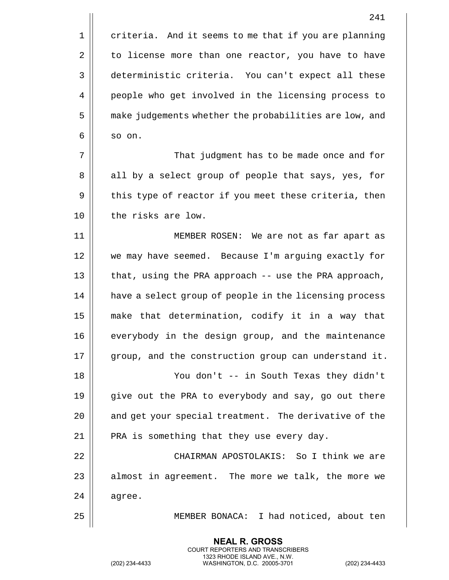|    | 241                                                    |
|----|--------------------------------------------------------|
| 1  | criteria. And it seems to me that if you are planning  |
| 2  | to license more than one reactor, you have to have     |
| 3  | deterministic criteria. You can't expect all these     |
| 4  | people who get involved in the licensing process to    |
| 5  | make judgements whether the probabilities are low, and |
| 6  | so on.                                                 |
| 7  | That judgment has to be made once and for              |
| 8  | all by a select group of people that says, yes, for    |
| 9  | this type of reactor if you meet these criteria, then  |
| 10 | the risks are low.                                     |
| 11 | MEMBER ROSEN: We are not as far apart as               |
| 12 | we may have seemed. Because I'm arguing exactly for    |
| 13 | that, using the PRA approach -- use the PRA approach,  |
| 14 | have a select group of people in the licensing process |
| 15 | make that determination, codify it in a way that       |
| 16 | everybody in the design group, and the maintenance     |
| 17 | group, and the construction group can understand it.   |
| 18 | You don't -- in South Texas they didn't                |
| 19 | give out the PRA to everybody and say, go out there    |
| 20 | and get your special treatment. The derivative of the  |
| 21 | PRA is something that they use every day.              |
| 22 | CHAIRMAN APOSTOLAKIS: So I think we are                |
| 23 | almost in agreement. The more we talk, the more we     |
| 24 | agree.                                                 |
| 25 | MEMBER BONACA: I had noticed, about ten                |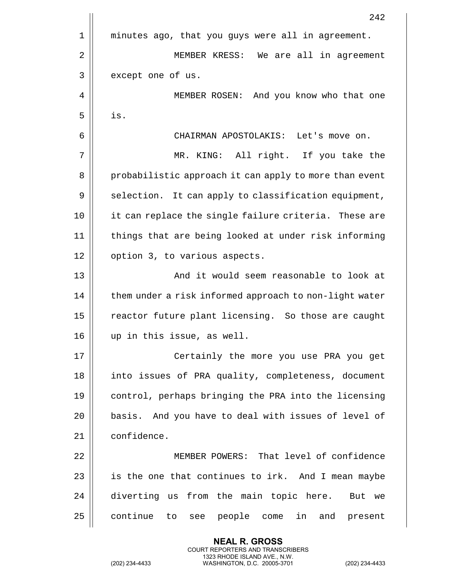|    | 242                                                    |
|----|--------------------------------------------------------|
| 1  | minutes ago, that you guys were all in agreement.      |
| 2  | MEMBER KRESS: We are all in agreement                  |
| 3  | except one of us.                                      |
| 4  | MEMBER ROSEN: And you know who that one                |
| 5  | is.                                                    |
| 6  | CHAIRMAN APOSTOLAKIS: Let's move on.                   |
| 7  | MR. KING: All right. If you take the                   |
| 8  | probabilistic approach it can apply to more than event |
| 9  | selection. It can apply to classification equipment,   |
| 10 | it can replace the single failure criteria. These are  |
| 11 | things that are being looked at under risk informing   |
| 12 | option 3, to various aspects.                          |
| 13 | And it would seem reasonable to look at                |
| 14 | them under a risk informed approach to non-light water |
| 15 | reactor future plant licensing. So those are caught    |
| 16 | up in this issue, as well.                             |
| 17 | Certainly the more you use PRA you get                 |
| 18 | into issues of PRA quality, completeness, document     |
| 19 | control, perhaps bringing the PRA into the licensing   |
| 20 | basis. And you have to deal with issues of level of    |
| 21 | confidence.                                            |
| 22 | MEMBER POWERS: That level of confidence                |
| 23 | is the one that continues to irk. And I mean maybe     |
| 24 | diverting us from the main topic here. But we          |
| 25 | continue<br>see people come in and present<br>to       |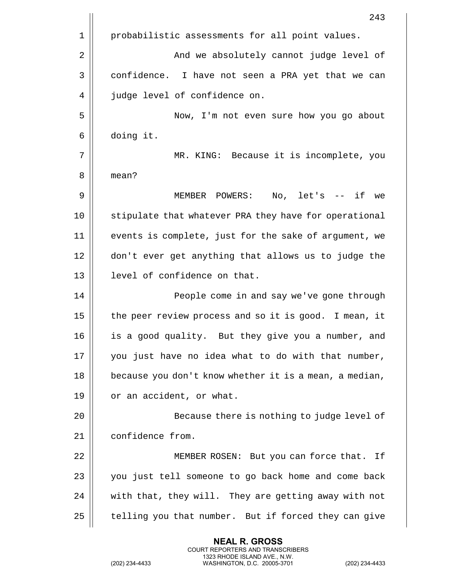|      | 243                                                    |
|------|--------------------------------------------------------|
| 1    | probabilistic assessments for all point values.        |
| 2    | And we absolutely cannot judge level of                |
| 3    | confidence. I have not seen a PRA yet that we can      |
| 4    | judge level of confidence on.                          |
| 5    | Now, I'm not even sure how you go about                |
| 6    | doing it.                                              |
| 7    | MR. KING: Because it is incomplete, you                |
| 8    | mean?                                                  |
| 9    | MEMBER POWERS: No, let's -- if<br>we                   |
| 10   | stipulate that whatever PRA they have for operational  |
| 11   | events is complete, just for the sake of argument, we  |
| 12   | don't ever get anything that allows us to judge the    |
| 13   | level of confidence on that.                           |
| 14   | People come in and say we've gone through              |
| 15   | the peer review process and so it is good. I mean, it  |
| 16   | is a good quality. But they give you a number, and     |
| $17$ | you just have no idea what to do with that number,     |
| 18   | because you don't know whether it is a mean, a median, |
| 19   | or an accident, or what.                               |
| 20   | Because there is nothing to judge level of             |
| 21   | confidence from.                                       |
| 22   | MEMBER ROSEN: But you can force that. If               |
| 23   | you just tell someone to go back home and come back    |
| 24   | with that, they will. They are getting away with not   |
| 25   | telling you that number. But if forced they can give   |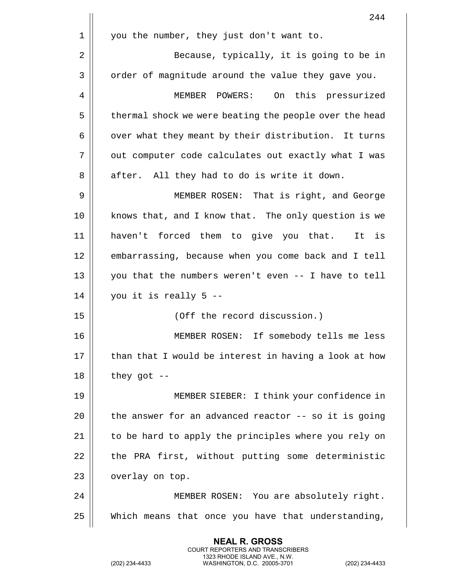|    | 244                                                    |
|----|--------------------------------------------------------|
| 1  | you the number, they just don't want to.               |
| 2  | Because, typically, it is going to be in               |
| 3  | order of magnitude around the value they gave you.     |
| 4  | MEMBER POWERS: On this pressurized                     |
| 5  | thermal shock we were beating the people over the head |
| 6  | over what they meant by their distribution. It turns   |
| 7  | out computer code calculates out exactly what I was    |
| 8  | after. All they had to do is write it down.            |
| 9  | MEMBER ROSEN: That is right, and George                |
| 10 | knows that, and I know that. The only question is we   |
| 11 | haven't forced them to give you that. It is            |
| 12 | embarrassing, because when you come back and I tell    |
| 13 | you that the numbers weren't even -- I have to tell    |
| 14 | you it is really 5 --                                  |
| 15 | (Off the record discussion.)                           |
| 16 | MEMBER ROSEN: If somebody tells me less                |
| 17 | than that I would be interest in having a look at how  |
| 18 | they got $-$ -                                         |
| 19 | MEMBER SIEBER: I think your confidence in              |
| 20 | the answer for an advanced reactor -- so it is going   |
| 21 | to be hard to apply the principles where you rely on   |
| 22 | the PRA first, without putting some deterministic      |
| 23 | overlay on top.                                        |
| 24 | MEMBER ROSEN: You are absolutely right.                |
| 25 | Which means that once you have that understanding,     |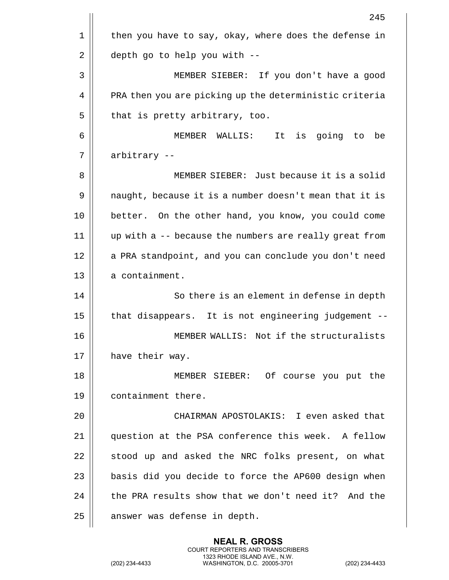|    | 245                                                    |
|----|--------------------------------------------------------|
| 1  | then you have to say, okay, where does the defense in  |
| 2  | depth go to help you with --                           |
| 3  | MEMBER SIEBER: If you don't have a good                |
| 4  | PRA then you are picking up the deterministic criteria |
| 5  | that is pretty arbitrary, too.                         |
| 6  | MEMBER WALLIS:<br>It<br>is going to<br>be              |
| 7  | arbitrary --                                           |
| 8  | MEMBER SIEBER: Just because it is a solid              |
| 9  | naught, because it is a number doesn't mean that it is |
| 10 | better. On the other hand, you know, you could come    |
| 11 | up with a -- because the numbers are really great from |
| 12 | a PRA standpoint, and you can conclude you don't need  |
| 13 | a containment.                                         |
| 14 | So there is an element in defense in depth             |
| 15 | that disappears. It is not engineering judgement --    |
| 16 | MEMBER WALLIS: Not if the structuralists               |
| 17 | have their way.                                        |
| 18 | MEMBER SIEBER: Of course you put the                   |
| 19 | containment there.                                     |
| 20 | CHAIRMAN APOSTOLAKIS: I even asked that                |
| 21 | question at the PSA conference this week. A fellow     |
| 22 | stood up and asked the NRC folks present, on what      |
| 23 | basis did you decide to force the AP600 design when    |
| 24 | the PRA results show that we don't need it? And the    |
| 25 | answer was defense in depth.                           |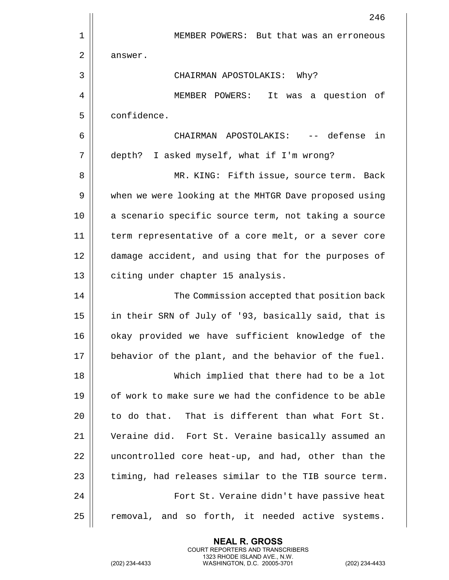|    | 246                                                   |
|----|-------------------------------------------------------|
| 1  | MEMBER POWERS: But that was an erroneous              |
| 2  | answer.                                               |
| 3  | CHAIRMAN APOSTOLAKIS:<br>Why?                         |
| 4  | MEMBER POWERS: It was a question of                   |
| 5  | confidence.                                           |
| 6  | CHAIRMAN APOSTOLAKIS: -- defense in                   |
| 7  | depth? I asked myself, what if I'm wrong?             |
| 8  | MR. KING: Fifth issue, source term. Back              |
| 9  | when we were looking at the MHTGR Dave proposed using |
| 10 | a scenario specific source term, not taking a source  |
| 11 | term representative of a core melt, or a sever core   |
| 12 | damage accident, and using that for the purposes of   |
| 13 | citing under chapter 15 analysis.                     |
| 14 | The Commission accepted that position back            |
| 15 | in their SRN of July of '93, basically said, that is  |
| 16 | okay provided we have sufficient knowledge of the     |
| 17 | behavior of the plant, and the behavior of the fuel.  |
| 18 | Which implied that there had to be a lot              |
| 19 | of work to make sure we had the confidence to be able |
| 20 | to do that. That is different than what Fort St.      |
| 21 | Veraine did. Fort St. Veraine basically assumed an    |
| 22 | uncontrolled core heat-up, and had, other than the    |
| 23 | timing, had releases similar to the TIB source term.  |
| 24 | Fort St. Veraine didn't have passive heat             |
| 25 | removal, and so forth, it needed active systems.      |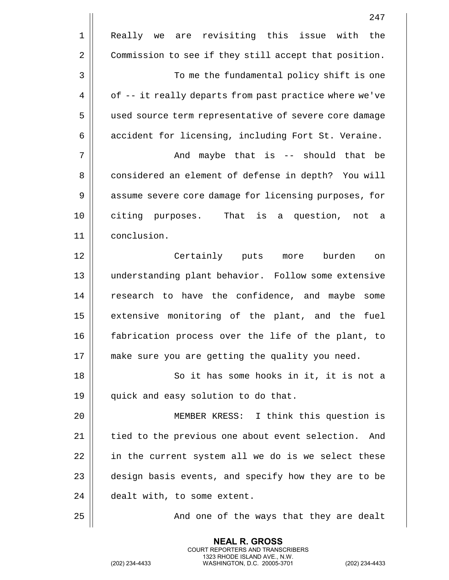|             | 247                                                    |
|-------------|--------------------------------------------------------|
| $\mathbf 1$ | Really we are revisiting this issue with<br>the        |
| 2           | Commission to see if they still accept that position.  |
| 3           | To me the fundamental policy shift is one              |
| 4           | of -- it really departs from past practice where we've |
| 5           | used source term representative of severe core damage  |
| 6           | accident for licensing, including Fort St. Veraine.    |
| 7           | And maybe that is -- should that be                    |
| 8           | considered an element of defense in depth? You will    |
| 9           | assume severe core damage for licensing purposes, for  |
| 10          | citing purposes. That is<br>question,<br>not a<br>a    |
| 11          | conclusion.                                            |
| 12          | Certainly puts<br>burden<br>more<br>on                 |
| 13          | understanding plant behavior. Follow some extensive    |
| 14          | research to have the confidence, and maybe<br>some     |
| 15          | extensive monitoring of the plant, and the<br>fuel     |
| 16          | fabrication process over the life of the plant, to     |
| 17          | make sure you are getting the quality you need.        |
| 18          | So it has some hooks in it, it is not a                |
| 19          | quick and easy solution to do that.                    |
| 20          | MEMBER KRESS: I think this question is                 |
| 21          | tied to the previous one about event selection.<br>And |
| 22          | in the current system all we do is we select these     |
| 23          | design basis events, and specify how they are to be    |
| 24          | dealt with, to some extent.                            |
| 25          | And one of the ways that they are dealt                |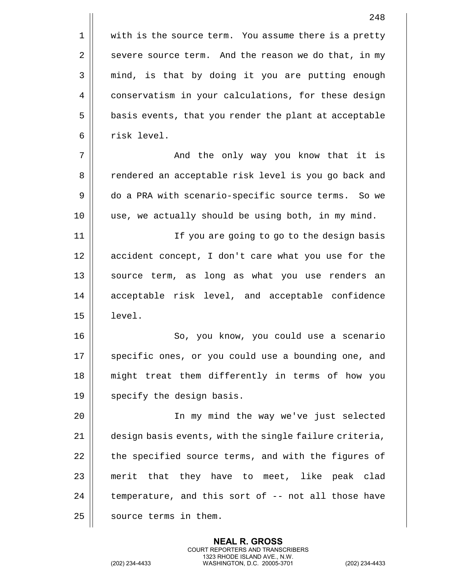1 || with is the source term. You assume there is a pretty 2  $\parallel$  severe source term. And the reason we do that, in my 3 || mind, is that by doing it you are putting enough 4 | conservatism in your calculations, for these design 5 | basis events, that you render the plant at acceptable 6 l risk level. 7 And the only way you know that it is

8 | rendered an acceptable risk level is you go back and 9 | do a PRA with scenario-specific source terms. So we 10 || use, we actually should be using both, in my mind.

11 || If you are going to go to the design basis 12 || accident concept, I don't care what you use for the 13 || source term, as long as what you use renders an 14 acceptable risk level, and acceptable confidence 15 level.

16 || So, you know, you could use a scenario 17 || specific ones, or you could use a bounding one, and 18 || might treat them differently in terms of how you  $19$  | specify the design basis.

 In my mind the way we've just selected  $\parallel$  design basis events, with the single failure criteria,  $\parallel$  the specified source terms, and with the figures of || merit that they have to meet, like peak clad | temperature, and this sort of  $-$ - not all those have 25 | source terms in them.

> **NEAL R. GROSS** COURT REPORTERS AND TRANSCRIBERS 1323 RHODE ISLAND AVE., N.W.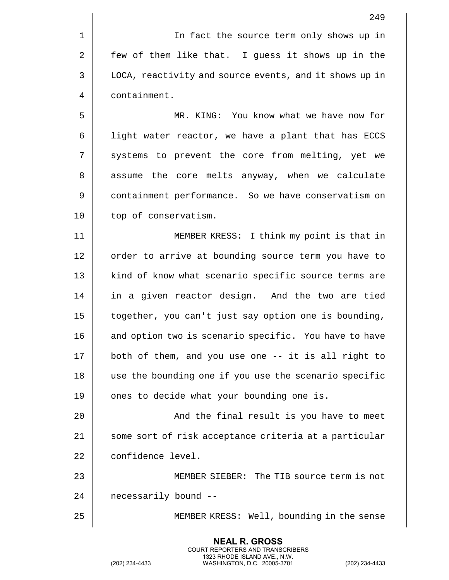|    | 249                                                    |
|----|--------------------------------------------------------|
| 1  | In fact the source term only shows up in               |
| 2  | few of them like that. I guess it shows up in the      |
| 3  | LOCA, reactivity and source events, and it shows up in |
| 4  | containment.                                           |
| 5  | MR. KING: You know what we have now for                |
| 6  | light water reactor, we have a plant that has ECCS     |
| 7  | systems to prevent the core from melting, yet we       |
| 8  | assume the core melts anyway, when we calculate        |
| 9  | containment performance. So we have conservatism on    |
| 10 | top of conservatism.                                   |
| 11 | MEMBER KRESS: I think my point is that in              |
| 12 | order to arrive at bounding source term you have to    |
| 13 | kind of know what scenario specific source terms are   |
| 14 | in a given reactor design. And the two are tied        |
| 15 | together, you can't just say option one is bounding,   |
| 16 | and option two is scenario specific. You have to have  |
| 17 | both of them, and you use one -- it is all right to    |
| 18 | use the bounding one if you use the scenario specific  |
| 19 | ones to decide what your bounding one is.              |
| 20 | And the final result is you have to meet               |
| 21 | some sort of risk acceptance criteria at a particular  |
| 22 | confidence level.                                      |
| 23 | MEMBER SIEBER: The TIB source term is not              |
| 24 | necessarily bound --                                   |
| 25 | MEMBER KRESS: Well, bounding in the sense              |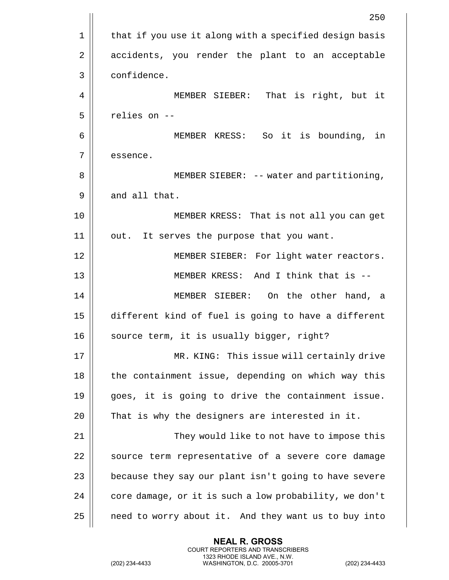|    | 250                                                    |
|----|--------------------------------------------------------|
| 1  | that if you use it along with a specified design basis |
| 2  | accidents, you render the plant to an acceptable       |
| 3  | confidence.                                            |
| 4  | MEMBER SIEBER: That is right, but it                   |
| 5  | relies on --                                           |
| 6  | MEMBER KRESS: So it is bounding, in                    |
| 7  | essence.                                               |
| 8  | MEMBER SIEBER: -- water and partitioning,              |
| 9  | and all that.                                          |
| 10 | MEMBER KRESS: That is not all you can get              |
| 11 | It serves the purpose that you want.<br>out.           |
| 12 | MEMBER SIEBER: For light water reactors.               |
| 13 | MEMBER KRESS: And I think that is --                   |
| 14 | MEMBER SIEBER: On the other hand, a                    |
| 15 | different kind of fuel is going to have a different    |
| 16 | source term, it is usually bigger, right?              |
| 17 | MR. KING: This issue will certainly drive              |
| 18 | the containment issue, depending on which way this     |
| 19 | goes, it is going to drive the containment issue.      |
| 20 | That is why the designers are interested in it.        |
| 21 | They would like to not have to impose this             |
| 22 | source term representative of a severe core damage     |
| 23 | because they say our plant isn't going to have severe  |
| 24 | core damage, or it is such a low probability, we don't |
| 25 | need to worry about it. And they want us to buy into   |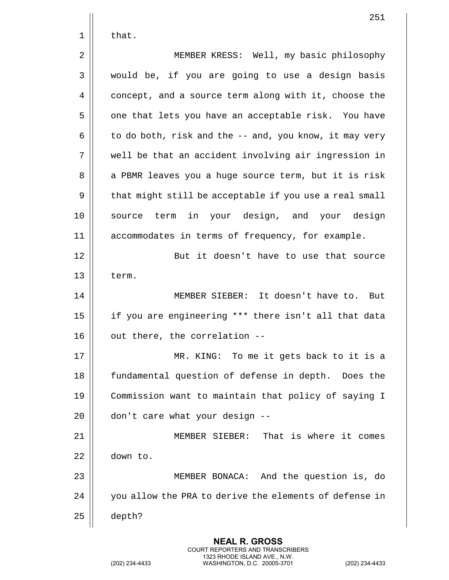|    | 251                                                    |
|----|--------------------------------------------------------|
| 1  | that.                                                  |
| 2  | MEMBER KRESS: Well, my basic philosophy                |
| 3  | would be, if you are going to use a design basis       |
| 4  | concept, and a source term along with it, choose the   |
| 5  | one that lets you have an acceptable risk. You have    |
| 6  | to do both, risk and the -- and, you know, it may very |
| 7  | well be that an accident involving air ingression in   |
| 8  | a PBMR leaves you a huge source term, but it is risk   |
| 9  | that might still be acceptable if you use a real small |
| 10 | in your design, and your design<br>source term         |
| 11 | accommodates in terms of frequency, for example.       |
| 12 | But it doesn't have to use that source                 |
| 13 | term.                                                  |
| 14 | MEMBER SIEBER: It doesn't have to. But                 |
| 15 | if you are engineering *** there isn't all that data   |
| 16 | out there, the correlation --                          |
| 17 | MR. KING: To me it gets back to it is a                |
| 18 | fundamental question of defense in depth. Does the     |
| 19 | Commission want to maintain that policy of saying I    |
| 20 | don't care what your design --                         |
| 21 | MEMBER SIEBER: That is where it comes                  |
| 22 | down to.                                               |
| 23 | MEMBER BONACA: And the question is, do                 |
| 24 | you allow the PRA to derive the elements of defense in |
| 25 | depth?                                                 |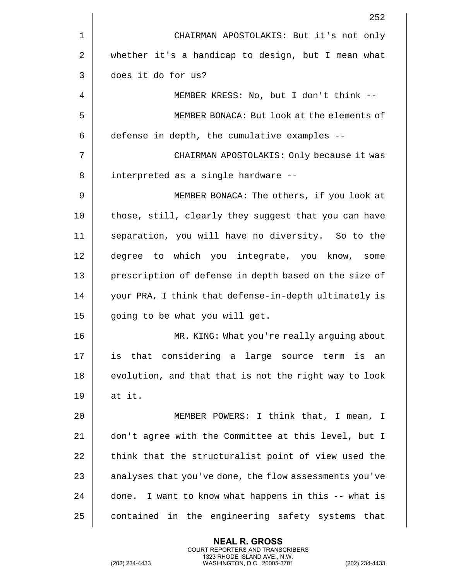|    | 252                                                    |
|----|--------------------------------------------------------|
| 1  | CHAIRMAN APOSTOLAKIS: But it's not only                |
| 2  | whether it's a handicap to design, but I mean what     |
| 3  | does it do for us?                                     |
| 4  | MEMBER KRESS: No, but I don't think --                 |
| 5  | MEMBER BONACA: But look at the elements of             |
| 6  | defense in depth, the cumulative examples --           |
| 7  | CHAIRMAN APOSTOLAKIS: Only because it was              |
| 8  | interpreted as a single hardware --                    |
| 9  | MEMBER BONACA: The others, if you look at              |
| 10 | those, still, clearly they suggest that you can have   |
| 11 | separation, you will have no diversity. So to the      |
| 12 | degree to which you integrate, you know, some          |
| 13 | prescription of defense in depth based on the size of  |
| 14 | your PRA, I think that defense-in-depth ultimately is  |
| 15 | going to be what you will get.                         |
| 16 | MR. KING: What you're really arguing about             |
| 17 | is that considering a large source term is an          |
| 18 | evolution, and that that is not the right way to look  |
| 19 | at it.                                                 |
| 20 | MEMBER POWERS: I think that, I mean, I                 |
| 21 | don't agree with the Committee at this level, but I    |
| 22 | think that the structuralist point of view used the    |
| 23 | analyses that you've done, the flow assessments you've |
| 24 | done. I want to know what happens in this -- what is   |
| 25 | contained in the engineering safety systems that       |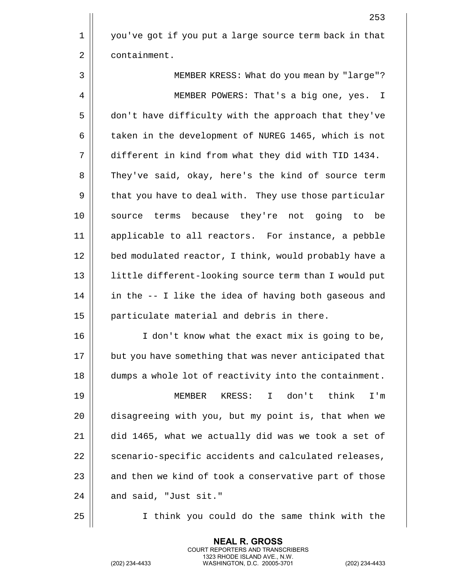1 you've got if you put a large source term back in that 2 | containment.

3 MEMBER KRESS: What do you mean by "large"? 4 | MEMBER POWERS: That's a big one, yes. I 5 | don't have difficulty with the approach that they've 6 | taken in the development of NUREG 1465, which is not 7 different in kind from what they did with TID 1434. 8 They've said, okay, here's the kind of source term 9 | that you have to deal with. They use those particular 10 source terms because they're not going to be 11 applicable to all reactors. For instance, a pebble 12 || bed modulated reactor, I think, would probably have a 13 || little different-looking source term than I would put 14 || in the -- I like the idea of having both gaseous and 15 || particulate material and debris in there.

16 || I don't know what the exact mix is going to be, 17 || but you have something that was never anticipated that 18 dumps a whole lot of reactivity into the containment.

 MEMBER KRESS: I don't think I'm disagreeing with you, but my point is, that when we did 1465, what we actually did was we took a set of 22 | scenario-specific accidents and calculated releases, || and then we kind of took a conservative part of those | and said, "Just sit."

25 I think you could do the same think with the

**NEAL R. GROSS** COURT REPORTERS AND TRANSCRIBERS 1323 RHODE ISLAND AVE., N.W.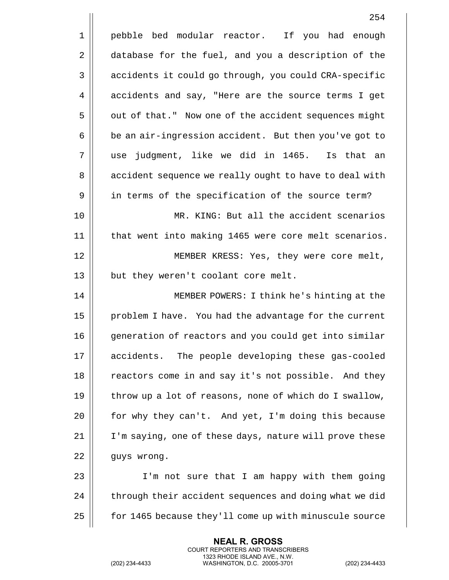|    | 254                                                    |
|----|--------------------------------------------------------|
| 1  | pebble bed modular reactor. If you had enough          |
| 2  | database for the fuel, and you a description of the    |
| 3  | accidents it could go through, you could CRA-specific  |
| 4  | accidents and say, "Here are the source terms I get    |
| 5  | out of that." Now one of the accident sequences might  |
| 6  | be an air-ingression accident. But then you've got to  |
| 7  | use judgment, like we did in 1465. Is that an          |
| 8  | accident sequence we really ought to have to deal with |
| 9  | in terms of the specification of the source term?      |
| 10 | MR. KING: But all the accident scenarios               |
| 11 | that went into making 1465 were core melt scenarios.   |
| 12 | MEMBER KRESS: Yes, they were core melt,                |
| 13 | but they weren't coolant core melt.                    |
| 14 | MEMBER POWERS: I think he's hinting at the             |
| 15 | problem I have. You had the advantage for the current  |
| 16 | generation of reactors and you could get into similar  |
| 17 | accidents. The people developing these gas-cooled      |
| 18 | reactors come in and say it's not possible. And they   |
| 19 | throw up a lot of reasons, none of which do I swallow, |
| 20 | for why they can't. And yet, I'm doing this because    |
| 21 | I'm saying, one of these days, nature will prove these |
| 22 | guys wrong.                                            |
| 23 | I'm not sure that I am happy with them going           |
| 24 | through their accident sequences and doing what we did |
| 25 | for 1465 because they'll come up with minuscule source |

(202) 234-4433 WASHINGTON, D.C. 20005-3701 (202) 234-4433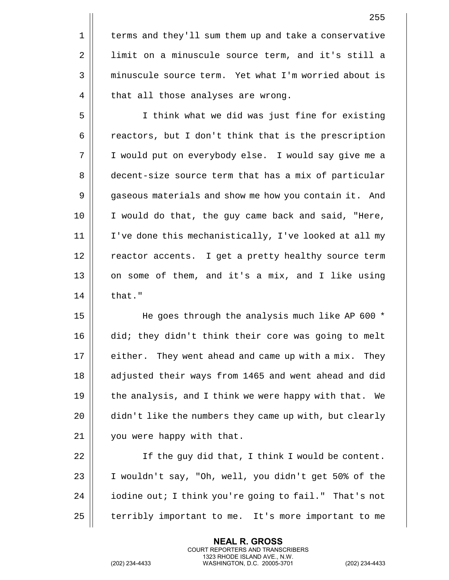5 || I think what we did was just fine for existing  $6 \parallel$  reactors, but I don't think that is the prescription 7 I would put on everybody else. I would say give me a 8 decent-size source term that has a mix of particular 9 | gaseous materials and show me how you contain it. And 10 I would do that, the guy came back and said, "Here, 11 I've done this mechanistically, I've looked at all my 12 || reactor accents. I get a pretty healthy source term 13  $\parallel$  on some of them, and it's a mix, and I like using  $14 \parallel$  that."

15 || He goes through the analysis much like AP 600 \* 16 did; they didn't think their core was going to melt 17 || either. They went ahead and came up with a mix. They 18 || adjusted their ways from 1465 and went ahead and did 19  $\parallel$  the analysis, and I think we were happy with that. We 20 | didn't like the numbers they came up with, but clearly 21 | you were happy with that.

22 If the guy did that, I think I would be content. 23 | I wouldn't say, "Oh, well, you didn't get 50% of the 24 | iodine out; I think you're going to fail." That's not 25 | terribly important to me. It's more important to me

> **NEAL R. GROSS** COURT REPORTERS AND TRANSCRIBERS 1323 RHODE ISLAND AVE., N.W.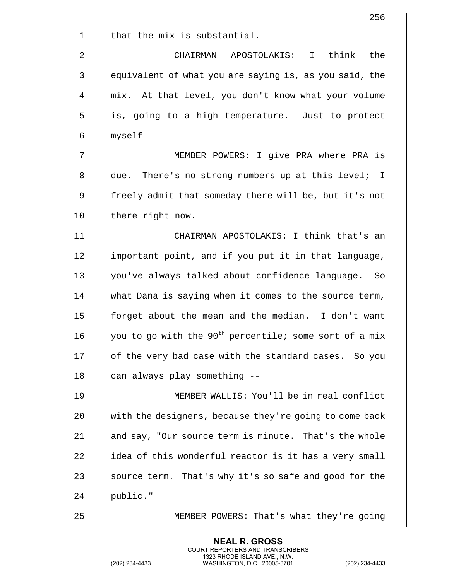|    | 256                                                                |
|----|--------------------------------------------------------------------|
| 1  | that the mix is substantial.                                       |
| 2  | CHAIRMAN APOSTOLAKIS:<br>think<br>the<br>$\mathbf{I}$              |
| 3  | equivalent of what you are saying is, as you said, the             |
| 4  | mix. At that level, you don't know what your volume                |
| 5  | is, going to a high temperature. Just to protect                   |
| 6  | myself --                                                          |
| 7  | MEMBER POWERS: I give PRA where PRA is                             |
| 8  | There's no strong numbers up at this level; I<br>due.              |
| 9  | freely admit that someday there will be, but it's not              |
| 10 | there right now.                                                   |
| 11 | CHAIRMAN APOSTOLAKIS: I think that's an                            |
| 12 | important point, and if you put it in that language,               |
| 13 | you've always talked about confidence language.<br>– So            |
| 14 | what Dana is saying when it comes to the source term,              |
| 15 | forget about the mean and the median. I don't want                 |
| 16 | you to go with the 90 <sup>th</sup> percentile; some sort of a mix |
| 17 | of the very bad case with the standard cases. So you               |
| 18 | can always play something --                                       |
| 19 | MEMBER WALLIS: You'll be in real conflict                          |
| 20 | with the designers, because they're going to come back             |
| 21 | and say, "Our source term is minute. That's the whole              |
| 22 | idea of this wonderful reactor is it has a very small              |
| 23 | source term. That's why it's so safe and good for the              |
| 24 | public."                                                           |
| 25 | MEMBER POWERS: That's what they're going                           |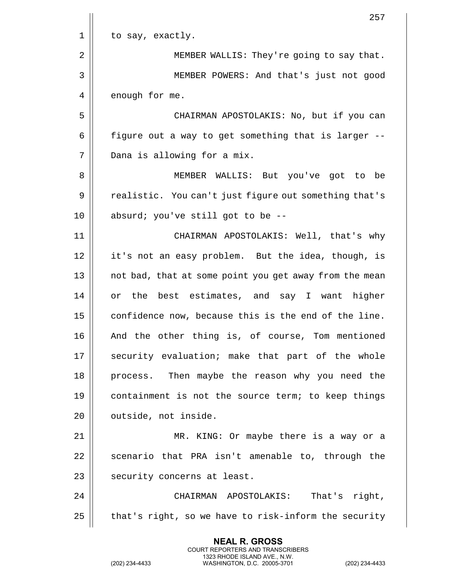|    | 257                                                    |
|----|--------------------------------------------------------|
| 1  | to say, exactly.                                       |
| 2  | MEMBER WALLIS: They're going to say that.              |
| 3  | MEMBER POWERS: And that's just not good                |
| 4  | enough for me.                                         |
| 5  | CHAIRMAN APOSTOLAKIS: No, but if you can               |
| 6  | figure out a way to get something that is larger --    |
| 7  | Dana is allowing for a mix.                            |
| 8  | MEMBER WALLIS: But you've got to be                    |
| 9  | realistic. You can't just figure out something that's  |
| 10 | absurd; you've still got to be --                      |
| 11 | CHAIRMAN APOSTOLAKIS: Well, that's why                 |
| 12 | it's not an easy problem. But the idea, though, is     |
| 13 | not bad, that at some point you get away from the mean |
| 14 | or the best estimates, and say I want higher           |
| 15 | confidence now, because this is the end of the line.   |
| 16 | And the other thing is, of course, Tom mentioned       |
| 17 | security evaluation; make that part of the whole       |
| 18 | process. Then maybe the reason why you need the        |
| 19 | containment is not the source term; to keep things     |
| 20 | outside, not inside.                                   |
| 21 | MR. KING: Or maybe there is a way or a                 |
| 22 | scenario that PRA isn't amenable to, through the       |
| 23 | security concerns at least.                            |
| 24 | CHAIRMAN APOSTOLAKIS:<br>That's right,                 |
| 25 | that's right, so we have to risk-inform the security   |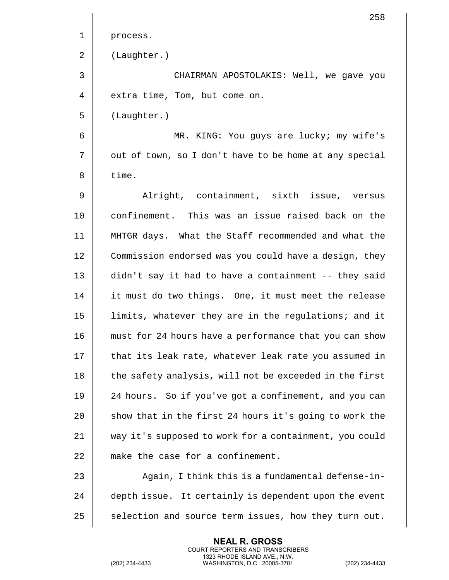258 1 | process. 2 (Laughter.) 3 CHAIRMAN APOSTOLAKIS: Well, we gave you 4 | extra time, Tom, but come on. 5 (Laughter.) 6 MR. KING: You guys are lucky; my wife's 7 | out of town, so I don't have to be home at any special  $8 \parallel$  time. 9 Alright, containment, sixth issue, versus 10 confinement. This was an issue raised back on the 11 MHTGR days. What the Staff recommended and what the 12 | Commission endorsed was you could have a design, they 13 didn't say it had to have a containment -- they said 14 || it must do two things. One, it must meet the release 15 || limits, whatever they are in the regulations; and it 16 **must for 24 hours have a performance that you can show** 17 || that its leak rate, whatever leak rate you assumed in 18 || the safety analysis, will not be exceeded in the first 19 24 hours. So if you've got a confinement, and you can 20  $\parallel$  show that in the first 24 hours it's going to work the 21 way it's supposed to work for a containment, you could 22 || make the case for a confinement. 23 || Aqain, I think this is a fundamental defense-in- $24$   $\parallel$  depth issue. It certainly is dependent upon the event  $25$   $\parallel$  selection and source term issues, how they turn out.

> **NEAL R. GROSS** COURT REPORTERS AND TRANSCRIBERS 1323 RHODE ISLAND AVE., N.W.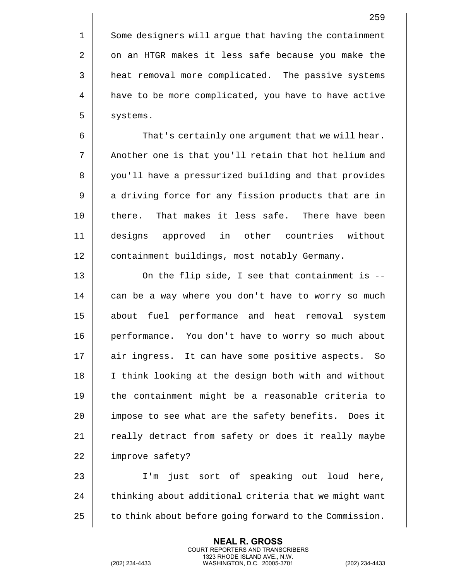1 | Some designers will argue that having the containment 2 | on an HTGR makes it less safe because you make the 3 | heat removal more complicated. The passive systems 4 | have to be more complicated, you have to have active  $5 \parallel$  systems.

6 | That's certainly one argument that we will hear. 7 || Another one is that you'll retain that hot helium and 8 | you'll have a pressurized building and that provides 9 || a driving force for any fission products that are in 10 || there. That makes it less safe. There have been 11 designs approved in other countries without 12 | containment buildings, most notably Germany.

13  $\parallel$  0n the flip side, I see that containment is --14 || can be a way where you don't have to worry so much 15 || about fuel performance and heat removal system 16 performance. You don't have to worry so much about 17 || air ingress. It can have some positive aspects. So 18 I think looking at the design both with and without 19 the containment might be a reasonable criteria to 20 || impose to see what are the safety benefits. Does it 21 || really detract from safety or does it really maybe 22 | improve safety?

23 I'm just sort of speaking out loud here,  $24$   $\parallel$  thinking about additional criteria that we might want  $25$   $\parallel$  to think about before going forward to the Commission.

> **NEAL R. GROSS** COURT REPORTERS AND TRANSCRIBERS 1323 RHODE ISLAND AVE., N.W.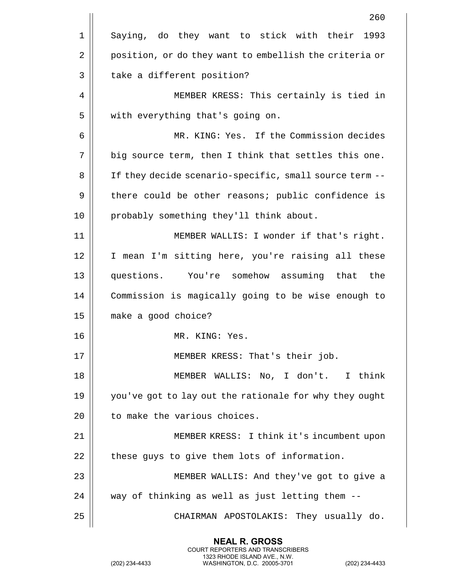|    | 260                                                    |
|----|--------------------------------------------------------|
| 1  | Saying, do they want to stick with their<br>1993       |
| 2  | position, or do they want to embellish the criteria or |
| 3  | take a different position?                             |
| 4  | MEMBER KRESS: This certainly is tied in                |
| 5  | with everything that's going on.                       |
| 6  | MR. KING: Yes. If the Commission decides               |
| 7  | big source term, then I think that settles this one.   |
| 8  | If they decide scenario-specific, small source term -- |
| 9  | there could be other reasons; public confidence is     |
| 10 | probably something they'll think about.                |
| 11 | MEMBER WALLIS: I wonder if that's right.               |
| 12 | I mean I'm sitting here, you're raising all these      |
| 13 | questions. You're somehow assuming that the            |
| 14 | Commission is magically going to be wise enough to     |
| 15 | make a good choice?                                    |
| 16 | MR. KING: Yes.                                         |
| 17 | MEMBER KRESS: That's their job.                        |
| 18 | MEMBER WALLIS: No, I don't. I think                    |
| 19 | you've got to lay out the rationale for why they ought |
| 20 | to make the various choices.                           |
| 21 | MEMBER KRESS: I think it's incumbent upon              |
| 22 | these guys to give them lots of information.           |
| 23 | MEMBER WALLIS: And they've got to give a               |
| 24 | way of thinking as well as just letting them --        |
| 25 | CHAIRMAN APOSTOLAKIS: They usually do.                 |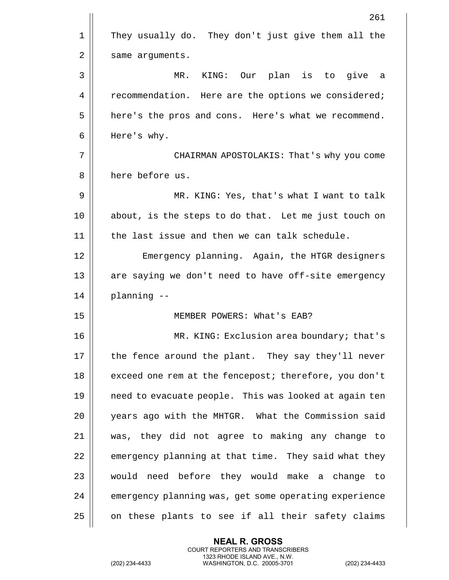|                | 261                                                   |
|----------------|-------------------------------------------------------|
| $\mathbf 1$    | They usually do. They don't just give them all the    |
| $\overline{2}$ | same arguments.                                       |
| 3              | MR. KING: Our plan is to give a                       |
| 4              | recommendation. Here are the options we considered;   |
| 5              | here's the pros and cons. Here's what we recommend.   |
| 6              | Here's why.                                           |
| 7              | CHAIRMAN APOSTOLAKIS: That's why you come             |
| 8              | here before us.                                       |
| 9              | MR. KING: Yes, that's what I want to talk             |
| 10             | about, is the steps to do that. Let me just touch on  |
| 11             | the last issue and then we can talk schedule.         |
| 12             | Emergency planning. Again, the HTGR designers         |
| 13             | are saying we don't need to have off-site emergency   |
| 14             | planning --                                           |
| 15             | MEMBER POWERS: What's EAB?                            |
| 16             | MR. KING: Exclusion area boundary; that's             |
| 17             | the fence around the plant. They say they'll never    |
| 18             | exceed one rem at the fencepost; therefore, you don't |
| 19             | need to evacuate people. This was looked at again ten |
| 20             | years ago with the MHTGR. What the Commission said    |
| 21             | was, they did not agree to making any change to       |
| 22             | emergency planning at that time. They said what they  |
| 23             | would need before they would make a change<br>to      |
| 24             | emergency planning was, get some operating experience |
| 25             | on these plants to see if all their safety claims     |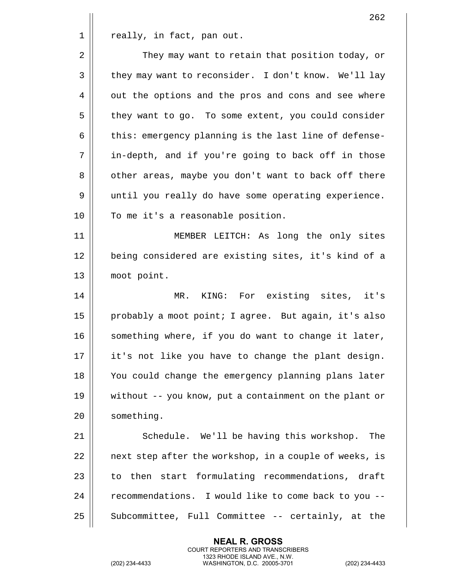$1 \parallel$  really, in fact, pan out.

| $\overline{2}$ | They may want to retain that position today, or       |
|----------------|-------------------------------------------------------|
| 3              | they may want to reconsider. I don't know. We'll lay  |
| 4              | out the options and the pros and cons and see where   |
| 5              | they want to go. To some extent, you could consider   |
| 6              | this: emergency planning is the last line of defense- |
| 7              | in-depth, and if you're going to back off in those    |
| 8              | other areas, maybe you don't want to back off there   |
| 9              | until you really do have some operating experience.   |
| 10             | To me it's a reasonable position.                     |
| 11             | MEMBER LEITCH: As long the only sites                 |
| 12             | being considered are existing sites, it's kind of a   |
| 13             | moot point.                                           |
|                |                                                       |

14 || MR. KING: For existing sites, it's 15 | probably a moot point; I agree. But again, it's also 16 | something where, if you do want to change it later, 17 || it's not like you have to change the plant design. 18 || You could change the emergency planning plans later 19 without -- you know, put a containment on the plant or 20 | something.

21 | Schedule. We'll be having this workshop. The 22 || next step after the workshop, in a couple of weeks, is  $23$   $\parallel$  to then start formulating recommendations, draft 24 | recommendations. I would like to come back to you --25 | Subcommittee, Full Committee -- certainly, at the

> **NEAL R. GROSS** COURT REPORTERS AND TRANSCRIBERS 1323 RHODE ISLAND AVE., N.W.